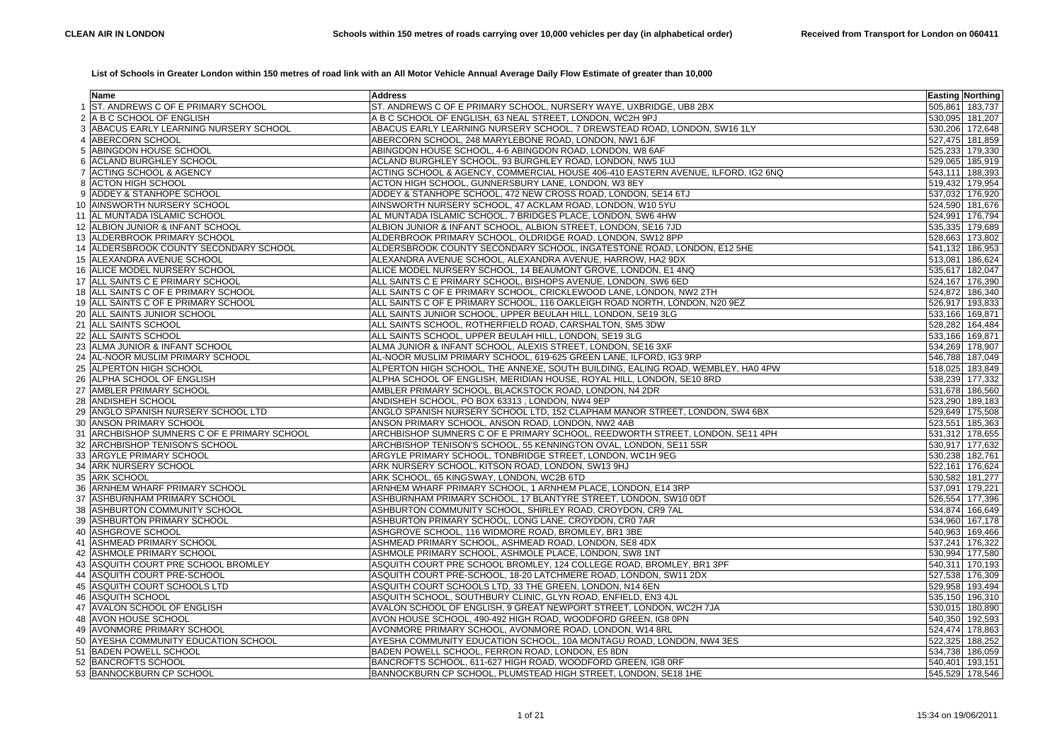## **List of Schools in Greater London within 150 metres of road link with an All Motor Vehicle Annual Average Daily Flow Estimate of greater than 10,000**

|     | Name                                     | <b>Address</b>                                                                   | <b>Easting Northing</b> |
|-----|------------------------------------------|----------------------------------------------------------------------------------|-------------------------|
|     | ST. ANDREWS C OF E PRIMARY SCHOOL        | ST. ANDREWS C OF E PRIMARY SCHOOL, NURSERY WAYE, UXBRIDGE, UB8 2BX               | 505,861 183,737         |
|     | A B C SCHOOL OF ENGLISH                  | A B C SCHOOL OF ENGLISH, 63 NEAL STREET, LONDON, WC2H 9PJ                        | 530,095 181,207         |
| 3   | ABACUS EARLY LEARNING NURSERY SCHOOL     | ABACUS EARLY LEARNING NURSERY SCHOOL, 7 DREWSTEAD ROAD, LONDON, SW16 1LY         | 530,206 172,648         |
|     | ABERCORN SCHOOL                          | ABERCORN SCHOOL, 248 MARYLEBONE ROAD, LONDON, NW1 6JF                            | 527,475 181,859         |
| 5.  | ABINGDON HOUSE SCHOOL                    | ABINGDON HOUSE SCHOOL, 4-6 ABINGDON ROAD, LONDON, W8 6AF                         | 525,233 179,330         |
| 6.  | <b>ACLAND BURGHLEY SCHOOL</b>            | ACLAND BURGHLEY SCHOOL, 93 BURGHLEY ROAD, LONDON, NW5 1UJ                        | 529,065 185,919         |
|     | <b>ACTING SCHOOL &amp; AGENCY</b>        | ACTING SCHOOL & AGENCY, COMMERCIAL HOUSE 406-410 EASTERN AVENUE, ILFORD, IG2 6NQ | 543,111 188,393         |
| 8   | <b>ACTON HIGH SCHOOL</b>                 | ACTON HIGH SCHOOL, GUNNERSBURY LANE, LONDON, W3 8EY                              | 519,432 179,954         |
|     | ADDEY & STANHOPE SCHOOL                  | ADDEY & STANHOPE SCHOOL, 472 NEW CROSS ROAD, LONDON, SE14 6TJ                    | 537,032 176,920         |
| 10. | <b>AINSWORTH NURSERY SCHOOL</b>          | AINSWORTH NURSERY SCHOOL, 47 ACKLAM ROAD, LONDON, W10 5YU                        | 524,590 181,676         |
| 11  | AL MUNTADA ISLAMIC SCHOOL                | AL MUNTADA ISLAMIC SCHOOL, 7 BRIDGES PLACE, LONDON, SW6 4HW                      | 524,991 176,794         |
|     | 12 ALBION JUNIOR & INFANT SCHOOL         | ALBION JUNIOR & INFANT SCHOOL, ALBION STREET, LONDON, SE16 7JD                   | 535,335 179,689         |
|     | 13 ALDERBROOK PRIMARY SCHOOL             | ALDERBROOK PRIMARY SCHOOL, OLDRIDGE ROAD, LONDON, SW12 8PP                       | 528,663 173,802         |
|     | 14 ALDERSBROOK COUNTY SECONDARY SCHOOL   | ALDERSBROOK COUNTY SECONDARY SCHOOL, INGATESTONE ROAD, LONDON, E12 5HE           | 541,132 186,953         |
| 15  | ALEXANDRA AVENUE SCHOOL                  | ALEXANDRA AVENUE SCHOOL, ALEXANDRA AVENUE, HARROW, HA2 9DX                       | 513,081 186,624         |
|     | 16 ALICE MODEL NURSERY SCHOOL            | ALICE MODEL NURSERY SCHOOL, 14 BEAUMONT GROVE, LONDON, E1 4NQ                    | 535,617 182,047         |
|     | 17 ALL SAINTS C E PRIMARY SCHOOL         | ALL SAINTS C E PRIMARY SCHOOL, BISHOPS AVENUE, LONDON, SW6 6ED                   | 524,167 176,390         |
| 18  | ALL SAINTS C OF E PRIMARY SCHOOL         | ALL SAINTS C OF E PRIMARY SCHOOL, CRICKLEWOOD LANE, LONDON, NW2 2TH              | 524,872 186,340         |
|     | 19 ALL SAINTS C OF E PRIMARY SCHOOL      | ALL SAINTS C OF E PRIMARY SCHOOL, 116 OAKLEIGH ROAD NORTH, LONDON, N20 9EZ       | 526,917 193,833         |
| 20  | ALL SAINTS JUNIOR SCHOOL                 | ALL SAINTS JUNIOR SCHOOL, UPPER BEULAH HILL, LONDON, SE19 3LG                    | 533,166 169,871         |
|     | 21 ALL SAINTS SCHOOL                     | ALL SAINTS SCHOOL, ROTHERFIELD ROAD, CARSHALTON, SM5 3DW                         | 528,282 164,484         |
|     | 22 ALL SAINTS SCHOOL                     | ALL SAINTS SCHOOL, UPPER BEULAH HILL, LONDON, SE19 3LG                           | 533,166 169,871         |
| 23  | ALMA JUNIOR & INFANT SCHOOL              | ALMA JUNIOR & INFANT SCHOOL, ALEXIS STREET, LONDON, SE16 3XF                     | 534,269 178,907         |
| 24  | AL-NOOR MUSLIM PRIMARY SCHOOL            | AL-NOOR MUSLIM PRIMARY SCHOOL, 619-625 GREEN LANE, ILFORD, IG3 9RP               | 546,788 187,049         |
|     | 25 ALPERTON HIGH SCHOOL                  | ALPERTON HIGH SCHOOL, THE ANNEXE, SOUTH BUILDING, EALING ROAD, WEMBLEY, HA0 4PW  | 518,025 183,849         |
| 26  | ALPHA SCHOOL OF ENGLISH                  | ALPHA SCHOOL OF ENGLISH, MERIDIAN HOUSE, ROYAL HILL, LONDON, SE10 8RD            | 538,239 177,332         |
| 27  | <b>AMBLER PRIMARY SCHOOL</b>             | AMBLER PRIMARY SCHOOL, BLACKSTOCK ROAD, LONDON, N4 2DR                           | 531,678 186,560         |
| 28  | <b>ANDISHEH SCHOOL</b>                   | ANDISHEH SCHOOL, PO BOX 63313, LONDON, NW4 9EP                                   | 523,290 189,183         |
| 29  | ANGLO SPANISH NURSERY SCHOOL LTD         | ANGLO SPANISH NURSERY SCHOOL LTD, 152 CLAPHAM MANOR STREET, LONDON, SW4 6BX      | 529,649 175,508         |
| 30  | <b>ANSON PRIMARY SCHOOL</b>              | ANSON PRIMARY SCHOOL, ANSON ROAD, LONDON, NW2 4AB                                | 523,551 185,363         |
| 31  | ARCHBISHOP SUMNERS C OF E PRIMARY SCHOOL | ARCHBISHOP SUMNERS C OF E PRIMARY SCHOOL, REEDWORTH STREET, LONDON, SE11 4PH     | 531,312 178,655         |
| 32  | <b>ARCHBISHOP TENISON'S SCHOOL</b>       | ARCHBISHOP TENISON'S SCHOOL, 55 KENNINGTON OVAL, LONDON, SE11 5SR                | 530,917 177,632         |
| 33  | ARGYLE PRIMARY SCHOOL                    | ARGYLE PRIMARY SCHOOL, TONBRIDGE STREET, LONDON, WC1H 9EG                        | 530,238 182,761         |
| 34  | <b>ARK NURSERY SCHOOL</b>                | ARK NURSERY SCHOOL, KITSON ROAD, LONDON, SW13 9HJ                                | 522,161 176,624         |
| 35  | <b>ARK SCHOOL</b>                        | ARK SCHOOL, 65 KINGSWAY, LONDON, WC2B 6TD                                        | 530,582 181,277         |
| 36  | ARNHEM WHARF PRIMARY SCHOOL              | ARNHEM WHARF PRIMARY SCHOOL, 1 ARNHEM PLACE, LONDON, E14 3RP                     | 537,091 179,221         |
| 37  | ASHBURNHAM PRIMARY SCHOOL                | ASHBURNHAM PRIMARY SCHOOL, 17 BLANTYRE STREET, LONDON, SW10 0DT                  | 526,554 177,396         |
| 38  | ASHBURTON COMMUNITY SCHOOL               | ASHBURTON COMMUNITY SCHOOL, SHIRLEY ROAD, CROYDON, CR9 7AL                       | 534,874 166,649         |
| 39  | <b>ASHBURTON PRIMARY SCHOOL</b>          | ASHBURTON PRIMARY SCHOOL, LONG LANE, CROYDON, CR0 7AR                            | 534,960 167,178         |
| 40  | ASHGROVE SCHOOL                          | ASHGROVE SCHOOL, 116 WIDMORE ROAD, BROMLEY, BR1 3BE                              | 540,963 169,466         |
| 41  | ASHMEAD PRIMARY SCHOOL                   | ASHMEAD PRIMARY SCHOOL, ASHMEAD ROAD, LONDON, SE8 4DX                            | 537,241 176,322         |
| 42  | ASHMOLE PRIMARY SCHOOL                   | ASHMOLE PRIMARY SCHOOL, ASHMOLE PLACE, LONDON, SW8 1NT                           | 530,994 177,580         |
| 43  | ASQUITH COURT PRE SCHOOL BROMLEY         | ASQUITH COURT PRE SCHOOL BROMLEY, 124 COLLEGE ROAD, BROMLEY, BR1 3PF             | 540,311 170,193         |
| 44  | ASQUITH COURT PRE-SCHOOL                 | ASQUITH COURT PRE-SCHOOL, 18-20 LATCHMERE ROAD, LONDON, SW11 2DX                 | 527,538 176,309         |
| 45  | ASQUITH COURT SCHOOLS LTD                | ASQUITH COURT SCHOOLS LTD, 33 THE GREEN, LONDON, N14 6EN                         | 529,958 193,494         |
| 46  | <b>ASQUITH SCHOOL</b>                    | ASQUITH SCHOOL, SOUTHBURY CLINIC, GLYN ROAD, ENFIELD, EN3 4JL                    | 535,150 196,310         |
| 47  | <b>AVALON SCHOOL OF ENGLISH</b>          | AVALON SCHOOL OF ENGLISH, 9 GREAT NEWPORT STREET, LONDON, WC2H 7JA               | 530,015 180,890         |
|     | 48 AVON HOUSE SCHOOL                     | AVON HOUSE SCHOOL, 490-492 HIGH ROAD, WOODFORD GREEN, IG8 0PN                    | 540,350 192,593         |
| 49  | AVONMORE PRIMARY SCHOOL                  | AVONMORE PRIMARY SCHOOL, AVONMORE ROAD, LONDON, W14 8RL                          | 524,474 178,863         |
| 50  | <b>AYESHA COMMUNITY EDUCATION SCHOOL</b> | AYESHA COMMUNITY EDUCATION SCHOOL, 10A MONTAGU ROAD, LONDON, NW4 3ES             | 522,325 188,252         |
| 51  | <b>BADEN POWELL SCHOOL</b>               | BADEN POWELL SCHOOL, FERRON ROAD, LONDON, E5 8DN                                 | 534,738 186,059         |
| 52  | <b>BANCROFTS SCHOOL</b>                  | BANCROFTS SCHOOL, 611-627 HIGH ROAD, WOODFORD GREEN, IG8 0RF                     | 540,401 193,151         |
|     | 53 BANNOCKBURN CP SCHOOL                 | BANNOCKBURN CP SCHOOL, PLUMSTEAD HIGH STREET, LONDON, SE18 1HE                   | 545,529 178,546         |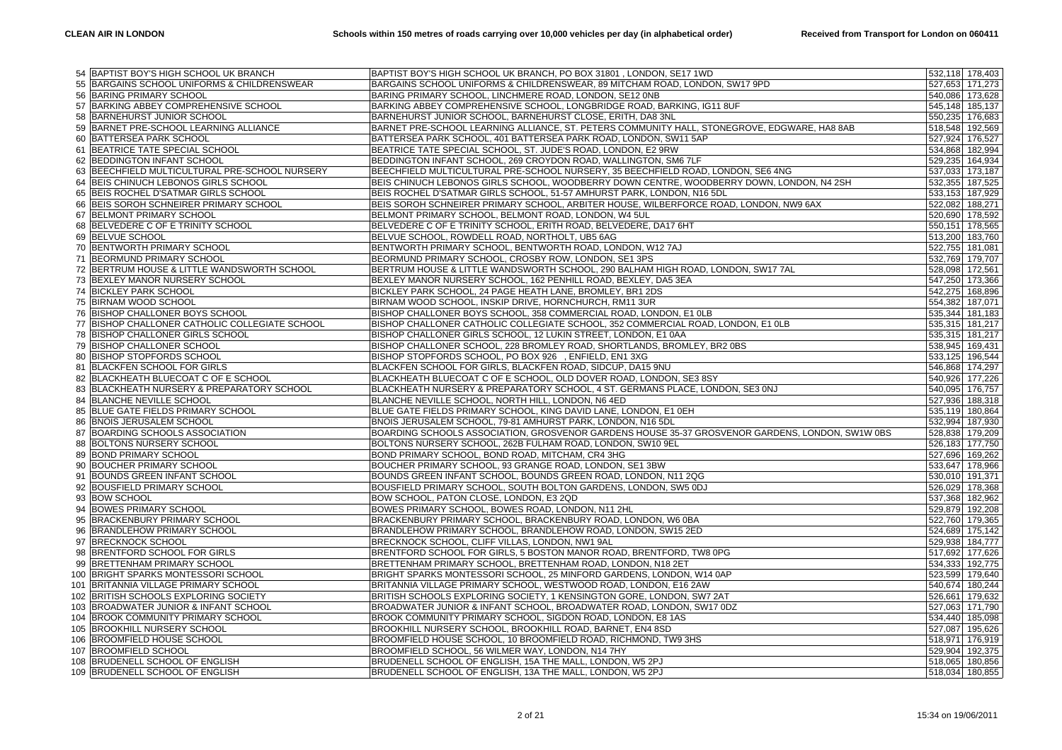|     | 54 BAPTIST BOY'S HIGH SCHOOL UK BRANCH             | BAPTIST BOY'S HIGH SCHOOL UK BRANCH, PO BOX 31801, LONDON, SE17 1WD                                                                           |                 | 532,118 178,403 |
|-----|----------------------------------------------------|-----------------------------------------------------------------------------------------------------------------------------------------------|-----------------|-----------------|
|     | 55 BARGAINS SCHOOL UNIFORMS & CHILDRENSWEAR        | BARGAINS SCHOOL UNIFORMS & CHILDRENSWEAR, 89 MITCHAM ROAD, LONDON, SW17 9PD                                                                   |                 | 527,653 171,273 |
| 56  | <b>BARING PRIMARY SCHOOL</b>                       | BARING PRIMARY SCHOOL, LINCHMERE ROAD, LONDON, SE12 ONB                                                                                       |                 | 540,086 173,628 |
| 57  | <b>BARKING ABBEY COMPREHENSIVE SCHOOL</b>          | BARKING ABBEY COMPREHENSIVE SCHOOL, LONGBRIDGE ROAD, BARKING, IG11 8UF                                                                        |                 | 545,148 185,137 |
|     | 58 BARNEHURST JUNIOR SCHOOL                        | BARNEHURST JUNIOR SCHOOL, BARNEHURST CLOSE, ERITH, DA8 3NL                                                                                    |                 | 550,235 176,683 |
| 59  | BARNET PRE-SCHOOL LEARNING ALLIANCE                | BARNET PRE-SCHOOL LEARNING ALLIANCE, ST. PETERS COMMUNITY HALL, STONEGROVE, EDGWARE, HA8 8AB                                                  |                 | 518,548 192,569 |
|     |                                                    |                                                                                                                                               |                 |                 |
| 60  | <b>BATTERSEA PARK SCHOOL</b>                       | BATTERSEA PARK SCHOOL, 401 BATTERSEA PARK ROAD, LONDON, SW11 5AP                                                                              |                 | 527,924 176,527 |
| 61  | BEATRICE TATE SPECIAL SCHOOL                       | BEATRICE TATE SPECIAL SCHOOL, ST. JUDE'S ROAD, LONDON, E2 9RW                                                                                 |                 | 534,868 182,994 |
| 62  | <b>BEDDINGTON INFANT SCHOOL</b>                    | BEDDINGTON INFANT SCHOOL, 269 CROYDON ROAD, WALLINGTON, SM6 7LF                                                                               |                 | 529,235 164,934 |
| 63  | BEECHFIELD MULTICULTURAL PRE-SCHOOL NURSERY        | BEECHFIELD MULTICULTURAL PRE-SCHOOL NURSERY, 35 BEECHFIELD ROAD, LONDON, SE6 4NG                                                              |                 | 537,033 173,187 |
| 64  | BEIS CHINUCH LEBONOS GIRLS SCHOOL                  | BEIS CHINUCH LEBONOS GIRLS SCHOOL, WOODBERRY DOWN CENTRE, WOODBERRY DOWN, LONDON, N4 2SH                                                      |                 | 532,355 187,525 |
| 65  | BEIS ROCHEL D'SATMAR GIRLS SCHOOL                  | BEIS ROCHEL D'SATMAR GIRLS SCHOOL, 51-57 AMHURST PARK, LONDON, N16 5DL                                                                        |                 | 533,153 187,929 |
| 66  | BEIS SOROH SCHNEIRER PRIMARY SCHOOL                | BEIS SOROH SCHNEIRER PRIMARY SCHOOL, ARBITER HOUSE, WILBERFORCE ROAD, LONDON, NW9 6AX                                                         | 522,082 188,271 |                 |
| 67  | BELMONT PRIMARY SCHOOL                             | BELMONT PRIMARY SCHOOL, BELMONT ROAD, LONDON, W4 5UL                                                                                          |                 | 520,690 178,592 |
| 68  | BELVEDERE C OF E TRINITY SCHOOL                    | BELVEDERE C OF E TRINITY SCHOOL, ERITH ROAD, BELVEDERE, DA17 6HT                                                                              |                 | 550,151 178,565 |
| 69  | <b>BELVUE SCHOOL</b>                               | BELVUE SCHOOL, ROWDELL ROAD, NORTHOLT, UB5 6AG                                                                                                | 513,200 183,760 |                 |
| 70  | <b>BENTWORTH PRIMARY SCHOOL</b>                    | BENTWORTH PRIMARY SCHOOL, BENTWORTH ROAD, LONDON, W12 7AJ                                                                                     | 522,755 181,081 |                 |
| 71  | <b>BEORMUND PRIMARY SCHOOL</b>                     | BEORMUND PRIMARY SCHOOL, CROSBY ROW, LONDON, SE1 3PS                                                                                          |                 | 532,769 179,707 |
| 72  | BERTRUM HOUSE & LITTLE WANDSWORTH SCHOOL           | BERTRUM HOUSE & LITTLE WANDSWORTH SCHOOL, 290 BALHAM HIGH ROAD, LONDON, SW17 7AL                                                              | 528,098 172,561 |                 |
|     | 73 BEXLEY MANOR NURSERY SCHOOL                     | BEXLEY MANOR NURSERY SCHOOL, 162 PENHILL ROAD, BEXLEY, DA5 3EA                                                                                |                 | 547,250 173,366 |
| 74  | <b>BICKLEY PARK SCHOOL</b>                         | BICKLEY PARK SCHOOL, 24 PAGE HEATH LANE, BROMLEY, BR1 2DS                                                                                     |                 | 542,275 168,896 |
|     | 75 BIRNAM WOOD SCHOOL                              | BIRNAM WOOD SCHOOL, INSKIP DRIVE, HORNCHURCH, RM11 3UR                                                                                        | 554,382 187,071 |                 |
|     | 76 BISHOP CHALLONER BOYS SCHOOL                    | BISHOP CHALLONER BOYS SCHOOL, 358 COMMERCIAL ROAD, LONDON, E1 0LB                                                                             |                 | 535,344 181,183 |
| 77  | <b>BISHOP CHALLONER CATHOLIC COLLEGIATE SCHOOL</b> | BISHOP CHALLONER CATHOLIC COLLEGIATE SCHOOL, 352 COMMERCIAL ROAD, LONDON, E1 0LB                                                              |                 | 535,315 181,217 |
|     | 78 BISHOP CHALLONER GIRLS SCHOOL                   | BISHOP CHALLONER GIRLS SCHOOL, 12 LUKIN STREET, LONDON, E1 0AA                                                                                |                 | 535,315 181,217 |
|     | 79 BISHOP CHALLONER SCHOOL                         | BISHOP CHALLONER SCHOOL, 228 BROMLEY ROAD, SHORTLANDS, BROMLEY, BR2 0BS                                                                       | 538,945 169,431 |                 |
| 80  | <b>BISHOP STOPFORDS SCHOOL</b>                     | BISHOP STOPFORDS SCHOOL, PO BOX 926 , ENFIELD, EN1 3XG                                                                                        |                 | 533,125 196,544 |
| 81  | <b>BLACKFEN SCHOOL FOR GIRLS</b>                   | BLACKFEN SCHOOL FOR GIRLS, BLACKFEN ROAD, SIDCUP, DA15 9NU                                                                                    |                 | 546,868 174,297 |
| 82  | BLACKHEATH BLUECOAT C OF E SCHOOL                  | BLACKHEATH BLUECOAT C OF E SCHOOL, OLD DOVER ROAD, LONDON, SE3 8SY                                                                            |                 | 540,926 177,226 |
| 83  | BLACKHEATH NURSERY & PREPARATORY SCHOOL            | BLACKHEATH NURSERY & PREPARATORY SCHOOL, 4 ST. GERMANS PLACE, LONDON, SE3 0NJ                                                                 |                 | 540,095 176,757 |
| 84  | <b>BLANCHE NEVILLE SCHOOL</b>                      | BLANCHE NEVILLE SCHOOL, NORTH HILL, LONDON, N6 4ED                                                                                            |                 | 527,936 188,318 |
| 85  | <b>BLUE GATE FIELDS PRIMARY SCHOOL</b>             | BLUE GATE FIELDS PRIMARY SCHOOL, KING DAVID LANE, LONDON, E1 0EH                                                                              |                 | 535,119 180,864 |
| 86  | <b>BNOIS JERUSALEM SCHOOL</b>                      | BNOIS JERUSALEM SCHOOL, 79-81 AMHURST PARK, LONDON, N16 5DL                                                                                   | 532,994 187,930 |                 |
| 87  | BOARDING SCHOOLS ASSOCIATION                       | BOARDING SCHOOLS ASSOCIATION, GROSVENOR GARDENS HOUSE 35-37 GROSVENOR GARDENS, LONDON, SW1W 0BS                                               |                 | 528,838 179,209 |
| 88  | <b>BOLTONS NURSERY SCHOOL</b>                      | BOLTONS NURSERY SCHOOL, 262B FULHAM ROAD, LONDON, SW10 9EL                                                                                    |                 | 526,183 177,750 |
| 89  | <b>BOND PRIMARY SCHOOL</b>                         | BOND PRIMARY SCHOOL, BOND ROAD, MITCHAM, CR4 3HG                                                                                              |                 | 527,696 169,262 |
| 90  | <b>BOUCHER PRIMARY SCHOOL</b>                      | BOUCHER PRIMARY SCHOOL, 93 GRANGE ROAD, LONDON, SE1 3BW                                                                                       |                 | 533,647 178,966 |
| 91  | <b>BOUNDS GREEN INFANT SCHOOL</b>                  | BOUNDS GREEN INFANT SCHOOL, BOUNDS GREEN ROAD, LONDON, N11 2QG                                                                                | 530,010 191,371 |                 |
| 92  | BOUSFIELD PRIMARY SCHOOL                           | BOUSFIELD PRIMARY SCHOOL, SOUTH BOLTON GARDENS, LONDON, SW5 0DJ                                                                               |                 | 526,029 178,368 |
| 93  | <b>BOW SCHOOL</b>                                  | BOW SCHOOL, PATON CLOSE, LONDON, E3 2QD                                                                                                       |                 | 537,368 182,962 |
| 94  | <b>BOWES PRIMARY SCHOOL</b>                        | BOWES PRIMARY SCHOOL, BOWES ROAD, LONDON, N11 2HL                                                                                             |                 | 529,879 192,208 |
| 95  | <b>BRACKENBURY PRIMARY SCHOOL</b>                  | BRACKENBURY PRIMARY SCHOOL, BRACKENBURY ROAD, LONDON, W6 0BA                                                                                  |                 | 522,760 179,365 |
| 96  | <b>BRANDLEHOW PRIMARY SCHOOL</b>                   | BRANDLEHOW PRIMARY SCHOOL, BRANDLEHOW ROAD, LONDON, SW15 2ED                                                                                  |                 | 524,689 175,142 |
| 97  | <b>BRECKNOCK SCHOOL</b>                            | BRECKNOCK SCHOOL, CLIFF VILLAS, LONDON, NW1 9AL                                                                                               |                 | 529,938 184,777 |
| 98  | BRENTFORD SCHOOL FOR GIRLS                         | BRENTFORD SCHOOL FOR GIRLS, 5 BOSTON MANOR ROAD, BRENTFORD, TW8 0PG                                                                           |                 | 517,692 177,626 |
| 99  | <b>BRETTENHAM PRIMARY SCHOOL</b>                   | BRETTENHAM PRIMARY SCHOOL, BRETTENHAM ROAD, LONDON, N18 2ET                                                                                   |                 | 534,333 192,775 |
|     | 100 BRIGHT SPARKS MONTESSORI SCHOOL                | BRIGHT SPARKS MONTESSORI SCHOOL, 25 MINFORD GARDENS, LONDON, W14 0AP                                                                          |                 |                 |
|     |                                                    |                                                                                                                                               |                 | 523,599 179,640 |
| 101 | BRITANNIA VILLAGE PRIMARY SCHOOL                   | BRITANNIA VILLAGE PRIMARY SCHOOL, WESTWOOD ROAD, LONDON, E16 2AW                                                                              |                 | 540,674 180,244 |
| 102 | <b>BRITISH SCHOOLS EXPLORING SOCIETY</b>           | BRITISH SCHOOLS EXPLORING SOCIETY, 1 KENSINGTON GORE, LONDON, SW7 2AT<br>BROADWATER JUNIOR & INFANT SCHOOL, BROADWATER ROAD, LONDON, SW17 0DZ |                 | 526,661 179,632 |
| 103 | <b>BROADWATER JUNIOR &amp; INFANT SCHOOL</b>       |                                                                                                                                               |                 | 527,063 171,790 |
| 104 | <b>BROOK COMMUNITY PRIMARY SCHOOL</b>              | BROOK COMMUNITY PRIMARY SCHOOL, SIGDON ROAD, LONDON, E8 1AS                                                                                   |                 | 534,440 185,098 |
| 105 | <b>BROOKHILL NURSERY SCHOOL</b>                    | BROOKHILL NURSERY SCHOOL, BROOKHILL ROAD, BARNET, EN4 8SD                                                                                     |                 | 527,087 195,626 |
|     | 106 BROOMFIELD HOUSE SCHOOL                        | BROOMFIELD HOUSE SCHOOL, 10 BROOMFIELD ROAD, RICHMOND, TW9 3HS                                                                                |                 | 518,971 176,919 |
| 107 | <b>BROOMFIELD SCHOOL</b>                           | BROOMFIELD SCHOOL, 56 WILMER WAY, LONDON, N14 7HY                                                                                             |                 | 529,904 192,375 |
| 108 | <b>BRUDENELL SCHOOL OF ENGLISH</b>                 | BRUDENELL SCHOOL OF ENGLISH, 15A THE MALL, LONDON, W5 2PJ                                                                                     |                 | 518,065 180,856 |
|     | 109 BRUDENELL SCHOOL OF ENGLISH                    | BRUDENELL SCHOOL OF ENGLISH, 13A THE MALL, LONDON, W5 2PJ                                                                                     |                 | 518,034 180,855 |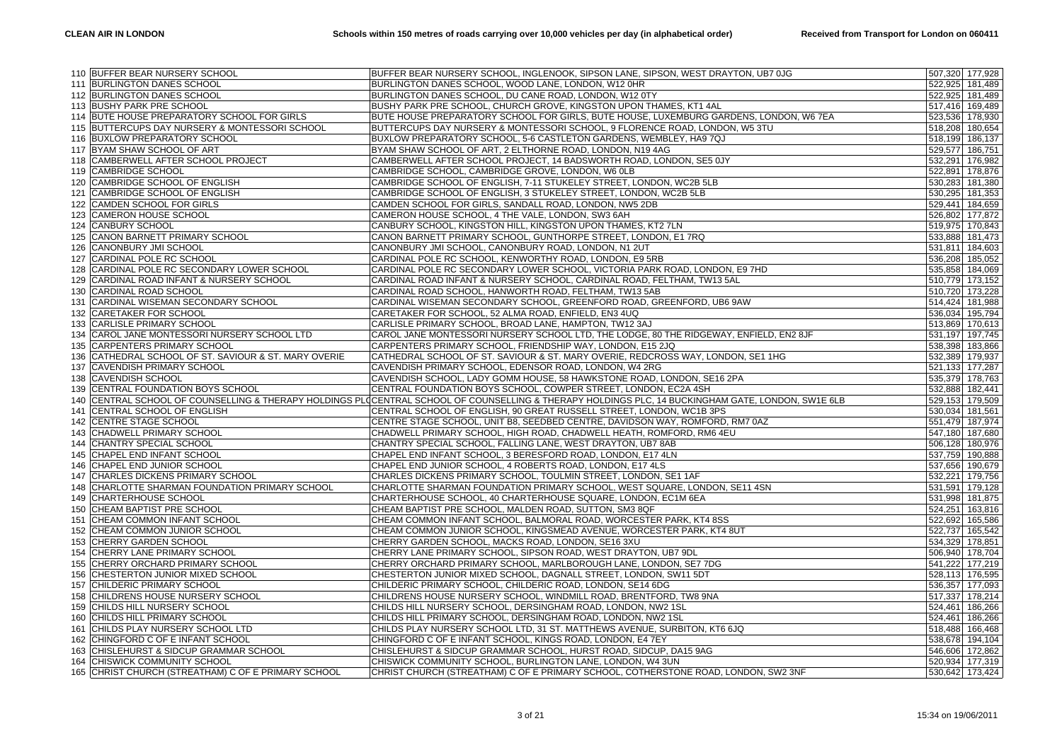|     | 110 BUFFER BEAR NURSERY SCHOOL                      | BUFFER BEAR NURSERY SCHOOL, INGLENOOK, SIPSON LANE, SIPSON, WEST DRAYTON, UB7 0JG                                                              | 507,320 177,928 |
|-----|-----------------------------------------------------|------------------------------------------------------------------------------------------------------------------------------------------------|-----------------|
|     | 111 BURLINGTON DANES SCHOOL                         | BURLINGTON DANES SCHOOL, WOOD LANE, LONDON, W12 0HR                                                                                            | 522,925 181,489 |
|     | 112 BURLINGTON DANES SCHOOL                         | BURLINGTON DANES SCHOOL, DU CANE ROAD, LONDON, W12 0TY                                                                                         | 522,925 181,489 |
|     | 113 BUSHY PARK PRE SCHOOL                           | BUSHY PARK PRE SCHOOL, CHURCH GROVE, KINGSTON UPON THAMES, KT1 4AL                                                                             | 517,416 169,489 |
|     | 114 BUTE HOUSE PREPARATORY SCHOOL FOR GIRLS         | BUTE HOUSE PREPARATORY SCHOOL FOR GIRLS, BUTE HOUSE, LUXEMBURG GARDENS, LONDON, W6 7EA                                                         | 523,536 178,930 |
|     | 115 BUTTERCUPS DAY NURSERY & MONTESSORI SCHOOL      | BUTTERCUPS DAY NURSERY & MONTESSORI SCHOOL, 9 FLORENCE ROAD, LONDON, W5 3TU                                                                    | 518,208 180,654 |
|     | 116 BUXLOW PREPARATORY SCHOOL                       | BUXLOW PREPARATORY SCHOOL, 5-6 CASTLETON GARDENS, WEMBLEY, HA9 7QJ                                                                             | 518,199 186,137 |
|     | 117 BYAM SHAW SCHOOL OF ART                         | BYAM SHAW SCHOOL OF ART, 2 ELTHORNE ROAD, LONDON, N19 4AG                                                                                      | 529,577 186,751 |
|     | 118 CAMBERWELL AFTER SCHOOL PROJECT                 | CAMBERWELL AFTER SCHOOL PROJECT, 14 BADSWORTH ROAD, LONDON, SE5 0JY                                                                            | 532,291 176,982 |
|     | 119 CAMBRIDGE SCHOOL                                | CAMBRIDGE SCHOOL, CAMBRIDGE GROVE, LONDON, W6 0LB                                                                                              | 522,891 178,876 |
|     | 120 CAMBRIDGE SCHOOL OF ENGLISH                     | CAMBRIDGE SCHOOL OF ENGLISH, 7-11 STUKELEY STREET, LONDON, WC2B 5LB                                                                            | 530,283 181,380 |
| 121 | CAMBRIDGE SCHOOL OF ENGLISH                         | CAMBRIDGE SCHOOL OF ENGLISH, 3 STUKELEY STREET, LONDON, WC2B 5LB                                                                               | 530,295 181,353 |
|     | 122 CAMDEN SCHOOL FOR GIRLS                         | CAMDEN SCHOOL FOR GIRLS, SANDALL ROAD, LONDON, NW5 2DB                                                                                         | 529,441 184,659 |
|     | 123 CAMERON HOUSE SCHOOL                            | CAMERON HOUSE SCHOOL, 4 THE VALE, LONDON, SW3 6AH                                                                                              | 526,802 177,872 |
| 124 | <b>CANBURY SCHOOL</b>                               | CANBURY SCHOOL, KINGSTON HILL, KINGSTON UPON THAMES, KT2 7LN                                                                                   | 519,975 170,843 |
|     | 125 CANON BARNETT PRIMARY SCHOOL                    | CANON BARNETT PRIMARY SCHOOL, GUNTHORPE STREET, LONDON, E1 7RQ                                                                                 | 533,888 181,473 |
|     | 126 CANONBURY JMI SCHOOL                            | CANONBURY JMI SCHOOL, CANONBURY ROAD, LONDON, N1 2UT                                                                                           | 531,811 184,603 |
| 127 | CARDINAL POLE RC SCHOOL                             | CARDINAL POLE RC SCHOOL, KENWORTHY ROAD, LONDON, E9 5RB                                                                                        | 536,208 185,052 |
|     | 128 CARDINAL POLE RC SECONDARY LOWER SCHOOL         | CARDINAL POLE RC SECONDARY LOWER SCHOOL, VICTORIA PARK ROAD, LONDON, E9 7HD                                                                    | 535,858 184,069 |
|     | 129 CARDINAL ROAD INFANT & NURSERY SCHOOL           | CARDINAL ROAD INFANT & NURSERY SCHOOL, CARDINAL ROAD, FELTHAM, TW13 5AL                                                                        | 510,779 173,152 |
| 130 | <b>CARDINAL ROAD SCHOOL</b>                         | CARDINAL ROAD SCHOOL, HANWORTH ROAD, FELTHAM, TW13 5AB                                                                                         | 510,720 173,228 |
|     | 131 CARDINAL WISEMAN SECONDARY SCHOOL               | CARDINAL WISEMAN SECONDARY SCHOOL, GREENFORD ROAD, GREENFORD, UB6 9AW                                                                          | 514,424 181,988 |
|     | 132 CARETAKER FOR SCHOOL                            | CARETAKER FOR SCHOOL, 52 ALMA ROAD, ENFIELD, EN3 4UQ                                                                                           | 536,034 195,794 |
| 133 | <b>CARLISLE PRIMARY SCHOOL</b>                      | CARLISLE PRIMARY SCHOOL, BROAD LANE, HAMPTON, TW12 3AJ                                                                                         | 513,869 170,613 |
|     | 134 CAROL JANE MONTESSORI NURSERY SCHOOL LTD        | CAROL JANE MONTESSORI NURSERY SCHOOL LTD, THE LODGE, 80 THE RIDGEWAY, ENFIELD, EN2 8JF                                                         | 531,197 197,745 |
|     | 135 CARPENTERS PRIMARY SCHOOL                       | CARPENTERS PRIMARY SCHOOL, FRIENDSHIP WAY, LONDON, E15 2JQ                                                                                     | 538,398 183,866 |
| 136 | CATHEDRAL SCHOOL OF ST. SAVIOUR & ST. MARY OVERIE   | CATHEDRAL SCHOOL OF ST. SAVIOUR & ST. MARY OVERIE, REDCROSS WAY, LONDON, SE1 1HG                                                               | 532,389 179,937 |
|     | 137 CAVENDISH PRIMARY SCHOOL                        | CAVENDISH PRIMARY SCHOOL, EDENSOR ROAD, LONDON, W4 2RG                                                                                         | 521,133 177,287 |
|     | 138 CAVENDISH SCHOOL                                | CAVENDISH SCHOOL, LADY GOMM HOUSE, 58 HAWKSTONE ROAD, LONDON, SE16 2PA                                                                         | 535,379 178,763 |
| 139 | CENTRAL FOUNDATION BOYS SCHOOL                      | CENTRAL FOUNDATION BOYS SCHOOL, COWPER STREET, LONDON, EC2A 4SH                                                                                | 532,888 182,441 |
| 140 |                                                     | CENTRAL SCHOOL OF COUNSELLING & THERAPY HOLDINGS PLOCENTRAL SCHOOL OF COUNSELLING & THERAPY HOLDINGS PLC, 14 BUCKINGHAM GATE, LONDON, SW1E 6LB | 529,153 179,509 |
|     | 141 CENTRAL SCHOOL OF ENGLISH                       | CENTRAL SCHOOL OF ENGLISH, 90 GREAT RUSSELL STREET, LONDON, WC1B 3PS                                                                           | 530,034 181,561 |
| 142 | <b>CENTRE STAGE SCHOOL</b>                          | CENTRE STAGE SCHOOL, UNIT B8, SEEDBED CENTRE, DAVIDSON WAY, ROMFORD, RM7 0AZ                                                                   | 551,479 187,974 |
| 143 | CHADWELL PRIMARY SCHOOL                             | CHADWELL PRIMARY SCHOOL, HIGH ROAD, CHADWELL HEATH, ROMFORD, RM6 4EU                                                                           | 547,180 187,680 |
|     | 144 CHANTRY SPECIAL SCHOOL                          | CHANTRY SPECIAL SCHOOL, FALLING LANE, WEST DRAYTON, UB7 8AB                                                                                    | 506,128 180,976 |
| 145 | CHAPEL END INFANT SCHOOL                            | CHAPEL END INFANT SCHOOL, 3 BERESFORD ROAD, LONDON, E17 4LN                                                                                    | 537,759 190,888 |
| 146 | CHAPEL END JUNIOR SCHOOL                            | CHAPEL END JUNIOR SCHOOL, 4 ROBERTS ROAD, LONDON, E17 4LS                                                                                      | 537,656 190,679 |
|     | 147 CHARLES DICKENS PRIMARY SCHOOL                  | CHARLES DICKENS PRIMARY SCHOOL, TOULMIN STREET, LONDON, SE1 1AF                                                                                | 532,221 179,756 |
| 148 | CHARLOTTE SHARMAN FOUNDATION PRIMARY SCHOOL         | CHARLOTTE SHARMAN FOUNDATION PRIMARY SCHOOL, WEST SQUARE, LONDON, SE11 4SN                                                                     | 531,591 179,128 |
| 149 | CHARTERHOUSE SCHOOL                                 | CHARTERHOUSE SCHOOL, 40 CHARTERHOUSE SQUARE, LONDON, EC1M 6EA                                                                                  | 531,998 181,875 |
| 150 | <b>CHEAM BAPTIST PRE SCHOOL</b>                     | CHEAM BAPTIST PRE SCHOOL, MALDEN ROAD, SUTTON, SM3 8QF                                                                                         | 524,251 163,816 |
| 151 | CHEAM COMMON INFANT SCHOOL                          | CHEAM COMMON INFANT SCHOOL, BALMORAL ROAD, WORCESTER PARK, KT4 8SS                                                                             | 522,692 165,586 |
| 152 | CHEAM COMMON JUNIOR SCHOOL                          | CHEAM COMMON JUNIOR SCHOOL, KINGSMEAD AVENUE, WORCESTER PARK, KT4 8UT                                                                          | 522,737 165,542 |
|     | 153 CHERRY GARDEN SCHOOL                            | CHERRY GARDEN SCHOOL, MACKS ROAD, LONDON, SE16 3XU                                                                                             | 534,329 178,851 |
| 154 | CHERRY LANE PRIMARY SCHOOL                          | CHERRY LANE PRIMARY SCHOOL, SIPSON ROAD, WEST DRAYTON, UB7 9DL                                                                                 | 506,940 178,704 |
| 155 | CHERRY ORCHARD PRIMARY SCHOOL                       | CHERRY ORCHARD PRIMARY SCHOOL, MARLBOROUGH LANE, LONDON, SE7 7DG                                                                               | 541,222 177,219 |
| 156 | CHESTERTON JUNIOR MIXED SCHOOL                      | CHESTERTON JUNIOR MIXED SCHOOL, DAGNALL STREET, LONDON, SW11 5DT                                                                               | 528,113 176,595 |
| 157 | CHILDERIC PRIMARY SCHOOL                            | CHILDERIC PRIMARY SCHOOL, CHILDERIC ROAD, LONDON, SE14 6DG                                                                                     | 536,357 177,093 |
| 158 | CHILDRENS HOUSE NURSERY SCHOOL                      | CHILDRENS HOUSE NURSERY SCHOOL, WINDMILL ROAD, BRENTFORD, TW8 9NA                                                                              | 517,337 178,214 |
|     | 159 CHILDS HILL NURSERY SCHOOL                      | CHILDS HILL NURSERY SCHOOL, DERSINGHAM ROAD, LONDON, NW2 1SL                                                                                   | 524,461 186,266 |
| 160 | CHILDS HILL PRIMARY SCHOOL                          | CHILDS HILL PRIMARY SCHOOL, DERSINGHAM ROAD, LONDON, NW2 1SL                                                                                   | 524,461 186,266 |
| 161 | CHILDS PLAY NURSERY SCHOOL LTD                      | CHILDS PLAY NURSERY SCHOOL LTD, 31 ST. MATTHEWS AVENUE, SURBITON, KT6 6JQ                                                                      | 518,488 166,468 |
| 162 | CHINGFORD C OF E INFANT SCHOOL                      | CHINGFORD C OF E INFANT SCHOOL, KINGS ROAD, LONDON, E4 7EY                                                                                     | 538,678 194,104 |
| 163 | CHISLEHURST & SIDCUP GRAMMAR SCHOOL                 | CHISLEHURST & SIDCUP GRAMMAR SCHOOL, HURST ROAD, SIDCUP, DA15 9AG                                                                              | 546,606 172,862 |
| 164 | CHISWICK COMMUNITY SCHOOL                           | CHISWICK COMMUNITY SCHOOL, BURLINGTON LANE, LONDON, W4 3UN                                                                                     | 520,934 177,319 |
|     | 165 CHRIST CHURCH (STREATHAM) C OF E PRIMARY SCHOOL | CHRIST CHURCH (STREATHAM) C OF E PRIMARY SCHOOL, COTHERSTONE ROAD, LONDON, SW2 3NF                                                             | 530,642 173,424 |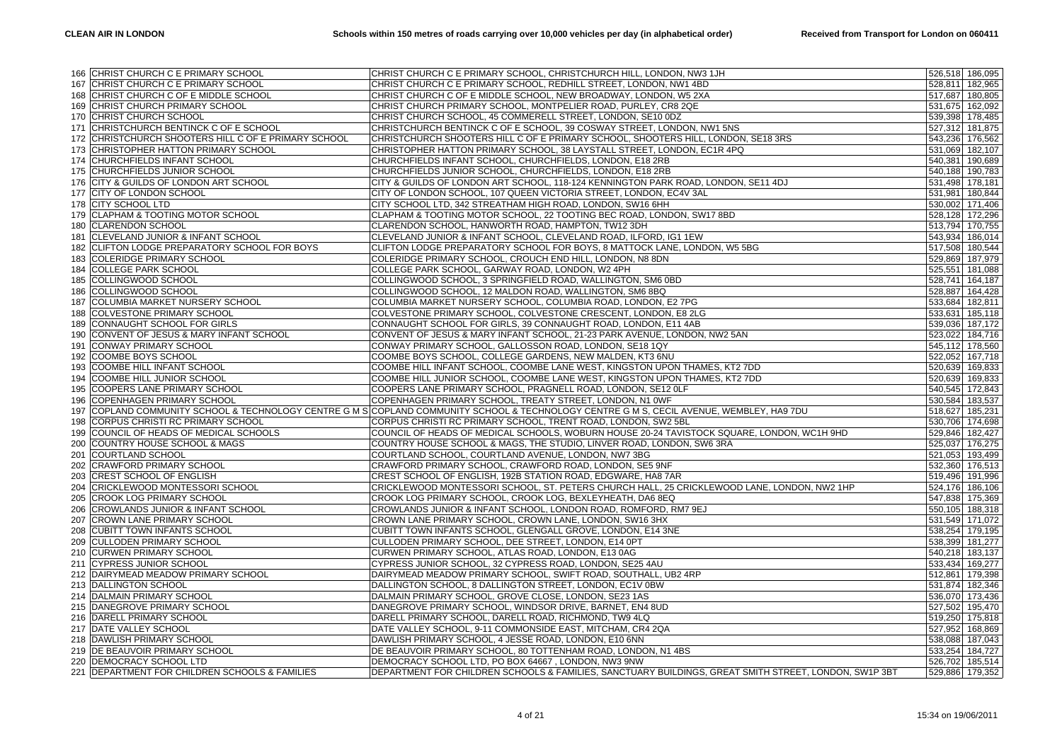|     | 166 CHRIST CHURCH C E PRIMARY SCHOOL             | CHRIST CHURCH C E PRIMARY SCHOOL, CHRISTCHURCH HILL, LONDON, NW3 1JH                                                                      |                 | 526,518 186,095 |
|-----|--------------------------------------------------|-------------------------------------------------------------------------------------------------------------------------------------------|-----------------|-----------------|
|     | 167 CHRIST CHURCH C E PRIMARY SCHOOL             | CHRIST CHURCH C E PRIMARY SCHOOL, REDHILL STREET, LONDON, NW1 4BD                                                                         |                 | 528,811 182,965 |
| 168 | CHRIST CHURCH C OF E MIDDLE SCHOOL               | CHRIST CHURCH C OF E MIDDLE SCHOOL, NEW BROADWAY, LONDON, W5 2XA                                                                          |                 | 517,687 180,805 |
| 169 | CHRIST CHURCH PRIMARY SCHOOL                     | CHRIST CHURCH PRIMARY SCHOOL, MONTPELIER ROAD, PURLEY, CR8 2QE                                                                            |                 | 531,675 162,092 |
|     | 170 CHRIST CHURCH SCHOOL                         | CHRIST CHURCH SCHOOL, 45 COMMERELL STREET, LONDON, SE10 0DZ                                                                               |                 | 539,398 178,485 |
| 171 | CHRISTCHURCH BENTINCK C OF E SCHOOL              | CHRISTCHURCH BENTINCK C OF E SCHOOL, 39 COSWAY STREET, LONDON, NW1 5NS                                                                    |                 | 527,312 181,875 |
| 172 | CHRISTCHURCH SHOOTERS HILL C OF E PRIMARY SCHOOL | CHRISTCHURCH SHOOTERS HILL C OF E PRIMARY SCHOOL, SHOOTERS HILL, LONDON, SE18 3RS                                                         |                 | 543,236 176,562 |
|     | 173 CHRISTOPHER HATTON PRIMARY SCHOOL            | CHRISTOPHER HATTON PRIMARY SCHOOL, 38 LAYSTALL STREET, LONDON, EC1R 4PQ                                                                   | 531,069 182,107 |                 |
| 174 | CHURCHFIELDS INFANT SCHOOL                       | CHURCHFIELDS INFANT SCHOOL, CHURCHFIELDS, LONDON, E18 2RB                                                                                 |                 | 540,381 190,689 |
|     | 175 CHURCHFIELDS JUNIOR SCHOOL                   | CHURCHFIELDS JUNIOR SCHOOL, CHURCHFIELDS, LONDON, E18 2RB                                                                                 |                 | 540,188 190,783 |
|     | 176 CITY & GUILDS OF LONDON ART SCHOOL           | CITY & GUILDS OF LONDON ART SCHOOL, 118-124 KENNINGTON PARK ROAD, LONDON, SE11 4DJ                                                        | 531,498 178,181 |                 |
| 177 | CITY OF LONDON SCHOOL                            | CITY OF LONDON SCHOOL, 107 QUEEN VICTORIA STREET, LONDON, EC4V 3AL                                                                        |                 | 531,981 180,844 |
|     | 178 CITY SCHOOL LTD                              | CITY SCHOOL LTD, 342 STREATHAM HIGH ROAD, LONDON, SW16 6HH                                                                                |                 | 530,002 171,406 |
|     | 179 CLAPHAM & TOOTING MOTOR SCHOOL               | CLAPHAM & TOOTING MOTOR SCHOOL, 22 TOOTING BEC ROAD, LONDON, SW17 8BD                                                                     |                 | 528,128 172,296 |
|     |                                                  |                                                                                                                                           |                 |                 |
| 180 | <b>CLARENDON SCHOOL</b>                          | CLARENDON SCHOOL, HANWORTH ROAD, HAMPTON, TW12 3DH                                                                                        |                 | 513,794 170,755 |
| 181 | CLEVELAND JUNIOR & INFANT SCHOOL                 | CLEVELAND JUNIOR & INFANT SCHOOL, CLEVELAND ROAD, ILFORD, IG1 1EW                                                                         |                 | 543,934 186,014 |
|     | 182 CLIFTON LODGE PREPARATORY SCHOOL FOR BOYS    | CLIFTON LODGE PREPARATORY SCHOOL FOR BOYS, 8 MATTOCK LANE, LONDON, W5 5BG                                                                 |                 | 517,508 180,544 |
| 183 | COLERIDGE PRIMARY SCHOOL                         | COLERIDGE PRIMARY SCHOOL, CROUCH END HILL, LONDON, N8 8DN                                                                                 |                 | 529,869 187,979 |
| 184 | <b>COLLEGE PARK SCHOOL</b>                       | COLLEGE PARK SCHOOL, GARWAY ROAD, LONDON, W2 4PH                                                                                          |                 | 525,551 181,088 |
|     | 185 COLLINGWOOD SCHOOL                           | COLLINGWOOD SCHOOL, 3 SPRINGFIELD ROAD, WALLINGTON, SM6 0BD                                                                               |                 | 528,741 164,187 |
| 186 | COLLINGWOOD SCHOOL                               | COLLINGWOOD SCHOOL, 12 MALDON ROAD, WALLINGTON, SM6 8BQ                                                                                   |                 | 528,887 164,428 |
| 187 | COLUMBIA MARKET NURSERY SCHOOL                   | COLUMBIA MARKET NURSERY SCHOOL, COLUMBIA ROAD, LONDON, E2 7PG                                                                             |                 | 533,684 182,811 |
|     | 188 COLVESTONE PRIMARY SCHOOL                    | COLVESTONE PRIMARY SCHOOL, COLVESTONE CRESCENT, LONDON, E8 2LG                                                                            |                 | 533,631 185,118 |
| 189 | CONNAUGHT SCHOOL FOR GIRLS                       | CONNAUGHT SCHOOL FOR GIRLS, 39 CONNAUGHT ROAD, LONDON, E11 4AB                                                                            |                 | 539,036 187,172 |
| 190 | CONVENT OF JESUS & MARY INFANT SCHOOL            | CONVENT OF JESUS & MARY INFANT SCHOOL, 21-23 PARK AVENUE, LONDON, NW2 5AN                                                                 |                 | 523,022 184,716 |
|     | 191 CONWAY PRIMARY SCHOOL                        | CONWAY PRIMARY SCHOOL, GALLOSSON ROAD, LONDON, SE18 1QY                                                                                   |                 | 545,112 178,560 |
| 192 | <b>COOMBE BOYS SCHOOL</b>                        | COOMBE BOYS SCHOOL, COLLEGE GARDENS, NEW MALDEN, KT3 6NU                                                                                  |                 | 522,052 167,718 |
| 193 | COOMBE HILL INFANT SCHOOL                        | COOMBE HILL INFANT SCHOOL, COOMBE LANE WEST, KINGSTON UPON THAMES, KT2 7DD                                                                |                 | 520,639 169,833 |
|     | 194 COOMBE HILL JUNIOR SCHOOL                    | COOMBE HILL JUNIOR SCHOOL, COOMBE LANE WEST, KINGSTON UPON THAMES, KT2 7DD                                                                |                 | 520,639 169,833 |
| 195 | COOPERS LANE PRIMARY SCHOOL                      | COOPERS LANE PRIMARY SCHOOL, PRAGNELL ROAD, LONDON, SE12 OLF                                                                              |                 | 540,545 172,843 |
| 196 | COPENHAGEN PRIMARY SCHOOL                        | COPENHAGEN PRIMARY SCHOOL, TREATY STREET, LONDON, N1 0WF                                                                                  |                 | 530,584 183,537 |
|     |                                                  | 197 COPLAND COMMUNITY SCHOOL & TECHNOLOGY CENTRE G M S COPLAND COMMUNITY SCHOOL & TECHNOLOGY CENTRE G M S, CECIL AVENUE, WEMBLEY, HA9 7DU | 518,627 185,231 |                 |
| 198 | CORPUS CHRISTI RC PRIMARY SCHOOL                 | CORPUS CHRISTI RC PRIMARY SCHOOL, TRENT ROAD, LONDON, SW2 5BL                                                                             |                 | 530,706 174,698 |
| 199 | COUNCIL OF HEADS OF MEDICAL SCHOOLS              | COUNCIL OF HEADS OF MEDICAL SCHOOLS, WOBURN HOUSE 20-24 TAVISTOCK SQUARE, LONDON, WC1H 9HD                                                |                 | 529,846 182,427 |
|     | 200 COUNTRY HOUSE SCHOOL & MAGS                  | COUNTRY HOUSE SCHOOL & MAGS, THE STUDIO, LINVER ROAD, LONDON, SW6 3RA                                                                     |                 | 525,037 176,275 |
| 201 | <b>COURTLAND SCHOOL</b>                          | COURTLAND SCHOOL, COURTLAND AVENUE, LONDON, NW7 3BG                                                                                       |                 | 521,053 193,499 |
| 202 | <b>CRAWFORD PRIMARY SCHOOL</b>                   | CRAWFORD PRIMARY SCHOOL, CRAWFORD ROAD, LONDON, SE5 9NF                                                                                   |                 | 532,360 176,513 |
|     | 203 CREST SCHOOL OF ENGLISH                      | CREST SCHOOL OF ENGLISH, 192B STATION ROAD, EDGWARE, HA8 7AR                                                                              |                 | 519,496 191,996 |
| 204 | CRICKLEWOOD MONTESSORI SCHOOL                    | CRICKLEWOOD MONTESSORI SCHOOL, ST. PETERS CHURCH HALL, 25 CRICKLEWOOD LANE, LONDON, NW2 1HP                                               |                 | 524,176 186,106 |
| 205 | <b>CROOK LOG PRIMARY SCHOOL</b>                  | CROOK LOG PRIMARY SCHOOL, CROOK LOG, BEXLEYHEATH, DA6 8EQ                                                                                 | 547,838 175,369 |                 |
| 206 | <b>CROWLANDS JUNIOR &amp; INFANT SCHOOL</b>      | CROWLANDS JUNIOR & INFANT SCHOOL, LONDON ROAD, ROMFORD, RM7 9EJ                                                                           |                 | 550,105 188,318 |
| 207 | CROWN LANE PRIMARY SCHOOL                        | CROWN LANE PRIMARY SCHOOL, CROWN LANE, LONDON, SW16 3HX                                                                                   |                 | 531,549 171,072 |
| 208 | <b>CUBITT TOWN INFANTS SCHOOL</b>                | CUBITT TOWN INFANTS SCHOOL, GLENGALL GROVE, LONDON, E14 3NE                                                                               | 538,254 179,195 |                 |
|     | 209 CULLODEN PRIMARY SCHOOL                      | CULLODEN PRIMARY SCHOOL, DEE STREET, LONDON, E14 0PT                                                                                      |                 | 538,399 181,277 |
|     | 210 CURWEN PRIMARY SCHOOL                        | CURWEN PRIMARY SCHOOL, ATLAS ROAD, LONDON, E13 0AG                                                                                        | 540,218 183,137 |                 |
|     | 211 CYPRESS JUNIOR SCHOOL                        | CYPRESS JUNIOR SCHOOL, 32 CYPRESS ROAD, LONDON, SE25 4AU                                                                                  |                 | 533,434 169,277 |
|     | 212 DAIRYMEAD MEADOW PRIMARY SCHOOL              | DAIRYMEAD MEADOW PRIMARY SCHOOL, SWIFT ROAD, SOUTHALL, UB2 4RP                                                                            |                 | 512,861 179,398 |
|     | 213 DALLINGTON SCHOOL                            | DALLINGTON SCHOOL, 8 DALLINGTON STREET, LONDON, EC1V 0BW                                                                                  |                 | 531,874 182,346 |
| 214 | <b>DALMAIN PRIMARY SCHOOL</b>                    | DALMAIN PRIMARY SCHOOL, GROVE CLOSE, LONDON, SE23 1AS                                                                                     |                 | 536,070 173,436 |
|     | 215 DANEGROVE PRIMARY SCHOOL                     | DANEGROVE PRIMARY SCHOOL, WINDSOR DRIVE, BARNET, EN4 8UD                                                                                  |                 | 527,502 195,470 |
|     | 216 DARELL PRIMARY SCHOOL                        | DARELL PRIMARY SCHOOL, DARELL ROAD, RICHMOND, TW9 4LQ                                                                                     |                 | 519,250 175,818 |
| 217 | DATE VALLEY SCHOOL                               | DATE VALLEY SCHOOL, 9-11 COMMONSIDE EAST, MITCHAM, CR4 2QA                                                                                |                 | 527,952 168,869 |
|     | 218 DAWLISH PRIMARY SCHOOL                       | DAWLISH PRIMARY SCHOOL, 4 JESSE ROAD, LONDON, E10 6NN                                                                                     |                 | 538,088 187,043 |
|     | 219 DE BEAUVOIR PRIMARY SCHOOL                   | DE BEAUVOIR PRIMARY SCHOOL, 80 TOTTENHAM ROAD, LONDON, N1 4BS                                                                             |                 | 533,254 184,727 |
| 220 | <b>DEMOCRACY SCHOOL LTD</b>                      | DEMOCRACY SCHOOL LTD, PO BOX 64667, LONDON, NW3 9NW                                                                                       |                 | 526,702 185,514 |
|     | 221   DEPARTMENT FOR CHILDREN SCHOOLS & FAMILIES | DEPARTMENT FOR CHILDREN SCHOOLS & FAMILIES, SANCTUARY BUILDINGS, GREAT SMITH STREET, LONDON, SW1P 3BT                                     |                 | 529,886 179,352 |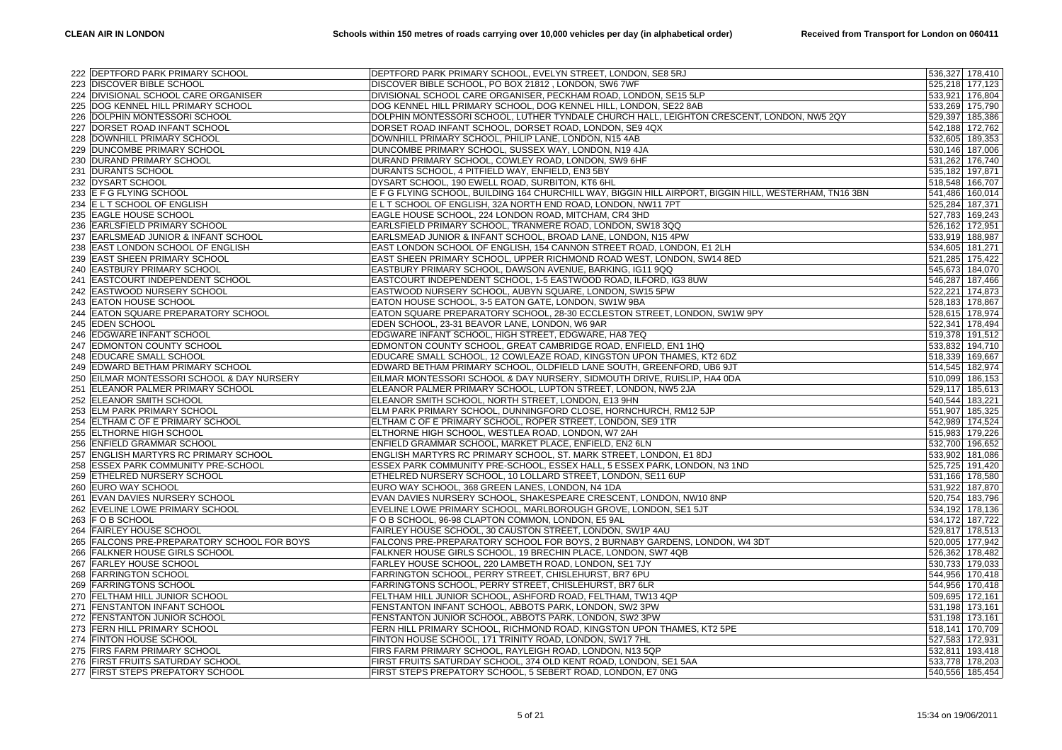|     | 222 DEPTFORD PARK PRIMARY SCHOOL            | DEPTFORD PARK PRIMARY SCHOOL, EVELYN STREET, LONDON, SE8 5RJ                                           |                 | 536,327 178,410 |
|-----|---------------------------------------------|--------------------------------------------------------------------------------------------------------|-----------------|-----------------|
|     | 223 DISCOVER BIBLE SCHOOL                   | DISCOVER BIBLE SCHOOL, PO BOX 21812, LONDON, SW6 7WF                                                   |                 | 525,218 177,123 |
|     | 224 DIVISIONAL SCHOOL CARE ORGANISER        | DIVISIONAL SCHOOL CARE ORGANISER, PECKHAM ROAD, LONDON, SE15 5LP                                       |                 | 533,921 176,804 |
| 225 | DOG KENNEL HILL PRIMARY SCHOOL              | DOG KENNEL HILL PRIMARY SCHOOL, DOG KENNEL HILL, LONDON, SE22 8AB                                      |                 | 533,269 175,790 |
|     | 226 DOLPHIN MONTESSORI SCHOOL               | DOLPHIN MONTESSORI SCHOOL, LUTHER TYNDALE CHURCH HALL, LEIGHTON CRESCENT, LONDON, NW5 2QY              |                 | 529,397 185,386 |
| 227 | DORSET ROAD INFANT SCHOOL                   | DORSET ROAD INFANT SCHOOL, DORSET ROAD, LONDON, SE9 4QX                                                |                 | 542,188 172,762 |
|     |                                             |                                                                                                        |                 |                 |
| 228 | DOWNHILL PRIMARY SCHOOL                     | DOWNHILL PRIMARY SCHOOL, PHILIP LANE, LONDON, N15 4AB                                                  |                 | 532,605 189,353 |
|     | 229 DUNCOMBE PRIMARY SCHOOL                 | DUNCOMBE PRIMARY SCHOOL, SUSSEX WAY, LONDON, N19 4JA                                                   |                 | 530,146 187,006 |
|     | 230 DURAND PRIMARY SCHOOL                   | DURAND PRIMARY SCHOOL, COWLEY ROAD, LONDON, SW9 6HF                                                    |                 | 531,262 176,740 |
| 231 | <b>DURANTS SCHOOL</b>                       | DURANTS SCHOOL, 4 PITFIELD WAY, ENFIELD, EN3 5BY                                                       | 535,182 197,871 |                 |
|     | 232 DYSART SCHOOL                           | DYSART SCHOOL, 190 EWELL ROAD, SURBITON, KT6 6HL                                                       |                 | 518,548 166,707 |
|     | 233 E F G FLYING SCHOOL                     | E F G FLYING SCHOOL, BUILDING 164 CHURCHILL WAY, BIGGIN HILL AIRPORT, BIGGIN HILL, WESTERHAM, TN16 3BN |                 | 541,486 160,014 |
|     | 234 E L T SCHOOL OF ENGLISH                 | E L T SCHOOL OF ENGLISH, 32A NORTH END ROAD, LONDON, NW11 7PT                                          | 525,284 187,371 |                 |
|     | 235 EAGLE HOUSE SCHOOL                      | EAGLE HOUSE SCHOOL, 224 LONDON ROAD, MITCHAM, CR4 3HD                                                  |                 | 527,783 169,243 |
|     | 236 EARLSFIELD PRIMARY SCHOOL               | EARLSFIELD PRIMARY SCHOOL, TRANMERE ROAD, LONDON, SW18 3QQ                                             | 526,162 172,951 |                 |
|     | 237 EARLSMEAD JUNIOR & INFANT SCHOOL        | EARLSMEAD JUNIOR & INFANT SCHOOL, BROAD LANE, LONDON, N15 4PW                                          |                 | 533,919 188,987 |
|     | 238 EAST LONDON SCHOOL OF ENGLISH           | EAST LONDON SCHOOL OF ENGLISH, 154 CANNON STREET ROAD, LONDON, E1 2LH                                  | 534,605 181,271 |                 |
|     | 239 EAST SHEEN PRIMARY SCHOOL               | EAST SHEEN PRIMARY SCHOOL, UPPER RICHMOND ROAD WEST, LONDON, SW14 8ED                                  |                 | 521,285 175,422 |
|     | 240 EASTBURY PRIMARY SCHOOL                 | EASTBURY PRIMARY SCHOOL, DAWSON AVENUE, BARKING, IG11 9QQ                                              |                 | 545,673 184,070 |
|     | 241 EASTCOURT INDEPENDENT SCHOOL            | EASTCOURT INDEPENDENT SCHOOL, 1-5 EASTWOOD ROAD, ILFORD, IG3 8UW                                       |                 | 546,287 187,466 |
| 242 | <b>EASTWOOD NURSERY SCHOOL</b>              | EASTWOOD NURSERY SCHOOL, AUBYN SQUARE, LONDON, SW15 5PW                                                |                 | 522,221 174,873 |
|     | 243 EATON HOUSE SCHOOL                      | EATON HOUSE SCHOOL, 3-5 EATON GATE, LONDON, SW1W 9BA                                                   |                 | 528,183 178,867 |
|     | 244 EATON SQUARE PREPARATORY SCHOOL         | EATON SQUARE PREPARATORY SCHOOL, 28-30 ECCLESTON STREET, LONDON, SW1W 9PY                              |                 | 528,615 178,974 |
| 245 | <b>EDEN SCHOOL</b>                          | EDEN SCHOOL, 23-31 BEAVOR LANE, LONDON, W6 9AR                                                         |                 | 522,341 178,494 |
|     | 246 EDGWARE INFANT SCHOOL                   | EDGWARE INFANT SCHOOL, HIGH STREET, EDGWARE, HA8 7EQ                                                   |                 | 519,378 191,512 |
|     | 247 EDMONTON COUNTY SCHOOL                  | EDMONTON COUNTY SCHOOL, GREAT CAMBRIDGE ROAD, ENFIELD, EN1 1HQ                                         |                 | 533,832 194,710 |
| 248 | <b>EDUCARE SMALL SCHOOL</b>                 | EDUCARE SMALL SCHOOL, 12 COWLEAZE ROAD, KINGSTON UPON THAMES, KT2 6DZ                                  |                 | 518,339 169,667 |
|     | 249 EDWARD BETHAM PRIMARY SCHOOL            | EDWARD BETHAM PRIMARY SCHOOL, OLDFIELD LANE SOUTH, GREENFORD, UB6 9JT                                  |                 | 514,545 182,974 |
|     | 250 EILMAR MONTESSORI SCHOOL & DAY NURSERY  | EILMAR MONTESSORI SCHOOL & DAY NURSERY, SIDMOUTH DRIVE, RUISLIP, HA4 0DA                               |                 | 510,099 186,153 |
| 251 | ELEANOR PALMER PRIMARY SCHOOL               | ELEANOR PALMER PRIMARY SCHOOL, LUPTON STREET, LONDON, NW5 2JA                                          | 529,117 185,613 |                 |
|     | 252 ELEANOR SMITH SCHOOL                    | ELEANOR SMITH SCHOOL, NORTH STREET, LONDON, E13 9HN                                                    | 540,544 183,221 |                 |
|     | 253 ELM PARK PRIMARY SCHOOL                 | ELM PARK PRIMARY SCHOOL, DUNNINGFORD CLOSE, HORNCHURCH, RM12 5JP                                       |                 | 551,907 185,325 |
| 254 | ELTHAM C OF E PRIMARY SCHOOL                | ELTHAM C OF E PRIMARY SCHOOL, ROPER STREET, LONDON, SE9 1TR                                            |                 | 542,989 174,524 |
|     | 255 ELTHORNE HIGH SCHOOL                    | ELTHORNE HIGH SCHOOL, WESTLEA ROAD, LONDON, W7 2AH                                                     |                 | 515,983 179,226 |
|     | 256 ENFIELD GRAMMAR SCHOOL                  | ENFIELD GRAMMAR SCHOOL, MARKET PLACE, ENFIELD, EN2 6LN                                                 |                 | 532,700 196,652 |
| 257 | <b>ENGLISH MARTYRS RC PRIMARY SCHOOL</b>    | ENGLISH MARTYRS RC PRIMARY SCHOOL, ST. MARK STREET, LONDON, E1 8DJ                                     |                 | 533,902 181,086 |
| 258 | <b>ESSEX PARK COMMUNITY PRE-SCHOOL</b>      | ESSEX PARK COMMUNITY PRE-SCHOOL, ESSEX HALL, 5 ESSEX PARK, LONDON, N3 1ND                              |                 | 525,725 191,420 |
|     | 259 ETHELRED NURSERY SCHOOL                 | ETHELRED NURSERY SCHOOL, 10 LOLLARD STREET, LONDON, SE11 6UP                                           |                 | 531,166 178,580 |
|     | 260 EURO WAY SCHOOL                         | EURO WAY SCHOOL, 368 GREEN LANES, LONDON, N4 1DA                                                       |                 | 531,922 187,870 |
|     | 261 EVAN DAVIES NURSERY SCHOOL              | EVAN DAVIES NURSERY SCHOOL, SHAKESPEARE CRESCENT, LONDON, NW10 8NP                                     |                 | 520,754 183,796 |
|     | 262 EVELINE LOWE PRIMARY SCHOOL             | EVELINE LOWE PRIMARY SCHOOL, MARLBOROUGH GROVE, LONDON, SE1 5JT                                        |                 | 534,192 178,136 |
|     | 263 F O B SCHOOL                            | F O B SCHOOL, 96-98 CLAPTON COMMON, LONDON, E5 9AL                                                     |                 | 534,172 187,722 |
|     | 264 FAIRLEY HOUSE SCHOOL                    | FAIRLEY HOUSE SCHOOL, 30 CAUSTON STREET, LONDON, SW1P 4AU                                              |                 | 529,817 178,513 |
|     | 265 FALCONS PRE-PREPARATORY SCHOOL FOR BOYS | FALCONS PRE-PREPARATORY SCHOOL FOR BOYS, 2 BURNABY GARDENS, LONDON, W4 3DT                             |                 | 520,005 177,942 |
|     | 266 FALKNER HOUSE GIRLS SCHOOL              | FALKNER HOUSE GIRLS SCHOOL, 19 BRECHIN PLACE, LONDON, SW7 4QB                                          |                 | 526,362 178,482 |
|     | 267 FARLEY HOUSE SCHOOL                     | FARLEY HOUSE SCHOOL, 220 LAMBETH ROAD, LONDON, SE1 7JY                                                 |                 | 530,733 179,033 |
|     |                                             |                                                                                                        |                 |                 |
|     | 268 FARRINGTON SCHOOL                       | FARRINGTON SCHOOL, PERRY STREET, CHISLEHURST, BR7 6PU                                                  |                 | 544,956 170,418 |
| 269 | <b>FARRINGTONS SCHOOL</b>                   | FARRINGTONS SCHOOL, PERRY STREET, CHISLEHURST, BR7 6LR                                                 |                 | 544,956 170,418 |
|     | 270 FELTHAM HILL JUNIOR SCHOOL              | FELTHAM HILL JUNIOR SCHOOL, ASHFORD ROAD, FELTHAM, TW13 4QP                                            |                 | 509,695 172,161 |
|     | 271 FENSTANTON INFANT SCHOOL                | FENSTANTON INFANT SCHOOL, ABBOTS PARK, LONDON, SW2 3PW                                                 |                 | 531,198 173,161 |
| 272 | <b>FENSTANTON JUNIOR SCHOOL</b>             | FENSTANTON JUNIOR SCHOOL, ABBOTS PARK, LONDON, SW2 3PW                                                 | 531,198 173,161 |                 |
| 273 | <b>FERN HILL PRIMARY SCHOOL</b>             | FERN HILL PRIMARY SCHOOL, RICHMOND ROAD, KINGSTON UPON THAMES, KT2 5PE                                 |                 | 518,141 170,709 |
|     | 274 FINTON HOUSE SCHOOL                     | FINTON HOUSE SCHOOL, 171 TRINITY ROAD, LONDON, SW17 7HL                                                |                 | 527,583 172,931 |
|     | 275 FIRS FARM PRIMARY SCHOOL                | FIRS FARM PRIMARY SCHOOL, RAYLEIGH ROAD, LONDON, N13 5QP                                               |                 | 532,811 193,418 |
|     | 276 FIRST FRUITS SATURDAY SCHOOL            | FIRST FRUITS SATURDAY SCHOOL, 374 OLD KENT ROAD, LONDON, SE1 5AA                                       |                 | 533,778 178,203 |
|     | 277 FIRST STEPS PREPATORY SCHOOL            | FIRST STEPS PREPATORY SCHOOL, 5 SEBERT ROAD, LONDON, E7 0NG                                            |                 | 540,556 185,454 |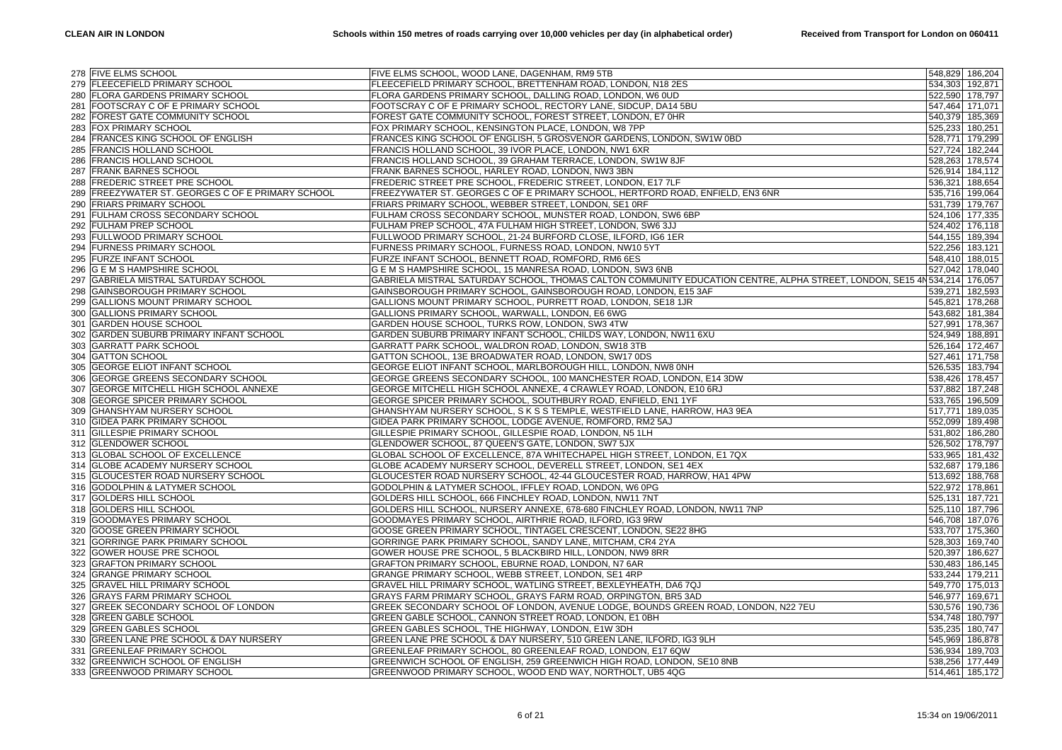|     | 278 FIVE ELMS SCHOOL                                 | FIVE ELMS SCHOOL, WOOD LANE, DAGENHAM, RM9 5TB                                                                              |         | 548,829 186,204 |
|-----|------------------------------------------------------|-----------------------------------------------------------------------------------------------------------------------------|---------|-----------------|
|     | 279 FLEECEFIELD PRIMARY SCHOOL                       | FLEECEFIELD PRIMARY SCHOOL, BRETTENHAM ROAD, LONDON, N18 2ES                                                                |         | 534,303 192,871 |
|     | 280 FLORA GARDENS PRIMARY SCHOOL                     | FLORA GARDENS PRIMARY SCHOOL, DALLING ROAD, LONDON, W6 0UD                                                                  |         | 522,590 178,797 |
| 281 | FOOTSCRAY C OF E PRIMARY SCHOOL                      | FOOTSCRAY C OF E PRIMARY SCHOOL, RECTORY LANE, SIDCUP, DA14 5BU                                                             |         | 547,464 171,071 |
| 282 | FOREST GATE COMMUNITY SCHOOL                         | FOREST GATE COMMUNITY SCHOOL, FOREST STREET, LONDON, E7 0HR                                                                 |         | 540,379 185,369 |
| 283 | <b>FOX PRIMARY SCHOOL</b>                            | FOX PRIMARY SCHOOL, KENSINGTON PLACE, LONDON, W8 7PP                                                                        | 525,233 | 180,251         |
| 284 | FRANCES KING SCHOOL OF ENGLISH                       | FRANCES KING SCHOOL OF ENGLISH, 5 GROSVENOR GARDENS, LONDON, SW1W 0BD                                                       |         | 528,771 179,299 |
| 285 | <b>FRANCIS HOLLAND SCHOOL</b>                        | FRANCIS HOLLAND SCHOOL, 39 IVOR PLACE, LONDON, NW1 6XR                                                                      |         | 527,724 182,244 |
| 286 | <b>FRANCIS HOLLAND SCHOOL</b>                        |                                                                                                                             |         |                 |
|     |                                                      | FRANCIS HOLLAND SCHOOL, 39 GRAHAM TERRACE, LONDON, SW1W 8JF                                                                 |         | 528,263 178,574 |
| 287 | <b>FRANK BARNES SCHOOL</b>                           | FRANK BARNES SCHOOL, HARLEY ROAD, LONDON, NW3 3BN                                                                           |         | 526,914 184,112 |
| 288 | FREDERIC STREET PRE SCHOOL                           | FREDERIC STREET PRE SCHOOL, FREDERIC STREET, LONDON, E17 7LF                                                                |         | 536,321 188,654 |
| 289 | <b>FREEZYWATER ST. GEORGES C OF E PRIMARY SCHOOL</b> | FREEZYWATER ST. GEORGES C OF E PRIMARY SCHOOL, HERTFORD ROAD, ENFIELD, EN3 6NR                                              |         | 535,716 199,064 |
| 290 | <b>FRIARS PRIMARY SCHOOL</b>                         | FRIARS PRIMARY SCHOOL, WEBBER STREET, LONDON, SE1 ORF                                                                       |         | 531,739 179,767 |
| 291 | <b>FULHAM CROSS SECONDARY SCHOOL</b>                 | FULHAM CROSS SECONDARY SCHOOL, MUNSTER ROAD, LONDON, SW6 6BP                                                                |         | 524,106 177,335 |
| 292 | <b>FULHAM PREP SCHOOL</b>                            | FULHAM PREP SCHOOL, 47A FULHAM HIGH STREET, LONDON, SW6 3JJ                                                                 |         | 524,402 176,118 |
| 293 | <b>FULLWOOD PRIMARY SCHOOL</b>                       | FULLWOOD PRIMARY SCHOOL, 21-24 BURFORD CLOSE, ILFORD, IG6 1ER                                                               |         | 544,155 189,394 |
|     | 294 FURNESS PRIMARY SCHOOL                           | FURNESS PRIMARY SCHOOL, FURNESS ROAD, LONDON, NW10 5YT                                                                      |         | 522,256 183,121 |
|     | 295 FURZE INFANT SCHOOL                              | FURZE INFANT SCHOOL, BENNETT ROAD, ROMFORD, RM6 6ES                                                                         |         | 548,410 188,015 |
| 296 | <b>G E M S HAMPSHIRE SCHOOL</b>                      | G E M S HAMPSHIRE SCHOOL, 15 MANRESA ROAD, LONDON, SW3 6NB                                                                  | 527,042 | 178,040         |
|     | 297 GABRIELA MISTRAL SATURDAY SCHOOL                 | GABRIELA MISTRAL SATURDAY SCHOOL, THOMAS CALTON COMMUNITY EDUCATION CENTRE, ALPHA STREET, LONDON, SE15 4N 534,214   176,057 |         |                 |
| 298 | <b>GAINSBOROUGH PRIMARY SCHOOL</b>                   | GAINSBOROUGH PRIMARY SCHOOL, GAINSBOROUGH ROAD, LONDON, E15 3AF                                                             | 539,271 | 182,593         |
| 299 | <b>GALLIONS MOUNT PRIMARY SCHOOL</b>                 | GALLIONS MOUNT PRIMARY SCHOOL, PURRETT ROAD, LONDON, SE18 1JR                                                               |         | 545,821 178,268 |
|     | 300 GALLIONS PRIMARY SCHOOL                          | GALLIONS PRIMARY SCHOOL, WARWALL, LONDON, E6 6WG                                                                            |         | 543,682 181,384 |
| 301 | <b>GARDEN HOUSE SCHOOL</b>                           | GARDEN HOUSE SCHOOL, TURKS ROW, LONDON, SW3 4TW                                                                             |         | 527,991 178,367 |
| 302 | <b>GARDEN SUBURB PRIMARY INFANT SCHOOL</b>           | GARDEN SUBURB PRIMARY INFANT SCHOOL, CHILDS WAY, LONDON, NW11 6XU                                                           |         | 524,949 188,891 |
|     | 303 GARRATT PARK SCHOOL                              | GARRATT PARK SCHOOL, WALDRON ROAD, LONDON, SW18 3TB                                                                         |         | 526,164 172,467 |
| 304 | <b>GATTON SCHOOL</b>                                 | GATTON SCHOOL, 13E BROADWATER ROAD, LONDON, SW17 0DS                                                                        |         | 527,461 171,758 |
|     | 305 GEORGE ELIOT INFANT SCHOOL                       | GEORGE ELIOT INFANT SCHOOL, MARLBOROUGH HILL, LONDON, NW8 0NH                                                               | 526,535 | 183,794         |
|     | 306 GEORGE GREENS SECONDARY SCHOOL                   | GEORGE GREENS SECONDARY SCHOOL, 100 MANCHESTER ROAD, LONDON, E14 3DW                                                        |         | 538,426 178,457 |
| 307 | <b>GEORGE MITCHELL HIGH SCHOOL ANNEXE</b>            | GEORGE MITCHELL HIGH SCHOOL ANNEXE, 4 CRAWLEY ROAD, LONDON, E10 6RJ                                                         |         | 537,882 187,248 |
| 308 | <b>GEORGE SPICER PRIMARY SCHOOL</b>                  | GEORGE SPICER PRIMARY SCHOOL, SOUTHBURY ROAD, ENFIELD, EN1 1YF                                                              |         | 533,765 196,509 |
|     | 309 GHANSHYAM NURSERY SCHOOL                         | GHANSHYAM NURSERY SCHOOL, S K S S TEMPLE, WESTFIELD LANE, HARROW, HA3 9EA                                                   |         | 517,771 189,035 |
| 310 | GIDEA PARK PRIMARY SCHOOL                            | GIDEA PARK PRIMARY SCHOOL, LODGE AVENUE, ROMFORD, RM2 5AJ                                                                   |         | 552,099 189,498 |
|     | 311 GILLESPIE PRIMARY SCHOOL                         | GILLESPIE PRIMARY SCHOOL, GILLESPIE ROAD, LONDON, N5 1LH                                                                    |         | 531,802 186,280 |
|     | 312 GLENDOWER SCHOOL                                 | GLENDOWER SCHOOL, 87 QUEEN'S GATE, LONDON, SW7 5JX                                                                          |         | 526,502 178,797 |
|     | 313 GLOBAL SCHOOL OF EXCELLENCE                      | GLOBAL SCHOOL OF EXCELLENCE, 87A WHITECHAPEL HIGH STREET, LONDON, E1 7QX                                                    |         | 533,965 181,432 |
|     | 314 GLOBE ACADEMY NURSERY SCHOOL                     | GLOBE ACADEMY NURSERY SCHOOL, DEVERELL STREET, LONDON, SE1 4EX                                                              |         | 532,687 179,186 |
|     | 315 GLOUCESTER ROAD NURSERY SCHOOL                   | GLOUCESTER ROAD NURSERY SCHOOL, 42-44 GLOUCESTER ROAD, HARROW, HA1 4PW                                                      |         | 513,692 188,768 |
| 316 | GODOLPHIN & LATYMER SCHOOL                           | GODOLPHIN & LATYMER SCHOOL, IFFLEY ROAD, LONDON, W6 0PG                                                                     |         | 522,972 178,861 |
|     | 317 GOLDERS HILL SCHOOL                              | GOLDERS HILL SCHOOL, 666 FINCHLEY ROAD, LONDON, NW11 7NT                                                                    |         | 525,131 187,721 |
|     | 318 GOLDERS HILL SCHOOL                              | GOLDERS HILL SCHOOL, NURSERY ANNEXE, 678-680 FINCHLEY ROAD, LONDON, NW11 7NP                                                |         | 525,110 187,796 |
| 319 | <b>GOODMAYES PRIMARY SCHOOL</b>                      | GOODMAYES PRIMARY SCHOOL, AIRTHRIE ROAD, ILFORD, IG3 9RW                                                                    |         | 546,708 187,076 |
|     | 320 GOOSE GREEN PRIMARY SCHOOL                       | GOOSE GREEN PRIMARY SCHOOL, TINTAGEL CRESCENT, LONDON, SE22 8HG                                                             |         | 533,707 175,360 |
| 321 | <b>GORRINGE PARK PRIMARY SCHOOL</b>                  | GORRINGE PARK PRIMARY SCHOOL, SANDY LANE, MITCHAM, CR4 2YA                                                                  | 528,303 | 169,740         |
| 322 | <b>GOWER HOUSE PRE SCHOOL</b>                        | GOWER HOUSE PRE SCHOOL, 5 BLACKBIRD HILL, LONDON, NW9 8RR                                                                   | 520,397 | 186,627         |
| 323 | <b>GRAFTON PRIMARY SCHOOL</b>                        | GRAFTON PRIMARY SCHOOL, EBURNE ROAD, LONDON, N7 6AR                                                                         | 530,483 | 186,145         |
| 324 | <b>GRANGE PRIMARY SCHOOL</b>                         | GRANGE PRIMARY SCHOOL, WEBB STREET, LONDON, SE1 4RP                                                                         |         | 533,244 179,211 |
| 325 | <b>GRAVEL HILL PRIMARY SCHOOL</b>                    | GRAVEL HILL PRIMARY SCHOOL, WATLING STREET, BEXLEYHEATH, DA6 7QJ                                                            |         | 549,770 175,013 |
|     | 326 GRAYS FARM PRIMARY SCHOOL                        | GRAYS FARM PRIMARY SCHOOL, GRAYS FARM ROAD, ORPINGTON, BR5 3AD                                                              |         | 546,977 169,671 |
| 327 | <b>GREEK SECONDARY SCHOOL OF LONDON</b>              | GREEK SECONDARY SCHOOL OF LONDON, AVENUE LODGE, BOUNDS GREEN ROAD, LONDON, N22 7EU                                          | 530,576 | 190,736         |
|     | <b>GREEN GABLE SCHOOL</b>                            | GREEN GABLE SCHOOL, CANNON STREET ROAD, LONDON, E1 0BH                                                                      | 534,748 | 180,797         |
| 328 |                                                      |                                                                                                                             |         |                 |
| 329 | <b>GREEN GABLES SCHOOL</b>                           | GREEN GABLES SCHOOL, THE HIGHWAY, LONDON, E1W 3DH                                                                           |         | 535,235 180,747 |
| 330 | GREEN LANE PRE SCHOOL & DAY NURSERY                  | GREEN LANE PRE SCHOOL & DAY NURSERY, 510 GREEN LANE, ILFORD, IG3 9LH                                                        | 545,969 | 186,878         |
| 331 | <b>GREENLEAF PRIMARY SCHOOL</b>                      | GREENLEAF PRIMARY SCHOOL, 80 GREENLEAF ROAD, LONDON, E17 6QW                                                                | 536,934 | 189,703         |
| 332 | <b>GREENWICH SCHOOL OF ENGLISH</b>                   | GREENWICH SCHOOL OF ENGLISH, 259 GREENWICH HIGH ROAD, LONDON, SE10 8NB                                                      |         | 538,256 177,449 |
|     | 333 GREENWOOD PRIMARY SCHOOL                         | GREENWOOD PRIMARY SCHOOL, WOOD END WAY, NORTHOLT, UB5 4QG                                                                   |         | 514,461 185,172 |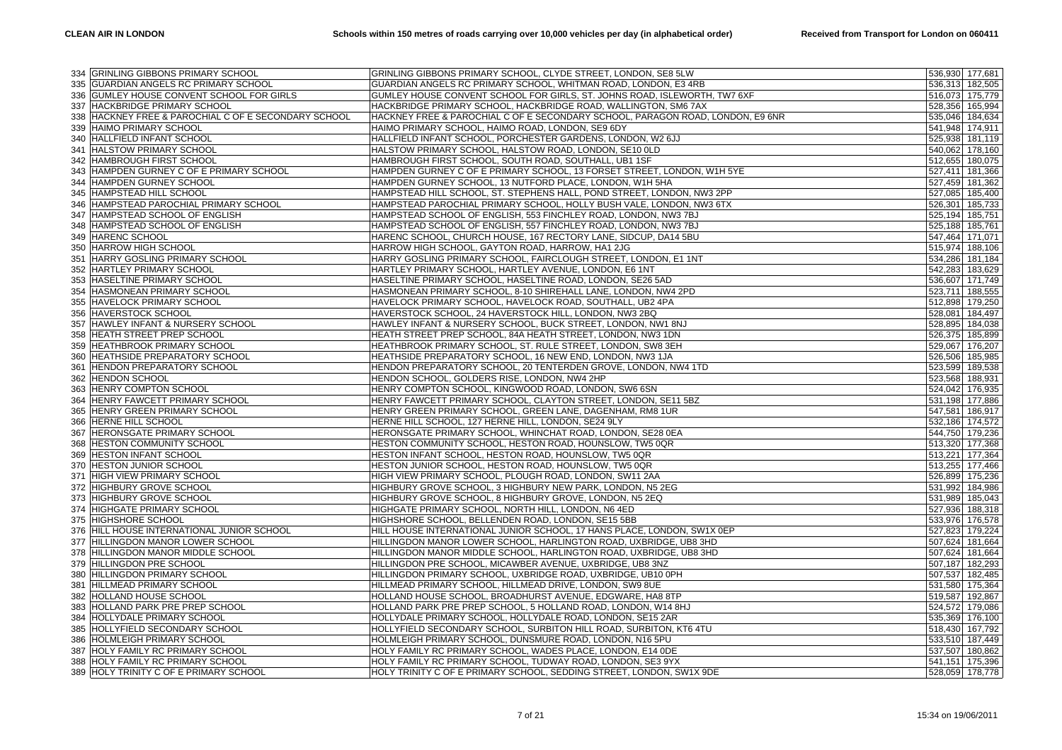|     | 334 GRINLING GIBBONS PRIMARY SCHOOL                  | GRINLING GIBBONS PRIMARY SCHOOL, CLYDE STREET, LONDON, SE8 5LW                 | 536,930 177,681 |         |
|-----|------------------------------------------------------|--------------------------------------------------------------------------------|-----------------|---------|
|     | 335 GUARDIAN ANGELS RC PRIMARY SCHOOL                | GUARDIAN ANGELS RC PRIMARY SCHOOL, WHITMAN ROAD, LONDON, E3 4RB                | 536,313 182,505 |         |
|     | 336 GUMLEY HOUSE CONVENT SCHOOL FOR GIRLS            | GUMLEY HOUSE CONVENT SCHOOL FOR GIRLS, ST. JOHNS ROAD, ISLEWORTH, TW7 6XF      | 516,073 175,779 |         |
|     | 337 HACKBRIDGE PRIMARY SCHOOL                        | HACKBRIDGE PRIMARY SCHOOL, HACKBRIDGE ROAD, WALLINGTON, SM6 7AX                | 528,356 165,994 |         |
|     | 338 HACKNEY FREE & PAROCHIAL C OF E SECONDARY SCHOOL | HACKNEY FREE & PAROCHIAL C OF E SECONDARY SCHOOL, PARAGON ROAD, LONDON, E9 6NR | 535,046 184,634 |         |
|     | 339 HAIMO PRIMARY SCHOOL                             | HAIMO PRIMARY SCHOOL, HAIMO ROAD, LONDON, SE9 6DY                              | 541,948 174,911 |         |
|     |                                                      |                                                                                |                 |         |
| 340 | HALLFIELD INFANT SCHOOL                              | HALLFIELD INFANT SCHOOL, PORCHESTER GARDENS, LONDON, W2 6JJ                    | 525,938 181,119 |         |
|     | 341 HALSTOW PRIMARY SCHOOL                           | HALSTOW PRIMARY SCHOOL, HALSTOW ROAD, LONDON, SE10 OLD                         | 540,062 178,160 |         |
|     | 342 HAMBROUGH FIRST SCHOOL                           | HAMBROUGH FIRST SCHOOL, SOUTH ROAD, SOUTHALL, UB1 1SF                          | 512,655 180,075 |         |
| 343 | HAMPDEN GURNEY C OF E PRIMARY SCHOOL                 | HAMPDEN GURNEY C OF E PRIMARY SCHOOL, 13 FORSET STREET, LONDON, W1H 5YE        | 527,411         | 181,366 |
|     | 344 HAMPDEN GURNEY SCHOOL                            | HAMPDEN GURNEY SCHOOL, 13 NUTFORD PLACE, LONDON, W1H 5HA                       | 527,459 181,362 |         |
|     | 345 HAMPSTEAD HILL SCHOOL                            | HAMPSTEAD HILL SCHOOL, ST. STEPHENS HALL, POND STREET, LONDON, NW3 2PP         | 527,085 185,400 |         |
|     | 346 HAMPSTEAD PAROCHIAL PRIMARY SCHOOL               | HAMPSTEAD PAROCHIAL PRIMARY SCHOOL, HOLLY BUSH VALE, LONDON, NW3 6TX           | 526,301         | 185,733 |
|     | 347 HAMPSTEAD SCHOOL OF ENGLISH                      | HAMPSTEAD SCHOOL OF ENGLISH, 553 FINCHLEY ROAD, LONDON, NW3 7BJ                | 525,194 185,751 |         |
|     | 348 HAMPSTEAD SCHOOL OF ENGLISH                      | HAMPSTEAD SCHOOL OF ENGLISH, 557 FINCHLEY ROAD, LONDON, NW3 7BJ                | 525,188 185,761 |         |
|     | 349 HARENC SCHOOL                                    | HARENC SCHOOL, CHURCH HOUSE, 167 RECTORY LANE, SIDCUP, DA14 5BU                | 547,464 171,071 |         |
|     | 350 HARROW HIGH SCHOOL                               | HARROW HIGH SCHOOL, GAYTON ROAD, HARROW, HA1 2JG                               | 515,974 188,106 |         |
| 351 | HARRY GOSLING PRIMARY SCHOOL                         | HARRY GOSLING PRIMARY SCHOOL, FAIRCLOUGH STREET, LONDON, E1 1NT                | 534,286 181,184 |         |
| 352 | <b>HARTLEY PRIMARY SCHOOL</b>                        | HARTLEY PRIMARY SCHOOL, HARTLEY AVENUE, LONDON, E6 1NT                         | 542,283 183,629 |         |
|     | 353 HASELTINE PRIMARY SCHOOL                         | HASELTINE PRIMARY SCHOOL, HASELTINE ROAD, LONDON, SE26 5AD                     | 536,607 171,749 |         |
|     | 354 HASMONEAN PRIMARY SCHOOL                         | HASMONEAN PRIMARY SCHOOL, 8-10 SHIREHALL LANE, LONDON, NW4 2PD                 | 523,711         | 188,555 |
|     | 355 HAVELOCK PRIMARY SCHOOL                          | HAVELOCK PRIMARY SCHOOL, HAVELOCK ROAD, SOUTHALL, UB2 4PA                      | 512,898 179,250 |         |
|     | 356 HAVERSTOCK SCHOOL                                | HAVERSTOCK SCHOOL, 24 HAVERSTOCK HILL, LONDON, NW3 2BQ                         | 528,081         | 184,497 |
| 357 | HAWLEY INFANT & NURSERY SCHOOL                       | HAWLEY INFANT & NURSERY SCHOOL, BUCK STREET, LONDON, NW1 8NJ                   | 528,895 184,038 |         |
| 358 | HEATH STREET PREP SCHOOL                             | HEATH STREET PREP SCHOOL, 84A HEATH STREET, LONDON, NW3 1DN                    | 526,375 185,899 |         |
|     | 359 HEATHBROOK PRIMARY SCHOOL                        | HEATHBROOK PRIMARY SCHOOL, ST. RULE STREET, LONDON, SW8 3EH                    | 529,067         | 176,207 |
|     | 360 HEATHSIDE PREPARATORY SCHOOL                     | HEATHSIDE PREPARATORY SCHOOL, 16 NEW END, LONDON, NW3 1JA                      | 526,506 185,985 |         |
| 361 | <b>HENDON PREPARATORY SCHOOL</b>                     | HENDON PREPARATORY SCHOOL, 20 TENTERDEN GROVE, LONDON, NW4 1TD                 | 523,599 189,538 |         |
| 362 | <b>HENDON SCHOOL</b>                                 | HENDON SCHOOL, GOLDERS RISE, LONDON, NW4 2HP                                   | 523,568 188,931 |         |
| 363 | HENRY COMPTON SCHOOL                                 | HENRY COMPTON SCHOOL, KINGWOOD ROAD, LONDON, SW6 6SN                           | 524,042 176,935 |         |
| 364 | HENRY FAWCETT PRIMARY SCHOOL                         | HENRY FAWCETT PRIMARY SCHOOL, CLAYTON STREET, LONDON, SE11 5BZ                 | 531,198 177,886 |         |
|     | 365 HENRY GREEN PRIMARY SCHOOL                       | HENRY GREEN PRIMARY SCHOOL, GREEN LANE, DAGENHAM, RM8 1UR                      | 547,581 186,917 |         |
| 366 | <b>HERNE HILL SCHOOL</b>                             | HERNE HILL SCHOOL, 127 HERNE HILL, LONDON, SE24 9LY                            | 532,186 174,572 |         |
| 367 | <b>HERONSGATE PRIMARY SCHOOL</b>                     | HERONSGATE PRIMARY SCHOOL, WHINCHAT ROAD, LONDON, SE28 0EA                     | 544,750 179,236 |         |
|     | 368 HESTON COMMUNITY SCHOOL                          | HESTON COMMUNITY SCHOOL, HESTON ROAD, HOUNSLOW, TW5 0QR                        | 513,320 177,368 |         |
|     | 369 HESTON INFANT SCHOOL                             | HESTON INFANT SCHOOL, HESTON ROAD, HOUNSLOW, TW5 0QR                           | 513,221 177,364 |         |
|     | 370 HESTON JUNIOR SCHOOL                             | HESTON JUNIOR SCHOOL, HESTON ROAD, HOUNSLOW, TW5 0QR                           | 513,255 177,466 |         |
|     | 371 HIGH VIEW PRIMARY SCHOOL                         | HIGH VIEW PRIMARY SCHOOL, PLOUGH ROAD, LONDON, SW11 2AA                        | 526,899 175,236 |         |
| 372 | <b>HIGHBURY GROVE SCHOOL</b>                         | HIGHBURY GROVE SCHOOL, 3 HIGHBURY NEW PARK, LONDON, N5 2EG                     | 531,992 184,986 |         |
|     | 373 HIGHBURY GROVE SCHOOL                            | HIGHBURY GROVE SCHOOL, 8 HIGHBURY GROVE, LONDON, N5 2EQ                        | 531,989 185,043 |         |
|     | 374 HIGHGATE PRIMARY SCHOOL                          | HIGHGATE PRIMARY SCHOOL, NORTH HILL, LONDON, N6 4ED                            | 527,936 188,318 |         |
|     | 375 HIGHSHORE SCHOOL                                 | HIGHSHORE SCHOOL, BELLENDEN ROAD, LONDON, SE15 5BB                             | 533,976 176,578 |         |
|     | 376 HILL HOUSE INTERNATIONAL JUNIOR SCHOOL           | HILL HOUSE INTERNATIONAL JUNIOR SCHOOL, 17 HANS PLACE, LONDON, SW1X 0EP        | 527,823 179,224 |         |
|     | 377 HILLINGDON MANOR LOWER SCHOOL                    | HILLINGDON MANOR LOWER SCHOOL, HARLINGTON ROAD, UXBRIDGE, UB8 3HD              | 507,624 181,664 |         |
|     |                                                      |                                                                                |                 |         |
|     | 378 HILLINGDON MANOR MIDDLE SCHOOL                   | HILLINGDON MANOR MIDDLE SCHOOL, HARLINGTON ROAD, UXBRIDGE, UB8 3HD             | 507,624 181,664 |         |
|     | 379 HILLINGDON PRE SCHOOL                            | HILLINGDON PRE SCHOOL, MICAWBER AVENUE, UXBRIDGE, UB8 3NZ                      | 507,187         | 182,293 |
|     | 380 HILLINGDON PRIMARY SCHOOL                        | HILLINGDON PRIMARY SCHOOL, UXBRIDGE ROAD, UXBRIDGE, UB10 0PH                   | 507,537 182,485 |         |
| 381 | HILLMEAD PRIMARY SCHOOL                              | HILLMEAD PRIMARY SCHOOL, HILLMEAD DRIVE, LONDON, SW9 8UE                       | 531,580 175,364 |         |
| 382 | HOLLAND HOUSE SCHOOL                                 | HOLLAND HOUSE SCHOOL, BROADHURST AVENUE, EDGWARE, HA8 8TP                      | 519,587         | 192,867 |
|     | 383 HOLLAND PARK PRE PREP SCHOOL                     | HOLLAND PARK PRE PREP SCHOOL, 5 HOLLAND ROAD, LONDON, W14 8HJ                  | 524,572 179,086 |         |
| 384 | <b>HOLLYDALE PRIMARY SCHOOL</b>                      | HOLLYDALE PRIMARY SCHOOL, HOLLYDALE ROAD, LONDON, SE15 2AR                     | 535,369 176,100 |         |
| 385 | <b>HOLLYFIELD SECONDARY SCHOOL</b>                   | HOLLYFIELD SECONDARY SCHOOL, SURBITON HILL ROAD, SURBITON, KT6 4TU             | 518,430 167,792 |         |
|     | 386 HOLMLEIGH PRIMARY SCHOOL                         | HOLMLEIGH PRIMARY SCHOOL, DUNSMURE ROAD, LONDON, N16 5PU                       | 533,510 187,449 |         |
| 387 | HOLY FAMILY RC PRIMARY SCHOOL                        | HOLY FAMILY RC PRIMARY SCHOOL, WADES PLACE, LONDON, E14 ODE                    | 537,507 180,862 |         |
| 388 | <b>HOLY FAMILY RC PRIMARY SCHOOL</b>                 | HOLY FAMILY RC PRIMARY SCHOOL, TUDWAY ROAD, LONDON, SE3 9YX                    | 541,151 175,396 |         |
|     | 389 HOLY TRINITY C OF E PRIMARY SCHOOL               | HOLY TRINITY C OF E PRIMARY SCHOOL, SEDDING STREET, LONDON, SW1X 9DE           | 528,059 178,778 |         |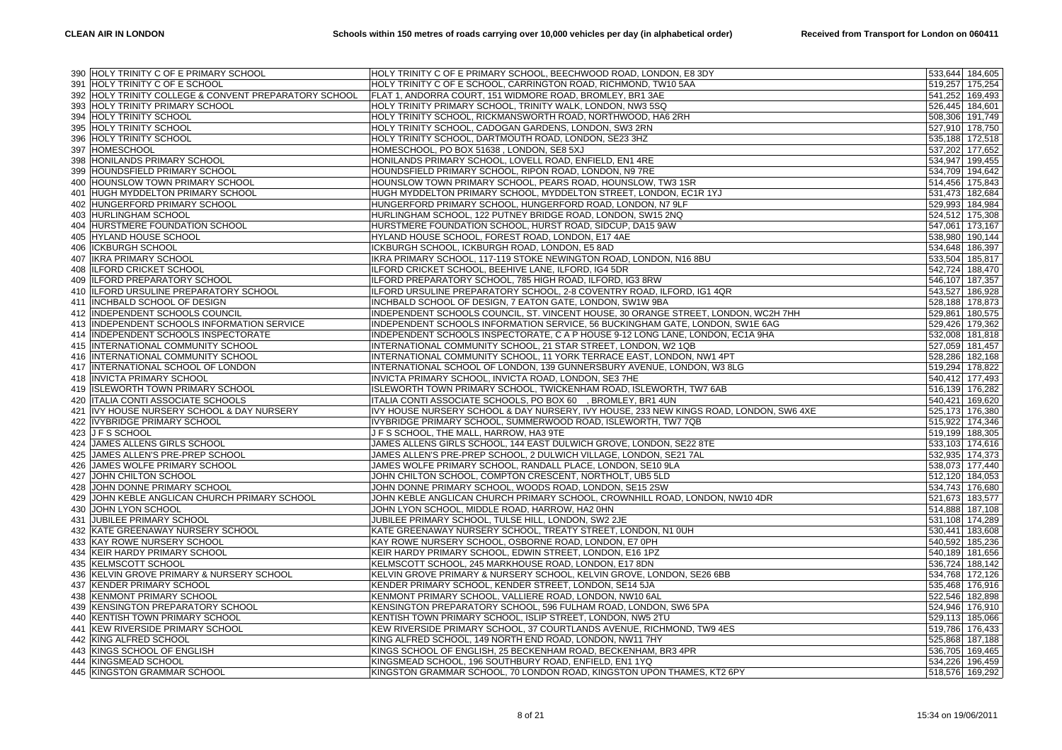|     | 390 HOLY TRINITY C OF E PRIMARY SCHOOL                | HOLY TRINITY C OF E PRIMARY SCHOOL, BEECHWOOD ROAD, LONDON, E8 3DY                     | 533,644 184,605 |
|-----|-------------------------------------------------------|----------------------------------------------------------------------------------------|-----------------|
|     | 391 HOLY TRINITY C OF E SCHOOL                        | HOLY TRINITY C OF E SCHOOL, CARRINGTON ROAD, RICHMOND, TW10 5AA                        | 519,257 175,254 |
|     | 392 HOLY TRINITY COLLEGE & CONVENT PREPARATORY SCHOOL | FLAT 1, ANDORRA COURT, 151 WIDMORE ROAD, BROMLEY, BR1 3AE                              | 541,252 169,493 |
| 393 | <b>HOLY TRINITY PRIMARY SCHOOL</b>                    | HOLY TRINITY PRIMARY SCHOOL, TRINITY WALK, LONDON, NW3 5SQ                             | 526,445 184,601 |
|     | 394 HOLY TRINITY SCHOOL                               | HOLY TRINITY SCHOOL, RICKMANSWORTH ROAD, NORTHWOOD, HA6 2RH                            | 508,306 191,749 |
|     | 395 HOLY TRINITY SCHOOL                               | HOLY TRINITY SCHOOL, CADOGAN GARDENS, LONDON, SW3 2RN                                  | 527,910 178,750 |
|     | 396 HOLY TRINITY SCHOOL                               | HOLY TRINITY SCHOOL, DARTMOUTH ROAD, LONDON, SE23 3HZ                                  | 535,188 172,518 |
|     | 397 HOMESCHOOL                                        | HOMESCHOOL, PO BOX 51638, LONDON, SE8 5XJ                                              | 537,202 177,652 |
|     | 398 HONILANDS PRIMARY SCHOOL                          | HONILANDS PRIMARY SCHOOL, LOVELL ROAD, ENFIELD, EN1 4RE                                | 534,947 199,455 |
| 399 | <b>HOUNDSFIELD PRIMARY SCHOOL</b>                     | HOUNDSFIELD PRIMARY SCHOOL, RIPON ROAD, LONDON, N9 7RE                                 | 534,709 194,642 |
|     | 400 HOUNSLOW TOWN PRIMARY SCHOOL                      | HOUNSLOW TOWN PRIMARY SCHOOL, PEARS ROAD, HOUNSLOW, TW3 1SR                            | 514,456 175,843 |
|     | 401 HUGH MYDDELTON PRIMARY SCHOOL                     | HUGH MYDDELTON PRIMARY SCHOOL, MYDDELTON STREET, LONDON, EC1R 1YJ                      | 531,473 182,684 |
| 402 | HUNGERFORD PRIMARY SCHOOL                             | HUNGERFORD PRIMARY SCHOOL, HUNGERFORD ROAD, LONDON, N7 9LF                             | 529,993 184,984 |
|     | 403 HURLINGHAM SCHOOL                                 | HURLINGHAM SCHOOL, 122 PUTNEY BRIDGE ROAD, LONDON, SW15 2NQ                            | 524,512 175,308 |
|     | 404 HURSTMERE FOUNDATION SCHOOL                       | HURSTMERE FOUNDATION SCHOOL, HURST ROAD, SIDCUP, DA15 9AW                              | 547,061 173,167 |
|     | 405 HYLAND HOUSE SCHOOL                               | HYLAND HOUSE SCHOOL, FOREST ROAD, LONDON, E17 4AE                                      | 538,980 190,144 |
|     | 406 ICKBURGH SCHOOL                                   | ICKBURGH SCHOOL, ICKBURGH ROAD, LONDON, E5 8AD                                         | 534,648 186,397 |
| 407 | <b>IKRA PRIMARY SCHOOL</b>                            | IKRA PRIMARY SCHOOL, 117-119 STOKE NEWINGTON ROAD, LONDON, N16 8BU                     | 533,504 185,817 |
| 408 | <b>ILFORD CRICKET SCHOOL</b>                          | ILFORD CRICKET SCHOOL, BEEHIVE LANE, ILFORD, IG4 5DR                                   | 542,724 188,470 |
|     | 409 ILFORD PREPARATORY SCHOOL                         | ILFORD PREPARATORY SCHOOL, 785 HIGH ROAD, ILFORD, IG3 8RW                              | 546,107 187,357 |
|     | 410 ILFORD URSULINE PREPARATORY SCHOOL                | ILFORD URSULINE PREPARATORY SCHOOL, 2-8 COVENTRY ROAD, ILFORD, IG1 4QR                 | 543,527 186,928 |
|     | 411 INCHBALD SCHOOL OF DESIGN                         | INCHBALD SCHOOL OF DESIGN, 7 EATON GATE, LONDON, SW1W 9BA                              | 528,188 178,873 |
|     | 412 INDEPENDENT SCHOOLS COUNCIL                       | INDEPENDENT SCHOOLS COUNCIL, ST. VINCENT HOUSE, 30 ORANGE STREET, LONDON, WC2H 7HH     | 529,861 180,575 |
|     | 413 INDEPENDENT SCHOOLS INFORMATION SERVICE           | INDEPENDENT SCHOOLS INFORMATION SERVICE, 56 BUCKINGHAM GATE, LONDON, SW1E 6AG          | 529,426 179,362 |
|     | 414 INDEPENDENT SCHOOLS INSPECTORATE                  | INDEPENDENT SCHOOLS INSPECTORATE, C A P HOUSE 9-12 LONG LANE, LONDON, EC1A 9HA         | 532,008 181,818 |
|     | 415 INTERNATIONAL COMMUNITY SCHOOL                    | INTERNATIONAL COMMUNITY SCHOOL, 21 STAR STREET, LONDON, W2 1QB                         | 527,059 181,457 |
|     | 416 INTERNATIONAL COMMUNITY SCHOOL                    | INTERNATIONAL COMMUNITY SCHOOL, 11 YORK TERRACE EAST, LONDON, NW1 4PT                  | 528,286 182,168 |
|     | 417 INTERNATIONAL SCHOOL OF LONDON                    | INTERNATIONAL SCHOOL OF LONDON, 139 GUNNERSBURY AVENUE, LONDON, W3 8LG                 | 519,294 178,822 |
|     | 418 INVICTA PRIMARY SCHOOL                            | INVICTA PRIMARY SCHOOL, INVICTA ROAD, LONDON, SE3 7HE                                  | 540,412 177,493 |
|     | 419 ISLEWORTH TOWN PRIMARY SCHOOL                     | ISLEWORTH TOWN PRIMARY SCHOOL, TWICKENHAM ROAD, ISLEWORTH, TW7 6AB                     | 516,139 176,282 |
| 420 | ITALIA CONTI ASSOCIATE SCHOOLS                        | ITALIA CONTI ASSOCIATE SCHOOLS, PO BOX 60 , BROMLEY, BR1 4UN                           | 540,421 169,620 |
| 421 | IVY HOUSE NURSERY SCHOOL & DAY NURSERY                | IVY HOUSE NURSERY SCHOOL & DAY NURSERY, IVY HOUSE, 233 NEW KINGS ROAD, LONDON, SW6 4XE | 525,173 176,380 |
| 422 | IVYBRIDGE PRIMARY SCHOOL                              | IVYBRIDGE PRIMARY SCHOOL, SUMMERWOOD ROAD, ISLEWORTH, TW7 7QB                          | 515,922 174,346 |
|     | 423 J F S SCHOOL                                      | J F S SCHOOL, THE MALL, HARROW, HA3 9TE                                                | 519,199 188,305 |
|     | 424 JAMES ALLENS GIRLS SCHOOL                         | JAMES ALLENS GIRLS SCHOOL, 144 EAST DULWICH GROVE, LONDON, SE22 8TE                    | 533,103 174,616 |
| 425 | JAMES ALLEN'S PRE-PREP SCHOOL                         | JAMES ALLEN'S PRE-PREP SCHOOL, 2 DULWICH VILLAGE, LONDON, SE21 7AL                     | 532,935 174,373 |
| 426 | JAMES WOLFE PRIMARY SCHOOL                            | JAMES WOLFE PRIMARY SCHOOL, RANDALL PLACE, LONDON, SE10 9LA                            | 538,073 177,440 |
|     | 427 JOHN CHILTON SCHOOL                               | JOHN CHILTON SCHOOL, COMPTON CRESCENT, NORTHOLT, UB5 5LD                               | 512,120 184,053 |
| 428 | JOHN DONNE PRIMARY SCHOOL                             | JOHN DONNE PRIMARY SCHOOL, WOODS ROAD, LONDON, SE15 2SW                                | 534,743 176,680 |
| 429 | JOHN KEBLE ANGLICAN CHURCH PRIMARY SCHOOL             | JOHN KEBLE ANGLICAN CHURCH PRIMARY SCHOOL, CROWNHILL ROAD, LONDON, NW10 4DR            | 521,673 183,577 |
|     | 430 JOHN LYON SCHOOL                                  | JOHN LYON SCHOOL, MIDDLE ROAD, HARROW, HA2 0HN                                         | 514,888 187,108 |
| 431 | JUBILEE PRIMARY SCHOOL                                | JUBILEE PRIMARY SCHOOL, TULSE HILL, LONDON, SW2 2JE                                    | 531,108 174,289 |
| 432 | KATE GREENAWAY NURSERY SCHOOL                         | KATE GREENAWAY NURSERY SCHOOL, TREATY STREET, LONDON, N1 0UH                           | 530,441 183,608 |
|     | 433 KAY ROWE NURSERY SCHOOL                           | KAY ROWE NURSERY SCHOOL, OSBORNE ROAD, LONDON, E7 0PH                                  | 540,592 185,236 |
| 434 | KEIR HARDY PRIMARY SCHOOL                             | KEIR HARDY PRIMARY SCHOOL, EDWIN STREET, LONDON, E16 1PZ                               | 540,189 181,656 |
| 435 | <b>KELMSCOTT SCHOOL</b>                               | KELMSCOTT SCHOOL, 245 MARKHOUSE ROAD, LONDON, E17 8DN                                  | 536,724 188,142 |
| 436 | <b>KELVIN GROVE PRIMARY &amp; NURSERY SCHOOL</b>      | KELVIN GROVE PRIMARY & NURSERY SCHOOL, KELVIN GROVE, LONDON, SE26 6BB                  | 534,768 172,126 |
| 437 | <b>KENDER PRIMARY SCHOOL</b>                          | KENDER PRIMARY SCHOOL, KENDER STREET, LONDON, SE14 5JA                                 | 535,468 176,916 |
| 438 | <b>KENMONT PRIMARY SCHOOL</b>                         | KENMONT PRIMARY SCHOOL, VALLIERE ROAD, LONDON, NW10 6AL                                | 522,546 182,898 |
|     | 439 KENSINGTON PREPARATORY SCHOOL                     | KENSINGTON PREPARATORY SCHOOL, 596 FULHAM ROAD, LONDON, SW6 5PA                        | 524,946 176,910 |
| 440 | KENTISH TOWN PRIMARY SCHOOL                           | KENTISH TOWN PRIMARY SCHOOL, ISLIP STREET, LONDON, NW5 2TU                             | 529,113 185,066 |
| 441 | <b>KEW RIVERSIDE PRIMARY SCHOOL</b>                   | KEW RIVERSIDE PRIMARY SCHOOL, 37 COURTLANDS AVENUE, RICHMOND, TW9 4ES                  | 519,786 176,433 |
| 442 | KING ALFRED SCHOOL                                    | KING ALFRED SCHOOL, 149 NORTH END ROAD, LONDON, NW11 7HY                               | 525,868 187,188 |
| 443 | KINGS SCHOOL OF ENGLISH                               | KINGS SCHOOL OF ENGLISH, 25 BECKENHAM ROAD, BECKENHAM, BR3 4PR                         | 536,705 169,465 |
| 444 | <b>KINGSMEAD SCHOOL</b>                               | KINGSMEAD SCHOOL, 196 SOUTHBURY ROAD, ENFIELD, EN1 1YQ                                 | 534,226 196,459 |
|     | 445 KINGSTON GRAMMAR SCHOOL                           | KINGSTON GRAMMAR SCHOOL, 70 LONDON ROAD, KINGSTON UPON THAMES, KT2 6PY                 | 518,576 169,292 |
|     |                                                       |                                                                                        |                 |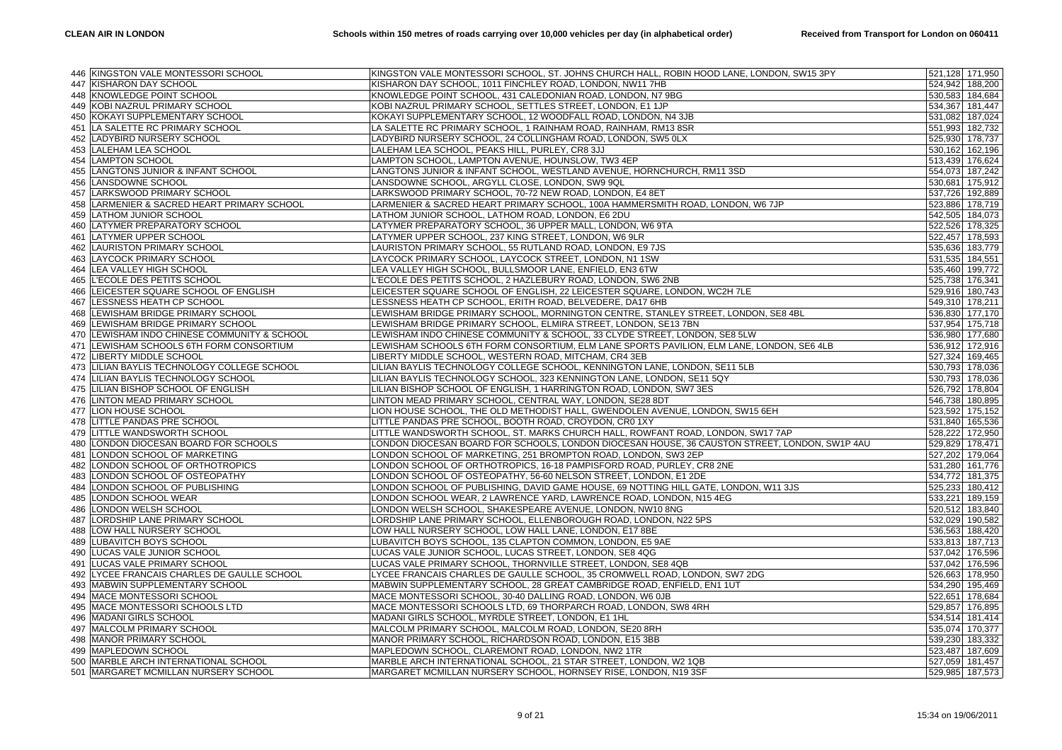|     | 446 KINGSTON VALE MONTESSORI SCHOOL      | KINGSTON VALE MONTESSORI SCHOOL, ST. JOHNS CHURCH HALL, ROBIN HOOD LANE, LONDON, SW15 3PY     | 521,128 171,950 |
|-----|------------------------------------------|-----------------------------------------------------------------------------------------------|-----------------|
|     | 447 KISHARON DAY SCHOOL                  | KISHARON DAY SCHOOL, 1011 FINCHLEY ROAD, LONDON, NW11 7HB                                     | 524,942 188,200 |
| 448 | <b>KNOWLEDGE POINT SCHOOL</b>            | KNOWLEDGE POINT SCHOOL, 431 CALEDONIAN ROAD, LONDON, N7 9BG                                   | 530,583 184,684 |
| 449 | KOBI NAZRUL PRIMARY SCHOOL               | KOBI NAZRUL PRIMARY SCHOOL, SETTLES STREET, LONDON, E1 1JP                                    | 534,367 181,447 |
| 450 | KOKAYI SUPPLEMENTARY SCHOOL              | KOKAYI SUPPLEMENTARY SCHOOL, 12 WOODFALL ROAD, LONDON, N4 3JB                                 | 531,082 187,024 |
| 451 | LA SALETTE RC PRIMARY SCHOOL             | LA SALETTE RC PRIMARY SCHOOL, 1 RAINHAM ROAD, RAINHAM, RM13 8SR                               | 551,993 182,732 |
| 452 | LADYBIRD NURSERY SCHOOL                  | LADYBIRD NURSERY SCHOOL, 24 COLLINGHAM ROAD, LONDON, SW5 0LX                                  | 525,930 178,737 |
|     | 453 LALEHAM LEA SCHOOL                   | LALEHAM LEA SCHOOL, PEAKS HILL, PURLEY, CR8 3JJ                                               | 530,162 162,196 |
| 454 | <b>LAMPTON SCHOOL</b>                    | LAMPTON SCHOOL, LAMPTON AVENUE, HOUNSLOW, TW3 4EP                                             | 513,439 176,624 |
| 455 | LANGTONS JUNIOR & INFANT SCHOOL          | LANGTONS JUNIOR & INFANT SCHOOL, WESTLAND AVENUE, HORNCHURCH, RM11 3SD                        | 554,073 187,242 |
| 456 | LANSDOWNE SCHOOL                         | LANSDOWNE SCHOOL, ARGYLL CLOSE, LONDON, SW9 9QL                                               | 530,681 175,912 |
| 457 | LARKSWOOD PRIMARY SCHOOL                 | LARKSWOOD PRIMARY SCHOOL, 70-72 NEW ROAD, LONDON, E4 8ET                                      | 537,726 192,889 |
| 458 | LARMENIER & SACRED HEART PRIMARY SCHOOL  | LARMENIER & SACRED HEART PRIMARY SCHOOL, 100A HAMMERSMITH ROAD, LONDON, W6 7JP                | 523,886 178,719 |
|     | 459 LATHOM JUNIOR SCHOOL                 | LATHOM JUNIOR SCHOOL, LATHOM ROAD, LONDON, E6 2DU                                             | 542,505 184,073 |
| 460 |                                          |                                                                                               |                 |
|     | LATYMER PREPARATORY SCHOOL               | LATYMER PREPARATORY SCHOOL, 36 UPPER MALL, LONDON, W6 9TA                                     | 522,526 178,325 |
| 461 | LATYMER UPPER SCHOOL                     | LATYMER UPPER SCHOOL, 237 KING STREET, LONDON, W6 9LR                                         | 522,457 178,593 |
| 462 | LAURISTON PRIMARY SCHOOL                 | LAURISTON PRIMARY SCHOOL, 55 RUTLAND ROAD, LONDON, E9 7JS                                     | 535,636 183,779 |
| 463 | LAYCOCK PRIMARY SCHOOL                   | LAYCOCK PRIMARY SCHOOL, LAYCOCK STREET, LONDON, N1 1SW                                        | 531,535 184,551 |
| 464 | LEA VALLEY HIGH SCHOOL                   | LEA VALLEY HIGH SCHOOL, BULLSMOOR LANE, ENFIELD, EN3 6TW                                      | 535,460 199,772 |
| 465 | L'ECOLE DES PETITS SCHOOL                | L'ECOLE DES PETITS SCHOOL, 2 HAZLEBURY ROAD, LONDON, SW6 2NB                                  | 525,738 176,341 |
| 466 | LEICESTER SQUARE SCHOOL OF ENGLISH       | LEICESTER SQUARE SCHOOL OF ENGLISH, 22 LEICESTER SQUARE, LONDON, WC2H 7LE                     | 529,916 180,743 |
| 467 | LESSNESS HEATH CP SCHOOL                 | LESSNESS HEATH CP SCHOOL, ERITH ROAD, BELVEDERE, DA17 6HB                                     | 549,310 178,211 |
| 468 | LEWISHAM BRIDGE PRIMARY SCHOOL           | LEWISHAM BRIDGE PRIMARY SCHOOL, MORNINGTON CENTRE, STANLEY STREET, LONDON, SE8 4BL            | 536,830 177,170 |
| 469 | LEWISHAM BRIDGE PRIMARY SCHOOL           | LEWISHAM BRIDGE PRIMARY SCHOOL, ELMIRA STREET, LONDON, SE13 7BN                               | 537,954 175,718 |
| 470 | LEWISHAM INDO CHINESE COMMUNITY & SCHOOL | LEWISHAM INDO CHINESE COMMUNITY & SCHOOL, 33 CLYDE STREET, LONDON, SE8 5LW                    | 536,980 177,680 |
| 471 | LEWISHAM SCHOOLS 6TH FORM CONSORTIUM     | LEWISHAM SCHOOLS 6TH FORM CONSORTIUM, ELM LANE SPORTS PAVILION, ELM LANE, LONDON, SE6 4LB     | 536,912 172,916 |
| 472 | LIBERTY MIDDLE SCHOOL                    | LIBERTY MIDDLE SCHOOL, WESTERN ROAD, MITCHAM, CR4 3EB                                         | 527,324 169,465 |
| 473 | LILIAN BAYLIS TECHNOLOGY COLLEGE SCHOOL  | LILIAN BAYLIS TECHNOLOGY COLLEGE SCHOOL, KENNINGTON LANE, LONDON, SE11 5LB                    | 530,793 178,036 |
| 474 | LILIAN BAYLIS TECHNOLOGY SCHOOL          | LILIAN BAYLIS TECHNOLOGY SCHOOL, 323 KENNINGTON LANE, LONDON, SE11 5QY                        | 530,793 178,036 |
| 475 | LILIAN BISHOP SCHOOL OF ENGLISH          | LILIAN BISHOP SCHOOL OF ENGLISH, 1 HARRINGTON ROAD, LONDON, SW7 3ES                           | 526,792 178,804 |
| 476 | LINTON MEAD PRIMARY SCHOOL               | LINTON MEAD PRIMARY SCHOOL, CENTRAL WAY, LONDON, SE28 8DT                                     | 546,738 180,895 |
| 477 | LION HOUSE SCHOOL                        | LION HOUSE SCHOOL, THE OLD METHODIST HALL, GWENDOLEN AVENUE, LONDON, SW15 6EH                 | 523,592 175,152 |
| 478 | LITTLE PANDAS PRE SCHOOL                 | LITTLE PANDAS PRE SCHOOL, BOOTH ROAD, CROYDON, CR0 1XY                                        | 531,840 165,536 |
| 479 | LITTLE WANDSWORTH SCHOOL                 | LITTLE WANDSWORTH SCHOOL, ST. MARKS CHURCH HALL, ROWFANT ROAD, LONDON, SW17 7AP               | 528,222 172,950 |
| 480 | LONDON DIOCESAN BOARD FOR SCHOOLS        | LONDON DIOCESAN BOARD FOR SCHOOLS, LONDON DIOCESAN HOUSE, 36 CAUSTON STREET, LONDON, SW1P 4AU | 529,829 178,471 |
| 481 | LONDON SCHOOL OF MARKETING               | LONDON SCHOOL OF MARKETING, 251 BROMPTON ROAD, LONDON, SW3 2EP                                | 527,202 179,064 |
| 482 | LONDON SCHOOL OF ORTHOTROPICS            | LONDON SCHOOL OF ORTHOTROPICS, 16-18 PAMPISFORD ROAD, PURLEY, CR8 2NE                         | 531,280 161,776 |
| 483 | LONDON SCHOOL OF OSTEOPATHY              | LONDON SCHOOL OF OSTEOPATHY, 56-60 NELSON STREET, LONDON, E1 2DE                              | 534,772 181,375 |
| 484 | LONDON SCHOOL OF PUBLISHING              | LONDON SCHOOL OF PUBLISHING, DAVID GAME HOUSE, 69 NOTTING HILL GATE, LONDON, W11 3JS          | 525,233 180,412 |
| 485 | LONDON SCHOOL WEAR                       | LONDON SCHOOL WEAR, 2 LAWRENCE YARD, LAWRENCE ROAD, LONDON, N15 4EG                           | 533,221 189,159 |
| 486 | LONDON WELSH SCHOOL                      | LONDON WELSH SCHOOL, SHAKESPEARE AVENUE, LONDON, NW10 8NG                                     | 520,512 183,840 |
| 487 | LORDSHIP LANE PRIMARY SCHOOL             | LORDSHIP LANE PRIMARY SCHOOL, ELLENBOROUGH ROAD, LONDON, N22 5PS                              | 532,029 190,582 |
| 488 | LOW HALL NURSERY SCHOOL                  | LOW HALL NURSERY SCHOOL, LOW HALL LANE, LONDON, E17 8BE                                       | 536,563 188,420 |
| 489 | LUBAVITCH BOYS SCHOOL                    | LUBAVITCH BOYS SCHOOL, 135 CLAPTON COMMON, LONDON, E5 9AE                                     | 533,813 187,713 |
| 490 | LUCAS VALE JUNIOR SCHOOL                 | LUCAS VALE JUNIOR SCHOOL, LUCAS STREET, LONDON, SE8 4QG                                       | 537,042 176,596 |
| 491 | LUCAS VALE PRIMARY SCHOOL                | LUCAS VALE PRIMARY SCHOOL, THORNVILLE STREET, LONDON, SE8 4QB                                 | 537,042 176,596 |
| 492 | LYCEE FRANCAIS CHARLES DE GAULLE SCHOOL  | LYCEE FRANCAIS CHARLES DE GAULLE SCHOOL, 35 CROMWELL ROAD, LONDON, SW7 2DG                    | 526,663 178,950 |
| 493 | MABWIN SUPPLEMENTARY SCHOOL              | MABWIN SUPPLEMENTARY SCHOOL, 28 GREAT CAMBRIDGE ROAD, ENFIELD, EN1 1UT                        | 534,290 195,469 |
|     | 494 MACE MONTESSORI SCHOOL               | MACE MONTESSORI SCHOOL, 30-40 DALLING ROAD, LONDON, W6 0JB                                    | 522,651 178,684 |
|     | 495 MACE MONTESSORI SCHOOLS LTD          | MACE MONTESSORI SCHOOLS LTD, 69 THORPARCH ROAD, LONDON, SW8 4RH                               | 529,857 176,895 |
| 496 | <b>MADANI GIRLS SCHOOL</b>               | MADANI GIRLS SCHOOL, MYRDLE STREET, LONDON, E1 1HL                                            | 534,514 181,414 |
|     | 497 MALCOLM PRIMARY SCHOOL               | MALCOLM PRIMARY SCHOOL, MALCOLM ROAD, LONDON, SE20 8RH                                        | 535,074 170,377 |
|     | 498 MANOR PRIMARY SCHOOL                 | MANOR PRIMARY SCHOOL, RICHARDSON ROAD, LONDON, E15 3BB                                        | 539,230 183,332 |
| 499 | MAPLEDOWN SCHOOL                         | MAPLEDOWN SCHOOL, CLAREMONT ROAD, LONDON, NW2 1TR                                             | 523,487 187,609 |
|     | 500 MARBLE ARCH INTERNATIONAL SCHOOL     | MARBLE ARCH INTERNATIONAL SCHOOL, 21 STAR STREET, LONDON, W2 1QB                              | 527,059 181,457 |
|     |                                          |                                                                                               |                 |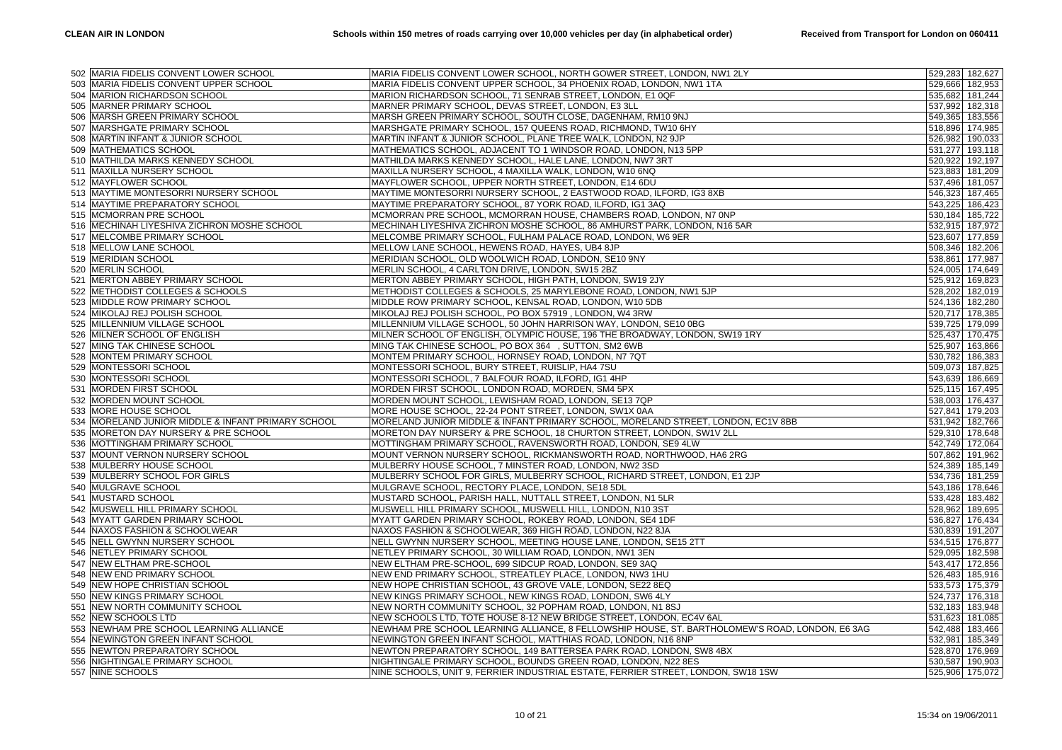|     | 502 MARIA FIDELIS CONVENT LOWER SCHOOL             | MARIA FIDELIS CONVENT LOWER SCHOOL, NORTH GOWER STREET, LONDON, NW1 2LY                                                                             |                 | 529,283 182,627                    |
|-----|----------------------------------------------------|-----------------------------------------------------------------------------------------------------------------------------------------------------|-----------------|------------------------------------|
|     | 503 MARIA FIDELIS CONVENT UPPER SCHOOL             | MARIA FIDELIS CONVENT UPPER SCHOOL, 34 PHOENIX ROAD, LONDON, NW1 1TA                                                                                |                 | 529,666 182,953                    |
|     | 504 MARION RICHARDSON SCHOOL                       | MARION RICHARDSON SCHOOL, 71 SENRAB STREET, LONDON, E1 0QF                                                                                          |                 | 535,682 181,244                    |
|     | 505 MARNER PRIMARY SCHOOL                          | MARNER PRIMARY SCHOOL, DEVAS STREET, LONDON, E3 3LL                                                                                                 |                 | 537,992 182,318                    |
|     | 506 MARSH GREEN PRIMARY SCHOOL                     | MARSH GREEN PRIMARY SCHOOL, SOUTH CLOSE, DAGENHAM, RM10 9NJ                                                                                         |                 | 549,365 183,556                    |
| 507 | MARSHGATE PRIMARY SCHOOL                           | MARSHGATE PRIMARY SCHOOL, 157 QUEENS ROAD, RICHMOND, TW10 6HY                                                                                       |                 | 518,896 174,985                    |
|     |                                                    |                                                                                                                                                     |                 |                                    |
|     | 508 MARTIN INFANT & JUNIOR SCHOOL                  | MARTIN INFANT & JUNIOR SCHOOL, PLANE TREE WALK, LONDON, N2 9JP                                                                                      |                 | 526,982 190,033                    |
|     | 509 MATHEMATICS SCHOOL                             | MATHEMATICS SCHOOL, ADJACENT TO 1 WINDSOR ROAD, LONDON, N13 5PP                                                                                     |                 | 531,277 193,118                    |
|     | 510 MATHILDA MARKS KENNEDY SCHOOL                  | MATHILDA MARKS KENNEDY SCHOOL, HALE LANE, LONDON, NW7 3RT                                                                                           |                 | 520,922 192,197                    |
|     | 511 MAXILLA NURSERY SCHOOL                         | MAXILLA NURSERY SCHOOL, 4 MAXILLA WALK, LONDON, W10 6NQ                                                                                             |                 | 523,883 181,209                    |
|     | 512 MAYFLOWER SCHOOL                               | MAYFLOWER SCHOOL, UPPER NORTH STREET, LONDON, E14 6DU                                                                                               |                 | 537,496 181,057                    |
|     | 513 MAYTIME MONTESORRI NURSERY SCHOOL              | MAYTIME MONTESORRI NURSERY SCHOOL, 2 EASTWOOD ROAD, ILFORD, IG3 8XB                                                                                 |                 | 546,323 187,465                    |
|     | 514 MAYTIME PREPARATORY SCHOOL                     | MAYTIME PREPARATORY SCHOOL, 87 YORK ROAD, ILFORD, IG1 3AQ                                                                                           |                 | 543,225 186,423                    |
|     | 515 MCMORRAN PRE SCHOOL                            | MCMORRAN PRE SCHOOL, MCMORRAN HOUSE, CHAMBERS ROAD, LONDON, N7 0NP                                                                                  |                 | 530,184 185,722                    |
|     | 516 MECHINAH LIYESHIVA ZICHRON MOSHE SCHOOL        | MECHINAH LIYESHIVA ZICHRON MOSHE SCHOOL, 86 AMHURST PARK, LONDON, N16 5AR                                                                           |                 | 532,915 187,972                    |
|     | 517 MELCOMBE PRIMARY SCHOOL                        | MELCOMBE PRIMARY SCHOOL, FULHAM PALACE ROAD, LONDON, W6 9ER                                                                                         |                 | 523,607 177,859                    |
|     | 518 MELLOW LANE SCHOOL                             | MELLOW LANE SCHOOL, HEWENS ROAD, HAYES, UB4 8JP                                                                                                     |                 | 508,346 182,206                    |
|     | 519 MERIDIAN SCHOOL                                | MERIDIAN SCHOOL, OLD WOOLWICH ROAD, LONDON, SE10 9NY                                                                                                |                 | 538,861 177,987                    |
|     | 520 MERLIN SCHOOL                                  | MERLIN SCHOOL, 4 CARLTON DRIVE, LONDON, SW15 2BZ                                                                                                    |                 | 524,005 174,649                    |
|     | 521 MERTON ABBEY PRIMARY SCHOOL                    | MERTON ABBEY PRIMARY SCHOOL, HIGH PATH, LONDON, SW19 2JY                                                                                            |                 | 525,912 169,823                    |
| 522 | METHODIST COLLEGES & SCHOOLS                       | METHODIST COLLEGES & SCHOOLS, 25 MARYLEBONE ROAD, LONDON, NW1 5JP                                                                                   |                 | 528,202 182,019                    |
|     | 523 MIDDLE ROW PRIMARY SCHOOL                      | MIDDLE ROW PRIMARY SCHOOL, KENSAL ROAD, LONDON, W10 5DB                                                                                             |                 | 524,136 182,280                    |
|     | 524 MIKOLAJ REJ POLISH SCHOOL                      | MIKOLAJ REJ POLISH SCHOOL, PO BOX 57919, LONDON, W4 3RW                                                                                             |                 | 520,717 178,385                    |
|     | 525 MILLENNIUM VILLAGE SCHOOL                      | MILLENNIUM VILLAGE SCHOOL, 50 JOHN HARRISON WAY, LONDON, SE10 0BG                                                                                   |                 | 539,725 179,099                    |
|     | 526 MILNER SCHOOL OF ENGLISH                       | MILNER SCHOOL OF ENGLISH, OLYMPIC HOUSE, 196 THE BROADWAY, LONDON, SW19 1RY                                                                         |                 | 525,437 170,475                    |
|     | 527 MING TAK CHINESE SCHOOL                        | MING TAK CHINESE SCHOOL, PO BOX 364, SUTTON, SM2 6WB                                                                                                |                 | 525,907 163,866                    |
|     | 528 MONTEM PRIMARY SCHOOL                          | MONTEM PRIMARY SCHOOL, HORNSEY ROAD, LONDON, N7 7QT                                                                                                 |                 |                                    |
|     |                                                    |                                                                                                                                                     |                 | 530,782 186,383                    |
|     | 529 MONTESSORI SCHOOL                              | MONTESSORI SCHOOL, BURY STREET, RUISLIP, HA4 7SU                                                                                                    |                 | 509,073 187,825                    |
|     | 530 MONTESSORI SCHOOL                              | MONTESSORI SCHOOL, 7 BALFOUR ROAD, ILFORD, IG1 4HP                                                                                                  |                 | 543,639 186,669                    |
|     | 531 MORDEN FIRST SCHOOL                            | MORDEN FIRST SCHOOL, LONDON ROAD, MORDEN, SM4 5PX                                                                                                   |                 | 525,115 167,495                    |
|     | 532 MORDEN MOUNT SCHOOL                            | MORDEN MOUNT SCHOOL, LEWISHAM ROAD, LONDON, SE13 7QP                                                                                                |                 | 538,003 176,437                    |
|     | 533 MORE HOUSE SCHOOL                              | MORE HOUSE SCHOOL, 22-24 PONT STREET, LONDON, SW1X 0AA                                                                                              |                 | 527,841 179,203                    |
| 534 | MORELAND JUNIOR MIDDLE & INFANT PRIMARY SCHOOL     | MORELAND JUNIOR MIDDLE & INFANT PRIMARY SCHOOL, MORELAND STREET, LONDON, EC1V 8BB                                                                   |                 | 531,942 182,766                    |
|     | 535 MORETON DAY NURSERY & PRE SCHOOL               | MORETON DAY NURSERY & PRE SCHOOL, 18 CHURTON STREET, LONDON, SW1V 2LL                                                                               |                 | 529,310 178,648                    |
|     | 536 MOTTINGHAM PRIMARY SCHOOL                      | MOTTINGHAM PRIMARY SCHOOL, RAVENSWORTH ROAD, LONDON, SE9 4LW                                                                                        |                 | 542,749 172,064                    |
| 537 | MOUNT VERNON NURSERY SCHOOL                        | MOUNT VERNON NURSERY SCHOOL, RICKMANSWORTH ROAD, NORTHWOOD, HA6 2RG                                                                                 |                 | 507,862 191,962                    |
|     | 538 MULBERRY HOUSE SCHOOL                          | MULBERRY HOUSE SCHOOL, 7 MINSTER ROAD, LONDON, NW2 3SD                                                                                              |                 | 524,389 185,149                    |
|     | 539 MULBERRY SCHOOL FOR GIRLS                      | MULBERRY SCHOOL FOR GIRLS, MULBERRY SCHOOL, RICHARD STREET, LONDON, E1 2JP                                                                          |                 | 534,736 181,259                    |
|     | 540 MULGRAVE SCHOOL                                | MULGRAVE SCHOOL, RECTORY PLACE, LONDON, SE18 5DL                                                                                                    |                 | 543,186 178,646                    |
|     | 541 MUSTARD SCHOOL                                 | MUSTARD SCHOOL, PARISH HALL, NUTTALL STREET, LONDON, N1 5LR                                                                                         |                 | 533,428 183,482                    |
|     | 542 MUSWELL HILL PRIMARY SCHOOL                    | MUSWELL HILL PRIMARY SCHOOL, MUSWELL HILL, LONDON, N10 3ST                                                                                          |                 | 528,962 189,695                    |
| 543 | <b>MYATT GARDEN PRIMARY SCHOOL</b>                 | MYATT GARDEN PRIMARY SCHOOL, ROKEBY ROAD, LONDON, SE4 1DF                                                                                           |                 | 536,827 176,434                    |
|     | 544 NAXOS FASHION & SCHOOLWEAR                     | NAXOS FASHION & SCHOOLWEAR, 369 HIGH ROAD, LONDON, N22 8JA                                                                                          |                 | 530,839 191,207                    |
|     | 545 NELL GWYNN NURSERY SCHOOL                      | NELL GWYNN NURSERY SCHOOL, MEETING HOUSE LANE, LONDON, SE15 2TT                                                                                     |                 | 534,515 176,877                    |
| 546 | NETLEY PRIMARY SCHOOL                              | NETLEY PRIMARY SCHOOL, 30 WILLIAM ROAD, LONDON, NW1 3EN                                                                                             |                 | 529,095 182,598                    |
|     | 547 NEW ELTHAM PRE-SCHOOL                          | NEW ELTHAM PRE-SCHOOL, 699 SIDCUP ROAD, LONDON, SE9 3AQ                                                                                             |                 | 543,417 172,856                    |
|     | 548 NEW END PRIMARY SCHOOL                         | NEW END PRIMARY SCHOOL, STREATLEY PLACE, LONDON, NW3 1HU                                                                                            |                 | 526,483 185,916                    |
|     |                                                    |                                                                                                                                                     |                 |                                    |
|     |                                                    |                                                                                                                                                     |                 |                                    |
|     | 549 NEW HOPE CHRISTIAN SCHOOL                      | NEW HOPE CHRISTIAN SCHOOL, 43 GROVE VALE, LONDON, SE22 8EQ                                                                                          | 533,573 175,379 |                                    |
|     | 550 NEW KINGS PRIMARY SCHOOL                       | NEW KINGS PRIMARY SCHOOL, NEW KINGS ROAD, LONDON, SW6 4LY                                                                                           |                 | 524,737 176,318                    |
|     | 551 NEW NORTH COMMUNITY SCHOOL                     | NEW NORTH COMMUNITY SCHOOL, 32 POPHAM ROAD, LONDON, N1 8SJ                                                                                          |                 | 532,183 183,948                    |
| 552 | <b>NEW SCHOOLS LTD</b>                             | NEW SCHOOLS LTD, TOTE HOUSE 8-12 NEW BRIDGE STREET, LONDON, EC4V 6AL                                                                                |                 | 531,623 181,085                    |
|     | 553 NEWHAM PRE SCHOOL LEARNING ALLIANCE            | NEWHAM PRE SCHOOL LEARNING ALLIANCE, 8 FELLOWSHIP HOUSE, ST. BARTHOLOMEW'S ROAD, LONDON, E6 3AG                                                     |                 | 542,488 183,466                    |
|     | 554 NEWINGTON GREEN INFANT SCHOOL                  | NEWINGTON GREEN INFANT SCHOOL, MATTHIAS ROAD, LONDON, N16 8NP                                                                                       |                 | 532,981 185,349                    |
| 555 | NEWTON PREPARATORY SCHOOL                          | NEWTON PREPARATORY SCHOOL, 149 BATTERSEA PARK ROAD, LONDON, SW8 4BX                                                                                 |                 | 528,870 176,969                    |
|     | 556 NIGHTINGALE PRIMARY SCHOOL<br>557 NINE SCHOOLS | NIGHTINGALE PRIMARY SCHOOL, BOUNDS GREEN ROAD, LONDON, N22 8ES<br>NINE SCHOOLS, UNIT 9, FERRIER INDUSTRIAL ESTATE, FERRIER STREET, LONDON, SW18 1SW |                 | 530,587 190,903<br>525,906 175,072 |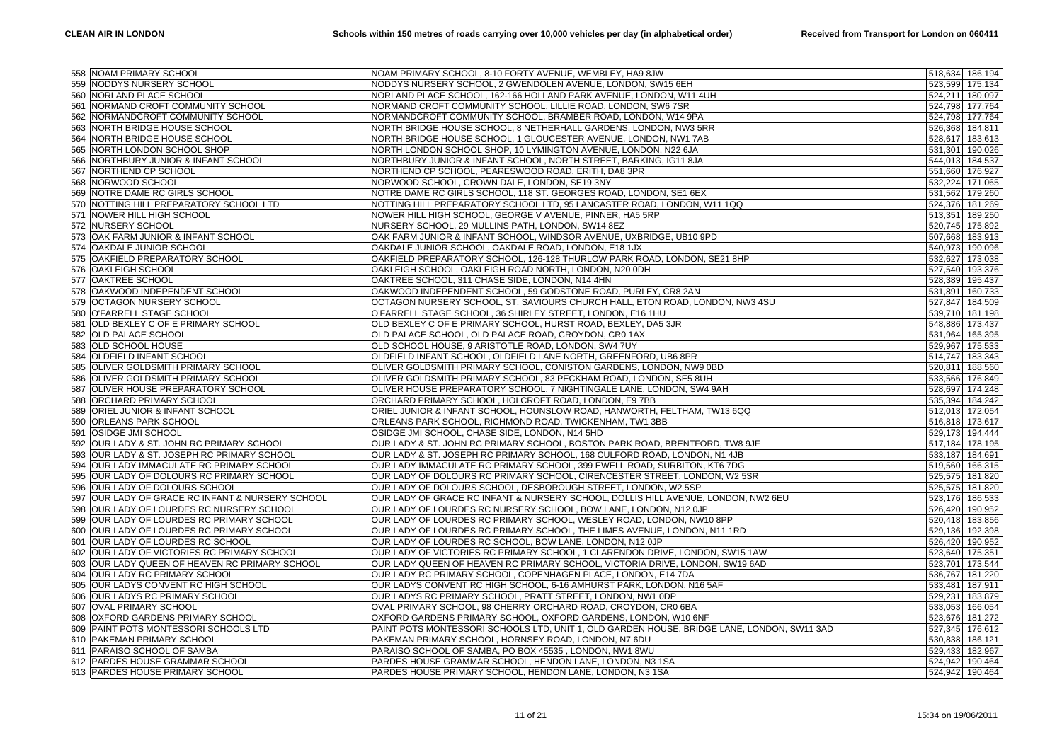|     | 558 NOAM PRIMARY SCHOOL                          | NOAM PRIMARY SCHOOL, 8-10 FORTY AVENUE, WEMBLEY, HA9 8JW                                   | 518,634 186,194 |         |
|-----|--------------------------------------------------|--------------------------------------------------------------------------------------------|-----------------|---------|
|     | 559 NODDYS NURSERY SCHOOL                        | NODDYS NURSERY SCHOOL, 2 GWENDOLEN AVENUE, LONDON, SW15 6EH                                | 523,599 175,134 |         |
|     | 560 NORLAND PLACE SCHOOL                         | NORLAND PLACE SCHOOL, 162-166 HOLLAND PARK AVENUE, LONDON, W11 4UH                         | 524,211 180,097 |         |
| 561 | NORMAND CROFT COMMUNITY SCHOOL                   | NORMAND CROFT COMMUNITY SCHOOL, LILLIE ROAD, LONDON, SW6 7SR                               | 524,798 177,764 |         |
| 562 | NORMANDCROFT COMMUNITY SCHOOL                    | NORMANDCROFT COMMUNITY SCHOOL, BRAMBER ROAD, LONDON, W14 9PA                               | 524,798 177,764 |         |
| 563 | NORTH BRIDGE HOUSE SCHOOL                        | NORTH BRIDGE HOUSE SCHOOL, 8 NETHERHALL GARDENS, LONDON, NW3 5RR                           | 526,368 184,811 |         |
| 564 | NORTH BRIDGE HOUSE SCHOOL                        | NORTH BRIDGE HOUSE SCHOOL, 1 GLOUCESTER AVENUE, LONDON, NW1 7AB                            | 528,617 183,613 |         |
|     | 565 NORTH LONDON SCHOOL SHOP                     | NORTH LONDON SCHOOL SHOP, 10 LYMINGTON AVENUE, LONDON, N22 6JA                             | 531,301         | 190,026 |
| 566 | NORTHBURY JUNIOR & INFANT SCHOOL                 | NORTHBURY JUNIOR & INFANT SCHOOL, NORTH STREET, BARKING, IG11 8JA                          | 544,013 184,537 |         |
| 567 | NORTHEND CP SCHOOL                               | NORTHEND CP SCHOOL, PEARESWOOD ROAD, ERITH, DA8 3PR                                        | 551,660 176,927 |         |
|     | 568 NORWOOD SCHOOL                               | NORWOOD SCHOOL, CROWN DALE, LONDON, SE19 3NY                                               | 532,224 171,065 |         |
|     | 569 NOTRE DAME RC GIRLS SCHOOL                   | NOTRE DAME RC GIRLS SCHOOL, 118 ST. GEORGES ROAD, LONDON, SE1 6EX                          | 531,562 179,260 |         |
| 570 | NOTTING HILL PREPARATORY SCHOOL LTD              | NOTTING HILL PREPARATORY SCHOOL LTD, 95 LANCASTER ROAD, LONDON, W11 1QQ                    | 524,376 181,269 |         |
|     | 571 NOWER HILL HIGH SCHOOL                       | NOWER HILL HIGH SCHOOL, GEORGE V AVENUE, PINNER, HA5 5RP                                   | 513,351         | 189,250 |
|     | 572 NURSERY SCHOOL                               | NURSERY SCHOOL, 29 MULLINS PATH, LONDON, SW14 8EZ                                          | 520,745 175,892 |         |
| 573 | OAK FARM JUNIOR & INFANT SCHOOL                  | OAK FARM JUNIOR & INFANT SCHOOL, WINDSOR AVENUE, UXBRIDGE, UB10 9PD                        | 507,668 183,913 |         |
|     | 574 OAKDALE JUNIOR SCHOOL                        | OAKDALE JUNIOR SCHOOL, OAKDALE ROAD, LONDON, E18 1JX                                       | 540,973 190,096 |         |
| 575 | OAKFIELD PREPARATORY SCHOOL                      | OAKFIELD PREPARATORY SCHOOL, 126-128 THURLOW PARK ROAD, LONDON, SE21 8HP                   | 532,627 173,038 |         |
|     | 576 OAKLEIGH SCHOOL                              | OAKLEIGH SCHOOL, OAKLEIGH ROAD NORTH, LONDON, N20 0DH                                      | 527,540 193,376 |         |
|     | 577 OAKTREE SCHOOL                               | OAKTREE SCHOOL, 311 CHASE SIDE, LONDON, N14 4HN                                            | 528,389         | 195,437 |
| 578 | OAKWOOD INDEPENDENT SCHOOL                       | OAKWOOD INDEPENDENT SCHOOL, 59 GODSTONE ROAD, PURLEY, CR8 2AN                              | 531,891         | 160,733 |
| 579 | <b>OCTAGON NURSERY SCHOOL</b>                    | OCTAGON NURSERY SCHOOL, ST. SAVIOURS CHURCH HALL, ETON ROAD, LONDON, NW3 4SU               | 527,847 184,509 |         |
|     | 580 O'FARRELL STAGE SCHOOL                       | O'FARRELL STAGE SCHOOL, 36 SHIRLEY STREET, LONDON, E16 1HU                                 | 539,710 181,198 |         |
| 581 | OLD BEXLEY C OF E PRIMARY SCHOOL                 | OLD BEXLEY C OF E PRIMARY SCHOOL, HURST ROAD, BEXLEY, DA5 3JR                              | 548,886 173,437 |         |
|     | 582 OLD PALACE SCHOOL                            | OLD PALACE SCHOOL, OLD PALACE ROAD, CROYDON, CR0 1AX                                       | 531,964         | 165,395 |
|     | 583 OLD SCHOOL HOUSE                             | OLD SCHOOL HOUSE, 9 ARISTOTLE ROAD, LONDON, SW4 7UY                                        | 529,967         | 175,533 |
| 584 | <b>OLDFIELD INFANT SCHOOL</b>                    | OLDFIELD INFANT SCHOOL, OLDFIELD LANE NORTH, GREENFORD, UB6 8PR                            | 514,747         | 183,343 |
|     | 585 OLIVER GOLDSMITH PRIMARY SCHOOL              | OLIVER GOLDSMITH PRIMARY SCHOOL, CONISTON GARDENS, LONDON, NW9 0BD                         | 520,811         | 188,560 |
|     | 586 OLIVER GOLDSMITH PRIMARY SCHOOL              | OLIVER GOLDSMITH PRIMARY SCHOOL, 83 PECKHAM ROAD, LONDON, SE5 8UH                          | 533,566 176,849 |         |
| 587 | OLIVER HOUSE PREPARATORY SCHOOL                  | OLIVER HOUSE PREPARATORY SCHOOL, 7 NIGHTINGALE LANE, LONDON, SW4 9AH                       | 528,697 174,248 |         |
| 588 | <b>ORCHARD PRIMARY SCHOOL</b>                    | ORCHARD PRIMARY SCHOOL, HOLCROFT ROAD, LONDON, E9 7BB                                      | 535,394 184,242 |         |
|     | 589 ORIEL JUNIOR & INFANT SCHOOL                 | ORIEL JUNIOR & INFANT SCHOOL, HOUNSLOW ROAD, HANWORTH, FELTHAM, TW13 6QQ                   | 512,013 172,054 |         |
| 590 | <b>ORLEANS PARK SCHOOL</b>                       | ORLEANS PARK SCHOOL, RICHMOND ROAD, TWICKENHAM, TW1 3BB                                    | 516,818 173,617 |         |
| 591 | <b>OSIDGE JMI SCHOOL</b>                         | OSIDGE JMI SCHOOL, CHASE SIDE, LONDON, N14 5HD                                             | 529,173 194,444 |         |
|     | 592 OUR LADY & ST. JOHN RC PRIMARY SCHOOL        | OUR LADY & ST. JOHN RC PRIMARY SCHOOL, BOSTON PARK ROAD, BRENTFORD, TW8 9JF                | 517,184 178,195 |         |
| 593 | OUR LADY & ST. JOSEPH RC PRIMARY SCHOOL          | OUR LADY & ST. JOSEPH RC PRIMARY SCHOOL, 168 CULFORD ROAD, LONDON, N1 4JB                  | 533,187 184,691 |         |
|     | 594 OUR LADY IMMACULATE RC PRIMARY SCHOOL        | OUR LADY IMMACULATE RC PRIMARY SCHOOL, 399 EWELL ROAD, SURBITON, KT6 7DG                   | 519,560 166,315 |         |
|     | 595 OUR LADY OF DOLOURS RC PRIMARY SCHOOL        | OUR LADY OF DOLOURS RC PRIMARY SCHOOL, CIRENCESTER STREET, LONDON, W2 5SR                  | 525,575 181,820 |         |
| 596 | OUR LADY OF DOLOURS SCHOOL                       | OUR LADY OF DOLOURS SCHOOL, DESBOROUGH STREET, LONDON, W2 5SP                              | 525,575 181,820 |         |
|     | 597 OUR LADY OF GRACE RC INFANT & NURSERY SCHOOL | OUR LADY OF GRACE RC INFANT & NURSERY SCHOOL, DOLLIS HILL AVENUE, LONDON, NW2 6EU          | 523,176 186,533 |         |
|     | 598 OUR LADY OF LOURDES RC NURSERY SCHOOL        | OUR LADY OF LOURDES RC NURSERY SCHOOL, BOW LANE, LONDON, N12 OJP                           | 526,420 190,952 |         |
| 599 | OUR LADY OF LOURDES RC PRIMARY SCHOOL            | OUR LADY OF LOURDES RC PRIMARY SCHOOL, WESLEY ROAD, LONDON, NW10 8PP                       | 520,418 183,856 |         |
|     | 600 OUR LADY OF LOURDES RC PRIMARY SCHOOL        | OUR LADY OF LOURDES RC PRIMARY SCHOOL, THE LIMES AVENUE, LONDON, N11 1RD                   | 529,136 192,398 |         |
|     | 601 OUR LADY OF LOURDES RC SCHOOL                | OUR LADY OF LOURDES RC SCHOOL, BOW LANE, LONDON, N12 OJP                                   | 526,420 190,952 |         |
| 602 | OUR LADY OF VICTORIES RC PRIMARY SCHOOL          | OUR LADY OF VICTORIES RC PRIMARY SCHOOL, 1 CLARENDON DRIVE, LONDON, SW15 1AW               | 523,640 175,351 |         |
|     | 603 OUR LADY QUEEN OF HEAVEN RC PRIMARY SCHOOL   | OUR LADY QUEEN OF HEAVEN RC PRIMARY SCHOOL, VICTORIA DRIVE, LONDON, SW19 6AD               | 523,701         | 173,544 |
|     | 604 OUR LADY RC PRIMARY SCHOOL                   | OUR LADY RC PRIMARY SCHOOL, COPENHAGEN PLACE, LONDON, E14 7DA                              | 536,767         | 181,220 |
| 605 | OUR LADYS CONVENT RC HIGH SCHOOL                 | OUR LADYS CONVENT RC HIGH SCHOOL, 6-16 AMHURST PARK, LONDON, N16 5AF                       | 533,481         | 187,911 |
|     | 606 OUR LADYS RC PRIMARY SCHOOL                  | OUR LADYS RC PRIMARY SCHOOL, PRATT STREET, LONDON, NW1 0DP                                 | 529,231         | 183,879 |
| 607 | <b>OVAL PRIMARY SCHOOL</b>                       | OVAL PRIMARY SCHOOL, 98 CHERRY ORCHARD ROAD, CROYDON, CR0 6BA                              | 533,053 166,054 |         |
| 608 | OXFORD GARDENS PRIMARY SCHOOL                    | OXFORD GARDENS PRIMARY SCHOOL, OXFORD GARDENS, LONDON, W10 6NF                             | 523,676 181,272 |         |
| 609 | PAINT POTS MONTESSORI SCHOOLS LTD                | PAINT POTS MONTESSORI SCHOOLS LTD, UNIT 1, OLD GARDEN HOUSE, BRIDGE LANE, LONDON, SW11 3AD | 527,345 176,612 |         |
|     | 610 PAKEMAN PRIMARY SCHOOL                       | PAKEMAN PRIMARY SCHOOL, HORNSEY ROAD, LONDON, N7 6DU                                       | 530,838 186,121 |         |
|     | 611 PARAISO SCHOOL OF SAMBA                      | PARAISO SCHOOL OF SAMBA, PO BOX 45535, LONDON, NW1 8WU                                     | 529,433         | 182,967 |
|     | 612 PARDES HOUSE GRAMMAR SCHOOL                  | PARDES HOUSE GRAMMAR SCHOOL, HENDON LANE, LONDON, N3 1SA                                   | 524,942 190,464 |         |
|     | 613 PARDES HOUSE PRIMARY SCHOOL                  | PARDES HOUSE PRIMARY SCHOOL, HENDON LANE, LONDON, N3 1SA                                   | 524,942 190,464 |         |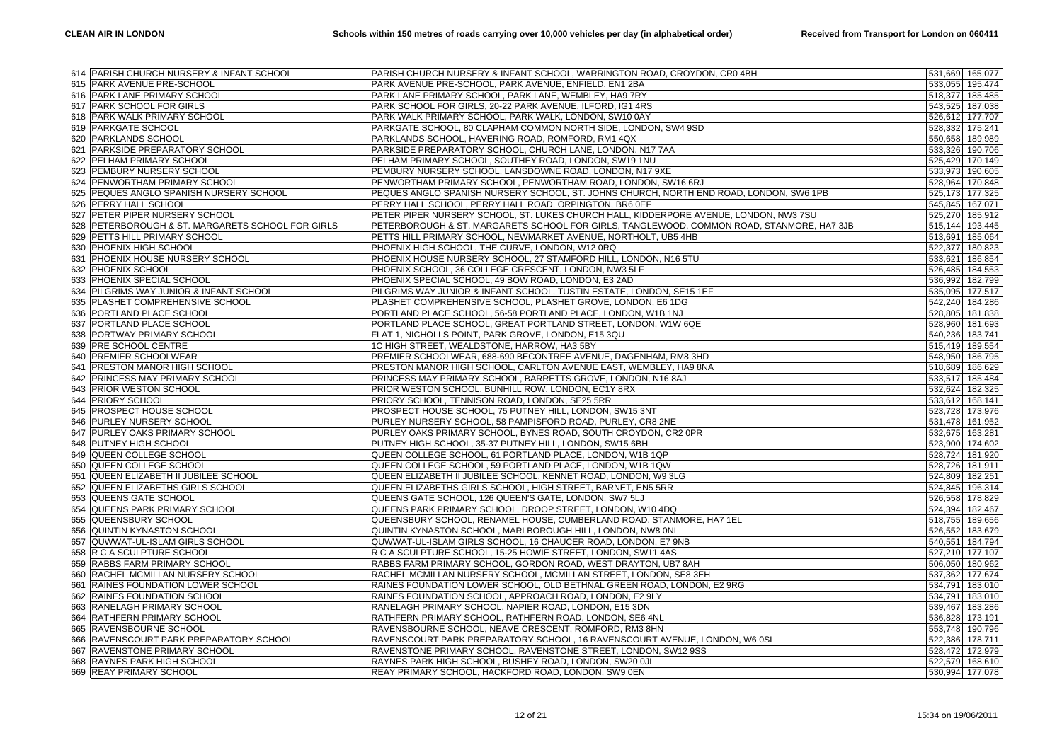|     | 614 PARISH CHURCH NURSERY & INFANT SCHOOL         | PARISH CHURCH NURSERY & INFANT SCHOOL, WARRINGTON ROAD, CROYDON, CR0 4BH                  |                 | 531,669 165,077 |
|-----|---------------------------------------------------|-------------------------------------------------------------------------------------------|-----------------|-----------------|
|     | 615 PARK AVENUE PRE-SCHOOL                        | PARK AVENUE PRE-SCHOOL, PARK AVENUE, ENFIELD, EN1 2BA                                     |                 | 533,055 195,474 |
|     | 616 PARK LANE PRIMARY SCHOOL                      | PARK LANE PRIMARY SCHOOL, PARK LANE, WEMBLEY, HA9 7RY                                     |                 | 518,377 185,485 |
|     | 617 PARK SCHOOL FOR GIRLS                         | PARK SCHOOL FOR GIRLS, 20-22 PARK AVENUE, ILFORD, IG1 4RS                                 |                 | 543,525 187,038 |
|     | 618 PARK WALK PRIMARY SCHOOL                      | PARK WALK PRIMARY SCHOOL, PARK WALK, LONDON, SW10 0AY                                     |                 | 526,612 177,707 |
|     | 619 PARKGATE SCHOOL                               | PARKGATE SCHOOL, 80 CLAPHAM COMMON NORTH SIDE, LONDON, SW4 9SD                            | 528,332 175,241 |                 |
|     | 620 PARKLANDS SCHOOL                              | PARKLANDS SCHOOL, HAVERING ROAD, ROMFORD, RM1 4QX                                         |                 | 550,658 189,989 |
|     | 621 PARKSIDE PREPARATORY SCHOOL                   | PARKSIDE PREPARATORY SCHOOL, CHURCH LANE, LONDON, N17 7AA                                 |                 | 533,326 190,706 |
| 622 | PELHAM PRIMARY SCHOOL                             | PELHAM PRIMARY SCHOOL, SOUTHEY ROAD, LONDON, SW19 1NU                                     |                 | 525,429 170,149 |
| 623 | PEMBURY NURSERY SCHOOL                            | PEMBURY NURSERY SCHOOL, LANSDOWNE ROAD, LONDON, N17 9XE                                   | 533,973 190,605 |                 |
|     | 624 PENWORTHAM PRIMARY SCHOOL                     | PENWORTHAM PRIMARY SCHOOL, PENWORTHAM ROAD, LONDON, SW16 6RJ                              |                 | 528,964 170,848 |
| 625 | PEQUES ANGLO SPANISH NURSERY SCHOOL               | PEQUES ANGLO SPANISH NURSERY SCHOOL, ST. JOHNS CHURCH, NORTH END ROAD, LONDON, SW6 1PB    |                 | 525,173 177,325 |
| 626 | PERRY HALL SCHOOL                                 | PERRY HALL SCHOOL, PERRY HALL ROAD, ORPINGTON, BR6 0EF                                    |                 | 545,845 167,071 |
| 627 | PETER PIPER NURSERY SCHOOL                        | PETER PIPER NURSERY SCHOOL, ST. LUKES CHURCH HALL, KIDDERPORE AVENUE, LONDON, NW3 7SU     |                 | 525,270 185,912 |
|     | 628 PETERBOROUGH & ST. MARGARETS SCHOOL FOR GIRLS | PETERBOROUGH & ST. MARGARETS SCHOOL FOR GIRLS, TANGLEWOOD, COMMON ROAD, STANMORE, HA7 3JB |                 | 515,144 193,445 |
| 629 | PETTS HILL PRIMARY SCHOOL                         | PETTS HILL PRIMARY SCHOOL, NEWMARKET AVENUE, NORTHOLT, UB5 4HB                            |                 | 513,691 185,064 |
|     | 630 PHOENIX HIGH SCHOOL                           | PHOENIX HIGH SCHOOL, THE CURVE, LONDON, W12 0RQ                                           | 522,377 180,823 |                 |
|     | 631 PHOENIX HOUSE NURSERY SCHOOL                  | PHOENIX HOUSE NURSERY SCHOOL, 27 STAMFORD HILL, LONDON, N16 5TU                           |                 | 533,621 186,854 |
|     | 632 PHOENIX SCHOOL                                | PHOENIX SCHOOL, 36 COLLEGE CRESCENT, LONDON, NW3 5LF                                      |                 | 526,485 184,553 |
|     | 633 PHOENIX SPECIAL SCHOOL                        | PHOENIX SPECIAL SCHOOL, 49 BOW ROAD, LONDON, E3 2AD                                       |                 | 536,992 182,799 |
|     | 634 PILGRIMS WAY JUNIOR & INFANT SCHOOL           | PILGRIMS WAY JUNIOR & INFANT SCHOOL, TUSTIN ESTATE, LONDON, SE15 1EF                      |                 | 535,095 177,517 |
|     | 635 PLASHET COMPREHENSIVE SCHOOL                  | PLASHET COMPREHENSIVE SCHOOL, PLASHET GROVE, LONDON, E6 1DG                               |                 | 542,240 184,286 |
|     | 636 PORTLAND PLACE SCHOOL                         | PORTLAND PLACE SCHOOL, 56-58 PORTLAND PLACE, LONDON, W1B 1NJ                              |                 | 528,805 181,838 |
| 637 | PORTLAND PLACE SCHOOL                             | PORTLAND PLACE SCHOOL, GREAT PORTLAND STREET, LONDON, W1W 6QE                             |                 | 528,960 181,693 |
|     | 638 PORTWAY PRIMARY SCHOOL                        | FLAT 1, NICHOLLS POINT, PARK GROVE, LONDON, E15 3QU                                       |                 | 540,236 183,741 |
|     | 639 PRE SCHOOL CENTRE                             | 1C HIGH STREET, WEALDSTONE, HARROW, HA3 5BY                                               |                 | 515,419 189,554 |
| 640 | <b>PREMIER SCHOOLWEAR</b>                         | PREMIER SCHOOLWEAR, 688-690 BECONTREE AVENUE, DAGENHAM, RM8 3HD                           |                 | 548,950 186,795 |
| 641 | <b>PRESTON MANOR HIGH SCHOOL</b>                  | PRESTON MANOR HIGH SCHOOL, CARLTON AVENUE EAST, WEMBLEY, HA9 8NA                          |                 | 518,689 186,629 |
| 642 | <b>PRINCESS MAY PRIMARY SCHOOL</b>                | PRINCESS MAY PRIMARY SCHOOL, BARRETTS GROVE, LONDON, N16 8AJ                              |                 | 533,517 185,484 |
|     | 643 PRIOR WESTON SCHOOL                           | PRIOR WESTON SCHOOL, BUNHILL ROW, LONDON, EC1Y 8RX                                        |                 | 532,624 182,325 |
|     | 644 PRIORY SCHOOL                                 | PRIORY SCHOOL, TENNISON ROAD, LONDON, SE25 5RR                                            |                 | 533,612 168,141 |
|     | 645 PROSPECT HOUSE SCHOOL                         | PROSPECT HOUSE SCHOOL, 75 PUTNEY HILL, LONDON, SW15 3NT                                   |                 | 523,728 173,976 |
| 646 | PURLEY NURSERY SCHOOL                             | PURLEY NURSERY SCHOOL, 58 PAMPISFORD ROAD, PURLEY, CR8 2NE                                |                 | 531,478 161,952 |
| 647 | PURLEY OAKS PRIMARY SCHOOL                        | PURLEY OAKS PRIMARY SCHOOL, BYNES ROAD, SOUTH CROYDON, CR2 OPR                            |                 | 532,675 163,281 |
|     | 648 PUTNEY HIGH SCHOOL                            | PUTNEY HIGH SCHOOL, 35-37 PUTNEY HILL, LONDON, SW15 6BH                                   |                 | 523,900 174,602 |
|     | 649 QUEEN COLLEGE SCHOOL                          | QUEEN COLLEGE SCHOOL, 61 PORTLAND PLACE, LONDON, W1B 1QP                                  |                 | 528,724 181,920 |
|     | 650 QUEEN COLLEGE SCHOOL                          | QUEEN COLLEGE SCHOOL, 59 PORTLAND PLACE, LONDON, W1B 1QW                                  |                 | 528,726 181,911 |
|     | 651 QUEEN ELIZABETH II JUBILEE SCHOOL             | QUEEN ELIZABETH II JUBILEE SCHOOL, KENNET ROAD, LONDON, W9 3LG                            | 524,809 182,251 |                 |
| 652 | <b>QUEEN ELIZABETHS GIRLS SCHOOL</b>              | QUEEN ELIZABETHS GIRLS SCHOOL, HIGH STREET, BARNET, EN5 5RR                               |                 | 524,845 196,314 |
|     | 653 QUEENS GATE SCHOOL                            | QUEENS GATE SCHOOL, 126 QUEEN'S GATE, LONDON, SW7 5LJ                                     |                 | 526,558 178,829 |
|     | 654 QUEENS PARK PRIMARY SCHOOL                    | QUEENS PARK PRIMARY SCHOOL, DROOP STREET, LONDON, W10 4DQ                                 |                 | 524,394 182,467 |
| 655 | QUEENSBURY SCHOOL                                 | QUEENSBURY SCHOOL, RENAMEL HOUSE, CUMBERLAND ROAD, STANMORE, HA7 1EL                      |                 | 518,755 189,656 |
|     | 656 QUINTIN KYNASTON SCHOOL                       | QUINTIN KYNASTON SCHOOL, MARLBOROUGH HILL, LONDON, NW8 ONL                                |                 | 526,552 183,679 |
|     | 657 QUWWAT-UL-ISLAM GIRLS SCHOOL                  | QUWWAT-UL-ISLAM GIRLS SCHOOL, 16 CHAUCER ROAD, LONDON, E7 9NB                             |                 | 540,551 184,794 |
| 658 | R C A SCULPTURE SCHOOL                            | R C A SCULPTURE SCHOOL, 15-25 HOWIE STREET, LONDON, SW11 4AS                              |                 | 527,210 177,107 |
|     | 659 RABBS FARM PRIMARY SCHOOL                     | RABBS FARM PRIMARY SCHOOL, GORDON ROAD, WEST DRAYTON, UB7 8AH                             |                 | 506,050 180,962 |
|     | 660 RACHEL MCMILLAN NURSERY SCHOOL                | RACHEL MCMILLAN NURSERY SCHOOL, MCMILLAN STREET, LONDON, SE8 3EH                          |                 | 537,362 177,674 |
| 661 | <b>RAINES FOUNDATION LOWER SCHOOL</b>             | RAINES FOUNDATION LOWER SCHOOL, OLD BETHNAL GREEN ROAD, LONDON, E2 9RG                    |                 | 534,791 183,010 |
| 662 | RAINES FOUNDATION SCHOOL                          | RAINES FOUNDATION SCHOOL, APPROACH ROAD, LONDON, E2 9LY                                   |                 | 534,791 183,010 |
| 663 | <b>RANELAGH PRIMARY SCHOOL</b>                    | RANELAGH PRIMARY SCHOOL, NAPIER ROAD, LONDON, E15 3DN                                     |                 | 539,467 183,286 |
| 664 | RATHFERN PRIMARY SCHOOL                           | RATHFERN PRIMARY SCHOOL, RATHFERN ROAD, LONDON, SE6 4NL                                   | 536,828 173,191 |                 |
| 665 | <b>RAVENSBOURNE SCHOOL</b>                        | RAVENSBOURNE SCHOOL, NEAVE CRESCENT, ROMFORD, RM3 8HN                                     |                 | 553,748 190,796 |
|     | 666 RAVENSCOURT PARK PREPARATORY SCHOOL           | RAVENSCOURT PARK PREPARATORY SCHOOL, 16 RAVENSCOURT AVENUE, LONDON, W6 0SL                |                 | 522,386 178,711 |
| 667 | RAVENSTONE PRIMARY SCHOOL                         | RAVENSTONE PRIMARY SCHOOL, RAVENSTONE STREET, LONDON, SW12 9SS                            |                 | 528,472 172,979 |
|     | 668 RAYNES PARK HIGH SCHOOL                       | RAYNES PARK HIGH SCHOOL, BUSHEY ROAD, LONDON, SW20 OJL                                    |                 | 522,579 168,610 |
|     | 669 REAY PRIMARY SCHOOL                           | REAY PRIMARY SCHOOL, HACKFORD ROAD, LONDON, SW9 0EN                                       |                 | 530,994 177,078 |
|     |                                                   |                                                                                           |                 |                 |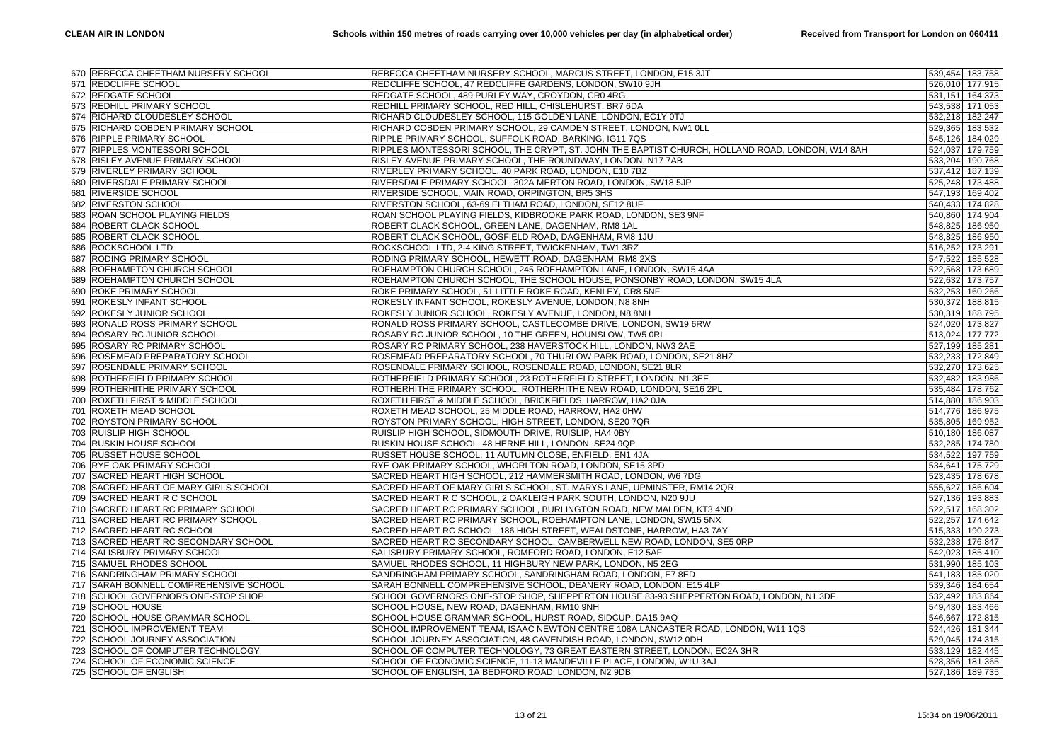|            | 670 REBECCA CHEETHAM NURSERY SCHOOL                                  | REBECCA CHEETHAM NURSERY SCHOOL, MARCUS STREET, LONDON, E15 3JT                                                                           | 539,454 183,758                    |
|------------|----------------------------------------------------------------------|-------------------------------------------------------------------------------------------------------------------------------------------|------------------------------------|
|            | 671 REDCLIFFE SCHOOL                                                 | REDCLIFFE SCHOOL, 47 REDCLIFFE GARDENS, LONDON, SW10 9JH                                                                                  | 526,010 177,915                    |
| 672        | <b>REDGATE SCHOOL</b>                                                | REDGATE SCHOOL, 489 PURLEY WAY, CROYDON, CR0 4RG                                                                                          | 531,151 164,373                    |
| 673        | <b>REDHILL PRIMARY SCHOOL</b>                                        | REDHILL PRIMARY SCHOOL, RED HILL, CHISLEHURST, BR7 6DA                                                                                    | 543,538 171,053                    |
|            | 674 RICHARD CLOUDESLEY SCHOOL                                        | RICHARD CLOUDESLEY SCHOOL, 115 GOLDEN LANE, LONDON, EC1Y 0TJ                                                                              | 532,218 182,247                    |
| 675        | RICHARD COBDEN PRIMARY SCHOOL                                        | RICHARD COBDEN PRIMARY SCHOOL, 29 CAMDEN STREET, LONDON, NW1 OLL                                                                          | 529,365 183,532                    |
|            | 676 RIPPLE PRIMARY SCHOOL                                            | RIPPLE PRIMARY SCHOOL, SUFFOLK ROAD, BARKING, IG11 7QS                                                                                    | 545,126 184,029                    |
|            | 677 RIPPLES MONTESSORI SCHOOL                                        | RIPPLES MONTESSORI SCHOOL, THE CRYPT, ST. JOHN THE BAPTIST CHURCH, HOLLAND ROAD, LONDON, W14 8AH                                          | 524,037 179,759                    |
|            | 678 RISLEY AVENUE PRIMARY SCHOOL                                     | RISLEY AVENUE PRIMARY SCHOOL, THE ROUNDWAY, LONDON, N17 7AB                                                                               | 533,204 190,768                    |
|            | 679 RIVERLEY PRIMARY SCHOOL                                          | RIVERLEY PRIMARY SCHOOL, 40 PARK ROAD, LONDON, E10 7BZ                                                                                    | 537,412 187,139                    |
|            | 680 RIVERSDALE PRIMARY SCHOOL                                        | RIVERSDALE PRIMARY SCHOOL, 302A MERTON ROAD, LONDON, SW18 5JP                                                                             | 525,248 173,488                    |
| 681        | <b>RIVERSIDE SCHOOL</b>                                              | RIVERSIDE SCHOOL, MAIN ROAD, ORPINGTON, BR5 3HS                                                                                           | 547,193 169,402                    |
| 682        | <b>RIVERSTON SCHOOL</b>                                              | RIVERSTON SCHOOL, 63-69 ELTHAM ROAD, LONDON, SE12 8UF                                                                                     | 540,433 174,828                    |
| 683        | ROAN SCHOOL PLAYING FIELDS                                           | ROAN SCHOOL PLAYING FIELDS, KIDBROOKE PARK ROAD, LONDON, SE3 9NF                                                                          | 540,860 174,904                    |
| 684        | ROBERT CLACK SCHOOL                                                  | ROBERT CLACK SCHOOL, GREEN LANE, DAGENHAM, RM8 1AL                                                                                        | 548,825 186,950                    |
| 685        | <b>ROBERT CLACK SCHOOL</b>                                           | ROBERT CLACK SCHOOL, GOSFIELD ROAD, DAGENHAM, RM8 1JU                                                                                     | 548,825 186,950                    |
| 686        | <b>ROCKSCHOOL LTD</b>                                                | ROCKSCHOOL LTD, 2-4 KING STREET, TWICKENHAM, TW1 3RZ                                                                                      | 516,252 173,291                    |
| 687        | RODING PRIMARY SCHOOL                                                | RODING PRIMARY SCHOOL, HEWETT ROAD, DAGENHAM, RM8 2XS                                                                                     | 547,522 185,528                    |
| 688        | ROEHAMPTON CHURCH SCHOOL                                             | ROEHAMPTON CHURCH SCHOOL, 245 ROEHAMPTON LANE, LONDON, SW15 4AA                                                                           | 522,568 173,689                    |
| 689        | <b>ROEHAMPTON CHURCH SCHOOL</b>                                      | ROEHAMPTON CHURCH SCHOOL, THE SCHOOL HOUSE, PONSONBY ROAD, LONDON, SW15 4LA                                                               | 522,632 173,757                    |
| 690        | <b>ROKE PRIMARY SCHOOL</b>                                           | ROKE PRIMARY SCHOOL, 51 LITTLE ROKE ROAD, KENLEY, CR8 5NF                                                                                 | 532,253 160,266                    |
| 691        | ROKESLY INFANT SCHOOL                                                | ROKESLY INFANT SCHOOL, ROKESLY AVENUE, LONDON, N8 8NH                                                                                     | 530,372 188,815                    |
| 692        | <b>ROKESLY JUNIOR SCHOOL</b>                                         | ROKESLY JUNIOR SCHOOL, ROKESLY AVENUE, LONDON, N8 8NH                                                                                     | 530,319 188,795                    |
| 693        | RONALD ROSS PRIMARY SCHOOL                                           | RONALD ROSS PRIMARY SCHOOL, CASTLECOMBE DRIVE, LONDON, SW19 6RW                                                                           | 524,020 173,827                    |
| 694        | <b>ROSARY RC JUNIOR SCHOOL</b>                                       | ROSARY RC JUNIOR SCHOOL, 10 THE GREEN, HOUNSLOW, TW5 0RL                                                                                  | 513,024 177,772                    |
| 695        | <b>ROSARY RC PRIMARY SCHOOL</b>                                      | ROSARY RC PRIMARY SCHOOL, 238 HAVERSTOCK HILL, LONDON, NW3 2AE                                                                            | 527,199 185,281                    |
| 696        | ROSEMEAD PREPARATORY SCHOOL                                          | ROSEMEAD PREPARATORY SCHOOL, 70 THURLOW PARK ROAD, LONDON, SE21 8HZ                                                                       | 532,233 172,849                    |
| 697        | <b>ROSENDALE PRIMARY SCHOOL</b>                                      | ROSENDALE PRIMARY SCHOOL, ROSENDALE ROAD, LONDON, SE21 8LR                                                                                | 532,270 173,625                    |
| 698        | <b>ROTHERFIELD PRIMARY SCHOOL</b>                                    | ROTHERFIELD PRIMARY SCHOOL, 23 ROTHERFIELD STREET, LONDON, N1 3EE                                                                         | 532,482 183,986                    |
|            |                                                                      |                                                                                                                                           |                                    |
| 699<br>700 | ROTHERHITHE PRIMARY SCHOOL                                           | ROTHERHITHE PRIMARY SCHOOL, ROTHERHITHE NEW ROAD, LONDON, SE16 2PL<br>ROXETH FIRST & MIDDLE SCHOOL, BRICKFIELDS, HARROW, HA2 0JA          | 535,484 178,762<br>514,880 186,903 |
| 701        | <b>ROXETH FIRST &amp; MIDDLE SCHOOL</b><br><b>ROXETH MEAD SCHOOL</b> | ROXETH MEAD SCHOOL, 25 MIDDLE ROAD, HARROW, HA2 0HW                                                                                       | 514,776 186,975                    |
| 702        | ROYSTON PRIMARY SCHOOL                                               | ROYSTON PRIMARY SCHOOL, HIGH STREET, LONDON, SE20 7QR                                                                                     | 535,805 169,952                    |
|            | <b>RUISLIP HIGH SCHOOL</b>                                           | RUISLIP HIGH SCHOOL, SIDMOUTH DRIVE, RUISLIP, HA4 0BY                                                                                     | 510,180 186,087                    |
| 703<br>704 | <b>RUSKIN HOUSE SCHOOL</b>                                           | RUSKIN HOUSE SCHOOL, 48 HERNE HILL, LONDON, SE24 9QP                                                                                      | 532,285 174,780                    |
| 705        | <b>RUSSET HOUSE SCHOOL</b>                                           | RUSSET HOUSE SCHOOL, 11 AUTUMN CLOSE, ENFIELD, EN1 4JA                                                                                    | 534,522 197,759                    |
|            |                                                                      |                                                                                                                                           |                                    |
|            | 706 RYE OAK PRIMARY SCHOOL                                           | RYE OAK PRIMARY SCHOOL, WHORLTON ROAD, LONDON, SE15 3PD<br>SACRED HEART HIGH SCHOOL, 212 HAMMERSMITH ROAD, LONDON, W6 7DG                 | 534,641 175,729<br>523,435 178,678 |
| 707<br>708 | <b>SACRED HEART HIGH SCHOOL</b>                                      |                                                                                                                                           |                                    |
|            | SACRED HEART OF MARY GIRLS SCHOOL                                    | SACRED HEART OF MARY GIRLS SCHOOL, ST. MARYS LANE, UPMINSTER, RM14 2QR                                                                    | 555,627 186,604                    |
| 709        | SACRED HEART R C SCHOOL                                              | SACRED HEART R C SCHOOL, 2 OAKLEIGH PARK SOUTH, LONDON, N20 9JU                                                                           | 527,136 193,883                    |
|            | 710 SACRED HEART RC PRIMARY SCHOOL<br>SACRED HEART RC PRIMARY SCHOOL | SACRED HEART RC PRIMARY SCHOOL, BURLINGTON ROAD, NEW MALDEN, KT3 4ND<br>SACRED HEART RC PRIMARY SCHOOL, ROEHAMPTON LANE, LONDON, SW15 5NX | 522,517 168,302<br>522,257 174,642 |
| 711        |                                                                      |                                                                                                                                           |                                    |
|            | 712 SACRED HEART RC SCHOOL                                           | SACRED HEART RC SCHOOL, 186 HIGH STREET, WEALDSTONE, HARROW, HA3 7AY                                                                      | 515,333 190,273                    |
|            | 713 SACRED HEART RC SECONDARY SCHOOL                                 | SACRED HEART RC SECONDARY SCHOOL, CAMBERWELL NEW ROAD, LONDON, SE5 0RP                                                                    | 532,238 176,847                    |
| 714        | <b>SALISBURY PRIMARY SCHOOL</b>                                      | SALISBURY PRIMARY SCHOOL, ROMFORD ROAD, LONDON, E12 5AF                                                                                   | 542,023 185,410                    |
|            | 715 SAMUEL RHODES SCHOOL                                             | SAMUEL RHODES SCHOOL, 11 HIGHBURY NEW PARK, LONDON, N5 2EG                                                                                | 531,990 185,103                    |
|            | 716 SANDRINGHAM PRIMARY SCHOOL                                       | SANDRINGHAM PRIMARY SCHOOL, SANDRINGHAM ROAD, LONDON, E7 8ED                                                                              | 541,183 185,020                    |
|            | 717 SARAH BONNELL COMPREHENSIVE SCHOOL                               | SARAH BONNELL COMPREHENSIVE SCHOOL, DEANERY ROAD, LONDON, E15 4LP                                                                         | 539,346 184,654                    |
|            | 718 SCHOOL GOVERNORS ONE-STOP SHOP                                   | SCHOOL GOVERNORS ONE-STOP SHOP, SHEPPERTON HOUSE 83-93 SHEPPERTON ROAD, LONDON, N1 3DF                                                    | 532,492 183,864                    |
|            | 719 SCHOOL HOUSE                                                     | SCHOOL HOUSE, NEW ROAD, DAGENHAM, RM10 9NH                                                                                                | 549,430 183,466                    |
| 720        | <b>SCHOOL HOUSE GRAMMAR SCHOOL</b>                                   | SCHOOL HOUSE GRAMMAR SCHOOL, HURST ROAD, SIDCUP, DA15 9AQ                                                                                 | 546,667 172,815                    |
| 721        | <b>SCHOOL IMPROVEMENT TEAM</b>                                       | SCHOOL IMPROVEMENT TEAM, ISAAC NEWTON CENTRE 108A LANCASTER ROAD, LONDON, W11 1QS                                                         | 524,426 181,344                    |
|            | 722 SCHOOL JOURNEY ASSOCIATION                                       | SCHOOL JOURNEY ASSOCIATION, 48 CAVENDISH ROAD, LONDON, SW12 0DH                                                                           | 529,045 174,315                    |
| 723        | SCHOOL OF COMPUTER TECHNOLOGY                                        | SCHOOL OF COMPUTER TECHNOLOGY, 73 GREAT EASTERN STREET, LONDON, EC2A 3HR                                                                  | 533,129 182,445                    |
| 724        | SCHOOL OF ECONOMIC SCIENCE                                           | SCHOOL OF ECONOMIC SCIENCE, 11-13 MANDEVILLE PLACE, LONDON, W1U 3AJ                                                                       | 528,356 181,365                    |
|            | 725 SCHOOL OF ENGLISH                                                | SCHOOL OF ENGLISH, 1A BEDFORD ROAD, LONDON, N2 9DB                                                                                        | 527,186 189,735                    |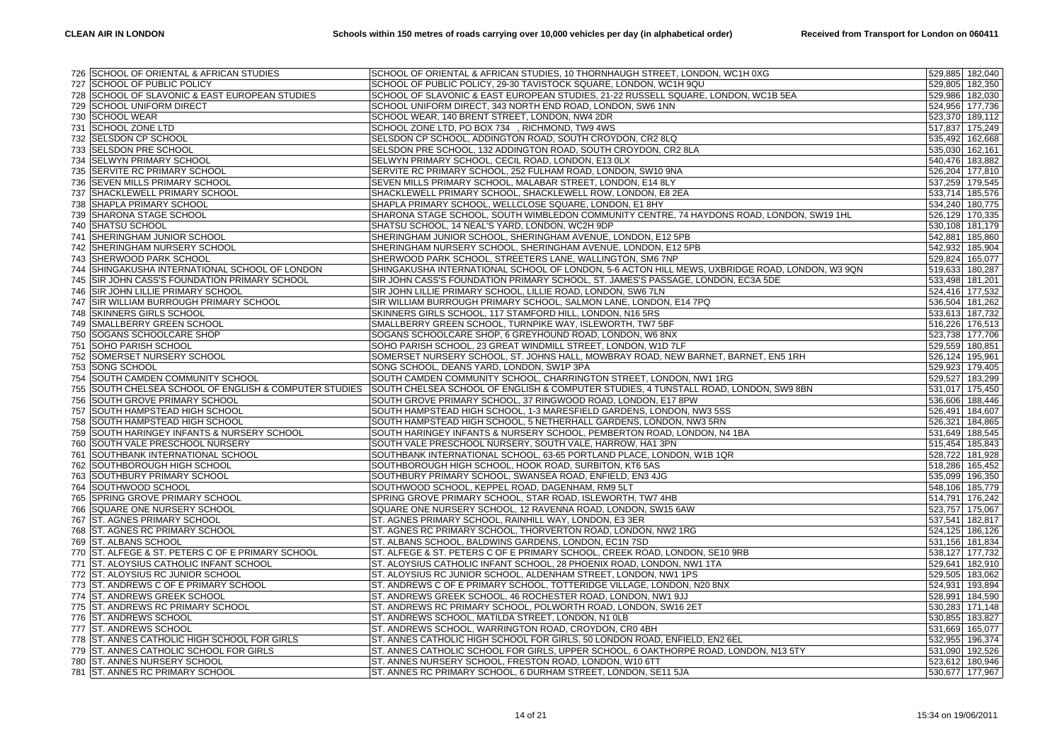|     | 726 SCHOOL OF ORIENTAL & AFRICAN STUDIES           | SCHOOL OF ORIENTAL & AFRICAN STUDIES, 10 THORNHAUGH STREET, LONDON, WC1H 0XG                   |                 | 529,885 182,040 |
|-----|----------------------------------------------------|------------------------------------------------------------------------------------------------|-----------------|-----------------|
|     | 727 SCHOOL OF PUBLIC POLICY                        | SCHOOL OF PUBLIC POLICY, 29-30 TAVISTOCK SQUARE, LONDON, WC1H 9QU                              |                 | 529,805 182,350 |
|     | 728 SCHOOL OF SLAVONIC & EAST EUROPEAN STUDIES     | SCHOOL OF SLAVONIC & EAST EUROPEAN STUDIES, 21-22 RUSSELL SQUARE, LONDON, WC1B 5EA             |                 | 529,986 182,030 |
| 729 | <b>SCHOOL UNIFORM DIRECT</b>                       | SCHOOL UNIFORM DIRECT, 343 NORTH END ROAD, LONDON, SW6 1NN                                     |                 | 524,956 177,736 |
|     | 730 SCHOOL WEAR                                    | SCHOOL WEAR, 140 BRENT STREET, LONDON, NW4 2DR                                                 |                 | 523,370 189,112 |
| 731 | <b>SCHOOL ZONE LTD</b>                             | SCHOOL ZONE LTD, PO BOX 734, RICHMOND, TW9 4WS                                                 |                 | 517,837 175,249 |
| 732 | <b>SELSDON CP SCHOOL</b>                           | SELSDON CP SCHOOL, ADDINGTON ROAD, SOUTH CROYDON, CR2 8LQ                                      |                 | 535,492 162,668 |
| 733 | <b>SELSDON PRE SCHOOL</b>                          | SELSDON PRE SCHOOL, 132 ADDINGTON ROAD, SOUTH CROYDON, CR2 8LA                                 | 535,030 162,161 |                 |
| 734 | SELWYN PRIMARY SCHOOL                              | SELWYN PRIMARY SCHOOL, CECIL ROAD, LONDON, E13 0LX                                             |                 | 540,476 183,882 |
| 735 | <b>SERVITE RC PRIMARY SCHOOL</b>                   | SERVITE RC PRIMARY SCHOOL, 252 FULHAM ROAD, LONDON, SW10 9NA                                   |                 | 526,204 177,810 |
| 736 | SEVEN MILLS PRIMARY SCHOOL                         | SEVEN MILLS PRIMARY SCHOOL, MALABAR STREET, LONDON, E14 8LY                                    |                 | 537,259 179,545 |
| 737 | <b>SHACKLEWELL PRIMARY SCHOOL</b>                  | SHACKLEWELL PRIMARY SCHOOL, SHACKLEWELL ROW, LONDON, E8 2EA                                    |                 | 533,714 185,576 |
| 738 | <b>SHAPLA PRIMARY SCHOOL</b>                       |                                                                                                |                 | 534,240 180,775 |
|     | 739 SHARONA STAGE SCHOOL                           | SHAPLA PRIMARY SCHOOL, WELLCLOSE SQUARE, LONDON, E1 8HY                                        |                 |                 |
|     |                                                    | SHARONA STAGE SCHOOL, SOUTH WIMBLEDON COMMUNITY CENTRE, 74 HAYDONS ROAD, LONDON, SW19 1HL      |                 | 526,129 170,335 |
| 740 | SHATSU SCHOOL                                      | SHATSU SCHOOL, 14 NEAL'S YARD, LONDON, WC2H 9DP                                                |                 | 530,108 181,179 |
|     | 741 SHERINGHAM JUNIOR SCHOOL                       | SHERINGHAM JUNIOR SCHOOL, SHERINGHAM AVENUE, LONDON, E12 5PB                                   |                 | 542,881 185,860 |
|     | 742 SHERINGHAM NURSERY SCHOOL                      | SHERINGHAM NURSERY SCHOOL, SHERINGHAM AVENUE, LONDON, E12 5PB                                  |                 | 542,932 185,904 |
| 743 | <b>SHERWOOD PARK SCHOOL</b>                        | SHERWOOD PARK SCHOOL, STREETERS LANE, WALLINGTON, SM6 7NP                                      |                 | 529,824 165,077 |
|     | 744 SHINGAKUSHA INTERNATIONAL SCHOOL OF LONDON     | SHINGAKUSHA INTERNATIONAL SCHOOL OF LONDON, 5-6 ACTON HILL MEWS, UXBRIDGE ROAD, LONDON, W3 9QN |                 | 519,633 180,287 |
|     | 745 SIR JOHN CASS'S FOUNDATION PRIMARY SCHOOL      | SIR JOHN CASS'S FOUNDATION PRIMARY SCHOOL, ST. JAMES'S PASSAGE, LONDON, EC3A 5DE               |                 | 533,498 181,201 |
| 746 | <b>SIR JOHN LILLIE PRIMARY SCHOOL</b>              | SIR JOHN LILLIE PRIMARY SCHOOL, LILLIE ROAD, LONDON, SW6 7LN                                   |                 | 524,416 177,532 |
|     | 747 SIR WILLIAM BURROUGH PRIMARY SCHOOL            | SIR WILLIAM BURROUGH PRIMARY SCHOOL, SALMON LANE, LONDON, E14 7PQ                              |                 | 536,504 181,262 |
|     | 748 SKINNERS GIRLS SCHOOL                          | SKINNERS GIRLS SCHOOL, 117 STAMFORD HILL, LONDON, N16 5RS                                      |                 | 533,613 187,732 |
| 749 | SMALLBERRY GREEN SCHOOL                            | SMALLBERRY GREEN SCHOOL, TURNPIKE WAY, ISLEWORTH, TW7 5BF                                      |                 | 516,226 176,513 |
| 750 | <b>SOGANS SCHOOLCARE SHOP</b>                      | SOGANS SCHOOLCARE SHOP, 6 GREYHOUND ROAD, LONDON, W6 8NX                                       |                 | 523,738 177,706 |
| 751 | <b>SOHO PARISH SCHOOL</b>                          | SOHO PARISH SCHOOL, 23 GREAT WINDMILL STREET, LONDON, W1D 7LF                                  |                 | 529,559 180,851 |
| 752 | SOMERSET NURSERY SCHOOL                            | SOMERSET NURSERY SCHOOL, ST. JOHNS HALL, MOWBRAY ROAD, NEW BARNET, BARNET, EN5 1RH             |                 | 526,124 195,961 |
| 753 | <b>SONG SCHOOL</b>                                 | SONG SCHOOL, DEANS YARD, LONDON, SW1P 3PA                                                      |                 | 529,923 179,405 |
| 754 | SOUTH CAMDEN COMMUNITY SCHOOL                      | SOUTH CAMDEN COMMUNITY SCHOOL, CHARRINGTON STREET, LONDON, NW1 1RG                             |                 | 529,527 183,299 |
| 755 | SOUTH CHELSEA SCHOOL OF ENGLISH & COMPUTER STUDIES | SOUTH CHELSEA SCHOOL OF ENGLISH & COMPUTER STUDIES, 4 TUNSTALL ROAD, LONDON, SW9 8BN           |                 | 531,017 175,450 |
| 756 | SOUTH GROVE PRIMARY SCHOOL                         | SOUTH GROVE PRIMARY SCHOOL, 37 RINGWOOD ROAD, LONDON, E17 8PW                                  |                 | 536,606 188,446 |
| 757 | <b>SOUTH HAMPSTEAD HIGH SCHOOL</b>                 | SOUTH HAMPSTEAD HIGH SCHOOL, 1-3 MARESFIELD GARDENS, LONDON, NW3 5SS                           |                 | 526,491 184,607 |
| 758 | SOUTH HAMPSTEAD HIGH SCHOOL                        | SOUTH HAMPSTEAD HIGH SCHOOL, 5 NETHERHALL GARDENS, LONDON, NW3 5RN                             |                 | 526,321 184,865 |
| 759 | SOUTH HARINGEY INFANTS & NURSERY SCHOOL            | SOUTH HARINGEY INFANTS & NURSERY SCHOOL, PEMBERTON ROAD, LONDON, N4 1BA                        |                 | 531,649 188,545 |
| 760 | SOUTH VALE PRESCHOOL NURSERY                       | SOUTH VALE PRESCHOOL NURSERY, SOUTH VALE, HARROW, HA1 3PN                                      |                 | 515,454 185,843 |
| 761 | SOUTHBANK INTERNATIONAL SCHOOL                     | SOUTHBANK INTERNATIONAL SCHOOL, 63-65 PORTLAND PLACE, LONDON, W1B 1QR                          |                 | 528,722 181,928 |
| 762 | SOUTHBOROUGH HIGH SCHOOL                           | SOUTHBOROUGH HIGH SCHOOL, HOOK ROAD, SURBITON, KT6 5AS                                         |                 | 518,286 165,452 |
|     | 763 SOUTHBURY PRIMARY SCHOOL                       | SOUTHBURY PRIMARY SCHOOL, SWANSEA ROAD, ENFIELD, EN3 4JG                                       |                 | 535,099 196,350 |
| 764 | SOUTHWOOD SCHOOL                                   | SOUTHWOOD SCHOOL, KEPPEL ROAD, DAGENHAM, RM9 5LT                                               |                 | 548,106 185,779 |
| 765 | <b>SPRING GROVE PRIMARY SCHOOL</b>                 | SPRING GROVE PRIMARY SCHOOL, STAR ROAD, ISLEWORTH, TW7 4HB                                     |                 | 514,791 176,242 |
| 766 | <b>SQUARE ONE NURSERY SCHOOL</b>                   | SQUARE ONE NURSERY SCHOOL, 12 RAVENNA ROAD, LONDON, SW15 6AW                                   |                 | 523,757 175,067 |
| 767 | ST. AGNES PRIMARY SCHOOL                           | ST. AGNES PRIMARY SCHOOL, RAINHILL WAY, LONDON, E3 3ER                                         |                 | 537,541 182,817 |
|     | 768 ST. AGNES RC PRIMARY SCHOOL                    | ST. AGNES RC PRIMARY SCHOOL, THORVERTON ROAD, LONDON, NW2 1RG                                  |                 | 524,125 186,126 |
|     | 769 ST. ALBANS SCHOOL                              | ST. ALBANS SCHOOL, BALDWINS GARDENS, LONDON, EC1N 7SD                                          |                 | 531,156 181,834 |
| 770 | ST. ALFEGE & ST. PETERS C OF E PRIMARY SCHOOL      | ST. ALFEGE & ST. PETERS C OF E PRIMARY SCHOOL, CREEK ROAD, LONDON, SE10 9RB                    |                 | 538,127 177,732 |
|     | 771 ST. ALOYSIUS CATHOLIC INFANT SCHOOL            | ST. ALOYSIUS CATHOLIC INFANT SCHOOL, 28 PHOENIX ROAD, LONDON, NW1 1TA                          |                 | 529,641 182,910 |
|     | 772 ST. ALOYSIUS RC JUNIOR SCHOOL                  | ST. ALOYSIUS RC JUNIOR SCHOOL, ALDENHAM STREET, LONDON, NW1 1PS                                |                 | 529,505 183,062 |
| 773 | ST. ANDREWS C OF E PRIMARY SCHOOL                  | ST. ANDREWS C OF E PRIMARY SCHOOL, TOTTERIDGE VILLAGE, LONDON, N20 8NX                         |                 | 524,931 193,894 |
|     | 774 ST. ANDREWS GREEK SCHOOL                       | ST. ANDREWS GREEK SCHOOL, 46 ROCHESTER ROAD, LONDON, NW1 9JJ                                   |                 | 528,991 184,590 |
| 775 | ST. ANDREWS RC PRIMARY SCHOOL                      | ST. ANDREWS RC PRIMARY SCHOOL, POLWORTH ROAD, LONDON, SW16 2ET                                 |                 | 530,283 171,148 |
| 776 | <b>ST. ANDREWS SCHOOL</b>                          | ST. ANDREWS SCHOOL, MATILDA STREET, LONDON, N1 OLB                                             |                 | 530,855 183,827 |
|     | 777 ST. ANDREWS SCHOOL                             | ST. ANDREWS SCHOOL, WARRINGTON ROAD, CROYDON, CR0 4BH                                          |                 | 531,669 165,077 |
|     | 778 ST. ANNES CATHOLIC HIGH SCHOOL FOR GIRLS       | ST. ANNES CATHOLIC HIGH SCHOOL FOR GIRLS, 50 LONDON ROAD, ENFIELD, EN2 6EL                     |                 | 532,955 196,374 |
| 779 | ST. ANNES CATHOLIC SCHOOL FOR GIRLS                | ST. ANNES CATHOLIC SCHOOL FOR GIRLS, UPPER SCHOOL, 6 OAKTHORPE ROAD, LONDON, N13 5TY           |                 | 531,090 192,526 |
| 780 | <b>ST. ANNES NURSERY SCHOOL</b>                    | ST. ANNES NURSERY SCHOOL, FRESTON ROAD, LONDON, W10 6TT                                        |                 | 523,612 180,946 |
|     | 781 ST. ANNES RC PRIMARY SCHOOL                    | ST. ANNES RC PRIMARY SCHOOL, 6 DURHAM STREET, LONDON, SE11 5JA                                 |                 | 530,677 177,967 |
|     |                                                    |                                                                                                |                 |                 |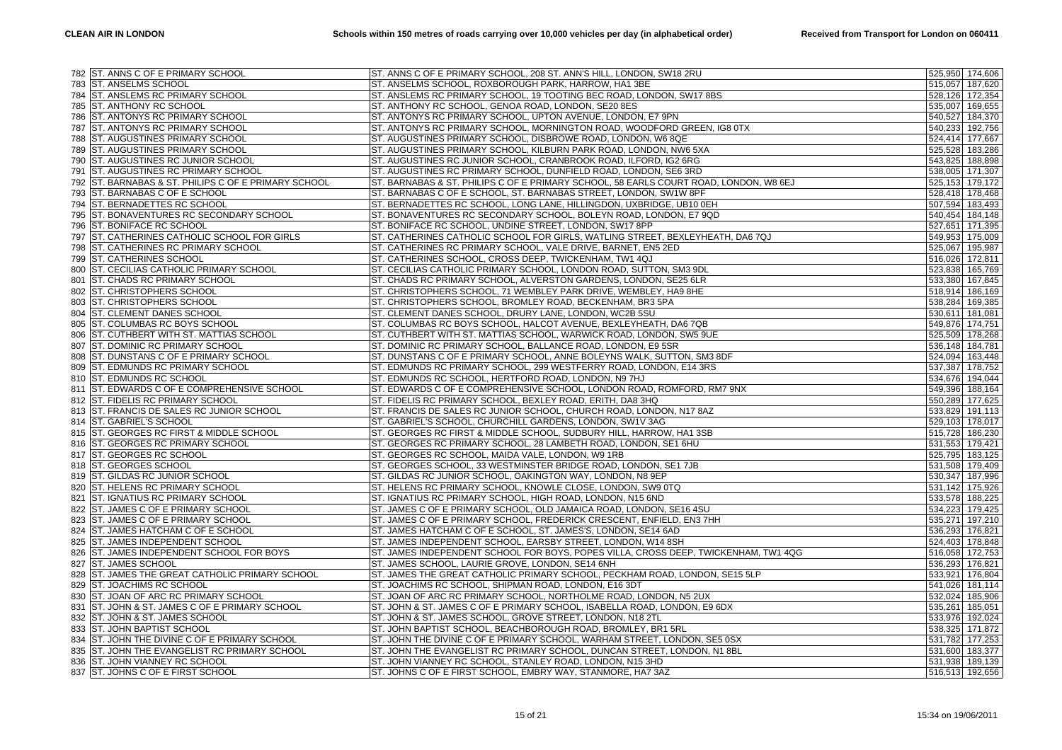|     | 782 ST. ANNS C OF E PRIMARY SCHOOL               | ST. ANNS C OF E PRIMARY SCHOOL, 208 ST. ANN'S HILL, LONDON, SW18 2RU                  | 525,950 174,606 |
|-----|--------------------------------------------------|---------------------------------------------------------------------------------------|-----------------|
|     | 783 ST. ANSELMS SCHOOL                           | ST. ANSELMS SCHOOL, ROXBOROUGH PARK, HARROW, HA1 3BE                                  | 515,057 187,620 |
| 784 | ST. ANSLEMS RC PRIMARY SCHOOL                    | ST. ANSLEMS RC PRIMARY SCHOOL, 19 TOOTING BEC ROAD, LONDON, SW17 8BS                  | 528,126 172,354 |
| 785 | <b>ST. ANTHONY RC SCHOOL</b>                     | ST. ANTHONY RC SCHOOL, GENOA ROAD, LONDON, SE20 8ES                                   | 535,007 169,655 |
|     | 786 ST. ANTONYS RC PRIMARY SCHOOL                | ST. ANTONYS RC PRIMARY SCHOOL, UPTON AVENUE, LONDON, E7 9PN                           | 540,527 184,370 |
| 787 | ST. ANTONYS RC PRIMARY SCHOOL                    | ST. ANTONYS RC PRIMARY SCHOOL, MORNINGTON ROAD, WOODFORD GREEN, IG8 0TX               | 540,233 192,756 |
| 788 | <b>ST. AUGUSTINES PRIMARY SCHOOL</b>             | ST. AUGUSTINES PRIMARY SCHOOL, DISBROWE ROAD, LONDON, W6 8QE                          | 524,414 177,667 |
|     | 789 ST. AUGUSTINES PRIMARY SCHOOL                | ST. AUGUSTINES PRIMARY SCHOOL, KILBURN PARK ROAD, LONDON, NW6 5XA                     | 525,528 183,286 |
| 790 | ST. AUGUSTINES RC JUNIOR SCHOOL                  | ST. AUGUSTINES RC JUNIOR SCHOOL, CRANBROOK ROAD, ILFORD, IG2 6RG                      | 543,825 188,898 |
| 791 | <b>ST. AUGUSTINES RC PRIMARY SCHOOL</b>          | ST. AUGUSTINES RC PRIMARY SCHOOL, DUNFIELD ROAD, LONDON, SE6 3RD                      | 538,005 171,307 |
| 792 | ST. BARNABAS & ST. PHILIPS C OF E PRIMARY SCHOOL | ST. BARNABAS & ST. PHILIPS C OF E PRIMARY SCHOOL, 58 EARLS COURT ROAD, LONDON, W8 6EJ | 525,153 179,172 |
| 793 | ST. BARNABAS C OF E SCHOOL                       | ST. BARNABAS C OF E SCHOOL, ST. BARNABAS STREET, LONDON, SW1W 8PF                     | 528,418 178,468 |
| 794 | <b>ST. BERNADETTES RC SCHOOL</b>                 | ST. BERNADETTES RC SCHOOL, LONG LANE, HILLINGDON, UXBRIDGE, UB10 0EH                  | 507,594 183,493 |
|     | 795 ST. BONAVENTURES RC SECONDARY SCHOOL         | ST. BONAVENTURES RC SECONDARY SCHOOL, BOLEYN ROAD, LONDON, E7 9QD                     | 540,454 184,148 |
| 796 | <b>ST. BONIFACE RC SCHOOL</b>                    | ST. BONIFACE RC SCHOOL, UNDINE STREET, LONDON, SW17 8PP                               | 527,651 171,395 |
| 797 | ST. CATHERINES CATHOLIC SCHOOL FOR GIRLS         |                                                                                       | 549,953 175,009 |
|     |                                                  | ST. CATHERINES CATHOLIC SCHOOL FOR GIRLS, WATLING STREET, BEXLEYHEATH, DA6 7QJ        |                 |
|     | 798 ST. CATHERINES RC PRIMARY SCHOOL             | ST. CATHERINES RC PRIMARY SCHOOL, VALE DRIVE, BARNET, EN5 2ED                         | 525,067 195,987 |
| 799 | <b>ST. CATHERINES SCHOOL</b>                     | ST. CATHERINES SCHOOL, CROSS DEEP, TWICKENHAM, TW1 4QJ                                | 516,026 172,811 |
| 800 | ST. CECILIAS CATHOLIC PRIMARY SCHOOL             | ST. CECILIAS CATHOLIC PRIMARY SCHOOL, LONDON ROAD, SUTTON, SM3 9DL                    | 523,838 165,769 |
|     | 801 ST. CHADS RC PRIMARY SCHOOL                  | ST. CHADS RC PRIMARY SCHOOL, ALVERSTON GARDENS, LONDON, SE25 6LR                      | 533,380 167,845 |
| 802 | ST. CHRISTOPHERS SCHOOL                          | ST. CHRISTOPHERS SCHOOL, 71 WEMBLEY PARK DRIVE, WEMBLEY, HA9 8HE                      | 518,914 186,169 |
|     | 803 ST. CHRISTOPHERS SCHOOL                      | ST. CHRISTOPHERS SCHOOL, BROMLEY ROAD, BECKENHAM, BR3 5PA                             | 538,284 169,385 |
|     | 804 ST. CLEMENT DANES SCHOOL                     | ST. CLEMENT DANES SCHOOL, DRURY LANE, LONDON, WC2B 5SU                                | 530,611 181,081 |
| 805 | ST. COLUMBAS RC BOYS SCHOOL                      | ST. COLUMBAS RC BOYS SCHOOL, HALCOT AVENUE, BEXLEYHEATH, DA6 7QB                      | 549,876 174,751 |
| 806 | ST. CUTHBERT WITH ST. MATTIAS SCHOOL             | ST. CUTHBERT WITH ST. MATTIAS SCHOOL, WARWICK ROAD, LONDON, SW5 9UE                   | 525,509 178,268 |
|     | 807 ST. DOMINIC RC PRIMARY SCHOOL                | ST. DOMINIC RC PRIMARY SCHOOL, BALLANCE ROAD, LONDON, E9 5SR                          | 536,148 184,781 |
| 808 | ST. DUNSTANS C OF E PRIMARY SCHOOL               | ST. DUNSTANS C OF E PRIMARY SCHOOL, ANNE BOLEYNS WALK, SUTTON, SM3 8DF                | 524,094 163,448 |
| 809 | <b>ST. EDMUNDS RC PRIMARY SCHOOL</b>             | ST. EDMUNDS RC PRIMARY SCHOOL, 299 WESTFERRY ROAD, LONDON, E14 3RS                    | 537,387 178,752 |
|     | 810 ST. EDMUNDS RC SCHOOL                        | ST. EDMUNDS RC SCHOOL, HERTFORD ROAD, LONDON, N9 7HJ                                  | 534,676 194,044 |
| 811 | ST. EDWARDS C OF E COMPREHENSIVE SCHOOL          | ST. EDWARDS C OF E COMPREHENSIVE SCHOOL, LONDON ROAD, ROMFORD, RM7 9NX                | 549,396 188,164 |
|     | 812 ST. FIDELIS RC PRIMARY SCHOOL                | ST. FIDELIS RC PRIMARY SCHOOL, BEXLEY ROAD, ERITH, DA8 3HQ                            | 550,289 177,625 |
|     | 813 ST. FRANCIS DE SALES RC JUNIOR SCHOOL        | ST. FRANCIS DE SALES RC JUNIOR SCHOOL, CHURCH ROAD, LONDON, N17 8AZ                   | 533,829 191,113 |
|     | 814 ST. GABRIEL'S SCHOOL                         | ST. GABRIEL'S SCHOOL, CHURCHILL GARDENS, LONDON, SW1V 3AG                             | 529,103 178,017 |
|     | 815 ST. GEORGES RC FIRST & MIDDLE SCHOOL         | ST. GEORGES RC FIRST & MIDDLE SCHOOL, SUDBURY HILL, HARROW, HA1 3SB                   | 515,728 186,230 |
|     | 816 ST. GEORGES RC PRIMARY SCHOOL                | ST. GEORGES RC PRIMARY SCHOOL, 28 LAMBETH ROAD, LONDON, SE1 6HU                       | 531,553 179,421 |
| 817 | ST. GEORGES RC SCHOOL                            | ST. GEORGES RC SCHOOL, MAIDA VALE, LONDON, W9 1RB                                     | 525,795 183,125 |
|     | 818 ST. GEORGES SCHOOL                           | ST. GEORGES SCHOOL, 33 WESTMINSTER BRIDGE ROAD, LONDON, SE1 7JB                       | 531,508 179,409 |
|     | 819 ST. GILDAS RC JUNIOR SCHOOL                  | ST. GILDAS RC JUNIOR SCHOOL, OAKINGTON WAY, LONDON, N8 9EP                            | 530,347 187,996 |
| 820 | ST. HELENS RC PRIMARY SCHOOL                     | ST. HELENS RC PRIMARY SCHOOL, KNOWLE CLOSE, LONDON, SW9 0TQ                           | 531,142 175,926 |
| 821 | <b>ST. IGNATIUS RC PRIMARY SCHOOL</b>            | ST. IGNATIUS RC PRIMARY SCHOOL, HIGH ROAD, LONDON, N15 6ND                            | 533,578 188,225 |
| 822 | ST. JAMES C OF E PRIMARY SCHOOL                  | ST. JAMES C OF E PRIMARY SCHOOL, OLD JAMAICA ROAD, LONDON, SE16 4SU                   | 534,223 179,425 |
| 823 | ST. JAMES C OF E PRIMARY SCHOOL                  | ST. JAMES C OF E PRIMARY SCHOOL, FREDERICK CRESCENT, ENFIELD, EN3 7HH                 | 535,271 197,210 |
|     | 824 ST. JAMES HATCHAM C OF E SCHOOL              | ST. JAMES HATCHAM C OF E SCHOOL, ST. JAMES'S, LONDON, SE14 6AD                        | 536,293 176,821 |
| 825 | <b>ST. JAMES INDEPENDENT SCHOOL</b>              | ST. JAMES INDEPENDENT SCHOOL, EARSBY STREET, LONDON, W14 8SH                          | 524,403 178,848 |
| 826 | ST. JAMES INDEPENDENT SCHOOL FOR BOYS            | ST. JAMES INDEPENDENT SCHOOL FOR BOYS, POPES VILLA, CROSS DEEP, TWICKENHAM, TW1 4QG   | 516,058 172,753 |
|     | 827 ST. JAMES SCHOOL                             | ST. JAMES SCHOOL, LAURIE GROVE, LONDON, SE14 6NH                                      | 536,293 176,821 |
|     | 828 ST. JAMES THE GREAT CATHOLIC PRIMARY SCHOOL  | ST. JAMES THE GREAT CATHOLIC PRIMARY SCHOOL, PECKHAM ROAD, LONDON, SE15 5LP           | 533,921 176,804 |
| 829 | ST. JOACHIMS RC SCHOOL                           | ST. JOACHIMS RC SCHOOL, SHIPMAN ROAD, LONDON, E16 3DT                                 | 541,026 181,114 |
| 830 | ST. JOAN OF ARC RC PRIMARY SCHOOL                | ST. JOAN OF ARC RC PRIMARY SCHOOL, NORTHOLME ROAD, LONDON, N5 2UX                     | 532,024 185,906 |
| 831 | ST. JOHN & ST. JAMES C OF E PRIMARY SCHOOL       | ST. JOHN & ST. JAMES C OF E PRIMARY SCHOOL, ISABELLA ROAD, LONDON, E9 6DX             | 535,261 185,051 |
| 832 | ST. JOHN & ST. JAMES SCHOOL                      | ST. JOHN & ST. JAMES SCHOOL, GROVE STREET, LONDON, N18 2TL                            | 533,976 192,024 |
| 833 | <b>ST. JOHN BAPTIST SCHOOL</b>                   | ST. JOHN BAPTIST SCHOOL, BEACHBOROUGH ROAD, BROMLEY, BR1 5RL                          | 538,325 171,872 |
|     | 834 ST. JOHN THE DIVINE C OF E PRIMARY SCHOOL    | ST. JOHN THE DIVINE C OF E PRIMARY SCHOOL, WARHAM STREET, LONDON, SE5 0SX             | 531,782 177,253 |
| 835 | ST. JOHN THE EVANGELIST RC PRIMARY SCHOOL        | ST. JOHN THE EVANGELIST RC PRIMARY SCHOOL, DUNCAN STREET, LONDON, N1 8BL              | 531,600 183,377 |
| 836 | <b>ST. JOHN VIANNEY RC SCHOOL</b>                | ST. JOHN VIANNEY RC SCHOOL, STANLEY ROAD, LONDON, N15 3HD                             | 531,938 189,139 |
|     | 837 ST. JOHNS C OF E FIRST SCHOOL                | ST. JOHNS C OF E FIRST SCHOOL, EMBRY WAY, STANMORE, HA7 3AZ                           | 516,513 192,656 |
|     |                                                  |                                                                                       |                 |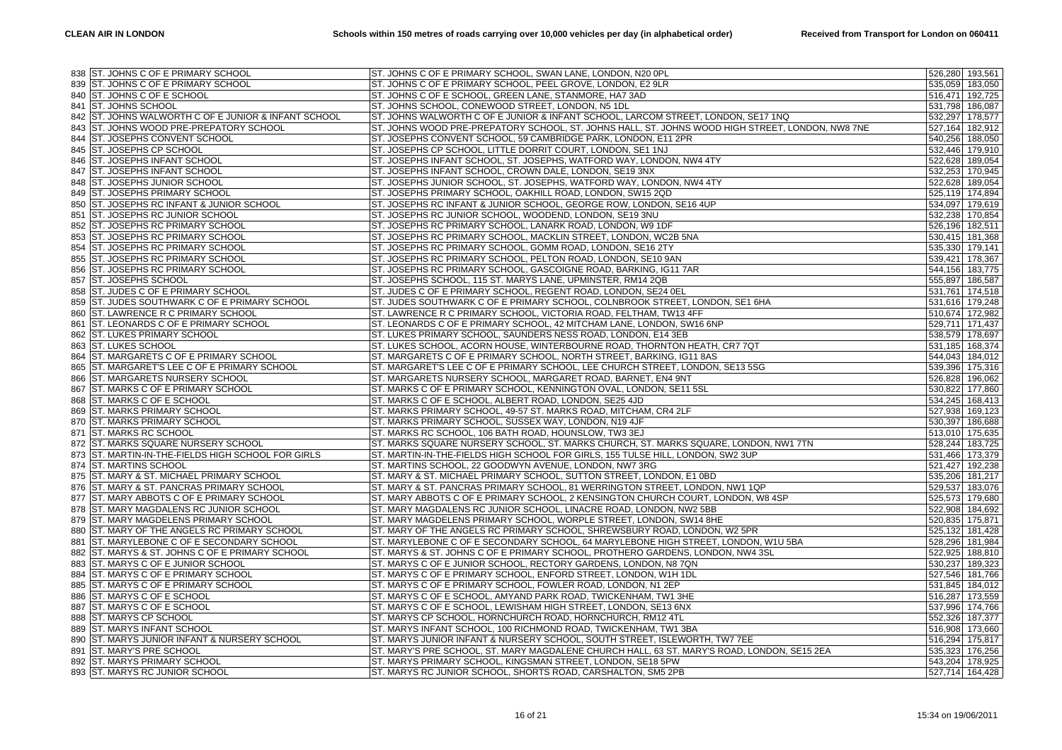| 838 ST. JOHNS C OF E PRIMARY SCHOOL                   | ST. JOHNS C OF E PRIMARY SCHOOL, SWAN LANE, LONDON, N20 OPL                                      | 526,280 193,561 |
|-------------------------------------------------------|--------------------------------------------------------------------------------------------------|-----------------|
| 839 ST. JOHNS C OF E PRIMARY SCHOOL                   | ST. JOHNS C OF E PRIMARY SCHOOL, PEEL GROVE, LONDON, E2 9LR                                      | 535,059 183,050 |
| 840 ST. JOHNS C OF E SCHOOL                           | ST. JOHNS C OF E SCHOOL, GREEN LANE, STANMORE, HA7 3AD                                           | 516,471 192,725 |
| 841 ST. JOHNS SCHOOL                                  | ST. JOHNS SCHOOL, CONEWOOD STREET, LONDON, N5 1DL                                                | 531,798 186,087 |
| 842 ST. JOHNS WALWORTH C OF E JUNIOR & INFANT SCHOOL  | ST. JOHNS WALWORTH C OF E JUNIOR & INFANT SCHOOL, LARCOM STREET, LONDON, SE17 1NQ                | 532,297 178,577 |
| ST. JOHNS WOOD PRE-PREPATORY SCHOOL<br>843            | ST. JOHNS WOOD PRE-PREPATORY SCHOOL, ST. JOHNS HALL, ST. JOHNS WOOD HIGH STREET, LONDON, NW8 7NE | 527,164 182,912 |
| ST. JOSEPHS CONVENT SCHOOL<br>844                     | ST. JOSEPHS CONVENT SCHOOL, 59 CAMBRIDGE PARK, LONDON, E11 2PR                                   | 540,256 188,050 |
| 845 ST. JOSEPHS CP SCHOOL                             | ST. JOSEPHS CP SCHOOL, LITTLE DORRIT COURT, LONDON, SE1 1NJ                                      | 532,446 179,910 |
| <b>ST. JOSEPHS INFANT SCHOOL</b><br>846               | ST. JOSEPHS INFANT SCHOOL, ST. JOSEPHS, WATFORD WAY, LONDON, NW4 4TY                             | 522,628 189,054 |
| ST. JOSEPHS INFANT SCHOOL<br>847                      | ST. JOSEPHS INFANT SCHOOL, CROWN DALE, LONDON, SE19 3NX                                          | 532,253 170,945 |
| 848 ST. JOSEPHS JUNIOR SCHOOL                         | ST. JOSEPHS JUNIOR SCHOOL, ST. JOSEPHS, WATFORD WAY, LONDON, NW4 4TY                             | 522,628 189,054 |
| ST. JOSEPHS PRIMARY SCHOOL<br>849                     | ST. JOSEPHS PRIMARY SCHOOL, OAKHILL ROAD, LONDON, SW15 2QD                                       | 525,119 174,894 |
| ST. JOSEPHS RC INFANT & JUNIOR SCHOOL<br>850          | ST. JOSEPHS RC INFANT & JUNIOR SCHOOL, GEORGE ROW, LONDON, SE16 4UP                              | 534,097 179,619 |
| <b>ST. JOSEPHS RC JUNIOR SCHOOL</b><br>851            | ST. JOSEPHS RC JUNIOR SCHOOL, WOODEND, LONDON, SE19 3NU                                          | 532,238 170,854 |
| ST. JOSEPHS RC PRIMARY SCHOOL<br>852                  | ST. JOSEPHS RC PRIMARY SCHOOL, LANARK ROAD, LONDON, W9 1DF                                       | 526,196 182,511 |
| ST. JOSEPHS RC PRIMARY SCHOOL<br>853                  | ST. JOSEPHS RC PRIMARY SCHOOL, MACKLIN STREET, LONDON, WC2B 5NA                                  | 530,415 181,368 |
| <b>ST. JOSEPHS RC PRIMARY SCHOOL</b><br>854           | ST. JOSEPHS RC PRIMARY SCHOOL, GOMM ROAD, LONDON, SE16 2TY                                       | 535,330 179,141 |
| ST. JOSEPHS RC PRIMARY SCHOOL<br>855                  | ST. JOSEPHS RC PRIMARY SCHOOL, PELTON ROAD, LONDON, SE10 9AN                                     | 539,421 178,367 |
| ST. JOSEPHS RC PRIMARY SCHOOL<br>856                  | ST. JOSEPHS RC PRIMARY SCHOOL, GASCOIGNE ROAD, BARKING, IG11 7AR                                 | 544,156 183,775 |
| 857 ST. JOSEPHS SCHOOL                                | ST. JOSEPHS SCHOOL, 115 ST. MARYS LANE, UPMINSTER, RM14 2QB                                      | 555,897 186,587 |
| ST. JUDES C OF E PRIMARY SCHOOL<br>858                | ST. JUDES C OF E PRIMARY SCHOOL, REGENT ROAD, LONDON, SE24 0EL                                   | 531,761 174,518 |
| ST. JUDES SOUTHWARK C OF E PRIMARY SCHOOL<br>859      | ST. JUDES SOUTHWARK C OF E PRIMARY SCHOOL, COLNBROOK STREET, LONDON, SE1 6HA                     | 531,616 179,248 |
| 860 ST. LAWRENCE R C PRIMARY SCHOOL                   | ST. LAWRENCE R C PRIMARY SCHOOL, VICTORIA ROAD, FELTHAM, TW13 4FF                                | 510,674 172,982 |
| <b>ST. LEONARDS C OF E PRIMARY SCHOOL</b><br>861      | ST. LEONARDS C OF E PRIMARY SCHOOL, 42 MITCHAM LANE, LONDON, SW16 6NP                            | 529,711 171,437 |
| ST. LUKES PRIMARY SCHOOL<br>862                       | ST. LUKES PRIMARY SCHOOL, SAUNDERS NESS ROAD, LONDON, E14 3EB                                    | 538,579 178,697 |
| 863 ST. LUKES SCHOOL                                  | ST. LUKES SCHOOL, ACORN HOUSE, WINTERBOURNE ROAD, THORNTON HEATH, CR7 7QT                        | 531,185 168,374 |
| ST. MARGARETS C OF E PRIMARY SCHOOL<br>864            | ST. MARGARETS C OF E PRIMARY SCHOOL, NORTH STREET, BARKING, IG11 8AS                             | 544,043 184,012 |
| ST. MARGARET'S LEE C OF E PRIMARY SCHOOL<br>865       | ST. MARGARET'S LEE C OF E PRIMARY SCHOOL, LEE CHURCH STREET, LONDON, SE13 5SG                    | 539,396 175,316 |
| ST. MARGARETS NURSERY SCHOOL<br>866                   | ST. MARGARETS NURSERY SCHOOL, MARGARET ROAD, BARNET, EN4 9NT                                     | 526,828 196,062 |
| ST. MARKS C OF E PRIMARY SCHOOL<br>867                | ST. MARKS C OF E PRIMARY SCHOOL, KENNINGTON OVAL, LONDON, SE11 5SL                               | 530,822 177,860 |
| ST. MARKS C OF E SCHOOL<br>868                        | ST. MARKS C OF E SCHOOL, ALBERT ROAD, LONDON, SE25 4JD                                           | 534,245 168,413 |
| <b>ST. MARKS PRIMARY SCHOOL</b><br>869                | ST. MARKS PRIMARY SCHOOL, 49-57 ST. MARKS ROAD, MITCHAM, CR4 2LF                                 | 527,938 169,123 |
| <b>ST. MARKS PRIMARY SCHOOL</b><br>870                | ST. MARKS PRIMARY SCHOOL, SUSSEX WAY, LONDON, N19 4JF                                            | 530,397 186,688 |
| <b>ST. MARKS RC SCHOOL</b><br>871                     | ST. MARKS RC SCHOOL, 106 BATH ROAD, HOUNSLOW, TW3 3EJ                                            | 513,010 175,635 |
| ST. MARKS SQUARE NURSERY SCHOOL<br>872                | ST. MARKS SQUARE NURSERY SCHOOL, ST. MARKS CHURCH, ST. MARKS SQUARE, LONDON, NW1 7TN             | 528,244 183,725 |
| ST. MARTIN-IN-THE-FIELDS HIGH SCHOOL FOR GIRLS<br>873 | ST. MARTIN-IN-THE-FIELDS HIGH SCHOOL FOR GIRLS, 155 TULSE HILL, LONDON, SW2 3UP                  | 531,466 173,379 |
| <b>ST. MARTINS SCHOOL</b><br>874                      | ST. MARTINS SCHOOL, 22 GOODWYN AVENUE, LONDON, NW7 3RG                                           | 521,427 192,238 |
| 875 ST. MARY & ST. MICHAEL PRIMARY SCHOOL             | ST. MARY & ST. MICHAEL PRIMARY SCHOOL, SUTTON STREET, LONDON, E1 0BD                             | 535,206 181,217 |
| ST. MARY & ST. PANCRAS PRIMARY SCHOOL<br>876          | ST. MARY & ST. PANCRAS PRIMARY SCHOOL, 81 WERRINGTON STREET, LONDON, NW1 1QP                     | 529,537 183,076 |
| <b>ST. MARY ABBOTS C OF E PRIMARY SCHOOL</b><br>877   | ST. MARY ABBOTS C OF E PRIMARY SCHOOL, 2 KENSINGTON CHURCH COURT, LONDON, W8 4SP                 | 525,573 179,680 |
| 878 ST. MARY MAGDALENS RC JUNIOR SCHOOL               | ST. MARY MAGDALENS RC JUNIOR SCHOOL, LINACRE ROAD, LONDON, NW2 5BB                               | 522,908 184,692 |
| ST. MARY MAGDELENS PRIMARY SCHOOL<br>879              | ST. MARY MAGDELENS PRIMARY SCHOOL, WORPLE STREET, LONDON, SW14 8HE                               | 520,835 175,871 |
| ST. MARY OF THE ANGELS RC PRIMARY SCHOOL<br>880       | ST. MARY OF THE ANGELS RC PRIMARY SCHOOL, SHREWSBURY ROAD, LONDON, W2 5PR                        | 525,132 181,428 |
| 881 ST. MARYLEBONE C OF E SECONDARY SCHOOL            | ST. MARYLEBONE C OF E SECONDARY SCHOOL, 64 MARYLEBONE HIGH STREET, LONDON, W1U 5BA               | 528,296 181,984 |
| ST. MARYS & ST. JOHNS C OF E PRIMARY SCHOOL<br>882    | ST. MARYS & ST. JOHNS C OF E PRIMARY SCHOOL, PROTHERO GARDENS, LONDON, NW4 3SL                   | 522,925 188,810 |
| ST. MARYS C OF E JUNIOR SCHOOL<br>883                 | ST. MARYS C OF E JUNIOR SCHOOL, RECTORY GARDENS, LONDON, N8 7QN                                  | 530,237 189,323 |
| 884 ST. MARYS C OF E PRIMARY SCHOOL                   | ST. MARYS C OF E PRIMARY SCHOOL, ENFORD STREET, LONDON, W1H 1DL                                  | 527,546 181,766 |
| ST. MARYS C OF E PRIMARY SCHOOL<br>885                | ST. MARYS C OF E PRIMARY SCHOOL, FOWLER ROAD, LONDON, N1 2EP                                     | 531,845 184,012 |
| ST. MARYS C OF E SCHOOL<br>886                        | ST. MARYS C OF E SCHOOL, AMYAND PARK ROAD, TWICKENHAM, TW1 3HE                                   | 516,287 173,559 |
| 887 ST. MARYS C OF E SCHOOL                           | ST. MARYS C OF E SCHOOL, LEWISHAM HIGH STREET, LONDON, SE13 6NX                                  | 537,996 174,766 |
| <b>ST. MARYS CP SCHOOL</b><br>888                     | ST. MARYS CP SCHOOL, HORNCHURCH ROAD, HORNCHURCH, RM12 4TL                                       | 552,326 187,377 |
| <b>ST. MARYS INFANT SCHOOL</b><br>889                 | ST. MARYS INFANT SCHOOL, 100 RICHMOND ROAD, TWICKENHAM, TW1 3BA                                  | 516,908 173,660 |
| 890 ST. MARYS JUNIOR INFANT & NURSERY SCHOOL          | ST. MARYS JUNIOR INFANT & NURSERY SCHOOL, SOUTH STREET, ISLEWORTH, TW7 7EE                       | 516,294 175,817 |
| ST. MARY'S PRE SCHOOL<br>891                          | ST. MARY'S PRE SCHOOL, ST. MARY MAGDALENE CHURCH HALL, 63 ST. MARY'S ROAD, LONDON, SE15 2EA      | 535,323 176,256 |
| <b>ST. MARYS PRIMARY SCHOOL</b><br>892                | ST. MARYS PRIMARY SCHOOL, KINGSMAN STREET, LONDON, SE18 5PW                                      | 543,204 178,925 |
| 893 ST. MARYS RC JUNIOR SCHOOL                        | ST. MARYS RC JUNIOR SCHOOL, SHORTS ROAD, CARSHALTON, SM5 2PB                                     | 527,714 164,428 |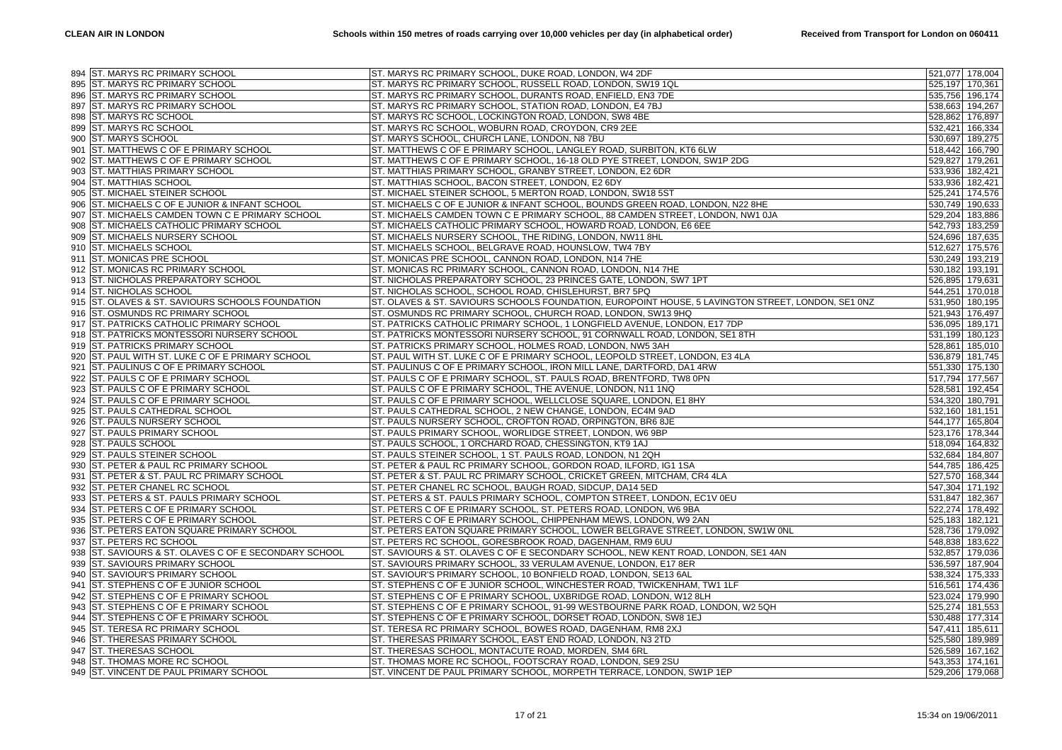| 895 ST. MARYS RC PRIMARY SCHOOL<br>ST. MARYS RC PRIMARY SCHOOL, RUSSELL ROAD, LONDON, SW19 1QL<br>525,197 170,361<br>896 ST. MARYS RC PRIMARY SCHOOL<br>ST. MARYS RC PRIMARY SCHOOL, DURANTS ROAD, ENFIELD, EN3 7DE<br>535,756 196,174<br><b>ST. MARYS RC PRIMARY SCHOOL</b><br>ST. MARYS RC PRIMARY SCHOOL, STATION ROAD, LONDON, E4 7BJ<br>538,663 194,267<br>897<br>ST. MARYS RC SCHOOL, LOCKINGTON ROAD, LONDON, SW8 4BE<br>898 ST. MARYS RC SCHOOL<br>528,862 176,897<br>899 ST. MARYS RC SCHOOL<br>ST. MARYS RC SCHOOL, WOBURN ROAD, CROYDON, CR9 2EE<br>532,421 166,334<br>ST. MARYS SCHOOL, CHURCH LANE, LONDON, N8 7BU<br><b>ST. MARYS SCHOOL</b><br>530,697 189,275<br>900<br>ST. MATTHEWS C OF E PRIMARY SCHOOL<br>ST. MATTHEWS C OF E PRIMARY SCHOOL, LANGLEY ROAD, SURBITON, KT6 6LW<br>518,442 166,790<br>901<br>ST. MATTHEWS C OF E PRIMARY SCHOOL<br>ST. MATTHEWS C OF E PRIMARY SCHOOL, 16-18 OLD PYE STREET, LONDON, SW1P 2DG<br>529,827 179,261<br>902<br>ST. MATTHIAS PRIMARY SCHOOL, GRANBY STREET, LONDON, E2 6DR<br>533,936 182,421<br>ST. MATTHIAS PRIMARY SCHOOL<br>903<br><b>ST. MATTHIAS SCHOOL</b><br>ST. MATTHIAS SCHOOL, BACON STREET, LONDON, E2 6DY<br>533,936 182,421<br>904<br>ST. MICHAEL STEINER SCHOOL<br>ST. MICHAEL STEINER SCHOOL, 5 MERTON ROAD, LONDON, SW18 5ST<br>525,241 174,576<br>905<br>ST. MICHAELS C OF E JUNIOR & INFANT SCHOOL<br>ST. MICHAELS C OF E JUNIOR & INFANT SCHOOL, BOUNDS GREEN ROAD, LONDON, N22 8HE<br>530,749 190,633<br>906<br>529,204 183,886<br>ST. MICHAELS CAMDEN TOWN C E PRIMARY SCHOOL<br>ST. MICHAELS CAMDEN TOWN C E PRIMARY SCHOOL, 88 CAMDEN STREET, LONDON, NW1 0JA<br>907<br><b>ST. MICHAELS CATHOLIC PRIMARY SCHOOL</b><br>ST. MICHAELS CATHOLIC PRIMARY SCHOOL, HOWARD ROAD, LONDON, E6 6EE<br>542,793 183,259<br>908<br>ST. MICHAELS NURSERY SCHOOL<br>ST. MICHAELS NURSERY SCHOOL, THE RIDING, LONDON, NW11 8HL<br>524,696 187,635<br>909<br>ST. MICHAELS SCHOOL, BELGRAVE ROAD, HOUNSLOW, TW4 7BY<br>910 ST. MICHAELS SCHOOL<br>512,627 175,576<br><b>ST. MONICAS PRE SCHOOL</b><br>ST. MONICAS PRE SCHOOL, CANNON ROAD, LONDON, N14 7HE<br>530,249 193,219<br>911<br>912 ST. MONICAS RC PRIMARY SCHOOL<br>ST. MONICAS RC PRIMARY SCHOOL, CANNON ROAD, LONDON, N14 7HE<br>530,182 193,191<br>913 ST. NICHOLAS PREPARATORY SCHOOL<br>ST. NICHOLAS PREPARATORY SCHOOL, 23 PRINCES GATE, LONDON, SW7 1PT<br>526,895 179,631<br>914 ST. NICHOLAS SCHOOL<br>ST. NICHOLAS SCHOOL, SCHOOL ROAD, CHISLEHURST, BR7 5PQ<br>544,251 170,018<br>915 ST. OLAVES & ST. SAVIOURS SCHOOLS FOUNDATION<br>ST. OLAVES & ST. SAVIOURS SCHOOLS FOUNDATION, EUROPOINT HOUSE, 5 LAVINGTON STREET, LONDON, SE1 0NZ<br>531,950 180,195<br>916 ST. OSMUNDS RC PRIMARY SCHOOL<br>ST. OSMUNDS RC PRIMARY SCHOOL, CHURCH ROAD, LONDON, SW13 9HQ<br>521,943 176,497<br><b>ST. PATRICKS CATHOLIC PRIMARY SCHOOL</b><br>ST. PATRICKS CATHOLIC PRIMARY SCHOOL, 1 LONGFIELD AVENUE, LONDON, E17 7DP<br>536,095 189,171<br>917<br><b>ST. PATRICKS MONTESSORI NURSERY SCHOOL</b><br>ST. PATRICKS MONTESSORI NURSERY SCHOOL, 91 CORNWALL ROAD, LONDON, SE1 8TH<br>531,199 180,123<br>918<br>ST. PATRICKS PRIMARY SCHOOL, HOLMES ROAD, LONDON, NW5 3AH<br>528,861 185,010<br>919 ST. PATRICKS PRIMARY SCHOOL<br>ST. PAUL WITH ST. LUKE C OF E PRIMARY SCHOOL<br>ST. PAUL WITH ST. LUKE C OF E PRIMARY SCHOOL, LEOPOLD STREET, LONDON, E3 4LA<br>536,879 181,745<br>920<br>ST. PAULINUS C OF E PRIMARY SCHOOL<br>ST. PAULINUS C OF E PRIMARY SCHOOL, IRON MILL LANE, DARTFORD, DA1 4RW<br>551,330 175,130<br>921<br>ST. PAULS C OF E PRIMARY SCHOOL<br>ST. PAULS C OF E PRIMARY SCHOOL, ST. PAULS ROAD, BRENTFORD, TW8 0PN<br>517,794 177,567<br>922<br>ST. PAULS C OF E PRIMARY SCHOOL<br>ST. PAULS C OF E PRIMARY SCHOOL, THE AVENUE, LONDON, N11 1NQ<br>528,581 192,454<br>923<br>ST. PAULS C OF E PRIMARY SCHOOL<br>ST. PAULS C OF E PRIMARY SCHOOL, WELLCLOSE SQUARE, LONDON, E1 8HY<br>534,320 180,791<br>924<br>925 ST. PAULS CATHEDRAL SCHOOL<br>ST. PAULS CATHEDRAL SCHOOL, 2 NEW CHANGE, LONDON, EC4M 9AD<br>532,160 181,151<br>ST. PAULS NURSERY SCHOOL<br>ST. PAULS NURSERY SCHOOL, CROFTON ROAD, ORPINGTON, BR6 8JE<br>544,177 165,804<br>926<br><b>ST. PAULS PRIMARY SCHOOL</b><br>ST. PAULS PRIMARY SCHOOL, WORLIDGE STREET, LONDON, W6 9BP<br>523,176 178,344<br>927<br>ST. PAULS SCHOOL, 1 ORCHARD ROAD, CHESSINGTON, KT9 1AJ<br>518,094 164,832<br>928 ST. PAULS SCHOOL<br>ST. PAULS STEINER SCHOOL<br>ST. PAULS STEINER SCHOOL, 1 ST. PAULS ROAD, LONDON, N1 2QH<br>532,684 184,807<br>929<br><b>ST. PETER &amp; PAUL RC PRIMARY SCHOOL</b><br>ST. PETER & PAUL RC PRIMARY SCHOOL, GORDON ROAD, ILFORD, IG1 1SA<br>544,785 186,425<br>930<br>931 ST. PETER & ST. PAUL RC PRIMARY SCHOOL<br>ST. PETER & ST. PAUL RC PRIMARY SCHOOL, CRICKET GREEN, MITCHAM, CR4 4LA<br>527,570 168,344<br>ST. PETER CHANEL RC SCHOOL<br>ST. PETER CHANEL RC SCHOOL, BAUGH ROAD, SIDCUP, DA14 5ED<br>547,304 171,192<br>932<br>ST. PETERS & ST. PAULS PRIMARY SCHOOL<br>ST. PETERS & ST. PAULS PRIMARY SCHOOL, COMPTON STREET, LONDON, EC1V 0EU<br>531,847 182,367<br>933<br>522,274 178,492<br>934 ST. PETERS C OF E PRIMARY SCHOOL<br>ST. PETERS C OF E PRIMARY SCHOOL, ST. PETERS ROAD, LONDON, W6 9BA<br>ST. PETERS C OF E PRIMARY SCHOOL<br>ST. PETERS C OF E PRIMARY SCHOOL, CHIPPENHAM MEWS, LONDON, W9 2AN<br>525,183 182,121<br>935<br>ST. PETERS EATON SQUARE PRIMARY SCHOOL<br>ST. PETERS EATON SQUARE PRIMARY SCHOOL, LOWER BELGRAVE STREET, LONDON, SW1W ONL<br>528,736 179,092<br>936<br>ST. PETERS RC SCHOOL, GORESBROOK ROAD, DAGENHAM, RM9 6UU<br><b>ST. PETERS RC SCHOOL</b><br>548,838 183,622<br>937<br>ST. SAVIOURS & ST. OLAVES C OF E SECONDARY SCHOOL<br>ST. SAVIOURS & ST. OLAVES C OF E SECONDARY SCHOOL, NEW KENT ROAD, LONDON, SE1 4AN<br>532,857 179,036<br>938<br><b>ST. SAVIOURS PRIMARY SCHOOL</b><br>ST. SAVIOURS PRIMARY SCHOOL, 33 VERULAM AVENUE, LONDON, E17 8ER<br>536,597 187,904<br>939<br>940 ST. SAVIOUR'S PRIMARY SCHOOL<br>ST. SAVIOUR'S PRIMARY SCHOOL, 10 BONFIELD ROAD, LONDON, SE13 6AL<br>538,324 175,333<br>ST. STEPHENS C OF E JUNIOR SCHOOL<br>ST. STEPHENS C OF E JUNIOR SCHOOL, WINCHESTER ROAD, TWICKENHAM, TW1 1LF<br>516,561 174,436<br>941<br>ST. STEPHENS C OF E PRIMARY SCHOOL<br>ST. STEPHENS C OF E PRIMARY SCHOOL, UXBRIDGE ROAD, LONDON, W12 8LH<br>523,024 179,990<br>942<br>943 ST. STEPHENS C OF E PRIMARY SCHOOL<br>ST. STEPHENS C OF E PRIMARY SCHOOL, 91-99 WESTBOURNE PARK ROAD, LONDON, W2 5QH<br>525,274 181,553<br>ST. STEPHENS C OF E PRIMARY SCHOOL, DORSET ROAD, LONDON, SW8 1EJ<br>ST. STEPHENS C OF E PRIMARY SCHOOL<br>530,488 177,314<br>944<br><b>ST. TERESA RC PRIMARY SCHOOL</b><br>ST. TERESA RC PRIMARY SCHOOL, BOWES ROAD, DAGENHAM, RM8 2XJ<br>547,411 185,611<br>945<br>946 ST. THERESAS PRIMARY SCHOOL<br>ST. THERESAS PRIMARY SCHOOL, EAST END ROAD, LONDON, N3 2TD<br>525,580 189,989<br>ST. THERESAS SCHOOL, MONTACUTE ROAD, MORDEN, SM4 6RL<br>ST. THERESAS SCHOOL<br>526,589 167,162<br>947<br>ST. THOMAS MORE RC SCHOOL<br>ST. THOMAS MORE RC SCHOOL, FOOTSCRAY ROAD, LONDON, SE9 2SU<br>543,353 174,161<br>948<br>949 ST. VINCENT DE PAUL PRIMARY SCHOOL<br>ST. VINCENT DE PAUL PRIMARY SCHOOL, MORPETH TERRACE, LONDON, SW1P 1EP<br>529,206 179,068 | 894 ST. MARYS RC PRIMARY SCHOOL | ST. MARYS RC PRIMARY SCHOOL, DUKE ROAD, LONDON, W4 2DF | 521,077 178,004 |
|------------------------------------------------------------------------------------------------------------------------------------------------------------------------------------------------------------------------------------------------------------------------------------------------------------------------------------------------------------------------------------------------------------------------------------------------------------------------------------------------------------------------------------------------------------------------------------------------------------------------------------------------------------------------------------------------------------------------------------------------------------------------------------------------------------------------------------------------------------------------------------------------------------------------------------------------------------------------------------------------------------------------------------------------------------------------------------------------------------------------------------------------------------------------------------------------------------------------------------------------------------------------------------------------------------------------------------------------------------------------------------------------------------------------------------------------------------------------------------------------------------------------------------------------------------------------------------------------------------------------------------------------------------------------------------------------------------------------------------------------------------------------------------------------------------------------------------------------------------------------------------------------------------------------------------------------------------------------------------------------------------------------------------------------------------------------------------------------------------------------------------------------------------------------------------------------------------------------------------------------------------------------------------------------------------------------------------------------------------------------------------------------------------------------------------------------------------------------------------------------------------------------------------------------------------------------------------------------------------------------------------------------------------------------------------------------------------------------------------------------------------------------------------------------------------------------------------------------------------------------------------------------------------------------------------------------------------------------------------------------------------------------------------------------------------------------------------------------------------------------------------------------------------------------------------------------------------------------------------------------------------------------------------------------------------------------------------------------------------------------------------------------------------------------------------------------------------------------------------------------------------------------------------------------------------------------------------------------------------------------------------------------------------------------------------------------------------------------------------------------------------------------------------------------------------------------------------------------------------------------------------------------------------------------------------------------------------------------------------------------------------------------------------------------------------------------------------------------------------------------------------------------------------------------------------------------------------------------------------------------------------------------------------------------------------------------------------------------------------------------------------------------------------------------------------------------------------------------------------------------------------------------------------------------------------------------------------------------------------------------------------------------------------------------------------------------------------------------------------------------------------------------------------------------------------------------------------------------------------------------------------------------------------------------------------------------------------------------------------------------------------------------------------------------------------------------------------------------------------------------------------------------------------------------------------------------------------------------------------------------------------------------------------------------------------------------------------------------------------------------------------------------------------------------------------------------------------------------------------------------------------------------------------------------------------------------------------------------------------------------------------------------------------------------------------------------------------------------------------------------------------------------------------------------------------------------------------------------------------------------------------------------------------------------------------------------------------------------------------------------------------------------------------------------------------------------------------------------------------------------------------------------------------------------------------------------------------------------------------------------------------------------------------------------------------------------------------------------------------------------------------------------------------------------------------------------------------------------------------------------------------------------------------------------------------------------------------------------------------------------------------------------------------------------------------------------------------------------------------------------------------------------------------------------------------------------------------------------------------------------------------------------------------------------------------------------------------------------------------------------------------------------------------------------------------------------------------------------------------------------------------------------------------------------------------------------------------------------------------------------------------------------------------------------------|---------------------------------|--------------------------------------------------------|-----------------|
|                                                                                                                                                                                                                                                                                                                                                                                                                                                                                                                                                                                                                                                                                                                                                                                                                                                                                                                                                                                                                                                                                                                                                                                                                                                                                                                                                                                                                                                                                                                                                                                                                                                                                                                                                                                                                                                                                                                                                                                                                                                                                                                                                                                                                                                                                                                                                                                                                                                                                                                                                                                                                                                                                                                                                                                                                                                                                                                                                                                                                                                                                                                                                                                                                                                                                                                                                                                                                                                                                                                                                                                                                                                                                                                                                                                                                                                                                                                                                                                                                                                                                                                                                                                                                                                                                                                                                                                                                                                                                                                                                                                                                                                                                                                                                                                                                                                                                                                                                                                                                                                                                                                                                                                                                                                                                                                                                                                                                                                                                                                                                                                                                                                                                                                                                                                                                                                                                                                                                                                                                                                                                                                                                                                                                                                                                                                                                                                                                                                                                                                                                                                                                                                                                                                                                                                                                                                                                                                                                                                                                                                                                                                                                                                                                                                                                                      |                                 |                                                        |                 |
|                                                                                                                                                                                                                                                                                                                                                                                                                                                                                                                                                                                                                                                                                                                                                                                                                                                                                                                                                                                                                                                                                                                                                                                                                                                                                                                                                                                                                                                                                                                                                                                                                                                                                                                                                                                                                                                                                                                                                                                                                                                                                                                                                                                                                                                                                                                                                                                                                                                                                                                                                                                                                                                                                                                                                                                                                                                                                                                                                                                                                                                                                                                                                                                                                                                                                                                                                                                                                                                                                                                                                                                                                                                                                                                                                                                                                                                                                                                                                                                                                                                                                                                                                                                                                                                                                                                                                                                                                                                                                                                                                                                                                                                                                                                                                                                                                                                                                                                                                                                                                                                                                                                                                                                                                                                                                                                                                                                                                                                                                                                                                                                                                                                                                                                                                                                                                                                                                                                                                                                                                                                                                                                                                                                                                                                                                                                                                                                                                                                                                                                                                                                                                                                                                                                                                                                                                                                                                                                                                                                                                                                                                                                                                                                                                                                                                                      |                                 |                                                        |                 |
|                                                                                                                                                                                                                                                                                                                                                                                                                                                                                                                                                                                                                                                                                                                                                                                                                                                                                                                                                                                                                                                                                                                                                                                                                                                                                                                                                                                                                                                                                                                                                                                                                                                                                                                                                                                                                                                                                                                                                                                                                                                                                                                                                                                                                                                                                                                                                                                                                                                                                                                                                                                                                                                                                                                                                                                                                                                                                                                                                                                                                                                                                                                                                                                                                                                                                                                                                                                                                                                                                                                                                                                                                                                                                                                                                                                                                                                                                                                                                                                                                                                                                                                                                                                                                                                                                                                                                                                                                                                                                                                                                                                                                                                                                                                                                                                                                                                                                                                                                                                                                                                                                                                                                                                                                                                                                                                                                                                                                                                                                                                                                                                                                                                                                                                                                                                                                                                                                                                                                                                                                                                                                                                                                                                                                                                                                                                                                                                                                                                                                                                                                                                                                                                                                                                                                                                                                                                                                                                                                                                                                                                                                                                                                                                                                                                                                                      |                                 |                                                        |                 |
|                                                                                                                                                                                                                                                                                                                                                                                                                                                                                                                                                                                                                                                                                                                                                                                                                                                                                                                                                                                                                                                                                                                                                                                                                                                                                                                                                                                                                                                                                                                                                                                                                                                                                                                                                                                                                                                                                                                                                                                                                                                                                                                                                                                                                                                                                                                                                                                                                                                                                                                                                                                                                                                                                                                                                                                                                                                                                                                                                                                                                                                                                                                                                                                                                                                                                                                                                                                                                                                                                                                                                                                                                                                                                                                                                                                                                                                                                                                                                                                                                                                                                                                                                                                                                                                                                                                                                                                                                                                                                                                                                                                                                                                                                                                                                                                                                                                                                                                                                                                                                                                                                                                                                                                                                                                                                                                                                                                                                                                                                                                                                                                                                                                                                                                                                                                                                                                                                                                                                                                                                                                                                                                                                                                                                                                                                                                                                                                                                                                                                                                                                                                                                                                                                                                                                                                                                                                                                                                                                                                                                                                                                                                                                                                                                                                                                                      |                                 |                                                        |                 |
|                                                                                                                                                                                                                                                                                                                                                                                                                                                                                                                                                                                                                                                                                                                                                                                                                                                                                                                                                                                                                                                                                                                                                                                                                                                                                                                                                                                                                                                                                                                                                                                                                                                                                                                                                                                                                                                                                                                                                                                                                                                                                                                                                                                                                                                                                                                                                                                                                                                                                                                                                                                                                                                                                                                                                                                                                                                                                                                                                                                                                                                                                                                                                                                                                                                                                                                                                                                                                                                                                                                                                                                                                                                                                                                                                                                                                                                                                                                                                                                                                                                                                                                                                                                                                                                                                                                                                                                                                                                                                                                                                                                                                                                                                                                                                                                                                                                                                                                                                                                                                                                                                                                                                                                                                                                                                                                                                                                                                                                                                                                                                                                                                                                                                                                                                                                                                                                                                                                                                                                                                                                                                                                                                                                                                                                                                                                                                                                                                                                                                                                                                                                                                                                                                                                                                                                                                                                                                                                                                                                                                                                                                                                                                                                                                                                                                                      |                                 |                                                        |                 |
|                                                                                                                                                                                                                                                                                                                                                                                                                                                                                                                                                                                                                                                                                                                                                                                                                                                                                                                                                                                                                                                                                                                                                                                                                                                                                                                                                                                                                                                                                                                                                                                                                                                                                                                                                                                                                                                                                                                                                                                                                                                                                                                                                                                                                                                                                                                                                                                                                                                                                                                                                                                                                                                                                                                                                                                                                                                                                                                                                                                                                                                                                                                                                                                                                                                                                                                                                                                                                                                                                                                                                                                                                                                                                                                                                                                                                                                                                                                                                                                                                                                                                                                                                                                                                                                                                                                                                                                                                                                                                                                                                                                                                                                                                                                                                                                                                                                                                                                                                                                                                                                                                                                                                                                                                                                                                                                                                                                                                                                                                                                                                                                                                                                                                                                                                                                                                                                                                                                                                                                                                                                                                                                                                                                                                                                                                                                                                                                                                                                                                                                                                                                                                                                                                                                                                                                                                                                                                                                                                                                                                                                                                                                                                                                                                                                                                                      |                                 |                                                        |                 |
|                                                                                                                                                                                                                                                                                                                                                                                                                                                                                                                                                                                                                                                                                                                                                                                                                                                                                                                                                                                                                                                                                                                                                                                                                                                                                                                                                                                                                                                                                                                                                                                                                                                                                                                                                                                                                                                                                                                                                                                                                                                                                                                                                                                                                                                                                                                                                                                                                                                                                                                                                                                                                                                                                                                                                                                                                                                                                                                                                                                                                                                                                                                                                                                                                                                                                                                                                                                                                                                                                                                                                                                                                                                                                                                                                                                                                                                                                                                                                                                                                                                                                                                                                                                                                                                                                                                                                                                                                                                                                                                                                                                                                                                                                                                                                                                                                                                                                                                                                                                                                                                                                                                                                                                                                                                                                                                                                                                                                                                                                                                                                                                                                                                                                                                                                                                                                                                                                                                                                                                                                                                                                                                                                                                                                                                                                                                                                                                                                                                                                                                                                                                                                                                                                                                                                                                                                                                                                                                                                                                                                                                                                                                                                                                                                                                                                                      |                                 |                                                        |                 |
|                                                                                                                                                                                                                                                                                                                                                                                                                                                                                                                                                                                                                                                                                                                                                                                                                                                                                                                                                                                                                                                                                                                                                                                                                                                                                                                                                                                                                                                                                                                                                                                                                                                                                                                                                                                                                                                                                                                                                                                                                                                                                                                                                                                                                                                                                                                                                                                                                                                                                                                                                                                                                                                                                                                                                                                                                                                                                                                                                                                                                                                                                                                                                                                                                                                                                                                                                                                                                                                                                                                                                                                                                                                                                                                                                                                                                                                                                                                                                                                                                                                                                                                                                                                                                                                                                                                                                                                                                                                                                                                                                                                                                                                                                                                                                                                                                                                                                                                                                                                                                                                                                                                                                                                                                                                                                                                                                                                                                                                                                                                                                                                                                                                                                                                                                                                                                                                                                                                                                                                                                                                                                                                                                                                                                                                                                                                                                                                                                                                                                                                                                                                                                                                                                                                                                                                                                                                                                                                                                                                                                                                                                                                                                                                                                                                                                                      |                                 |                                                        |                 |
|                                                                                                                                                                                                                                                                                                                                                                                                                                                                                                                                                                                                                                                                                                                                                                                                                                                                                                                                                                                                                                                                                                                                                                                                                                                                                                                                                                                                                                                                                                                                                                                                                                                                                                                                                                                                                                                                                                                                                                                                                                                                                                                                                                                                                                                                                                                                                                                                                                                                                                                                                                                                                                                                                                                                                                                                                                                                                                                                                                                                                                                                                                                                                                                                                                                                                                                                                                                                                                                                                                                                                                                                                                                                                                                                                                                                                                                                                                                                                                                                                                                                                                                                                                                                                                                                                                                                                                                                                                                                                                                                                                                                                                                                                                                                                                                                                                                                                                                                                                                                                                                                                                                                                                                                                                                                                                                                                                                                                                                                                                                                                                                                                                                                                                                                                                                                                                                                                                                                                                                                                                                                                                                                                                                                                                                                                                                                                                                                                                                                                                                                                                                                                                                                                                                                                                                                                                                                                                                                                                                                                                                                                                                                                                                                                                                                                                      |                                 |                                                        |                 |
|                                                                                                                                                                                                                                                                                                                                                                                                                                                                                                                                                                                                                                                                                                                                                                                                                                                                                                                                                                                                                                                                                                                                                                                                                                                                                                                                                                                                                                                                                                                                                                                                                                                                                                                                                                                                                                                                                                                                                                                                                                                                                                                                                                                                                                                                                                                                                                                                                                                                                                                                                                                                                                                                                                                                                                                                                                                                                                                                                                                                                                                                                                                                                                                                                                                                                                                                                                                                                                                                                                                                                                                                                                                                                                                                                                                                                                                                                                                                                                                                                                                                                                                                                                                                                                                                                                                                                                                                                                                                                                                                                                                                                                                                                                                                                                                                                                                                                                                                                                                                                                                                                                                                                                                                                                                                                                                                                                                                                                                                                                                                                                                                                                                                                                                                                                                                                                                                                                                                                                                                                                                                                                                                                                                                                                                                                                                                                                                                                                                                                                                                                                                                                                                                                                                                                                                                                                                                                                                                                                                                                                                                                                                                                                                                                                                                                                      |                                 |                                                        |                 |
|                                                                                                                                                                                                                                                                                                                                                                                                                                                                                                                                                                                                                                                                                                                                                                                                                                                                                                                                                                                                                                                                                                                                                                                                                                                                                                                                                                                                                                                                                                                                                                                                                                                                                                                                                                                                                                                                                                                                                                                                                                                                                                                                                                                                                                                                                                                                                                                                                                                                                                                                                                                                                                                                                                                                                                                                                                                                                                                                                                                                                                                                                                                                                                                                                                                                                                                                                                                                                                                                                                                                                                                                                                                                                                                                                                                                                                                                                                                                                                                                                                                                                                                                                                                                                                                                                                                                                                                                                                                                                                                                                                                                                                                                                                                                                                                                                                                                                                                                                                                                                                                                                                                                                                                                                                                                                                                                                                                                                                                                                                                                                                                                                                                                                                                                                                                                                                                                                                                                                                                                                                                                                                                                                                                                                                                                                                                                                                                                                                                                                                                                                                                                                                                                                                                                                                                                                                                                                                                                                                                                                                                                                                                                                                                                                                                                                                      |                                 |                                                        |                 |
|                                                                                                                                                                                                                                                                                                                                                                                                                                                                                                                                                                                                                                                                                                                                                                                                                                                                                                                                                                                                                                                                                                                                                                                                                                                                                                                                                                                                                                                                                                                                                                                                                                                                                                                                                                                                                                                                                                                                                                                                                                                                                                                                                                                                                                                                                                                                                                                                                                                                                                                                                                                                                                                                                                                                                                                                                                                                                                                                                                                                                                                                                                                                                                                                                                                                                                                                                                                                                                                                                                                                                                                                                                                                                                                                                                                                                                                                                                                                                                                                                                                                                                                                                                                                                                                                                                                                                                                                                                                                                                                                                                                                                                                                                                                                                                                                                                                                                                                                                                                                                                                                                                                                                                                                                                                                                                                                                                                                                                                                                                                                                                                                                                                                                                                                                                                                                                                                                                                                                                                                                                                                                                                                                                                                                                                                                                                                                                                                                                                                                                                                                                                                                                                                                                                                                                                                                                                                                                                                                                                                                                                                                                                                                                                                                                                                                                      |                                 |                                                        |                 |
|                                                                                                                                                                                                                                                                                                                                                                                                                                                                                                                                                                                                                                                                                                                                                                                                                                                                                                                                                                                                                                                                                                                                                                                                                                                                                                                                                                                                                                                                                                                                                                                                                                                                                                                                                                                                                                                                                                                                                                                                                                                                                                                                                                                                                                                                                                                                                                                                                                                                                                                                                                                                                                                                                                                                                                                                                                                                                                                                                                                                                                                                                                                                                                                                                                                                                                                                                                                                                                                                                                                                                                                                                                                                                                                                                                                                                                                                                                                                                                                                                                                                                                                                                                                                                                                                                                                                                                                                                                                                                                                                                                                                                                                                                                                                                                                                                                                                                                                                                                                                                                                                                                                                                                                                                                                                                                                                                                                                                                                                                                                                                                                                                                                                                                                                                                                                                                                                                                                                                                                                                                                                                                                                                                                                                                                                                                                                                                                                                                                                                                                                                                                                                                                                                                                                                                                                                                                                                                                                                                                                                                                                                                                                                                                                                                                                                                      |                                 |                                                        |                 |
|                                                                                                                                                                                                                                                                                                                                                                                                                                                                                                                                                                                                                                                                                                                                                                                                                                                                                                                                                                                                                                                                                                                                                                                                                                                                                                                                                                                                                                                                                                                                                                                                                                                                                                                                                                                                                                                                                                                                                                                                                                                                                                                                                                                                                                                                                                                                                                                                                                                                                                                                                                                                                                                                                                                                                                                                                                                                                                                                                                                                                                                                                                                                                                                                                                                                                                                                                                                                                                                                                                                                                                                                                                                                                                                                                                                                                                                                                                                                                                                                                                                                                                                                                                                                                                                                                                                                                                                                                                                                                                                                                                                                                                                                                                                                                                                                                                                                                                                                                                                                                                                                                                                                                                                                                                                                                                                                                                                                                                                                                                                                                                                                                                                                                                                                                                                                                                                                                                                                                                                                                                                                                                                                                                                                                                                                                                                                                                                                                                                                                                                                                                                                                                                                                                                                                                                                                                                                                                                                                                                                                                                                                                                                                                                                                                                                                                      |                                 |                                                        |                 |
|                                                                                                                                                                                                                                                                                                                                                                                                                                                                                                                                                                                                                                                                                                                                                                                                                                                                                                                                                                                                                                                                                                                                                                                                                                                                                                                                                                                                                                                                                                                                                                                                                                                                                                                                                                                                                                                                                                                                                                                                                                                                                                                                                                                                                                                                                                                                                                                                                                                                                                                                                                                                                                                                                                                                                                                                                                                                                                                                                                                                                                                                                                                                                                                                                                                                                                                                                                                                                                                                                                                                                                                                                                                                                                                                                                                                                                                                                                                                                                                                                                                                                                                                                                                                                                                                                                                                                                                                                                                                                                                                                                                                                                                                                                                                                                                                                                                                                                                                                                                                                                                                                                                                                                                                                                                                                                                                                                                                                                                                                                                                                                                                                                                                                                                                                                                                                                                                                                                                                                                                                                                                                                                                                                                                                                                                                                                                                                                                                                                                                                                                                                                                                                                                                                                                                                                                                                                                                                                                                                                                                                                                                                                                                                                                                                                                                                      |                                 |                                                        |                 |
|                                                                                                                                                                                                                                                                                                                                                                                                                                                                                                                                                                                                                                                                                                                                                                                                                                                                                                                                                                                                                                                                                                                                                                                                                                                                                                                                                                                                                                                                                                                                                                                                                                                                                                                                                                                                                                                                                                                                                                                                                                                                                                                                                                                                                                                                                                                                                                                                                                                                                                                                                                                                                                                                                                                                                                                                                                                                                                                                                                                                                                                                                                                                                                                                                                                                                                                                                                                                                                                                                                                                                                                                                                                                                                                                                                                                                                                                                                                                                                                                                                                                                                                                                                                                                                                                                                                                                                                                                                                                                                                                                                                                                                                                                                                                                                                                                                                                                                                                                                                                                                                                                                                                                                                                                                                                                                                                                                                                                                                                                                                                                                                                                                                                                                                                                                                                                                                                                                                                                                                                                                                                                                                                                                                                                                                                                                                                                                                                                                                                                                                                                                                                                                                                                                                                                                                                                                                                                                                                                                                                                                                                                                                                                                                                                                                                                                      |                                 |                                                        |                 |
|                                                                                                                                                                                                                                                                                                                                                                                                                                                                                                                                                                                                                                                                                                                                                                                                                                                                                                                                                                                                                                                                                                                                                                                                                                                                                                                                                                                                                                                                                                                                                                                                                                                                                                                                                                                                                                                                                                                                                                                                                                                                                                                                                                                                                                                                                                                                                                                                                                                                                                                                                                                                                                                                                                                                                                                                                                                                                                                                                                                                                                                                                                                                                                                                                                                                                                                                                                                                                                                                                                                                                                                                                                                                                                                                                                                                                                                                                                                                                                                                                                                                                                                                                                                                                                                                                                                                                                                                                                                                                                                                                                                                                                                                                                                                                                                                                                                                                                                                                                                                                                                                                                                                                                                                                                                                                                                                                                                                                                                                                                                                                                                                                                                                                                                                                                                                                                                                                                                                                                                                                                                                                                                                                                                                                                                                                                                                                                                                                                                                                                                                                                                                                                                                                                                                                                                                                                                                                                                                                                                                                                                                                                                                                                                                                                                                                                      |                                 |                                                        |                 |
|                                                                                                                                                                                                                                                                                                                                                                                                                                                                                                                                                                                                                                                                                                                                                                                                                                                                                                                                                                                                                                                                                                                                                                                                                                                                                                                                                                                                                                                                                                                                                                                                                                                                                                                                                                                                                                                                                                                                                                                                                                                                                                                                                                                                                                                                                                                                                                                                                                                                                                                                                                                                                                                                                                                                                                                                                                                                                                                                                                                                                                                                                                                                                                                                                                                                                                                                                                                                                                                                                                                                                                                                                                                                                                                                                                                                                                                                                                                                                                                                                                                                                                                                                                                                                                                                                                                                                                                                                                                                                                                                                                                                                                                                                                                                                                                                                                                                                                                                                                                                                                                                                                                                                                                                                                                                                                                                                                                                                                                                                                                                                                                                                                                                                                                                                                                                                                                                                                                                                                                                                                                                                                                                                                                                                                                                                                                                                                                                                                                                                                                                                                                                                                                                                                                                                                                                                                                                                                                                                                                                                                                                                                                                                                                                                                                                                                      |                                 |                                                        |                 |
|                                                                                                                                                                                                                                                                                                                                                                                                                                                                                                                                                                                                                                                                                                                                                                                                                                                                                                                                                                                                                                                                                                                                                                                                                                                                                                                                                                                                                                                                                                                                                                                                                                                                                                                                                                                                                                                                                                                                                                                                                                                                                                                                                                                                                                                                                                                                                                                                                                                                                                                                                                                                                                                                                                                                                                                                                                                                                                                                                                                                                                                                                                                                                                                                                                                                                                                                                                                                                                                                                                                                                                                                                                                                                                                                                                                                                                                                                                                                                                                                                                                                                                                                                                                                                                                                                                                                                                                                                                                                                                                                                                                                                                                                                                                                                                                                                                                                                                                                                                                                                                                                                                                                                                                                                                                                                                                                                                                                                                                                                                                                                                                                                                                                                                                                                                                                                                                                                                                                                                                                                                                                                                                                                                                                                                                                                                                                                                                                                                                                                                                                                                                                                                                                                                                                                                                                                                                                                                                                                                                                                                                                                                                                                                                                                                                                                                      |                                 |                                                        |                 |
|                                                                                                                                                                                                                                                                                                                                                                                                                                                                                                                                                                                                                                                                                                                                                                                                                                                                                                                                                                                                                                                                                                                                                                                                                                                                                                                                                                                                                                                                                                                                                                                                                                                                                                                                                                                                                                                                                                                                                                                                                                                                                                                                                                                                                                                                                                                                                                                                                                                                                                                                                                                                                                                                                                                                                                                                                                                                                                                                                                                                                                                                                                                                                                                                                                                                                                                                                                                                                                                                                                                                                                                                                                                                                                                                                                                                                                                                                                                                                                                                                                                                                                                                                                                                                                                                                                                                                                                                                                                                                                                                                                                                                                                                                                                                                                                                                                                                                                                                                                                                                                                                                                                                                                                                                                                                                                                                                                                                                                                                                                                                                                                                                                                                                                                                                                                                                                                                                                                                                                                                                                                                                                                                                                                                                                                                                                                                                                                                                                                                                                                                                                                                                                                                                                                                                                                                                                                                                                                                                                                                                                                                                                                                                                                                                                                                                                      |                                 |                                                        |                 |
|                                                                                                                                                                                                                                                                                                                                                                                                                                                                                                                                                                                                                                                                                                                                                                                                                                                                                                                                                                                                                                                                                                                                                                                                                                                                                                                                                                                                                                                                                                                                                                                                                                                                                                                                                                                                                                                                                                                                                                                                                                                                                                                                                                                                                                                                                                                                                                                                                                                                                                                                                                                                                                                                                                                                                                                                                                                                                                                                                                                                                                                                                                                                                                                                                                                                                                                                                                                                                                                                                                                                                                                                                                                                                                                                                                                                                                                                                                                                                                                                                                                                                                                                                                                                                                                                                                                                                                                                                                                                                                                                                                                                                                                                                                                                                                                                                                                                                                                                                                                                                                                                                                                                                                                                                                                                                                                                                                                                                                                                                                                                                                                                                                                                                                                                                                                                                                                                                                                                                                                                                                                                                                                                                                                                                                                                                                                                                                                                                                                                                                                                                                                                                                                                                                                                                                                                                                                                                                                                                                                                                                                                                                                                                                                                                                                                                                      |                                 |                                                        |                 |
|                                                                                                                                                                                                                                                                                                                                                                                                                                                                                                                                                                                                                                                                                                                                                                                                                                                                                                                                                                                                                                                                                                                                                                                                                                                                                                                                                                                                                                                                                                                                                                                                                                                                                                                                                                                                                                                                                                                                                                                                                                                                                                                                                                                                                                                                                                                                                                                                                                                                                                                                                                                                                                                                                                                                                                                                                                                                                                                                                                                                                                                                                                                                                                                                                                                                                                                                                                                                                                                                                                                                                                                                                                                                                                                                                                                                                                                                                                                                                                                                                                                                                                                                                                                                                                                                                                                                                                                                                                                                                                                                                                                                                                                                                                                                                                                                                                                                                                                                                                                                                                                                                                                                                                                                                                                                                                                                                                                                                                                                                                                                                                                                                                                                                                                                                                                                                                                                                                                                                                                                                                                                                                                                                                                                                                                                                                                                                                                                                                                                                                                                                                                                                                                                                                                                                                                                                                                                                                                                                                                                                                                                                                                                                                                                                                                                                                      |                                 |                                                        |                 |
|                                                                                                                                                                                                                                                                                                                                                                                                                                                                                                                                                                                                                                                                                                                                                                                                                                                                                                                                                                                                                                                                                                                                                                                                                                                                                                                                                                                                                                                                                                                                                                                                                                                                                                                                                                                                                                                                                                                                                                                                                                                                                                                                                                                                                                                                                                                                                                                                                                                                                                                                                                                                                                                                                                                                                                                                                                                                                                                                                                                                                                                                                                                                                                                                                                                                                                                                                                                                                                                                                                                                                                                                                                                                                                                                                                                                                                                                                                                                                                                                                                                                                                                                                                                                                                                                                                                                                                                                                                                                                                                                                                                                                                                                                                                                                                                                                                                                                                                                                                                                                                                                                                                                                                                                                                                                                                                                                                                                                                                                                                                                                                                                                                                                                                                                                                                                                                                                                                                                                                                                                                                                                                                                                                                                                                                                                                                                                                                                                                                                                                                                                                                                                                                                                                                                                                                                                                                                                                                                                                                                                                                                                                                                                                                                                                                                                                      |                                 |                                                        |                 |
|                                                                                                                                                                                                                                                                                                                                                                                                                                                                                                                                                                                                                                                                                                                                                                                                                                                                                                                                                                                                                                                                                                                                                                                                                                                                                                                                                                                                                                                                                                                                                                                                                                                                                                                                                                                                                                                                                                                                                                                                                                                                                                                                                                                                                                                                                                                                                                                                                                                                                                                                                                                                                                                                                                                                                                                                                                                                                                                                                                                                                                                                                                                                                                                                                                                                                                                                                                                                                                                                                                                                                                                                                                                                                                                                                                                                                                                                                                                                                                                                                                                                                                                                                                                                                                                                                                                                                                                                                                                                                                                                                                                                                                                                                                                                                                                                                                                                                                                                                                                                                                                                                                                                                                                                                                                                                                                                                                                                                                                                                                                                                                                                                                                                                                                                                                                                                                                                                                                                                                                                                                                                                                                                                                                                                                                                                                                                                                                                                                                                                                                                                                                                                                                                                                                                                                                                                                                                                                                                                                                                                                                                                                                                                                                                                                                                                                      |                                 |                                                        |                 |
|                                                                                                                                                                                                                                                                                                                                                                                                                                                                                                                                                                                                                                                                                                                                                                                                                                                                                                                                                                                                                                                                                                                                                                                                                                                                                                                                                                                                                                                                                                                                                                                                                                                                                                                                                                                                                                                                                                                                                                                                                                                                                                                                                                                                                                                                                                                                                                                                                                                                                                                                                                                                                                                                                                                                                                                                                                                                                                                                                                                                                                                                                                                                                                                                                                                                                                                                                                                                                                                                                                                                                                                                                                                                                                                                                                                                                                                                                                                                                                                                                                                                                                                                                                                                                                                                                                                                                                                                                                                                                                                                                                                                                                                                                                                                                                                                                                                                                                                                                                                                                                                                                                                                                                                                                                                                                                                                                                                                                                                                                                                                                                                                                                                                                                                                                                                                                                                                                                                                                                                                                                                                                                                                                                                                                                                                                                                                                                                                                                                                                                                                                                                                                                                                                                                                                                                                                                                                                                                                                                                                                                                                                                                                                                                                                                                                                                      |                                 |                                                        |                 |
|                                                                                                                                                                                                                                                                                                                                                                                                                                                                                                                                                                                                                                                                                                                                                                                                                                                                                                                                                                                                                                                                                                                                                                                                                                                                                                                                                                                                                                                                                                                                                                                                                                                                                                                                                                                                                                                                                                                                                                                                                                                                                                                                                                                                                                                                                                                                                                                                                                                                                                                                                                                                                                                                                                                                                                                                                                                                                                                                                                                                                                                                                                                                                                                                                                                                                                                                                                                                                                                                                                                                                                                                                                                                                                                                                                                                                                                                                                                                                                                                                                                                                                                                                                                                                                                                                                                                                                                                                                                                                                                                                                                                                                                                                                                                                                                                                                                                                                                                                                                                                                                                                                                                                                                                                                                                                                                                                                                                                                                                                                                                                                                                                                                                                                                                                                                                                                                                                                                                                                                                                                                                                                                                                                                                                                                                                                                                                                                                                                                                                                                                                                                                                                                                                                                                                                                                                                                                                                                                                                                                                                                                                                                                                                                                                                                                                                      |                                 |                                                        |                 |
|                                                                                                                                                                                                                                                                                                                                                                                                                                                                                                                                                                                                                                                                                                                                                                                                                                                                                                                                                                                                                                                                                                                                                                                                                                                                                                                                                                                                                                                                                                                                                                                                                                                                                                                                                                                                                                                                                                                                                                                                                                                                                                                                                                                                                                                                                                                                                                                                                                                                                                                                                                                                                                                                                                                                                                                                                                                                                                                                                                                                                                                                                                                                                                                                                                                                                                                                                                                                                                                                                                                                                                                                                                                                                                                                                                                                                                                                                                                                                                                                                                                                                                                                                                                                                                                                                                                                                                                                                                                                                                                                                                                                                                                                                                                                                                                                                                                                                                                                                                                                                                                                                                                                                                                                                                                                                                                                                                                                                                                                                                                                                                                                                                                                                                                                                                                                                                                                                                                                                                                                                                                                                                                                                                                                                                                                                                                                                                                                                                                                                                                                                                                                                                                                                                                                                                                                                                                                                                                                                                                                                                                                                                                                                                                                                                                                                                      |                                 |                                                        |                 |
|                                                                                                                                                                                                                                                                                                                                                                                                                                                                                                                                                                                                                                                                                                                                                                                                                                                                                                                                                                                                                                                                                                                                                                                                                                                                                                                                                                                                                                                                                                                                                                                                                                                                                                                                                                                                                                                                                                                                                                                                                                                                                                                                                                                                                                                                                                                                                                                                                                                                                                                                                                                                                                                                                                                                                                                                                                                                                                                                                                                                                                                                                                                                                                                                                                                                                                                                                                                                                                                                                                                                                                                                                                                                                                                                                                                                                                                                                                                                                                                                                                                                                                                                                                                                                                                                                                                                                                                                                                                                                                                                                                                                                                                                                                                                                                                                                                                                                                                                                                                                                                                                                                                                                                                                                                                                                                                                                                                                                                                                                                                                                                                                                                                                                                                                                                                                                                                                                                                                                                                                                                                                                                                                                                                                                                                                                                                                                                                                                                                                                                                                                                                                                                                                                                                                                                                                                                                                                                                                                                                                                                                                                                                                                                                                                                                                                                      |                                 |                                                        |                 |
|                                                                                                                                                                                                                                                                                                                                                                                                                                                                                                                                                                                                                                                                                                                                                                                                                                                                                                                                                                                                                                                                                                                                                                                                                                                                                                                                                                                                                                                                                                                                                                                                                                                                                                                                                                                                                                                                                                                                                                                                                                                                                                                                                                                                                                                                                                                                                                                                                                                                                                                                                                                                                                                                                                                                                                                                                                                                                                                                                                                                                                                                                                                                                                                                                                                                                                                                                                                                                                                                                                                                                                                                                                                                                                                                                                                                                                                                                                                                                                                                                                                                                                                                                                                                                                                                                                                                                                                                                                                                                                                                                                                                                                                                                                                                                                                                                                                                                                                                                                                                                                                                                                                                                                                                                                                                                                                                                                                                                                                                                                                                                                                                                                                                                                                                                                                                                                                                                                                                                                                                                                                                                                                                                                                                                                                                                                                                                                                                                                                                                                                                                                                                                                                                                                                                                                                                                                                                                                                                                                                                                                                                                                                                                                                                                                                                                                      |                                 |                                                        |                 |
|                                                                                                                                                                                                                                                                                                                                                                                                                                                                                                                                                                                                                                                                                                                                                                                                                                                                                                                                                                                                                                                                                                                                                                                                                                                                                                                                                                                                                                                                                                                                                                                                                                                                                                                                                                                                                                                                                                                                                                                                                                                                                                                                                                                                                                                                                                                                                                                                                                                                                                                                                                                                                                                                                                                                                                                                                                                                                                                                                                                                                                                                                                                                                                                                                                                                                                                                                                                                                                                                                                                                                                                                                                                                                                                                                                                                                                                                                                                                                                                                                                                                                                                                                                                                                                                                                                                                                                                                                                                                                                                                                                                                                                                                                                                                                                                                                                                                                                                                                                                                                                                                                                                                                                                                                                                                                                                                                                                                                                                                                                                                                                                                                                                                                                                                                                                                                                                                                                                                                                                                                                                                                                                                                                                                                                                                                                                                                                                                                                                                                                                                                                                                                                                                                                                                                                                                                                                                                                                                                                                                                                                                                                                                                                                                                                                                                                      |                                 |                                                        |                 |
|                                                                                                                                                                                                                                                                                                                                                                                                                                                                                                                                                                                                                                                                                                                                                                                                                                                                                                                                                                                                                                                                                                                                                                                                                                                                                                                                                                                                                                                                                                                                                                                                                                                                                                                                                                                                                                                                                                                                                                                                                                                                                                                                                                                                                                                                                                                                                                                                                                                                                                                                                                                                                                                                                                                                                                                                                                                                                                                                                                                                                                                                                                                                                                                                                                                                                                                                                                                                                                                                                                                                                                                                                                                                                                                                                                                                                                                                                                                                                                                                                                                                                                                                                                                                                                                                                                                                                                                                                                                                                                                                                                                                                                                                                                                                                                                                                                                                                                                                                                                                                                                                                                                                                                                                                                                                                                                                                                                                                                                                                                                                                                                                                                                                                                                                                                                                                                                                                                                                                                                                                                                                                                                                                                                                                                                                                                                                                                                                                                                                                                                                                                                                                                                                                                                                                                                                                                                                                                                                                                                                                                                                                                                                                                                                                                                                                                      |                                 |                                                        |                 |
|                                                                                                                                                                                                                                                                                                                                                                                                                                                                                                                                                                                                                                                                                                                                                                                                                                                                                                                                                                                                                                                                                                                                                                                                                                                                                                                                                                                                                                                                                                                                                                                                                                                                                                                                                                                                                                                                                                                                                                                                                                                                                                                                                                                                                                                                                                                                                                                                                                                                                                                                                                                                                                                                                                                                                                                                                                                                                                                                                                                                                                                                                                                                                                                                                                                                                                                                                                                                                                                                                                                                                                                                                                                                                                                                                                                                                                                                                                                                                                                                                                                                                                                                                                                                                                                                                                                                                                                                                                                                                                                                                                                                                                                                                                                                                                                                                                                                                                                                                                                                                                                                                                                                                                                                                                                                                                                                                                                                                                                                                                                                                                                                                                                                                                                                                                                                                                                                                                                                                                                                                                                                                                                                                                                                                                                                                                                                                                                                                                                                                                                                                                                                                                                                                                                                                                                                                                                                                                                                                                                                                                                                                                                                                                                                                                                                                                      |                                 |                                                        |                 |
|                                                                                                                                                                                                                                                                                                                                                                                                                                                                                                                                                                                                                                                                                                                                                                                                                                                                                                                                                                                                                                                                                                                                                                                                                                                                                                                                                                                                                                                                                                                                                                                                                                                                                                                                                                                                                                                                                                                                                                                                                                                                                                                                                                                                                                                                                                                                                                                                                                                                                                                                                                                                                                                                                                                                                                                                                                                                                                                                                                                                                                                                                                                                                                                                                                                                                                                                                                                                                                                                                                                                                                                                                                                                                                                                                                                                                                                                                                                                                                                                                                                                                                                                                                                                                                                                                                                                                                                                                                                                                                                                                                                                                                                                                                                                                                                                                                                                                                                                                                                                                                                                                                                                                                                                                                                                                                                                                                                                                                                                                                                                                                                                                                                                                                                                                                                                                                                                                                                                                                                                                                                                                                                                                                                                                                                                                                                                                                                                                                                                                                                                                                                                                                                                                                                                                                                                                                                                                                                                                                                                                                                                                                                                                                                                                                                                                                      |                                 |                                                        |                 |
|                                                                                                                                                                                                                                                                                                                                                                                                                                                                                                                                                                                                                                                                                                                                                                                                                                                                                                                                                                                                                                                                                                                                                                                                                                                                                                                                                                                                                                                                                                                                                                                                                                                                                                                                                                                                                                                                                                                                                                                                                                                                                                                                                                                                                                                                                                                                                                                                                                                                                                                                                                                                                                                                                                                                                                                                                                                                                                                                                                                                                                                                                                                                                                                                                                                                                                                                                                                                                                                                                                                                                                                                                                                                                                                                                                                                                                                                                                                                                                                                                                                                                                                                                                                                                                                                                                                                                                                                                                                                                                                                                                                                                                                                                                                                                                                                                                                                                                                                                                                                                                                                                                                                                                                                                                                                                                                                                                                                                                                                                                                                                                                                                                                                                                                                                                                                                                                                                                                                                                                                                                                                                                                                                                                                                                                                                                                                                                                                                                                                                                                                                                                                                                                                                                                                                                                                                                                                                                                                                                                                                                                                                                                                                                                                                                                                                                      |                                 |                                                        |                 |
|                                                                                                                                                                                                                                                                                                                                                                                                                                                                                                                                                                                                                                                                                                                                                                                                                                                                                                                                                                                                                                                                                                                                                                                                                                                                                                                                                                                                                                                                                                                                                                                                                                                                                                                                                                                                                                                                                                                                                                                                                                                                                                                                                                                                                                                                                                                                                                                                                                                                                                                                                                                                                                                                                                                                                                                                                                                                                                                                                                                                                                                                                                                                                                                                                                                                                                                                                                                                                                                                                                                                                                                                                                                                                                                                                                                                                                                                                                                                                                                                                                                                                                                                                                                                                                                                                                                                                                                                                                                                                                                                                                                                                                                                                                                                                                                                                                                                                                                                                                                                                                                                                                                                                                                                                                                                                                                                                                                                                                                                                                                                                                                                                                                                                                                                                                                                                                                                                                                                                                                                                                                                                                                                                                                                                                                                                                                                                                                                                                                                                                                                                                                                                                                                                                                                                                                                                                                                                                                                                                                                                                                                                                                                                                                                                                                                                                      |                                 |                                                        |                 |
|                                                                                                                                                                                                                                                                                                                                                                                                                                                                                                                                                                                                                                                                                                                                                                                                                                                                                                                                                                                                                                                                                                                                                                                                                                                                                                                                                                                                                                                                                                                                                                                                                                                                                                                                                                                                                                                                                                                                                                                                                                                                                                                                                                                                                                                                                                                                                                                                                                                                                                                                                                                                                                                                                                                                                                                                                                                                                                                                                                                                                                                                                                                                                                                                                                                                                                                                                                                                                                                                                                                                                                                                                                                                                                                                                                                                                                                                                                                                                                                                                                                                                                                                                                                                                                                                                                                                                                                                                                                                                                                                                                                                                                                                                                                                                                                                                                                                                                                                                                                                                                                                                                                                                                                                                                                                                                                                                                                                                                                                                                                                                                                                                                                                                                                                                                                                                                                                                                                                                                                                                                                                                                                                                                                                                                                                                                                                                                                                                                                                                                                                                                                                                                                                                                                                                                                                                                                                                                                                                                                                                                                                                                                                                                                                                                                                                                      |                                 |                                                        |                 |
|                                                                                                                                                                                                                                                                                                                                                                                                                                                                                                                                                                                                                                                                                                                                                                                                                                                                                                                                                                                                                                                                                                                                                                                                                                                                                                                                                                                                                                                                                                                                                                                                                                                                                                                                                                                                                                                                                                                                                                                                                                                                                                                                                                                                                                                                                                                                                                                                                                                                                                                                                                                                                                                                                                                                                                                                                                                                                                                                                                                                                                                                                                                                                                                                                                                                                                                                                                                                                                                                                                                                                                                                                                                                                                                                                                                                                                                                                                                                                                                                                                                                                                                                                                                                                                                                                                                                                                                                                                                                                                                                                                                                                                                                                                                                                                                                                                                                                                                                                                                                                                                                                                                                                                                                                                                                                                                                                                                                                                                                                                                                                                                                                                                                                                                                                                                                                                                                                                                                                                                                                                                                                                                                                                                                                                                                                                                                                                                                                                                                                                                                                                                                                                                                                                                                                                                                                                                                                                                                                                                                                                                                                                                                                                                                                                                                                                      |                                 |                                                        |                 |
|                                                                                                                                                                                                                                                                                                                                                                                                                                                                                                                                                                                                                                                                                                                                                                                                                                                                                                                                                                                                                                                                                                                                                                                                                                                                                                                                                                                                                                                                                                                                                                                                                                                                                                                                                                                                                                                                                                                                                                                                                                                                                                                                                                                                                                                                                                                                                                                                                                                                                                                                                                                                                                                                                                                                                                                                                                                                                                                                                                                                                                                                                                                                                                                                                                                                                                                                                                                                                                                                                                                                                                                                                                                                                                                                                                                                                                                                                                                                                                                                                                                                                                                                                                                                                                                                                                                                                                                                                                                                                                                                                                                                                                                                                                                                                                                                                                                                                                                                                                                                                                                                                                                                                                                                                                                                                                                                                                                                                                                                                                                                                                                                                                                                                                                                                                                                                                                                                                                                                                                                                                                                                                                                                                                                                                                                                                                                                                                                                                                                                                                                                                                                                                                                                                                                                                                                                                                                                                                                                                                                                                                                                                                                                                                                                                                                                                      |                                 |                                                        |                 |
|                                                                                                                                                                                                                                                                                                                                                                                                                                                                                                                                                                                                                                                                                                                                                                                                                                                                                                                                                                                                                                                                                                                                                                                                                                                                                                                                                                                                                                                                                                                                                                                                                                                                                                                                                                                                                                                                                                                                                                                                                                                                                                                                                                                                                                                                                                                                                                                                                                                                                                                                                                                                                                                                                                                                                                                                                                                                                                                                                                                                                                                                                                                                                                                                                                                                                                                                                                                                                                                                                                                                                                                                                                                                                                                                                                                                                                                                                                                                                                                                                                                                                                                                                                                                                                                                                                                                                                                                                                                                                                                                                                                                                                                                                                                                                                                                                                                                                                                                                                                                                                                                                                                                                                                                                                                                                                                                                                                                                                                                                                                                                                                                                                                                                                                                                                                                                                                                                                                                                                                                                                                                                                                                                                                                                                                                                                                                                                                                                                                                                                                                                                                                                                                                                                                                                                                                                                                                                                                                                                                                                                                                                                                                                                                                                                                                                                      |                                 |                                                        |                 |
|                                                                                                                                                                                                                                                                                                                                                                                                                                                                                                                                                                                                                                                                                                                                                                                                                                                                                                                                                                                                                                                                                                                                                                                                                                                                                                                                                                                                                                                                                                                                                                                                                                                                                                                                                                                                                                                                                                                                                                                                                                                                                                                                                                                                                                                                                                                                                                                                                                                                                                                                                                                                                                                                                                                                                                                                                                                                                                                                                                                                                                                                                                                                                                                                                                                                                                                                                                                                                                                                                                                                                                                                                                                                                                                                                                                                                                                                                                                                                                                                                                                                                                                                                                                                                                                                                                                                                                                                                                                                                                                                                                                                                                                                                                                                                                                                                                                                                                                                                                                                                                                                                                                                                                                                                                                                                                                                                                                                                                                                                                                                                                                                                                                                                                                                                                                                                                                                                                                                                                                                                                                                                                                                                                                                                                                                                                                                                                                                                                                                                                                                                                                                                                                                                                                                                                                                                                                                                                                                                                                                                                                                                                                                                                                                                                                                                                      |                                 |                                                        |                 |
|                                                                                                                                                                                                                                                                                                                                                                                                                                                                                                                                                                                                                                                                                                                                                                                                                                                                                                                                                                                                                                                                                                                                                                                                                                                                                                                                                                                                                                                                                                                                                                                                                                                                                                                                                                                                                                                                                                                                                                                                                                                                                                                                                                                                                                                                                                                                                                                                                                                                                                                                                                                                                                                                                                                                                                                                                                                                                                                                                                                                                                                                                                                                                                                                                                                                                                                                                                                                                                                                                                                                                                                                                                                                                                                                                                                                                                                                                                                                                                                                                                                                                                                                                                                                                                                                                                                                                                                                                                                                                                                                                                                                                                                                                                                                                                                                                                                                                                                                                                                                                                                                                                                                                                                                                                                                                                                                                                                                                                                                                                                                                                                                                                                                                                                                                                                                                                                                                                                                                                                                                                                                                                                                                                                                                                                                                                                                                                                                                                                                                                                                                                                                                                                                                                                                                                                                                                                                                                                                                                                                                                                                                                                                                                                                                                                                                                      |                                 |                                                        |                 |
|                                                                                                                                                                                                                                                                                                                                                                                                                                                                                                                                                                                                                                                                                                                                                                                                                                                                                                                                                                                                                                                                                                                                                                                                                                                                                                                                                                                                                                                                                                                                                                                                                                                                                                                                                                                                                                                                                                                                                                                                                                                                                                                                                                                                                                                                                                                                                                                                                                                                                                                                                                                                                                                                                                                                                                                                                                                                                                                                                                                                                                                                                                                                                                                                                                                                                                                                                                                                                                                                                                                                                                                                                                                                                                                                                                                                                                                                                                                                                                                                                                                                                                                                                                                                                                                                                                                                                                                                                                                                                                                                                                                                                                                                                                                                                                                                                                                                                                                                                                                                                                                                                                                                                                                                                                                                                                                                                                                                                                                                                                                                                                                                                                                                                                                                                                                                                                                                                                                                                                                                                                                                                                                                                                                                                                                                                                                                                                                                                                                                                                                                                                                                                                                                                                                                                                                                                                                                                                                                                                                                                                                                                                                                                                                                                                                                                                      |                                 |                                                        |                 |
|                                                                                                                                                                                                                                                                                                                                                                                                                                                                                                                                                                                                                                                                                                                                                                                                                                                                                                                                                                                                                                                                                                                                                                                                                                                                                                                                                                                                                                                                                                                                                                                                                                                                                                                                                                                                                                                                                                                                                                                                                                                                                                                                                                                                                                                                                                                                                                                                                                                                                                                                                                                                                                                                                                                                                                                                                                                                                                                                                                                                                                                                                                                                                                                                                                                                                                                                                                                                                                                                                                                                                                                                                                                                                                                                                                                                                                                                                                                                                                                                                                                                                                                                                                                                                                                                                                                                                                                                                                                                                                                                                                                                                                                                                                                                                                                                                                                                                                                                                                                                                                                                                                                                                                                                                                                                                                                                                                                                                                                                                                                                                                                                                                                                                                                                                                                                                                                                                                                                                                                                                                                                                                                                                                                                                                                                                                                                                                                                                                                                                                                                                                                                                                                                                                                                                                                                                                                                                                                                                                                                                                                                                                                                                                                                                                                                                                      |                                 |                                                        |                 |
|                                                                                                                                                                                                                                                                                                                                                                                                                                                                                                                                                                                                                                                                                                                                                                                                                                                                                                                                                                                                                                                                                                                                                                                                                                                                                                                                                                                                                                                                                                                                                                                                                                                                                                                                                                                                                                                                                                                                                                                                                                                                                                                                                                                                                                                                                                                                                                                                                                                                                                                                                                                                                                                                                                                                                                                                                                                                                                                                                                                                                                                                                                                                                                                                                                                                                                                                                                                                                                                                                                                                                                                                                                                                                                                                                                                                                                                                                                                                                                                                                                                                                                                                                                                                                                                                                                                                                                                                                                                                                                                                                                                                                                                                                                                                                                                                                                                                                                                                                                                                                                                                                                                                                                                                                                                                                                                                                                                                                                                                                                                                                                                                                                                                                                                                                                                                                                                                                                                                                                                                                                                                                                                                                                                                                                                                                                                                                                                                                                                                                                                                                                                                                                                                                                                                                                                                                                                                                                                                                                                                                                                                                                                                                                                                                                                                                                      |                                 |                                                        |                 |
|                                                                                                                                                                                                                                                                                                                                                                                                                                                                                                                                                                                                                                                                                                                                                                                                                                                                                                                                                                                                                                                                                                                                                                                                                                                                                                                                                                                                                                                                                                                                                                                                                                                                                                                                                                                                                                                                                                                                                                                                                                                                                                                                                                                                                                                                                                                                                                                                                                                                                                                                                                                                                                                                                                                                                                                                                                                                                                                                                                                                                                                                                                                                                                                                                                                                                                                                                                                                                                                                                                                                                                                                                                                                                                                                                                                                                                                                                                                                                                                                                                                                                                                                                                                                                                                                                                                                                                                                                                                                                                                                                                                                                                                                                                                                                                                                                                                                                                                                                                                                                                                                                                                                                                                                                                                                                                                                                                                                                                                                                                                                                                                                                                                                                                                                                                                                                                                                                                                                                                                                                                                                                                                                                                                                                                                                                                                                                                                                                                                                                                                                                                                                                                                                                                                                                                                                                                                                                                                                                                                                                                                                                                                                                                                                                                                                                                      |                                 |                                                        |                 |
|                                                                                                                                                                                                                                                                                                                                                                                                                                                                                                                                                                                                                                                                                                                                                                                                                                                                                                                                                                                                                                                                                                                                                                                                                                                                                                                                                                                                                                                                                                                                                                                                                                                                                                                                                                                                                                                                                                                                                                                                                                                                                                                                                                                                                                                                                                                                                                                                                                                                                                                                                                                                                                                                                                                                                                                                                                                                                                                                                                                                                                                                                                                                                                                                                                                                                                                                                                                                                                                                                                                                                                                                                                                                                                                                                                                                                                                                                                                                                                                                                                                                                                                                                                                                                                                                                                                                                                                                                                                                                                                                                                                                                                                                                                                                                                                                                                                                                                                                                                                                                                                                                                                                                                                                                                                                                                                                                                                                                                                                                                                                                                                                                                                                                                                                                                                                                                                                                                                                                                                                                                                                                                                                                                                                                                                                                                                                                                                                                                                                                                                                                                                                                                                                                                                                                                                                                                                                                                                                                                                                                                                                                                                                                                                                                                                                                                      |                                 |                                                        |                 |
|                                                                                                                                                                                                                                                                                                                                                                                                                                                                                                                                                                                                                                                                                                                                                                                                                                                                                                                                                                                                                                                                                                                                                                                                                                                                                                                                                                                                                                                                                                                                                                                                                                                                                                                                                                                                                                                                                                                                                                                                                                                                                                                                                                                                                                                                                                                                                                                                                                                                                                                                                                                                                                                                                                                                                                                                                                                                                                                                                                                                                                                                                                                                                                                                                                                                                                                                                                                                                                                                                                                                                                                                                                                                                                                                                                                                                                                                                                                                                                                                                                                                                                                                                                                                                                                                                                                                                                                                                                                                                                                                                                                                                                                                                                                                                                                                                                                                                                                                                                                                                                                                                                                                                                                                                                                                                                                                                                                                                                                                                                                                                                                                                                                                                                                                                                                                                                                                                                                                                                                                                                                                                                                                                                                                                                                                                                                                                                                                                                                                                                                                                                                                                                                                                                                                                                                                                                                                                                                                                                                                                                                                                                                                                                                                                                                                                                      |                                 |                                                        |                 |
|                                                                                                                                                                                                                                                                                                                                                                                                                                                                                                                                                                                                                                                                                                                                                                                                                                                                                                                                                                                                                                                                                                                                                                                                                                                                                                                                                                                                                                                                                                                                                                                                                                                                                                                                                                                                                                                                                                                                                                                                                                                                                                                                                                                                                                                                                                                                                                                                                                                                                                                                                                                                                                                                                                                                                                                                                                                                                                                                                                                                                                                                                                                                                                                                                                                                                                                                                                                                                                                                                                                                                                                                                                                                                                                                                                                                                                                                                                                                                                                                                                                                                                                                                                                                                                                                                                                                                                                                                                                                                                                                                                                                                                                                                                                                                                                                                                                                                                                                                                                                                                                                                                                                                                                                                                                                                                                                                                                                                                                                                                                                                                                                                                                                                                                                                                                                                                                                                                                                                                                                                                                                                                                                                                                                                                                                                                                                                                                                                                                                                                                                                                                                                                                                                                                                                                                                                                                                                                                                                                                                                                                                                                                                                                                                                                                                                                      |                                 |                                                        |                 |
|                                                                                                                                                                                                                                                                                                                                                                                                                                                                                                                                                                                                                                                                                                                                                                                                                                                                                                                                                                                                                                                                                                                                                                                                                                                                                                                                                                                                                                                                                                                                                                                                                                                                                                                                                                                                                                                                                                                                                                                                                                                                                                                                                                                                                                                                                                                                                                                                                                                                                                                                                                                                                                                                                                                                                                                                                                                                                                                                                                                                                                                                                                                                                                                                                                                                                                                                                                                                                                                                                                                                                                                                                                                                                                                                                                                                                                                                                                                                                                                                                                                                                                                                                                                                                                                                                                                                                                                                                                                                                                                                                                                                                                                                                                                                                                                                                                                                                                                                                                                                                                                                                                                                                                                                                                                                                                                                                                                                                                                                                                                                                                                                                                                                                                                                                                                                                                                                                                                                                                                                                                                                                                                                                                                                                                                                                                                                                                                                                                                                                                                                                                                                                                                                                                                                                                                                                                                                                                                                                                                                                                                                                                                                                                                                                                                                                                      |                                 |                                                        |                 |
|                                                                                                                                                                                                                                                                                                                                                                                                                                                                                                                                                                                                                                                                                                                                                                                                                                                                                                                                                                                                                                                                                                                                                                                                                                                                                                                                                                                                                                                                                                                                                                                                                                                                                                                                                                                                                                                                                                                                                                                                                                                                                                                                                                                                                                                                                                                                                                                                                                                                                                                                                                                                                                                                                                                                                                                                                                                                                                                                                                                                                                                                                                                                                                                                                                                                                                                                                                                                                                                                                                                                                                                                                                                                                                                                                                                                                                                                                                                                                                                                                                                                                                                                                                                                                                                                                                                                                                                                                                                                                                                                                                                                                                                                                                                                                                                                                                                                                                                                                                                                                                                                                                                                                                                                                                                                                                                                                                                                                                                                                                                                                                                                                                                                                                                                                                                                                                                                                                                                                                                                                                                                                                                                                                                                                                                                                                                                                                                                                                                                                                                                                                                                                                                                                                                                                                                                                                                                                                                                                                                                                                                                                                                                                                                                                                                                                                      |                                 |                                                        |                 |
|                                                                                                                                                                                                                                                                                                                                                                                                                                                                                                                                                                                                                                                                                                                                                                                                                                                                                                                                                                                                                                                                                                                                                                                                                                                                                                                                                                                                                                                                                                                                                                                                                                                                                                                                                                                                                                                                                                                                                                                                                                                                                                                                                                                                                                                                                                                                                                                                                                                                                                                                                                                                                                                                                                                                                                                                                                                                                                                                                                                                                                                                                                                                                                                                                                                                                                                                                                                                                                                                                                                                                                                                                                                                                                                                                                                                                                                                                                                                                                                                                                                                                                                                                                                                                                                                                                                                                                                                                                                                                                                                                                                                                                                                                                                                                                                                                                                                                                                                                                                                                                                                                                                                                                                                                                                                                                                                                                                                                                                                                                                                                                                                                                                                                                                                                                                                                                                                                                                                                                                                                                                                                                                                                                                                                                                                                                                                                                                                                                                                                                                                                                                                                                                                                                                                                                                                                                                                                                                                                                                                                                                                                                                                                                                                                                                                                                      |                                 |                                                        |                 |
|                                                                                                                                                                                                                                                                                                                                                                                                                                                                                                                                                                                                                                                                                                                                                                                                                                                                                                                                                                                                                                                                                                                                                                                                                                                                                                                                                                                                                                                                                                                                                                                                                                                                                                                                                                                                                                                                                                                                                                                                                                                                                                                                                                                                                                                                                                                                                                                                                                                                                                                                                                                                                                                                                                                                                                                                                                                                                                                                                                                                                                                                                                                                                                                                                                                                                                                                                                                                                                                                                                                                                                                                                                                                                                                                                                                                                                                                                                                                                                                                                                                                                                                                                                                                                                                                                                                                                                                                                                                                                                                                                                                                                                                                                                                                                                                                                                                                                                                                                                                                                                                                                                                                                                                                                                                                                                                                                                                                                                                                                                                                                                                                                                                                                                                                                                                                                                                                                                                                                                                                                                                                                                                                                                                                                                                                                                                                                                                                                                                                                                                                                                                                                                                                                                                                                                                                                                                                                                                                                                                                                                                                                                                                                                                                                                                                                                      |                                 |                                                        |                 |
|                                                                                                                                                                                                                                                                                                                                                                                                                                                                                                                                                                                                                                                                                                                                                                                                                                                                                                                                                                                                                                                                                                                                                                                                                                                                                                                                                                                                                                                                                                                                                                                                                                                                                                                                                                                                                                                                                                                                                                                                                                                                                                                                                                                                                                                                                                                                                                                                                                                                                                                                                                                                                                                                                                                                                                                                                                                                                                                                                                                                                                                                                                                                                                                                                                                                                                                                                                                                                                                                                                                                                                                                                                                                                                                                                                                                                                                                                                                                                                                                                                                                                                                                                                                                                                                                                                                                                                                                                                                                                                                                                                                                                                                                                                                                                                                                                                                                                                                                                                                                                                                                                                                                                                                                                                                                                                                                                                                                                                                                                                                                                                                                                                                                                                                                                                                                                                                                                                                                                                                                                                                                                                                                                                                                                                                                                                                                                                                                                                                                                                                                                                                                                                                                                                                                                                                                                                                                                                                                                                                                                                                                                                                                                                                                                                                                                                      |                                 |                                                        |                 |
|                                                                                                                                                                                                                                                                                                                                                                                                                                                                                                                                                                                                                                                                                                                                                                                                                                                                                                                                                                                                                                                                                                                                                                                                                                                                                                                                                                                                                                                                                                                                                                                                                                                                                                                                                                                                                                                                                                                                                                                                                                                                                                                                                                                                                                                                                                                                                                                                                                                                                                                                                                                                                                                                                                                                                                                                                                                                                                                                                                                                                                                                                                                                                                                                                                                                                                                                                                                                                                                                                                                                                                                                                                                                                                                                                                                                                                                                                                                                                                                                                                                                                                                                                                                                                                                                                                                                                                                                                                                                                                                                                                                                                                                                                                                                                                                                                                                                                                                                                                                                                                                                                                                                                                                                                                                                                                                                                                                                                                                                                                                                                                                                                                                                                                                                                                                                                                                                                                                                                                                                                                                                                                                                                                                                                                                                                                                                                                                                                                                                                                                                                                                                                                                                                                                                                                                                                                                                                                                                                                                                                                                                                                                                                                                                                                                                                                      |                                 |                                                        |                 |
|                                                                                                                                                                                                                                                                                                                                                                                                                                                                                                                                                                                                                                                                                                                                                                                                                                                                                                                                                                                                                                                                                                                                                                                                                                                                                                                                                                                                                                                                                                                                                                                                                                                                                                                                                                                                                                                                                                                                                                                                                                                                                                                                                                                                                                                                                                                                                                                                                                                                                                                                                                                                                                                                                                                                                                                                                                                                                                                                                                                                                                                                                                                                                                                                                                                                                                                                                                                                                                                                                                                                                                                                                                                                                                                                                                                                                                                                                                                                                                                                                                                                                                                                                                                                                                                                                                                                                                                                                                                                                                                                                                                                                                                                                                                                                                                                                                                                                                                                                                                                                                                                                                                                                                                                                                                                                                                                                                                                                                                                                                                                                                                                                                                                                                                                                                                                                                                                                                                                                                                                                                                                                                                                                                                                                                                                                                                                                                                                                                                                                                                                                                                                                                                                                                                                                                                                                                                                                                                                                                                                                                                                                                                                                                                                                                                                                                      |                                 |                                                        |                 |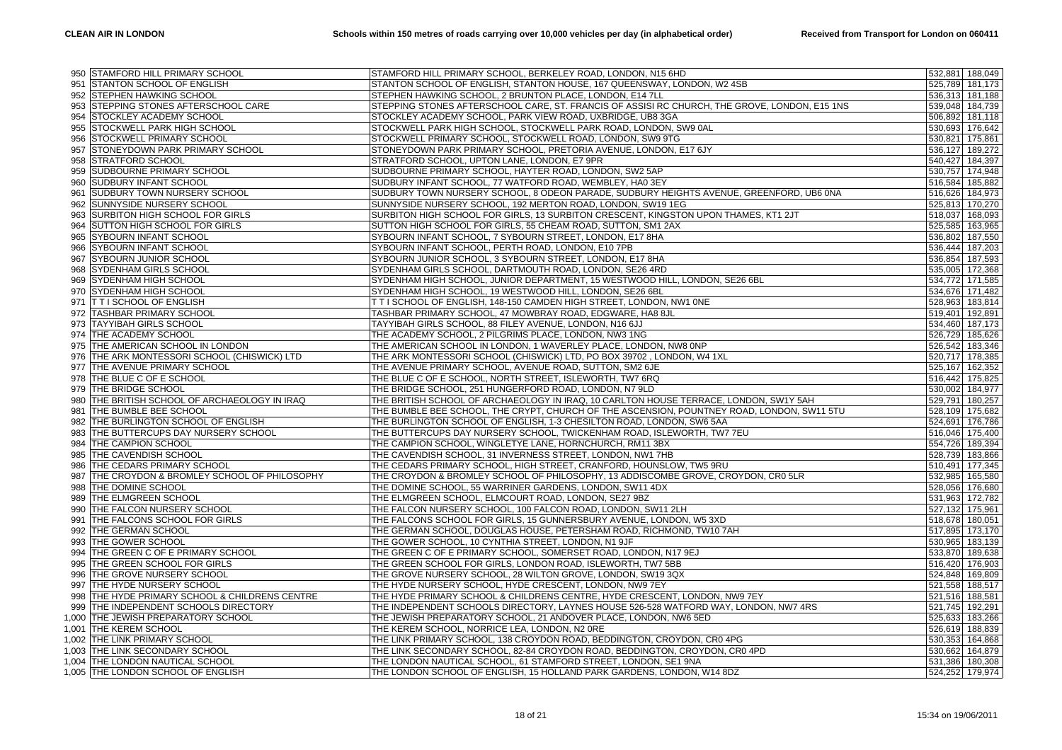|     | 950 STAMFORD HILL PRIMARY SCHOOL               | STAMFORD HILL PRIMARY SCHOOL, BERKELEY ROAD, LONDON, N15 6HD                                  |                 | 532,881 188,049 |
|-----|------------------------------------------------|-----------------------------------------------------------------------------------------------|-----------------|-----------------|
|     | 951 STANTON SCHOOL OF ENGLISH                  | STANTON SCHOOL OF ENGLISH, STANTON HOUSE, 167 QUEENSWAY, LONDON, W2 4SB                       |                 | 525,789 181,173 |
| 952 | <b>STEPHEN HAWKING SCHOOL</b>                  | STEPHEN HAWKING SCHOOL, 2 BRUNTON PLACE, LONDON, E14 7LL                                      |                 | 536,313 181,188 |
| 953 | STEPPING STONES AFTERSCHOOL CARE               | STEPPING STONES AFTERSCHOOL CARE, ST. FRANCIS OF ASSISI RC CHURCH, THE GROVE, LONDON, E15 1NS |                 | 539,048 184,739 |
| 954 | <b>STOCKLEY ACADEMY SCHOOL</b>                 | STOCKLEY ACADEMY SCHOOL, PARK VIEW ROAD, UXBRIDGE, UB8 3GA                                    |                 | 506,892 181,118 |
| 955 | <b>STOCKWELL PARK HIGH SCHOOL</b>              | STOCKWELL PARK HIGH SCHOOL, STOCKWELL PARK ROAD, LONDON, SW9 0AL                              |                 | 530,693 176,642 |
| 956 | STOCKWELL PRIMARY SCHOOL                       | STOCKWELL PRIMARY SCHOOL, STOCKWELL ROAD, LONDON, SW9 9TG                                     | 530,821 175,861 |                 |
| 957 | STONEYDOWN PARK PRIMARY SCHOOL                 | STONEYDOWN PARK PRIMARY SCHOOL, PRETORIA AVENUE, LONDON, E17 6JY                              |                 | 536,127 189,272 |
| 958 | <b>STRATFORD SCHOOL</b>                        | STRATFORD SCHOOL, UPTON LANE, LONDON, E7 9PR                                                  |                 | 540,427 184,397 |
| 959 | SUDBOURNE PRIMARY SCHOOL                       | SUDBOURNE PRIMARY SCHOOL, HAYTER ROAD, LONDON, SW2 5AP                                        |                 | 530,757 174,948 |
| 960 | SUDBURY INFANT SCHOOL                          | SUDBURY INFANT SCHOOL, 77 WATFORD ROAD, WEMBLEY, HA0 3EY                                      |                 | 516,584 185,882 |
| 961 | <b>SUDBURY TOWN NURSERY SCHOOL</b>             | SUDBURY TOWN NURSERY SCHOOL, 8 ODEON PARADE, SUDBURY HEIGHTS AVENUE, GREENFORD, UB6 0NA       |                 | 516,626 184,973 |
| 962 | SUNNYSIDE NURSERY SCHOOL                       | SUNNYSIDE NURSERY SCHOOL, 192 MERTON ROAD, LONDON, SW19 1EG                                   |                 | 525,813 170,270 |
| 963 | SURBITON HIGH SCHOOL FOR GIRLS                 | SURBITON HIGH SCHOOL FOR GIRLS, 13 SURBITON CRESCENT, KINGSTON UPON THAMES, KT1 2JT           |                 | 518,037 168,093 |
| 964 | SUTTON HIGH SCHOOL FOR GIRLS                   | SUTTON HIGH SCHOOL FOR GIRLS, 55 CHEAM ROAD, SUTTON, SM1 2AX                                  |                 | 525,585 163,965 |
| 965 | SYBOURN INFANT SCHOOL                          | SYBOURN INFANT SCHOOL, 7 SYBOURN STREET, LONDON, E17 8HA                                      | 536,802 187,550 |                 |
| 966 | <b>SYBOURN INFANT SCHOOL</b>                   | SYBOURN INFANT SCHOOL, PERTH ROAD, LONDON, E10 7PB                                            |                 | 536,444 187,203 |
| 967 | <b>SYBOURN JUNIOR SCHOOL</b>                   | SYBOURN JUNIOR SCHOOL, 3 SYBOURN STREET, LONDON, E17 8HA                                      |                 | 536,854 187,593 |
| 968 | <b>SYDENHAM GIRLS SCHOOL</b>                   | SYDENHAM GIRLS SCHOOL, DARTMOUTH ROAD, LONDON, SE26 4RD                                       | 535,005 172,368 |                 |
|     | 969 SYDENHAM HIGH SCHOOL                       | SYDENHAM HIGH SCHOOL, JUNIOR DEPARTMENT, 15 WESTWOOD HILL, LONDON, SE26 6BL                   |                 | 534,772 171,585 |
| 970 | <b>SYDENHAM HIGH SCHOOL</b>                    | SYDENHAM HIGH SCHOOL, 19 WESTWOOD HILL, LONDON, SE26 6BL                                      |                 | 534,676 171,482 |
|     | 971 T T I SCHOOL OF ENGLISH                    | T T I SCHOOL OF ENGLISH, 148-150 CAMDEN HIGH STREET, LONDON, NW1 ONE                          |                 | 528,963 183,814 |
|     | 972 TASHBAR PRIMARY SCHOOL                     | TASHBAR PRIMARY SCHOOL, 47 MOWBRAY ROAD, EDGWARE, HA8 8JL                                     | 519,401 192,891 |                 |
| 973 | <b>TAYYIBAH GIRLS SCHOOL</b>                   | TAYYIBAH GIRLS SCHOOL, 88 FILEY AVENUE, LONDON, N16 6JJ                                       |                 | 534,460 187,173 |
|     | 974 THE ACADEMY SCHOOL                         | THE ACADEMY SCHOOL, 2 PILGRIMS PLACE, LONDON, NW3 1NG                                         |                 | 526,729 185,626 |
|     | 975 THE AMERICAN SCHOOL IN LONDON              | THE AMERICAN SCHOOL IN LONDON, 1 WAVERLEY PLACE, LONDON, NW8 0NP                              |                 | 526,542 183,346 |
| 976 | THE ARK MONTESSORI SCHOOL (CHISWICK) LTD       | THE ARK MONTESSORI SCHOOL (CHISWICK) LTD, PO BOX 39702, LONDON, W4 1XL                        |                 | 520,717 178,385 |
|     | 977 THE AVENUE PRIMARY SCHOOL                  | THE AVENUE PRIMARY SCHOOL, AVENUE ROAD, SUTTON, SM2 6JE                                       |                 | 525,167 162,352 |
|     | 978 THE BLUE C OF E SCHOOL                     | THE BLUE C OF E SCHOOL, NORTH STREET, ISLEWORTH, TW7 6RQ                                      |                 | 516,442 175,825 |
| 979 | THE BRIDGE SCHOOL                              | THE BRIDGE SCHOOL, 251 HUNGERFORD ROAD, LONDON, N7 9LD                                        |                 | 530,002 184,977 |
| 980 | THE BRITISH SCHOOL OF ARCHAEOLOGY IN IRAQ      | THE BRITISH SCHOOL OF ARCHAEOLOGY IN IRAQ, 10 CARLTON HOUSE TERRACE, LONDON, SW1Y 5AH         |                 | 529,791 180,257 |
|     | 981 THE BUMBLE BEE SCHOOL                      | THE BUMBLE BEE SCHOOL, THE CRYPT, CHURCH OF THE ASCENSION, POUNTNEY ROAD, LONDON, SW11 5TU    |                 | 528,109 175,682 |
| 982 | THE BURLINGTON SCHOOL OF ENGLISH               | THE BURLINGTON SCHOOL OF ENGLISH, 1-3 CHESILTON ROAD, LONDON, SW6 5AA                         |                 | 524,691 176,786 |
|     | 983 THE BUTTERCUPS DAY NURSERY SCHOOL          | THE BUTTERCUPS DAY NURSERY SCHOOL, TWICKENHAM ROAD, ISLEWORTH, TW7 7EU                        |                 | 516,046 175,400 |
|     | 984 THE CAMPION SCHOOL                         | THE CAMPION SCHOOL, WINGLETYE LANE, HORNCHURCH, RM11 3BX                                      |                 | 554,726 189,394 |
| 985 | THE CAVENDISH SCHOOL                           | THE CAVENDISH SCHOOL, 31 INVERNESS STREET, LONDON, NW1 7HB                                    |                 | 528,739 183,866 |
|     | 986 THE CEDARS PRIMARY SCHOOL                  | THE CEDARS PRIMARY SCHOOL, HIGH STREET, CRANFORD, HOUNSLOW, TW5 9RU                           |                 | 510,491 177,345 |
|     | 987 THE CROYDON & BROMLEY SCHOOL OF PHILOSOPHY | THE CROYDON & BROMLEY SCHOOL OF PHILOSOPHY, 13 ADDISCOMBE GROVE, CROYDON, CR0 5LR             | 532,985 165,580 |                 |
| 988 | THE DOMINE SCHOOL                              | THE DOMINE SCHOOL, 55 WARRINER GARDENS, LONDON, SW11 4DX                                      |                 | 528,056 176,680 |
|     | 989 THE ELMGREEN SCHOOL                        | THE ELMGREEN SCHOOL, ELMCOURT ROAD, LONDON, SE27 9BZ                                          |                 | 531,963 172,782 |
| 990 | THE FALCON NURSERY SCHOOL                      | THE FALCON NURSERY SCHOOL, 100 FALCON ROAD, LONDON, SW11 2LH                                  |                 | 527,132 175,961 |
| 991 | THE FALCONS SCHOOL FOR GIRLS                   | THE FALCONS SCHOOL FOR GIRLS, 15 GUNNERSBURY AVENUE, LONDON, W5 3XD                           | 518,678 180,051 |                 |
|     | 992 THE GERMAN SCHOOL                          | THE GERMAN SCHOOL, DOUGLAS HOUSE, PETERSHAM ROAD, RICHMOND, TW10 7AH                          |                 | 517,895 173,170 |
|     | 993 THE GOWER SCHOOL                           | THE GOWER SCHOOL, 10 CYNTHIA STREET, LONDON, N1 9JF                                           |                 | 530,965 183,139 |
| 994 | THE GREEN C OF E PRIMARY SCHOOL                | THE GREEN C OF E PRIMARY SCHOOL, SOMERSET ROAD, LONDON, N17 9EJ                               |                 | 533,870 189,638 |
|     | 995 THE GREEN SCHOOL FOR GIRLS                 | THE GREEN SCHOOL FOR GIRLS, LONDON ROAD, ISLEWORTH, TW7 5BB                                   |                 | 516,420 176,903 |
|     | 996 THE GROVE NURSERY SCHOOL                   | THE GROVE NURSERY SCHOOL, 28 WILTON GROVE, LONDON, SW19 3QX                                   |                 | 524,848 169,809 |
| 997 | THE HYDE NURSERY SCHOOL                        | THE HYDE NURSERY SCHOOL, HYDE CRESCENT, LONDON, NW9 7EY                                       |                 | 521,558 188,517 |
|     | 998 THE HYDE PRIMARY SCHOOL & CHILDRENS CENTRE | THE HYDE PRIMARY SCHOOL & CHILDRENS CENTRE, HYDE CRESCENT, LONDON, NW9 7EY                    |                 | 521,516 188,581 |
|     | 999 THE INDEPENDENT SCHOOLS DIRECTORY          | THE INDEPENDENT SCHOOLS DIRECTORY, LAYNES HOUSE 526-528 WATFORD WAY, LONDON, NW7 4RS          |                 | 521,745 192,291 |
|     | 1,000 THE JEWISH PREPARATORY SCHOOL            | THE JEWISH PREPARATORY SCHOOL, 21 ANDOVER PLACE, LONDON, NW6 5ED                              |                 | 525,633 183,266 |
|     | 1,001 THE KEREM SCHOOL                         | THE KEREM SCHOOL, NORRICE LEA, LONDON, N2 ORE                                                 |                 | 526,619 188,839 |
|     | 1,002 THE LINK PRIMARY SCHOOL                  | THE LINK PRIMARY SCHOOL, 138 CROYDON ROAD, BEDDINGTON, CROYDON, CR0 4PG                       |                 | 530,353 164,868 |
|     | 1,003 THE LINK SECONDARY SCHOOL                | THE LINK SECONDARY SCHOOL, 82-84 CROYDON ROAD, BEDDINGTON, CROYDON, CR0 4PD                   |                 | 530,662 164,879 |
|     | 1,004 THE LONDON NAUTICAL SCHOOL               | THE LONDON NAUTICAL SCHOOL, 61 STAMFORD STREET, LONDON, SE1 9NA                               |                 | 531,386 180,308 |
|     | 1,005 THE LONDON SCHOOL OF ENGLISH             | THE LONDON SCHOOL OF ENGLISH, 15 HOLLAND PARK GARDENS, LONDON, W14 8DZ                        |                 | 524,252 179,974 |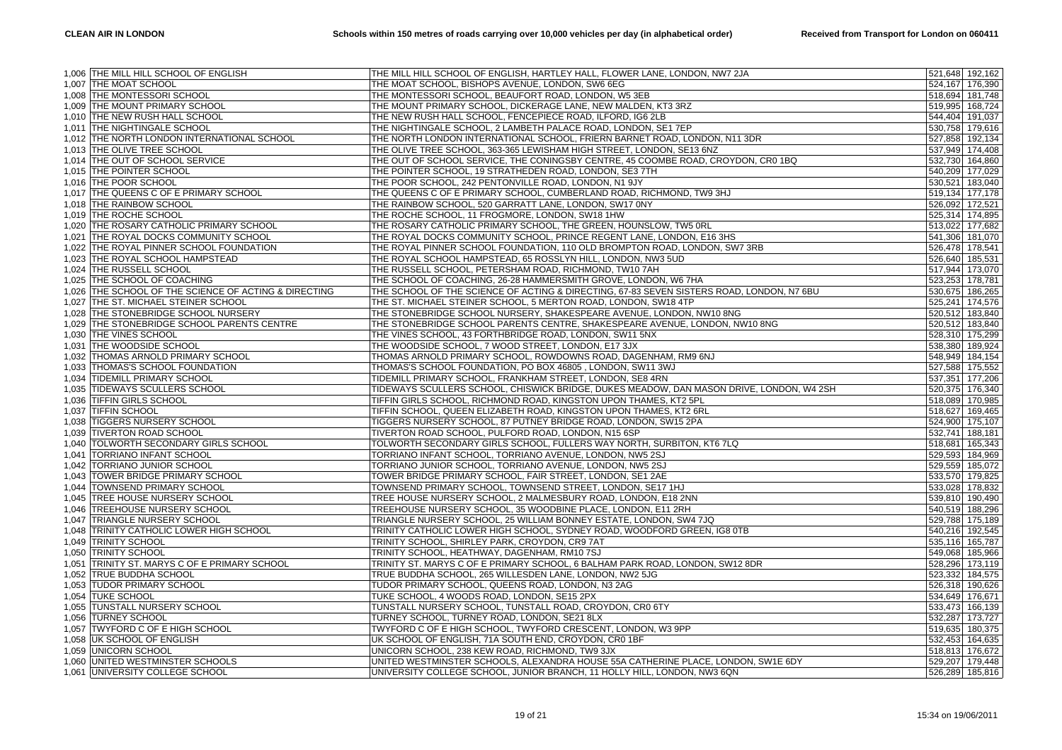| THE MOAT SCHOOL, BISHOPS AVENUE, LONDON, SW6 6EG<br>524,167 176,390<br>1,007 THE MOAT SCHOOL<br>1,008 THE MONTESSORI SCHOOL<br>THE MONTESSORI SCHOOL, BEAUFORT ROAD, LONDON, W5 3EB<br>518,694 181,748<br>1,009 THE MOUNT PRIMARY SCHOOL<br>THE MOUNT PRIMARY SCHOOL, DICKERAGE LANE, NEW MALDEN, KT3 3RZ<br>519,995 168,724<br>1,010 THE NEW RUSH HALL SCHOOL<br>THE NEW RUSH HALL SCHOOL, FENCEPIECE ROAD, ILFORD, IG6 2LB<br>544,404 191,037<br>1,011 THE NIGHTINGALE SCHOOL<br>THE NIGHTINGALE SCHOOL, 2 LAMBETH PALACE ROAD, LONDON, SE1 7EP<br>530,758 179,616<br>THE NORTH LONDON INTERNATIONAL SCHOOL, FRIERN BARNET ROAD, LONDON, N11 3DR<br>1,012 THE NORTH LONDON INTERNATIONAL SCHOOL<br>527,858 192,134<br>1,013 THE OLIVE TREE SCHOOL<br>THE OLIVE TREE SCHOOL, 363-365 LEWISHAM HIGH STREET, LONDON, SE13 6NZ<br>537,949 174,408<br>1,014 THE OUT OF SCHOOL SERVICE<br>THE OUT OF SCHOOL SERVICE, THE CONINGSBY CENTRE, 45 COOMBE ROAD, CROYDON, CR0 1BQ<br>532,730 164,860<br>1,015 THE POINTER SCHOOL<br>THE POINTER SCHOOL, 19 STRATHEDEN ROAD, LONDON, SE3 7TH<br>540,209 177,029<br>THE POOR SCHOOL, 242 PENTONVILLE ROAD, LONDON, N1 9JY<br>1,016 THE POOR SCHOOL<br>530,521 183,040<br>THE QUEENS C OF E PRIMARY SCHOOL, CUMBERLAND ROAD, RICHMOND, TW9 3HJ<br>1,017 THE QUEENS C OF E PRIMARY SCHOOL<br>519,134 177,178<br>1,018 THE RAINBOW SCHOOL<br>THE RAINBOW SCHOOL, 520 GARRATT LANE, LONDON, SW17 0NY<br>526,092 172,521<br>THE ROCHE SCHOOL, 11 FROGMORE, LONDON, SW18 1HW<br>1,019 THE ROCHE SCHOOL<br>525,314 174,895<br>THE ROSARY CATHOLIC PRIMARY SCHOOL<br>THE ROSARY CATHOLIC PRIMARY SCHOOL, THE GREEN, HOUNSLOW, TW5 0RL<br>513,022 177,682<br>1,020<br>1,021 THE ROYAL DOCKS COMMUNITY SCHOOL<br>THE ROYAL DOCKS COMMUNITY SCHOOL, PRINCE REGENT LANE, LONDON, E16 3HS<br>541,306 181,070<br>THE ROYAL PINNER SCHOOL FOUNDATION<br>THE ROYAL PINNER SCHOOL FOUNDATION, 110 OLD BROMPTON ROAD, LONDON, SW7 3RB<br>1,022<br>526,478 178,541<br>THE ROYAL SCHOOL HAMPSTEAD, 65 ROSSLYN HILL, LONDON, NW3 5UD<br>THE ROYAL SCHOOL HAMPSTEAD<br>526,640 185,531<br>1,023<br>1,024 THE RUSSELL SCHOOL<br>THE RUSSELL SCHOOL, PETERSHAM ROAD, RICHMOND, TW10 7AH<br>517,944 173,070<br>1,025 THE SCHOOL OF COACHING<br>THE SCHOOL OF COACHING, 26-28 HAMMERSMITH GROVE, LONDON, W6 7HA<br>523,253 178,781<br>THE SCHOOL OF THE SCIENCE OF ACTING & DIRECTING<br>THE SCHOOL OF THE SCIENCE OF ACTING & DIRECTING, 67-83 SEVEN SISTERS ROAD, LONDON, N7 6BU<br>530,675 186,265<br>1,026<br>1,027 THE ST. MICHAEL STEINER SCHOOL<br>THE ST. MICHAEL STEINER SCHOOL, 5 MERTON ROAD, LONDON, SW18 4TP<br>525,241 174,576<br>1,028 THE STONEBRIDGE SCHOOL NURSERY<br>THE STONEBRIDGE SCHOOL NURSERY, SHAKESPEARE AVENUE, LONDON, NW10 8NG<br>520,512 183,840<br>1,029 THE STONEBRIDGE SCHOOL PARENTS CENTRE<br>THE STONEBRIDGE SCHOOL PARENTS CENTRE, SHAKESPEARE AVENUE, LONDON, NW10 8NG<br>520,512 183,840<br>1,030 THE VINES SCHOOL<br>THE VINES SCHOOL, 43 FORTHBRIDGE ROAD, LONDON, SW11 5NX<br>528,310 175,299<br>THE WOODSIDE SCHOOL<br>THE WOODSIDE SCHOOL, 7 WOOD STREET, LONDON, E17 3JX<br>538,380 189,924<br>1,031<br>THOMAS ARNOLD PRIMARY SCHOOL, ROWDOWNS ROAD, DAGENHAM, RM9 6NJ<br>THOMAS ARNOLD PRIMARY SCHOOL<br>548,949 184,154<br>1,032<br>THOMAS'S SCHOOL FOUNDATION<br>THOMAS'S SCHOOL FOUNDATION, PO BOX 46805, LONDON, SW11 3WJ<br>527,588 175,552<br>1,033<br><b>TIDEMILL PRIMARY SCHOOL</b><br>TIDEMILL PRIMARY SCHOOL, FRANKHAM STREET, LONDON, SE8 4RN<br>537,351 177,206<br>1.034<br>TIDEWAYS SCULLERS SCHOOL, CHISWICK BRIDGE, DUKES MEADOW, DAN MASON DRIVE, LONDON, W4 2SH<br>TIDEWAYS SCULLERS SCHOOL<br>520,375 176,340<br>1,035<br>1,036 TIFFIN GIRLS SCHOOL<br>TIFFIN GIRLS SCHOOL, RICHMOND ROAD, KINGSTON UPON THAMES, KT2 5PL<br>518,089 170,985<br><b>TIFFIN SCHOOL</b><br>TIFFIN SCHOOL, QUEEN ELIZABETH ROAD, KINGSTON UPON THAMES, KT2 6RL<br>1,037<br>518,627 169,465<br>TIGGERS NURSERY SCHOOL, 87 PUTNEY BRIDGE ROAD, LONDON, SW15 2PA<br>TIGGERS NURSERY SCHOOL<br>524,900 175,107<br>1,038<br><b>TIVERTON ROAD SCHOOL</b><br>TIVERTON ROAD SCHOOL, PULFORD ROAD, LONDON, N15 6SP<br>532,741 188,181<br>1,039<br>TOLWORTH SECONDARY GIRLS SCHOOL<br>TOLWORTH SECONDARY GIRLS SCHOOL, FULLERS WAY NORTH, SURBITON, KT6 7LQ<br>518,681 165,343<br>1,040<br>TORRIANO INFANT SCHOOL<br>TORRIANO INFANT SCHOOL, TORRIANO AVENUE, LONDON, NW5 2SJ<br>529,593 184,969<br>1,041<br>1,042 TORRIANO JUNIOR SCHOOL<br>TORRIANO JUNIOR SCHOOL, TORRIANO AVENUE, LONDON, NW5 2SJ<br>529,559 185,072<br>TOWER BRIDGE PRIMARY SCHOOL<br>TOWER BRIDGE PRIMARY SCHOOL, FAIR STREET, LONDON, SE1 2AE<br>533,570 179,825<br>1,043<br>TOWNSEND PRIMARY SCHOOL<br>TOWNSEND PRIMARY SCHOOL, TOWNSEND STREET, LONDON, SE17 1HJ<br>533,028 178,832<br>1,044<br>1,045 TREE HOUSE NURSERY SCHOOL<br>TREE HOUSE NURSERY SCHOOL, 2 MALMESBURY ROAD, LONDON, E18 2NN<br>539,810 190,490<br>1,046 TREEHOUSE NURSERY SCHOOL<br>TREEHOUSE NURSERY SCHOOL, 35 WOODBINE PLACE, LONDON, E11 2RH<br>540,519 188,296<br>TRIANGLE NURSERY SCHOOL<br>TRIANGLE NURSERY SCHOOL, 25 WILLIAM BONNEY ESTATE, LONDON, SW4 7JQ<br>529,788 175,189<br>1,047<br>TRINITY CATHOLIC LOWER HIGH SCHOOL<br>TRINITY CATHOLIC LOWER HIGH SCHOOL, SYDNEY ROAD, WOODFORD GREEN, IG8 0TB<br>540,216 192,545<br>1,048<br>1,049 TRINITY SCHOOL<br>TRINITY SCHOOL, SHIRLEY PARK, CROYDON, CR9 7AT<br>535,116 165,787<br>TRINITY SCHOOL<br>TRINITY SCHOOL, HEATHWAY, DAGENHAM, RM10 7SJ<br>549,068 185,966<br>1,050<br>TRINITY ST. MARYS C OF E PRIMARY SCHOOL<br>TRINITY ST. MARYS C OF E PRIMARY SCHOOL, 6 BALHAM PARK ROAD, LONDON, SW12 8DR<br>528,296 173,119<br>1,051<br>TRUE BUDDHA SCHOOL, 265 WILLESDEN LANE, LONDON, NW2 5JG<br>TRUE BUDDHA SCHOOL<br>523,332 184,575<br>1,052<br>TUDOR PRIMARY SCHOOL, QUEENS ROAD, LONDON, N3 2AG<br>TUDOR PRIMARY SCHOOL<br>526,318 190,626<br>1,053<br><b>TUKE SCHOOL</b><br>TUKE SCHOOL, 4 WOODS ROAD, LONDON, SE15 2PX<br>1,054<br>534,649 176,671<br>TUNSTALL NURSERY SCHOOL<br>TUNSTALL NURSERY SCHOOL, TUNSTALL ROAD, CROYDON, CR0 6TY<br>1,055<br>533,473 166,139<br>TURNEY SCHOOL, TURNEY ROAD, LONDON, SE21 8LX<br>532,287 173,727<br><b>TURNEY SCHOOL</b><br>1,056<br>TWYFORD C OF E HIGH SCHOOL<br>TWYFORD C OF E HIGH SCHOOL, TWYFORD CRESCENT, LONDON, W3 9PP<br>519,635 180,375<br>1,057<br>1,058 UK SCHOOL OF ENGLISH<br>UK SCHOOL OF ENGLISH, 71A SOUTH END, CROYDON, CR0 1BF<br>532,453 164,635<br>1,059 UNICORN SCHOOL<br>UNICORN SCHOOL, 238 KEW ROAD, RICHMOND, TW9 3JX<br>518,813 176,672<br>1,060 UNITED WESTMINSTER SCHOOLS<br>UNITED WESTMINSTER SCHOOLS, ALEXANDRA HOUSE 55A CATHERINE PLACE, LONDON, SW1E 6DY<br>529,207 179,448<br>1,061 UNIVERSITY COLLEGE SCHOOL<br>UNIVERSITY COLLEGE SCHOOL, JUNIOR BRANCH, 11 HOLLY HILL, LONDON, NW3 6QN<br>526,289 185,816 | 1,006 THE MILL HILL SCHOOL OF ENGLISH | THE MILL HILL SCHOOL OF ENGLISH, HARTLEY HALL, FLOWER LANE, LONDON, NW7 2JA | 521,648 192,162 |
|-----------------------------------------------------------------------------------------------------------------------------------------------------------------------------------------------------------------------------------------------------------------------------------------------------------------------------------------------------------------------------------------------------------------------------------------------------------------------------------------------------------------------------------------------------------------------------------------------------------------------------------------------------------------------------------------------------------------------------------------------------------------------------------------------------------------------------------------------------------------------------------------------------------------------------------------------------------------------------------------------------------------------------------------------------------------------------------------------------------------------------------------------------------------------------------------------------------------------------------------------------------------------------------------------------------------------------------------------------------------------------------------------------------------------------------------------------------------------------------------------------------------------------------------------------------------------------------------------------------------------------------------------------------------------------------------------------------------------------------------------------------------------------------------------------------------------------------------------------------------------------------------------------------------------------------------------------------------------------------------------------------------------------------------------------------------------------------------------------------------------------------------------------------------------------------------------------------------------------------------------------------------------------------------------------------------------------------------------------------------------------------------------------------------------------------------------------------------------------------------------------------------------------------------------------------------------------------------------------------------------------------------------------------------------------------------------------------------------------------------------------------------------------------------------------------------------------------------------------------------------------------------------------------------------------------------------------------------------------------------------------------------------------------------------------------------------------------------------------------------------------------------------------------------------------------------------------------------------------------------------------------------------------------------------------------------------------------------------------------------------------------------------------------------------------------------------------------------------------------------------------------------------------------------------------------------------------------------------------------------------------------------------------------------------------------------------------------------------------------------------------------------------------------------------------------------------------------------------------------------------------------------------------------------------------------------------------------------------------------------------------------------------------------------------------------------------------------------------------------------------------------------------------------------------------------------------------------------------------------------------------------------------------------------------------------------------------------------------------------------------------------------------------------------------------------------------------------------------------------------------------------------------------------------------------------------------------------------------------------------------------------------------------------------------------------------------------------------------------------------------------------------------------------------------------------------------------------------------------------------------------------------------------------------------------------------------------------------------------------------------------------------------------------------------------------------------------------------------------------------------------------------------------------------------------------------------------------------------------------------------------------------------------------------------------------------------------------------------------------------------------------------------------------------------------------------------------------------------------------------------------------------------------------------------------------------------------------------------------------------------------------------------------------------------------------------------------------------------------------------------------------------------------------------------------------------------------------------------------------------------------------------------------------------------------------------------------------------------------------------------------------------------------------------------------------------------------------------------------------------------------------------------------------------------------------------------------------------------------------------------------------------------------------------------------------------------------------------------------------------------------------------------------------------------------------------------------------------------------------------------------------------------------------------------------------------------------------------------------------------------------------------------------------------------------------------------------------------------------------------------------------------------------------------------------------------------------------------------------------|---------------------------------------|-----------------------------------------------------------------------------|-----------------|
|                                                                                                                                                                                                                                                                                                                                                                                                                                                                                                                                                                                                                                                                                                                                                                                                                                                                                                                                                                                                                                                                                                                                                                                                                                                                                                                                                                                                                                                                                                                                                                                                                                                                                                                                                                                                                                                                                                                                                                                                                                                                                                                                                                                                                                                                                                                                                                                                                                                                                                                                                                                                                                                                                                                                                                                                                                                                                                                                                                                                                                                                                                                                                                                                                                                                                                                                                                                                                                                                                                                                                                                                                                                                                                                                                                                                                                                                                                                                                                                                                                                                                                                                                                                                                                                                                                                                                                                                                                                                                                                                                                                                                                                                                                                                                                                                                                                                                                                                                                                                                                                                                                                                                                                                                                                                                                                                                                                                                                                                                                                                                                                                                                                                                                                                                                                                                                                                                                                                                                                                                                                                                                                                                                                                                                                                                                                                                                                                                                                                                                                                                                                                                                                                                                                                                                                                                                                           |                                       |                                                                             |                 |
|                                                                                                                                                                                                                                                                                                                                                                                                                                                                                                                                                                                                                                                                                                                                                                                                                                                                                                                                                                                                                                                                                                                                                                                                                                                                                                                                                                                                                                                                                                                                                                                                                                                                                                                                                                                                                                                                                                                                                                                                                                                                                                                                                                                                                                                                                                                                                                                                                                                                                                                                                                                                                                                                                                                                                                                                                                                                                                                                                                                                                                                                                                                                                                                                                                                                                                                                                                                                                                                                                                                                                                                                                                                                                                                                                                                                                                                                                                                                                                                                                                                                                                                                                                                                                                                                                                                                                                                                                                                                                                                                                                                                                                                                                                                                                                                                                                                                                                                                                                                                                                                                                                                                                                                                                                                                                                                                                                                                                                                                                                                                                                                                                                                                                                                                                                                                                                                                                                                                                                                                                                                                                                                                                                                                                                                                                                                                                                                                                                                                                                                                                                                                                                                                                                                                                                                                                                                           |                                       |                                                                             |                 |
|                                                                                                                                                                                                                                                                                                                                                                                                                                                                                                                                                                                                                                                                                                                                                                                                                                                                                                                                                                                                                                                                                                                                                                                                                                                                                                                                                                                                                                                                                                                                                                                                                                                                                                                                                                                                                                                                                                                                                                                                                                                                                                                                                                                                                                                                                                                                                                                                                                                                                                                                                                                                                                                                                                                                                                                                                                                                                                                                                                                                                                                                                                                                                                                                                                                                                                                                                                                                                                                                                                                                                                                                                                                                                                                                                                                                                                                                                                                                                                                                                                                                                                                                                                                                                                                                                                                                                                                                                                                                                                                                                                                                                                                                                                                                                                                                                                                                                                                                                                                                                                                                                                                                                                                                                                                                                                                                                                                                                                                                                                                                                                                                                                                                                                                                                                                                                                                                                                                                                                                                                                                                                                                                                                                                                                                                                                                                                                                                                                                                                                                                                                                                                                                                                                                                                                                                                                                           |                                       |                                                                             |                 |
|                                                                                                                                                                                                                                                                                                                                                                                                                                                                                                                                                                                                                                                                                                                                                                                                                                                                                                                                                                                                                                                                                                                                                                                                                                                                                                                                                                                                                                                                                                                                                                                                                                                                                                                                                                                                                                                                                                                                                                                                                                                                                                                                                                                                                                                                                                                                                                                                                                                                                                                                                                                                                                                                                                                                                                                                                                                                                                                                                                                                                                                                                                                                                                                                                                                                                                                                                                                                                                                                                                                                                                                                                                                                                                                                                                                                                                                                                                                                                                                                                                                                                                                                                                                                                                                                                                                                                                                                                                                                                                                                                                                                                                                                                                                                                                                                                                                                                                                                                                                                                                                                                                                                                                                                                                                                                                                                                                                                                                                                                                                                                                                                                                                                                                                                                                                                                                                                                                                                                                                                                                                                                                                                                                                                                                                                                                                                                                                                                                                                                                                                                                                                                                                                                                                                                                                                                                                           |                                       |                                                                             |                 |
|                                                                                                                                                                                                                                                                                                                                                                                                                                                                                                                                                                                                                                                                                                                                                                                                                                                                                                                                                                                                                                                                                                                                                                                                                                                                                                                                                                                                                                                                                                                                                                                                                                                                                                                                                                                                                                                                                                                                                                                                                                                                                                                                                                                                                                                                                                                                                                                                                                                                                                                                                                                                                                                                                                                                                                                                                                                                                                                                                                                                                                                                                                                                                                                                                                                                                                                                                                                                                                                                                                                                                                                                                                                                                                                                                                                                                                                                                                                                                                                                                                                                                                                                                                                                                                                                                                                                                                                                                                                                                                                                                                                                                                                                                                                                                                                                                                                                                                                                                                                                                                                                                                                                                                                                                                                                                                                                                                                                                                                                                                                                                                                                                                                                                                                                                                                                                                                                                                                                                                                                                                                                                                                                                                                                                                                                                                                                                                                                                                                                                                                                                                                                                                                                                                                                                                                                                                                           |                                       |                                                                             |                 |
|                                                                                                                                                                                                                                                                                                                                                                                                                                                                                                                                                                                                                                                                                                                                                                                                                                                                                                                                                                                                                                                                                                                                                                                                                                                                                                                                                                                                                                                                                                                                                                                                                                                                                                                                                                                                                                                                                                                                                                                                                                                                                                                                                                                                                                                                                                                                                                                                                                                                                                                                                                                                                                                                                                                                                                                                                                                                                                                                                                                                                                                                                                                                                                                                                                                                                                                                                                                                                                                                                                                                                                                                                                                                                                                                                                                                                                                                                                                                                                                                                                                                                                                                                                                                                                                                                                                                                                                                                                                                                                                                                                                                                                                                                                                                                                                                                                                                                                                                                                                                                                                                                                                                                                                                                                                                                                                                                                                                                                                                                                                                                                                                                                                                                                                                                                                                                                                                                                                                                                                                                                                                                                                                                                                                                                                                                                                                                                                                                                                                                                                                                                                                                                                                                                                                                                                                                                                           |                                       |                                                                             |                 |
|                                                                                                                                                                                                                                                                                                                                                                                                                                                                                                                                                                                                                                                                                                                                                                                                                                                                                                                                                                                                                                                                                                                                                                                                                                                                                                                                                                                                                                                                                                                                                                                                                                                                                                                                                                                                                                                                                                                                                                                                                                                                                                                                                                                                                                                                                                                                                                                                                                                                                                                                                                                                                                                                                                                                                                                                                                                                                                                                                                                                                                                                                                                                                                                                                                                                                                                                                                                                                                                                                                                                                                                                                                                                                                                                                                                                                                                                                                                                                                                                                                                                                                                                                                                                                                                                                                                                                                                                                                                                                                                                                                                                                                                                                                                                                                                                                                                                                                                                                                                                                                                                                                                                                                                                                                                                                                                                                                                                                                                                                                                                                                                                                                                                                                                                                                                                                                                                                                                                                                                                                                                                                                                                                                                                                                                                                                                                                                                                                                                                                                                                                                                                                                                                                                                                                                                                                                                           |                                       |                                                                             |                 |
|                                                                                                                                                                                                                                                                                                                                                                                                                                                                                                                                                                                                                                                                                                                                                                                                                                                                                                                                                                                                                                                                                                                                                                                                                                                                                                                                                                                                                                                                                                                                                                                                                                                                                                                                                                                                                                                                                                                                                                                                                                                                                                                                                                                                                                                                                                                                                                                                                                                                                                                                                                                                                                                                                                                                                                                                                                                                                                                                                                                                                                                                                                                                                                                                                                                                                                                                                                                                                                                                                                                                                                                                                                                                                                                                                                                                                                                                                                                                                                                                                                                                                                                                                                                                                                                                                                                                                                                                                                                                                                                                                                                                                                                                                                                                                                                                                                                                                                                                                                                                                                                                                                                                                                                                                                                                                                                                                                                                                                                                                                                                                                                                                                                                                                                                                                                                                                                                                                                                                                                                                                                                                                                                                                                                                                                                                                                                                                                                                                                                                                                                                                                                                                                                                                                                                                                                                                                           |                                       |                                                                             |                 |
|                                                                                                                                                                                                                                                                                                                                                                                                                                                                                                                                                                                                                                                                                                                                                                                                                                                                                                                                                                                                                                                                                                                                                                                                                                                                                                                                                                                                                                                                                                                                                                                                                                                                                                                                                                                                                                                                                                                                                                                                                                                                                                                                                                                                                                                                                                                                                                                                                                                                                                                                                                                                                                                                                                                                                                                                                                                                                                                                                                                                                                                                                                                                                                                                                                                                                                                                                                                                                                                                                                                                                                                                                                                                                                                                                                                                                                                                                                                                                                                                                                                                                                                                                                                                                                                                                                                                                                                                                                                                                                                                                                                                                                                                                                                                                                                                                                                                                                                                                                                                                                                                                                                                                                                                                                                                                                                                                                                                                                                                                                                                                                                                                                                                                                                                                                                                                                                                                                                                                                                                                                                                                                                                                                                                                                                                                                                                                                                                                                                                                                                                                                                                                                                                                                                                                                                                                                                           |                                       |                                                                             |                 |
|                                                                                                                                                                                                                                                                                                                                                                                                                                                                                                                                                                                                                                                                                                                                                                                                                                                                                                                                                                                                                                                                                                                                                                                                                                                                                                                                                                                                                                                                                                                                                                                                                                                                                                                                                                                                                                                                                                                                                                                                                                                                                                                                                                                                                                                                                                                                                                                                                                                                                                                                                                                                                                                                                                                                                                                                                                                                                                                                                                                                                                                                                                                                                                                                                                                                                                                                                                                                                                                                                                                                                                                                                                                                                                                                                                                                                                                                                                                                                                                                                                                                                                                                                                                                                                                                                                                                                                                                                                                                                                                                                                                                                                                                                                                                                                                                                                                                                                                                                                                                                                                                                                                                                                                                                                                                                                                                                                                                                                                                                                                                                                                                                                                                                                                                                                                                                                                                                                                                                                                                                                                                                                                                                                                                                                                                                                                                                                                                                                                                                                                                                                                                                                                                                                                                                                                                                                                           |                                       |                                                                             |                 |
|                                                                                                                                                                                                                                                                                                                                                                                                                                                                                                                                                                                                                                                                                                                                                                                                                                                                                                                                                                                                                                                                                                                                                                                                                                                                                                                                                                                                                                                                                                                                                                                                                                                                                                                                                                                                                                                                                                                                                                                                                                                                                                                                                                                                                                                                                                                                                                                                                                                                                                                                                                                                                                                                                                                                                                                                                                                                                                                                                                                                                                                                                                                                                                                                                                                                                                                                                                                                                                                                                                                                                                                                                                                                                                                                                                                                                                                                                                                                                                                                                                                                                                                                                                                                                                                                                                                                                                                                                                                                                                                                                                                                                                                                                                                                                                                                                                                                                                                                                                                                                                                                                                                                                                                                                                                                                                                                                                                                                                                                                                                                                                                                                                                                                                                                                                                                                                                                                                                                                                                                                                                                                                                                                                                                                                                                                                                                                                                                                                                                                                                                                                                                                                                                                                                                                                                                                                                           |                                       |                                                                             |                 |
|                                                                                                                                                                                                                                                                                                                                                                                                                                                                                                                                                                                                                                                                                                                                                                                                                                                                                                                                                                                                                                                                                                                                                                                                                                                                                                                                                                                                                                                                                                                                                                                                                                                                                                                                                                                                                                                                                                                                                                                                                                                                                                                                                                                                                                                                                                                                                                                                                                                                                                                                                                                                                                                                                                                                                                                                                                                                                                                                                                                                                                                                                                                                                                                                                                                                                                                                                                                                                                                                                                                                                                                                                                                                                                                                                                                                                                                                                                                                                                                                                                                                                                                                                                                                                                                                                                                                                                                                                                                                                                                                                                                                                                                                                                                                                                                                                                                                                                                                                                                                                                                                                                                                                                                                                                                                                                                                                                                                                                                                                                                                                                                                                                                                                                                                                                                                                                                                                                                                                                                                                                                                                                                                                                                                                                                                                                                                                                                                                                                                                                                                                                                                                                                                                                                                                                                                                                                           |                                       |                                                                             |                 |
|                                                                                                                                                                                                                                                                                                                                                                                                                                                                                                                                                                                                                                                                                                                                                                                                                                                                                                                                                                                                                                                                                                                                                                                                                                                                                                                                                                                                                                                                                                                                                                                                                                                                                                                                                                                                                                                                                                                                                                                                                                                                                                                                                                                                                                                                                                                                                                                                                                                                                                                                                                                                                                                                                                                                                                                                                                                                                                                                                                                                                                                                                                                                                                                                                                                                                                                                                                                                                                                                                                                                                                                                                                                                                                                                                                                                                                                                                                                                                                                                                                                                                                                                                                                                                                                                                                                                                                                                                                                                                                                                                                                                                                                                                                                                                                                                                                                                                                                                                                                                                                                                                                                                                                                                                                                                                                                                                                                                                                                                                                                                                                                                                                                                                                                                                                                                                                                                                                                                                                                                                                                                                                                                                                                                                                                                                                                                                                                                                                                                                                                                                                                                                                                                                                                                                                                                                                                           |                                       |                                                                             |                 |
|                                                                                                                                                                                                                                                                                                                                                                                                                                                                                                                                                                                                                                                                                                                                                                                                                                                                                                                                                                                                                                                                                                                                                                                                                                                                                                                                                                                                                                                                                                                                                                                                                                                                                                                                                                                                                                                                                                                                                                                                                                                                                                                                                                                                                                                                                                                                                                                                                                                                                                                                                                                                                                                                                                                                                                                                                                                                                                                                                                                                                                                                                                                                                                                                                                                                                                                                                                                                                                                                                                                                                                                                                                                                                                                                                                                                                                                                                                                                                                                                                                                                                                                                                                                                                                                                                                                                                                                                                                                                                                                                                                                                                                                                                                                                                                                                                                                                                                                                                                                                                                                                                                                                                                                                                                                                                                                                                                                                                                                                                                                                                                                                                                                                                                                                                                                                                                                                                                                                                                                                                                                                                                                                                                                                                                                                                                                                                                                                                                                                                                                                                                                                                                                                                                                                                                                                                                                           |                                       |                                                                             |                 |
|                                                                                                                                                                                                                                                                                                                                                                                                                                                                                                                                                                                                                                                                                                                                                                                                                                                                                                                                                                                                                                                                                                                                                                                                                                                                                                                                                                                                                                                                                                                                                                                                                                                                                                                                                                                                                                                                                                                                                                                                                                                                                                                                                                                                                                                                                                                                                                                                                                                                                                                                                                                                                                                                                                                                                                                                                                                                                                                                                                                                                                                                                                                                                                                                                                                                                                                                                                                                                                                                                                                                                                                                                                                                                                                                                                                                                                                                                                                                                                                                                                                                                                                                                                                                                                                                                                                                                                                                                                                                                                                                                                                                                                                                                                                                                                                                                                                                                                                                                                                                                                                                                                                                                                                                                                                                                                                                                                                                                                                                                                                                                                                                                                                                                                                                                                                                                                                                                                                                                                                                                                                                                                                                                                                                                                                                                                                                                                                                                                                                                                                                                                                                                                                                                                                                                                                                                                                           |                                       |                                                                             |                 |
|                                                                                                                                                                                                                                                                                                                                                                                                                                                                                                                                                                                                                                                                                                                                                                                                                                                                                                                                                                                                                                                                                                                                                                                                                                                                                                                                                                                                                                                                                                                                                                                                                                                                                                                                                                                                                                                                                                                                                                                                                                                                                                                                                                                                                                                                                                                                                                                                                                                                                                                                                                                                                                                                                                                                                                                                                                                                                                                                                                                                                                                                                                                                                                                                                                                                                                                                                                                                                                                                                                                                                                                                                                                                                                                                                                                                                                                                                                                                                                                                                                                                                                                                                                                                                                                                                                                                                                                                                                                                                                                                                                                                                                                                                                                                                                                                                                                                                                                                                                                                                                                                                                                                                                                                                                                                                                                                                                                                                                                                                                                                                                                                                                                                                                                                                                                                                                                                                                                                                                                                                                                                                                                                                                                                                                                                                                                                                                                                                                                                                                                                                                                                                                                                                                                                                                                                                                                           |                                       |                                                                             |                 |
|                                                                                                                                                                                                                                                                                                                                                                                                                                                                                                                                                                                                                                                                                                                                                                                                                                                                                                                                                                                                                                                                                                                                                                                                                                                                                                                                                                                                                                                                                                                                                                                                                                                                                                                                                                                                                                                                                                                                                                                                                                                                                                                                                                                                                                                                                                                                                                                                                                                                                                                                                                                                                                                                                                                                                                                                                                                                                                                                                                                                                                                                                                                                                                                                                                                                                                                                                                                                                                                                                                                                                                                                                                                                                                                                                                                                                                                                                                                                                                                                                                                                                                                                                                                                                                                                                                                                                                                                                                                                                                                                                                                                                                                                                                                                                                                                                                                                                                                                                                                                                                                                                                                                                                                                                                                                                                                                                                                                                                                                                                                                                                                                                                                                                                                                                                                                                                                                                                                                                                                                                                                                                                                                                                                                                                                                                                                                                                                                                                                                                                                                                                                                                                                                                                                                                                                                                                                           |                                       |                                                                             |                 |
|                                                                                                                                                                                                                                                                                                                                                                                                                                                                                                                                                                                                                                                                                                                                                                                                                                                                                                                                                                                                                                                                                                                                                                                                                                                                                                                                                                                                                                                                                                                                                                                                                                                                                                                                                                                                                                                                                                                                                                                                                                                                                                                                                                                                                                                                                                                                                                                                                                                                                                                                                                                                                                                                                                                                                                                                                                                                                                                                                                                                                                                                                                                                                                                                                                                                                                                                                                                                                                                                                                                                                                                                                                                                                                                                                                                                                                                                                                                                                                                                                                                                                                                                                                                                                                                                                                                                                                                                                                                                                                                                                                                                                                                                                                                                                                                                                                                                                                                                                                                                                                                                                                                                                                                                                                                                                                                                                                                                                                                                                                                                                                                                                                                                                                                                                                                                                                                                                                                                                                                                                                                                                                                                                                                                                                                                                                                                                                                                                                                                                                                                                                                                                                                                                                                                                                                                                                                           |                                       |                                                                             |                 |
|                                                                                                                                                                                                                                                                                                                                                                                                                                                                                                                                                                                                                                                                                                                                                                                                                                                                                                                                                                                                                                                                                                                                                                                                                                                                                                                                                                                                                                                                                                                                                                                                                                                                                                                                                                                                                                                                                                                                                                                                                                                                                                                                                                                                                                                                                                                                                                                                                                                                                                                                                                                                                                                                                                                                                                                                                                                                                                                                                                                                                                                                                                                                                                                                                                                                                                                                                                                                                                                                                                                                                                                                                                                                                                                                                                                                                                                                                                                                                                                                                                                                                                                                                                                                                                                                                                                                                                                                                                                                                                                                                                                                                                                                                                                                                                                                                                                                                                                                                                                                                                                                                                                                                                                                                                                                                                                                                                                                                                                                                                                                                                                                                                                                                                                                                                                                                                                                                                                                                                                                                                                                                                                                                                                                                                                                                                                                                                                                                                                                                                                                                                                                                                                                                                                                                                                                                                                           |                                       |                                                                             |                 |
|                                                                                                                                                                                                                                                                                                                                                                                                                                                                                                                                                                                                                                                                                                                                                                                                                                                                                                                                                                                                                                                                                                                                                                                                                                                                                                                                                                                                                                                                                                                                                                                                                                                                                                                                                                                                                                                                                                                                                                                                                                                                                                                                                                                                                                                                                                                                                                                                                                                                                                                                                                                                                                                                                                                                                                                                                                                                                                                                                                                                                                                                                                                                                                                                                                                                                                                                                                                                                                                                                                                                                                                                                                                                                                                                                                                                                                                                                                                                                                                                                                                                                                                                                                                                                                                                                                                                                                                                                                                                                                                                                                                                                                                                                                                                                                                                                                                                                                                                                                                                                                                                                                                                                                                                                                                                                                                                                                                                                                                                                                                                                                                                                                                                                                                                                                                                                                                                                                                                                                                                                                                                                                                                                                                                                                                                                                                                                                                                                                                                                                                                                                                                                                                                                                                                                                                                                                                           |                                       |                                                                             |                 |
|                                                                                                                                                                                                                                                                                                                                                                                                                                                                                                                                                                                                                                                                                                                                                                                                                                                                                                                                                                                                                                                                                                                                                                                                                                                                                                                                                                                                                                                                                                                                                                                                                                                                                                                                                                                                                                                                                                                                                                                                                                                                                                                                                                                                                                                                                                                                                                                                                                                                                                                                                                                                                                                                                                                                                                                                                                                                                                                                                                                                                                                                                                                                                                                                                                                                                                                                                                                                                                                                                                                                                                                                                                                                                                                                                                                                                                                                                                                                                                                                                                                                                                                                                                                                                                                                                                                                                                                                                                                                                                                                                                                                                                                                                                                                                                                                                                                                                                                                                                                                                                                                                                                                                                                                                                                                                                                                                                                                                                                                                                                                                                                                                                                                                                                                                                                                                                                                                                                                                                                                                                                                                                                                                                                                                                                                                                                                                                                                                                                                                                                                                                                                                                                                                                                                                                                                                                                           |                                       |                                                                             |                 |
|                                                                                                                                                                                                                                                                                                                                                                                                                                                                                                                                                                                                                                                                                                                                                                                                                                                                                                                                                                                                                                                                                                                                                                                                                                                                                                                                                                                                                                                                                                                                                                                                                                                                                                                                                                                                                                                                                                                                                                                                                                                                                                                                                                                                                                                                                                                                                                                                                                                                                                                                                                                                                                                                                                                                                                                                                                                                                                                                                                                                                                                                                                                                                                                                                                                                                                                                                                                                                                                                                                                                                                                                                                                                                                                                                                                                                                                                                                                                                                                                                                                                                                                                                                                                                                                                                                                                                                                                                                                                                                                                                                                                                                                                                                                                                                                                                                                                                                                                                                                                                                                                                                                                                                                                                                                                                                                                                                                                                                                                                                                                                                                                                                                                                                                                                                                                                                                                                                                                                                                                                                                                                                                                                                                                                                                                                                                                                                                                                                                                                                                                                                                                                                                                                                                                                                                                                                                           |                                       |                                                                             |                 |
|                                                                                                                                                                                                                                                                                                                                                                                                                                                                                                                                                                                                                                                                                                                                                                                                                                                                                                                                                                                                                                                                                                                                                                                                                                                                                                                                                                                                                                                                                                                                                                                                                                                                                                                                                                                                                                                                                                                                                                                                                                                                                                                                                                                                                                                                                                                                                                                                                                                                                                                                                                                                                                                                                                                                                                                                                                                                                                                                                                                                                                                                                                                                                                                                                                                                                                                                                                                                                                                                                                                                                                                                                                                                                                                                                                                                                                                                                                                                                                                                                                                                                                                                                                                                                                                                                                                                                                                                                                                                                                                                                                                                                                                                                                                                                                                                                                                                                                                                                                                                                                                                                                                                                                                                                                                                                                                                                                                                                                                                                                                                                                                                                                                                                                                                                                                                                                                                                                                                                                                                                                                                                                                                                                                                                                                                                                                                                                                                                                                                                                                                                                                                                                                                                                                                                                                                                                                           |                                       |                                                                             |                 |
|                                                                                                                                                                                                                                                                                                                                                                                                                                                                                                                                                                                                                                                                                                                                                                                                                                                                                                                                                                                                                                                                                                                                                                                                                                                                                                                                                                                                                                                                                                                                                                                                                                                                                                                                                                                                                                                                                                                                                                                                                                                                                                                                                                                                                                                                                                                                                                                                                                                                                                                                                                                                                                                                                                                                                                                                                                                                                                                                                                                                                                                                                                                                                                                                                                                                                                                                                                                                                                                                                                                                                                                                                                                                                                                                                                                                                                                                                                                                                                                                                                                                                                                                                                                                                                                                                                                                                                                                                                                                                                                                                                                                                                                                                                                                                                                                                                                                                                                                                                                                                                                                                                                                                                                                                                                                                                                                                                                                                                                                                                                                                                                                                                                                                                                                                                                                                                                                                                                                                                                                                                                                                                                                                                                                                                                                                                                                                                                                                                                                                                                                                                                                                                                                                                                                                                                                                                                           |                                       |                                                                             |                 |
|                                                                                                                                                                                                                                                                                                                                                                                                                                                                                                                                                                                                                                                                                                                                                                                                                                                                                                                                                                                                                                                                                                                                                                                                                                                                                                                                                                                                                                                                                                                                                                                                                                                                                                                                                                                                                                                                                                                                                                                                                                                                                                                                                                                                                                                                                                                                                                                                                                                                                                                                                                                                                                                                                                                                                                                                                                                                                                                                                                                                                                                                                                                                                                                                                                                                                                                                                                                                                                                                                                                                                                                                                                                                                                                                                                                                                                                                                                                                                                                                                                                                                                                                                                                                                                                                                                                                                                                                                                                                                                                                                                                                                                                                                                                                                                                                                                                                                                                                                                                                                                                                                                                                                                                                                                                                                                                                                                                                                                                                                                                                                                                                                                                                                                                                                                                                                                                                                                                                                                                                                                                                                                                                                                                                                                                                                                                                                                                                                                                                                                                                                                                                                                                                                                                                                                                                                                                           |                                       |                                                                             |                 |
|                                                                                                                                                                                                                                                                                                                                                                                                                                                                                                                                                                                                                                                                                                                                                                                                                                                                                                                                                                                                                                                                                                                                                                                                                                                                                                                                                                                                                                                                                                                                                                                                                                                                                                                                                                                                                                                                                                                                                                                                                                                                                                                                                                                                                                                                                                                                                                                                                                                                                                                                                                                                                                                                                                                                                                                                                                                                                                                                                                                                                                                                                                                                                                                                                                                                                                                                                                                                                                                                                                                                                                                                                                                                                                                                                                                                                                                                                                                                                                                                                                                                                                                                                                                                                                                                                                                                                                                                                                                                                                                                                                                                                                                                                                                                                                                                                                                                                                                                                                                                                                                                                                                                                                                                                                                                                                                                                                                                                                                                                                                                                                                                                                                                                                                                                                                                                                                                                                                                                                                                                                                                                                                                                                                                                                                                                                                                                                                                                                                                                                                                                                                                                                                                                                                                                                                                                                                           |                                       |                                                                             |                 |
|                                                                                                                                                                                                                                                                                                                                                                                                                                                                                                                                                                                                                                                                                                                                                                                                                                                                                                                                                                                                                                                                                                                                                                                                                                                                                                                                                                                                                                                                                                                                                                                                                                                                                                                                                                                                                                                                                                                                                                                                                                                                                                                                                                                                                                                                                                                                                                                                                                                                                                                                                                                                                                                                                                                                                                                                                                                                                                                                                                                                                                                                                                                                                                                                                                                                                                                                                                                                                                                                                                                                                                                                                                                                                                                                                                                                                                                                                                                                                                                                                                                                                                                                                                                                                                                                                                                                                                                                                                                                                                                                                                                                                                                                                                                                                                                                                                                                                                                                                                                                                                                                                                                                                                                                                                                                                                                                                                                                                                                                                                                                                                                                                                                                                                                                                                                                                                                                                                                                                                                                                                                                                                                                                                                                                                                                                                                                                                                                                                                                                                                                                                                                                                                                                                                                                                                                                                                           |                                       |                                                                             |                 |
|                                                                                                                                                                                                                                                                                                                                                                                                                                                                                                                                                                                                                                                                                                                                                                                                                                                                                                                                                                                                                                                                                                                                                                                                                                                                                                                                                                                                                                                                                                                                                                                                                                                                                                                                                                                                                                                                                                                                                                                                                                                                                                                                                                                                                                                                                                                                                                                                                                                                                                                                                                                                                                                                                                                                                                                                                                                                                                                                                                                                                                                                                                                                                                                                                                                                                                                                                                                                                                                                                                                                                                                                                                                                                                                                                                                                                                                                                                                                                                                                                                                                                                                                                                                                                                                                                                                                                                                                                                                                                                                                                                                                                                                                                                                                                                                                                                                                                                                                                                                                                                                                                                                                                                                                                                                                                                                                                                                                                                                                                                                                                                                                                                                                                                                                                                                                                                                                                                                                                                                                                                                                                                                                                                                                                                                                                                                                                                                                                                                                                                                                                                                                                                                                                                                                                                                                                                                           |                                       |                                                                             |                 |
|                                                                                                                                                                                                                                                                                                                                                                                                                                                                                                                                                                                                                                                                                                                                                                                                                                                                                                                                                                                                                                                                                                                                                                                                                                                                                                                                                                                                                                                                                                                                                                                                                                                                                                                                                                                                                                                                                                                                                                                                                                                                                                                                                                                                                                                                                                                                                                                                                                                                                                                                                                                                                                                                                                                                                                                                                                                                                                                                                                                                                                                                                                                                                                                                                                                                                                                                                                                                                                                                                                                                                                                                                                                                                                                                                                                                                                                                                                                                                                                                                                                                                                                                                                                                                                                                                                                                                                                                                                                                                                                                                                                                                                                                                                                                                                                                                                                                                                                                                                                                                                                                                                                                                                                                                                                                                                                                                                                                                                                                                                                                                                                                                                                                                                                                                                                                                                                                                                                                                                                                                                                                                                                                                                                                                                                                                                                                                                                                                                                                                                                                                                                                                                                                                                                                                                                                                                                           |                                       |                                                                             |                 |
|                                                                                                                                                                                                                                                                                                                                                                                                                                                                                                                                                                                                                                                                                                                                                                                                                                                                                                                                                                                                                                                                                                                                                                                                                                                                                                                                                                                                                                                                                                                                                                                                                                                                                                                                                                                                                                                                                                                                                                                                                                                                                                                                                                                                                                                                                                                                                                                                                                                                                                                                                                                                                                                                                                                                                                                                                                                                                                                                                                                                                                                                                                                                                                                                                                                                                                                                                                                                                                                                                                                                                                                                                                                                                                                                                                                                                                                                                                                                                                                                                                                                                                                                                                                                                                                                                                                                                                                                                                                                                                                                                                                                                                                                                                                                                                                                                                                                                                                                                                                                                                                                                                                                                                                                                                                                                                                                                                                                                                                                                                                                                                                                                                                                                                                                                                                                                                                                                                                                                                                                                                                                                                                                                                                                                                                                                                                                                                                                                                                                                                                                                                                                                                                                                                                                                                                                                                                           |                                       |                                                                             |                 |
|                                                                                                                                                                                                                                                                                                                                                                                                                                                                                                                                                                                                                                                                                                                                                                                                                                                                                                                                                                                                                                                                                                                                                                                                                                                                                                                                                                                                                                                                                                                                                                                                                                                                                                                                                                                                                                                                                                                                                                                                                                                                                                                                                                                                                                                                                                                                                                                                                                                                                                                                                                                                                                                                                                                                                                                                                                                                                                                                                                                                                                                                                                                                                                                                                                                                                                                                                                                                                                                                                                                                                                                                                                                                                                                                                                                                                                                                                                                                                                                                                                                                                                                                                                                                                                                                                                                                                                                                                                                                                                                                                                                                                                                                                                                                                                                                                                                                                                                                                                                                                                                                                                                                                                                                                                                                                                                                                                                                                                                                                                                                                                                                                                                                                                                                                                                                                                                                                                                                                                                                                                                                                                                                                                                                                                                                                                                                                                                                                                                                                                                                                                                                                                                                                                                                                                                                                                                           |                                       |                                                                             |                 |
|                                                                                                                                                                                                                                                                                                                                                                                                                                                                                                                                                                                                                                                                                                                                                                                                                                                                                                                                                                                                                                                                                                                                                                                                                                                                                                                                                                                                                                                                                                                                                                                                                                                                                                                                                                                                                                                                                                                                                                                                                                                                                                                                                                                                                                                                                                                                                                                                                                                                                                                                                                                                                                                                                                                                                                                                                                                                                                                                                                                                                                                                                                                                                                                                                                                                                                                                                                                                                                                                                                                                                                                                                                                                                                                                                                                                                                                                                                                                                                                                                                                                                                                                                                                                                                                                                                                                                                                                                                                                                                                                                                                                                                                                                                                                                                                                                                                                                                                                                                                                                                                                                                                                                                                                                                                                                                                                                                                                                                                                                                                                                                                                                                                                                                                                                                                                                                                                                                                                                                                                                                                                                                                                                                                                                                                                                                                                                                                                                                                                                                                                                                                                                                                                                                                                                                                                                                                           |                                       |                                                                             |                 |
|                                                                                                                                                                                                                                                                                                                                                                                                                                                                                                                                                                                                                                                                                                                                                                                                                                                                                                                                                                                                                                                                                                                                                                                                                                                                                                                                                                                                                                                                                                                                                                                                                                                                                                                                                                                                                                                                                                                                                                                                                                                                                                                                                                                                                                                                                                                                                                                                                                                                                                                                                                                                                                                                                                                                                                                                                                                                                                                                                                                                                                                                                                                                                                                                                                                                                                                                                                                                                                                                                                                                                                                                                                                                                                                                                                                                                                                                                                                                                                                                                                                                                                                                                                                                                                                                                                                                                                                                                                                                                                                                                                                                                                                                                                                                                                                                                                                                                                                                                                                                                                                                                                                                                                                                                                                                                                                                                                                                                                                                                                                                                                                                                                                                                                                                                                                                                                                                                                                                                                                                                                                                                                                                                                                                                                                                                                                                                                                                                                                                                                                                                                                                                                                                                                                                                                                                                                                           |                                       |                                                                             |                 |
|                                                                                                                                                                                                                                                                                                                                                                                                                                                                                                                                                                                                                                                                                                                                                                                                                                                                                                                                                                                                                                                                                                                                                                                                                                                                                                                                                                                                                                                                                                                                                                                                                                                                                                                                                                                                                                                                                                                                                                                                                                                                                                                                                                                                                                                                                                                                                                                                                                                                                                                                                                                                                                                                                                                                                                                                                                                                                                                                                                                                                                                                                                                                                                                                                                                                                                                                                                                                                                                                                                                                                                                                                                                                                                                                                                                                                                                                                                                                                                                                                                                                                                                                                                                                                                                                                                                                                                                                                                                                                                                                                                                                                                                                                                                                                                                                                                                                                                                                                                                                                                                                                                                                                                                                                                                                                                                                                                                                                                                                                                                                                                                                                                                                                                                                                                                                                                                                                                                                                                                                                                                                                                                                                                                                                                                                                                                                                                                                                                                                                                                                                                                                                                                                                                                                                                                                                                                           |                                       |                                                                             |                 |
|                                                                                                                                                                                                                                                                                                                                                                                                                                                                                                                                                                                                                                                                                                                                                                                                                                                                                                                                                                                                                                                                                                                                                                                                                                                                                                                                                                                                                                                                                                                                                                                                                                                                                                                                                                                                                                                                                                                                                                                                                                                                                                                                                                                                                                                                                                                                                                                                                                                                                                                                                                                                                                                                                                                                                                                                                                                                                                                                                                                                                                                                                                                                                                                                                                                                                                                                                                                                                                                                                                                                                                                                                                                                                                                                                                                                                                                                                                                                                                                                                                                                                                                                                                                                                                                                                                                                                                                                                                                                                                                                                                                                                                                                                                                                                                                                                                                                                                                                                                                                                                                                                                                                                                                                                                                                                                                                                                                                                                                                                                                                                                                                                                                                                                                                                                                                                                                                                                                                                                                                                                                                                                                                                                                                                                                                                                                                                                                                                                                                                                                                                                                                                                                                                                                                                                                                                                                           |                                       |                                                                             |                 |
|                                                                                                                                                                                                                                                                                                                                                                                                                                                                                                                                                                                                                                                                                                                                                                                                                                                                                                                                                                                                                                                                                                                                                                                                                                                                                                                                                                                                                                                                                                                                                                                                                                                                                                                                                                                                                                                                                                                                                                                                                                                                                                                                                                                                                                                                                                                                                                                                                                                                                                                                                                                                                                                                                                                                                                                                                                                                                                                                                                                                                                                                                                                                                                                                                                                                                                                                                                                                                                                                                                                                                                                                                                                                                                                                                                                                                                                                                                                                                                                                                                                                                                                                                                                                                                                                                                                                                                                                                                                                                                                                                                                                                                                                                                                                                                                                                                                                                                                                                                                                                                                                                                                                                                                                                                                                                                                                                                                                                                                                                                                                                                                                                                                                                                                                                                                                                                                                                                                                                                                                                                                                                                                                                                                                                                                                                                                                                                                                                                                                                                                                                                                                                                                                                                                                                                                                                                                           |                                       |                                                                             |                 |
|                                                                                                                                                                                                                                                                                                                                                                                                                                                                                                                                                                                                                                                                                                                                                                                                                                                                                                                                                                                                                                                                                                                                                                                                                                                                                                                                                                                                                                                                                                                                                                                                                                                                                                                                                                                                                                                                                                                                                                                                                                                                                                                                                                                                                                                                                                                                                                                                                                                                                                                                                                                                                                                                                                                                                                                                                                                                                                                                                                                                                                                                                                                                                                                                                                                                                                                                                                                                                                                                                                                                                                                                                                                                                                                                                                                                                                                                                                                                                                                                                                                                                                                                                                                                                                                                                                                                                                                                                                                                                                                                                                                                                                                                                                                                                                                                                                                                                                                                                                                                                                                                                                                                                                                                                                                                                                                                                                                                                                                                                                                                                                                                                                                                                                                                                                                                                                                                                                                                                                                                                                                                                                                                                                                                                                                                                                                                                                                                                                                                                                                                                                                                                                                                                                                                                                                                                                                           |                                       |                                                                             |                 |
|                                                                                                                                                                                                                                                                                                                                                                                                                                                                                                                                                                                                                                                                                                                                                                                                                                                                                                                                                                                                                                                                                                                                                                                                                                                                                                                                                                                                                                                                                                                                                                                                                                                                                                                                                                                                                                                                                                                                                                                                                                                                                                                                                                                                                                                                                                                                                                                                                                                                                                                                                                                                                                                                                                                                                                                                                                                                                                                                                                                                                                                                                                                                                                                                                                                                                                                                                                                                                                                                                                                                                                                                                                                                                                                                                                                                                                                                                                                                                                                                                                                                                                                                                                                                                                                                                                                                                                                                                                                                                                                                                                                                                                                                                                                                                                                                                                                                                                                                                                                                                                                                                                                                                                                                                                                                                                                                                                                                                                                                                                                                                                                                                                                                                                                                                                                                                                                                                                                                                                                                                                                                                                                                                                                                                                                                                                                                                                                                                                                                                                                                                                                                                                                                                                                                                                                                                                                           |                                       |                                                                             |                 |
|                                                                                                                                                                                                                                                                                                                                                                                                                                                                                                                                                                                                                                                                                                                                                                                                                                                                                                                                                                                                                                                                                                                                                                                                                                                                                                                                                                                                                                                                                                                                                                                                                                                                                                                                                                                                                                                                                                                                                                                                                                                                                                                                                                                                                                                                                                                                                                                                                                                                                                                                                                                                                                                                                                                                                                                                                                                                                                                                                                                                                                                                                                                                                                                                                                                                                                                                                                                                                                                                                                                                                                                                                                                                                                                                                                                                                                                                                                                                                                                                                                                                                                                                                                                                                                                                                                                                                                                                                                                                                                                                                                                                                                                                                                                                                                                                                                                                                                                                                                                                                                                                                                                                                                                                                                                                                                                                                                                                                                                                                                                                                                                                                                                                                                                                                                                                                                                                                                                                                                                                                                                                                                                                                                                                                                                                                                                                                                                                                                                                                                                                                                                                                                                                                                                                                                                                                                                           |                                       |                                                                             |                 |
|                                                                                                                                                                                                                                                                                                                                                                                                                                                                                                                                                                                                                                                                                                                                                                                                                                                                                                                                                                                                                                                                                                                                                                                                                                                                                                                                                                                                                                                                                                                                                                                                                                                                                                                                                                                                                                                                                                                                                                                                                                                                                                                                                                                                                                                                                                                                                                                                                                                                                                                                                                                                                                                                                                                                                                                                                                                                                                                                                                                                                                                                                                                                                                                                                                                                                                                                                                                                                                                                                                                                                                                                                                                                                                                                                                                                                                                                                                                                                                                                                                                                                                                                                                                                                                                                                                                                                                                                                                                                                                                                                                                                                                                                                                                                                                                                                                                                                                                                                                                                                                                                                                                                                                                                                                                                                                                                                                                                                                                                                                                                                                                                                                                                                                                                                                                                                                                                                                                                                                                                                                                                                                                                                                                                                                                                                                                                                                                                                                                                                                                                                                                                                                                                                                                                                                                                                                                           |                                       |                                                                             |                 |
|                                                                                                                                                                                                                                                                                                                                                                                                                                                                                                                                                                                                                                                                                                                                                                                                                                                                                                                                                                                                                                                                                                                                                                                                                                                                                                                                                                                                                                                                                                                                                                                                                                                                                                                                                                                                                                                                                                                                                                                                                                                                                                                                                                                                                                                                                                                                                                                                                                                                                                                                                                                                                                                                                                                                                                                                                                                                                                                                                                                                                                                                                                                                                                                                                                                                                                                                                                                                                                                                                                                                                                                                                                                                                                                                                                                                                                                                                                                                                                                                                                                                                                                                                                                                                                                                                                                                                                                                                                                                                                                                                                                                                                                                                                                                                                                                                                                                                                                                                                                                                                                                                                                                                                                                                                                                                                                                                                                                                                                                                                                                                                                                                                                                                                                                                                                                                                                                                                                                                                                                                                                                                                                                                                                                                                                                                                                                                                                                                                                                                                                                                                                                                                                                                                                                                                                                                                                           |                                       |                                                                             |                 |
|                                                                                                                                                                                                                                                                                                                                                                                                                                                                                                                                                                                                                                                                                                                                                                                                                                                                                                                                                                                                                                                                                                                                                                                                                                                                                                                                                                                                                                                                                                                                                                                                                                                                                                                                                                                                                                                                                                                                                                                                                                                                                                                                                                                                                                                                                                                                                                                                                                                                                                                                                                                                                                                                                                                                                                                                                                                                                                                                                                                                                                                                                                                                                                                                                                                                                                                                                                                                                                                                                                                                                                                                                                                                                                                                                                                                                                                                                                                                                                                                                                                                                                                                                                                                                                                                                                                                                                                                                                                                                                                                                                                                                                                                                                                                                                                                                                                                                                                                                                                                                                                                                                                                                                                                                                                                                                                                                                                                                                                                                                                                                                                                                                                                                                                                                                                                                                                                                                                                                                                                                                                                                                                                                                                                                                                                                                                                                                                                                                                                                                                                                                                                                                                                                                                                                                                                                                                           |                                       |                                                                             |                 |
|                                                                                                                                                                                                                                                                                                                                                                                                                                                                                                                                                                                                                                                                                                                                                                                                                                                                                                                                                                                                                                                                                                                                                                                                                                                                                                                                                                                                                                                                                                                                                                                                                                                                                                                                                                                                                                                                                                                                                                                                                                                                                                                                                                                                                                                                                                                                                                                                                                                                                                                                                                                                                                                                                                                                                                                                                                                                                                                                                                                                                                                                                                                                                                                                                                                                                                                                                                                                                                                                                                                                                                                                                                                                                                                                                                                                                                                                                                                                                                                                                                                                                                                                                                                                                                                                                                                                                                                                                                                                                                                                                                                                                                                                                                                                                                                                                                                                                                                                                                                                                                                                                                                                                                                                                                                                                                                                                                                                                                                                                                                                                                                                                                                                                                                                                                                                                                                                                                                                                                                                                                                                                                                                                                                                                                                                                                                                                                                                                                                                                                                                                                                                                                                                                                                                                                                                                                                           |                                       |                                                                             |                 |
|                                                                                                                                                                                                                                                                                                                                                                                                                                                                                                                                                                                                                                                                                                                                                                                                                                                                                                                                                                                                                                                                                                                                                                                                                                                                                                                                                                                                                                                                                                                                                                                                                                                                                                                                                                                                                                                                                                                                                                                                                                                                                                                                                                                                                                                                                                                                                                                                                                                                                                                                                                                                                                                                                                                                                                                                                                                                                                                                                                                                                                                                                                                                                                                                                                                                                                                                                                                                                                                                                                                                                                                                                                                                                                                                                                                                                                                                                                                                                                                                                                                                                                                                                                                                                                                                                                                                                                                                                                                                                                                                                                                                                                                                                                                                                                                                                                                                                                                                                                                                                                                                                                                                                                                                                                                                                                                                                                                                                                                                                                                                                                                                                                                                                                                                                                                                                                                                                                                                                                                                                                                                                                                                                                                                                                                                                                                                                                                                                                                                                                                                                                                                                                                                                                                                                                                                                                                           |                                       |                                                                             |                 |
|                                                                                                                                                                                                                                                                                                                                                                                                                                                                                                                                                                                                                                                                                                                                                                                                                                                                                                                                                                                                                                                                                                                                                                                                                                                                                                                                                                                                                                                                                                                                                                                                                                                                                                                                                                                                                                                                                                                                                                                                                                                                                                                                                                                                                                                                                                                                                                                                                                                                                                                                                                                                                                                                                                                                                                                                                                                                                                                                                                                                                                                                                                                                                                                                                                                                                                                                                                                                                                                                                                                                                                                                                                                                                                                                                                                                                                                                                                                                                                                                                                                                                                                                                                                                                                                                                                                                                                                                                                                                                                                                                                                                                                                                                                                                                                                                                                                                                                                                                                                                                                                                                                                                                                                                                                                                                                                                                                                                                                                                                                                                                                                                                                                                                                                                                                                                                                                                                                                                                                                                                                                                                                                                                                                                                                                                                                                                                                                                                                                                                                                                                                                                                                                                                                                                                                                                                                                           |                                       |                                                                             |                 |
|                                                                                                                                                                                                                                                                                                                                                                                                                                                                                                                                                                                                                                                                                                                                                                                                                                                                                                                                                                                                                                                                                                                                                                                                                                                                                                                                                                                                                                                                                                                                                                                                                                                                                                                                                                                                                                                                                                                                                                                                                                                                                                                                                                                                                                                                                                                                                                                                                                                                                                                                                                                                                                                                                                                                                                                                                                                                                                                                                                                                                                                                                                                                                                                                                                                                                                                                                                                                                                                                                                                                                                                                                                                                                                                                                                                                                                                                                                                                                                                                                                                                                                                                                                                                                                                                                                                                                                                                                                                                                                                                                                                                                                                                                                                                                                                                                                                                                                                                                                                                                                                                                                                                                                                                                                                                                                                                                                                                                                                                                                                                                                                                                                                                                                                                                                                                                                                                                                                                                                                                                                                                                                                                                                                                                                                                                                                                                                                                                                                                                                                                                                                                                                                                                                                                                                                                                                                           |                                       |                                                                             |                 |
|                                                                                                                                                                                                                                                                                                                                                                                                                                                                                                                                                                                                                                                                                                                                                                                                                                                                                                                                                                                                                                                                                                                                                                                                                                                                                                                                                                                                                                                                                                                                                                                                                                                                                                                                                                                                                                                                                                                                                                                                                                                                                                                                                                                                                                                                                                                                                                                                                                                                                                                                                                                                                                                                                                                                                                                                                                                                                                                                                                                                                                                                                                                                                                                                                                                                                                                                                                                                                                                                                                                                                                                                                                                                                                                                                                                                                                                                                                                                                                                                                                                                                                                                                                                                                                                                                                                                                                                                                                                                                                                                                                                                                                                                                                                                                                                                                                                                                                                                                                                                                                                                                                                                                                                                                                                                                                                                                                                                                                                                                                                                                                                                                                                                                                                                                                                                                                                                                                                                                                                                                                                                                                                                                                                                                                                                                                                                                                                                                                                                                                                                                                                                                                                                                                                                                                                                                                                           |                                       |                                                                             |                 |
|                                                                                                                                                                                                                                                                                                                                                                                                                                                                                                                                                                                                                                                                                                                                                                                                                                                                                                                                                                                                                                                                                                                                                                                                                                                                                                                                                                                                                                                                                                                                                                                                                                                                                                                                                                                                                                                                                                                                                                                                                                                                                                                                                                                                                                                                                                                                                                                                                                                                                                                                                                                                                                                                                                                                                                                                                                                                                                                                                                                                                                                                                                                                                                                                                                                                                                                                                                                                                                                                                                                                                                                                                                                                                                                                                                                                                                                                                                                                                                                                                                                                                                                                                                                                                                                                                                                                                                                                                                                                                                                                                                                                                                                                                                                                                                                                                                                                                                                                                                                                                                                                                                                                                                                                                                                                                                                                                                                                                                                                                                                                                                                                                                                                                                                                                                                                                                                                                                                                                                                                                                                                                                                                                                                                                                                                                                                                                                                                                                                                                                                                                                                                                                                                                                                                                                                                                                                           |                                       |                                                                             |                 |
|                                                                                                                                                                                                                                                                                                                                                                                                                                                                                                                                                                                                                                                                                                                                                                                                                                                                                                                                                                                                                                                                                                                                                                                                                                                                                                                                                                                                                                                                                                                                                                                                                                                                                                                                                                                                                                                                                                                                                                                                                                                                                                                                                                                                                                                                                                                                                                                                                                                                                                                                                                                                                                                                                                                                                                                                                                                                                                                                                                                                                                                                                                                                                                                                                                                                                                                                                                                                                                                                                                                                                                                                                                                                                                                                                                                                                                                                                                                                                                                                                                                                                                                                                                                                                                                                                                                                                                                                                                                                                                                                                                                                                                                                                                                                                                                                                                                                                                                                                                                                                                                                                                                                                                                                                                                                                                                                                                                                                                                                                                                                                                                                                                                                                                                                                                                                                                                                                                                                                                                                                                                                                                                                                                                                                                                                                                                                                                                                                                                                                                                                                                                                                                                                                                                                                                                                                                                           |                                       |                                                                             |                 |
|                                                                                                                                                                                                                                                                                                                                                                                                                                                                                                                                                                                                                                                                                                                                                                                                                                                                                                                                                                                                                                                                                                                                                                                                                                                                                                                                                                                                                                                                                                                                                                                                                                                                                                                                                                                                                                                                                                                                                                                                                                                                                                                                                                                                                                                                                                                                                                                                                                                                                                                                                                                                                                                                                                                                                                                                                                                                                                                                                                                                                                                                                                                                                                                                                                                                                                                                                                                                                                                                                                                                                                                                                                                                                                                                                                                                                                                                                                                                                                                                                                                                                                                                                                                                                                                                                                                                                                                                                                                                                                                                                                                                                                                                                                                                                                                                                                                                                                                                                                                                                                                                                                                                                                                                                                                                                                                                                                                                                                                                                                                                                                                                                                                                                                                                                                                                                                                                                                                                                                                                                                                                                                                                                                                                                                                                                                                                                                                                                                                                                                                                                                                                                                                                                                                                                                                                                                                           |                                       |                                                                             |                 |
|                                                                                                                                                                                                                                                                                                                                                                                                                                                                                                                                                                                                                                                                                                                                                                                                                                                                                                                                                                                                                                                                                                                                                                                                                                                                                                                                                                                                                                                                                                                                                                                                                                                                                                                                                                                                                                                                                                                                                                                                                                                                                                                                                                                                                                                                                                                                                                                                                                                                                                                                                                                                                                                                                                                                                                                                                                                                                                                                                                                                                                                                                                                                                                                                                                                                                                                                                                                                                                                                                                                                                                                                                                                                                                                                                                                                                                                                                                                                                                                                                                                                                                                                                                                                                                                                                                                                                                                                                                                                                                                                                                                                                                                                                                                                                                                                                                                                                                                                                                                                                                                                                                                                                                                                                                                                                                                                                                                                                                                                                                                                                                                                                                                                                                                                                                                                                                                                                                                                                                                                                                                                                                                                                                                                                                                                                                                                                                                                                                                                                                                                                                                                                                                                                                                                                                                                                                                           |                                       |                                                                             |                 |
|                                                                                                                                                                                                                                                                                                                                                                                                                                                                                                                                                                                                                                                                                                                                                                                                                                                                                                                                                                                                                                                                                                                                                                                                                                                                                                                                                                                                                                                                                                                                                                                                                                                                                                                                                                                                                                                                                                                                                                                                                                                                                                                                                                                                                                                                                                                                                                                                                                                                                                                                                                                                                                                                                                                                                                                                                                                                                                                                                                                                                                                                                                                                                                                                                                                                                                                                                                                                                                                                                                                                                                                                                                                                                                                                                                                                                                                                                                                                                                                                                                                                                                                                                                                                                                                                                                                                                                                                                                                                                                                                                                                                                                                                                                                                                                                                                                                                                                                                                                                                                                                                                                                                                                                                                                                                                                                                                                                                                                                                                                                                                                                                                                                                                                                                                                                                                                                                                                                                                                                                                                                                                                                                                                                                                                                                                                                                                                                                                                                                                                                                                                                                                                                                                                                                                                                                                                                           |                                       |                                                                             |                 |
|                                                                                                                                                                                                                                                                                                                                                                                                                                                                                                                                                                                                                                                                                                                                                                                                                                                                                                                                                                                                                                                                                                                                                                                                                                                                                                                                                                                                                                                                                                                                                                                                                                                                                                                                                                                                                                                                                                                                                                                                                                                                                                                                                                                                                                                                                                                                                                                                                                                                                                                                                                                                                                                                                                                                                                                                                                                                                                                                                                                                                                                                                                                                                                                                                                                                                                                                                                                                                                                                                                                                                                                                                                                                                                                                                                                                                                                                                                                                                                                                                                                                                                                                                                                                                                                                                                                                                                                                                                                                                                                                                                                                                                                                                                                                                                                                                                                                                                                                                                                                                                                                                                                                                                                                                                                                                                                                                                                                                                                                                                                                                                                                                                                                                                                                                                                                                                                                                                                                                                                                                                                                                                                                                                                                                                                                                                                                                                                                                                                                                                                                                                                                                                                                                                                                                                                                                                                           |                                       |                                                                             |                 |
|                                                                                                                                                                                                                                                                                                                                                                                                                                                                                                                                                                                                                                                                                                                                                                                                                                                                                                                                                                                                                                                                                                                                                                                                                                                                                                                                                                                                                                                                                                                                                                                                                                                                                                                                                                                                                                                                                                                                                                                                                                                                                                                                                                                                                                                                                                                                                                                                                                                                                                                                                                                                                                                                                                                                                                                                                                                                                                                                                                                                                                                                                                                                                                                                                                                                                                                                                                                                                                                                                                                                                                                                                                                                                                                                                                                                                                                                                                                                                                                                                                                                                                                                                                                                                                                                                                                                                                                                                                                                                                                                                                                                                                                                                                                                                                                                                                                                                                                                                                                                                                                                                                                                                                                                                                                                                                                                                                                                                                                                                                                                                                                                                                                                                                                                                                                                                                                                                                                                                                                                                                                                                                                                                                                                                                                                                                                                                                                                                                                                                                                                                                                                                                                                                                                                                                                                                                                           |                                       |                                                                             |                 |
|                                                                                                                                                                                                                                                                                                                                                                                                                                                                                                                                                                                                                                                                                                                                                                                                                                                                                                                                                                                                                                                                                                                                                                                                                                                                                                                                                                                                                                                                                                                                                                                                                                                                                                                                                                                                                                                                                                                                                                                                                                                                                                                                                                                                                                                                                                                                                                                                                                                                                                                                                                                                                                                                                                                                                                                                                                                                                                                                                                                                                                                                                                                                                                                                                                                                                                                                                                                                                                                                                                                                                                                                                                                                                                                                                                                                                                                                                                                                                                                                                                                                                                                                                                                                                                                                                                                                                                                                                                                                                                                                                                                                                                                                                                                                                                                                                                                                                                                                                                                                                                                                                                                                                                                                                                                                                                                                                                                                                                                                                                                                                                                                                                                                                                                                                                                                                                                                                                                                                                                                                                                                                                                                                                                                                                                                                                                                                                                                                                                                                                                                                                                                                                                                                                                                                                                                                                                           |                                       |                                                                             |                 |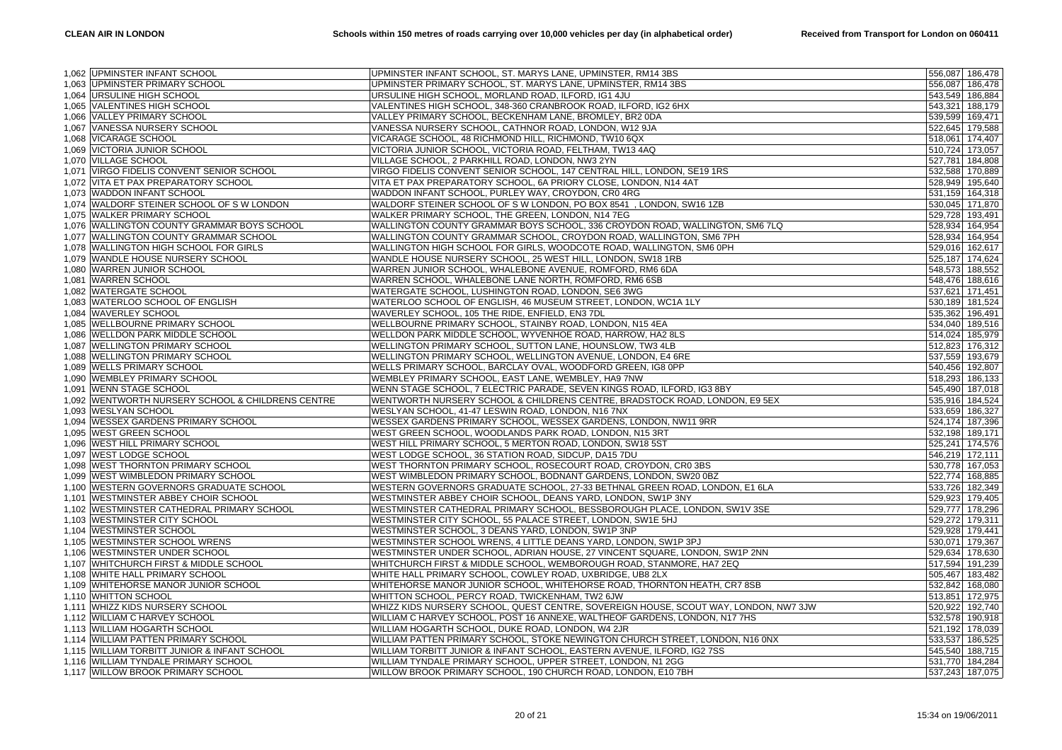|       | 1,062 UPMINSTER INFANT SCHOOL                     | UPMINSTER INFANT SCHOOL, ST. MARYS LANE, UPMINSTER, RM14 3BS                         |                 | 556,087 186,478 |
|-------|---------------------------------------------------|--------------------------------------------------------------------------------------|-----------------|-----------------|
|       | 1,063 UPMINSTER PRIMARY SCHOOL                    | UPMINSTER PRIMARY SCHOOL, ST. MARYS LANE, UPMINSTER, RM14 3BS                        |                 | 556,087 186,478 |
|       | 1,064 URSULINE HIGH SCHOOL                        | URSULINE HIGH SCHOOL, MORLAND ROAD, ILFORD, IG1 4JU                                  |                 | 543,549 186,884 |
|       | 1,065 VALENTINES HIGH SCHOOL                      | VALENTINES HIGH SCHOOL, 348-360 CRANBROOK ROAD, ILFORD, IG2 6HX                      |                 | 543,321 188,179 |
|       | 1,066 VALLEY PRIMARY SCHOOL                       | VALLEY PRIMARY SCHOOL, BECKENHAM LANE, BROMLEY, BR2 0DA                              | 539,599 169,471 |                 |
| 1.067 | VANESSA NURSERY SCHOOL                            | VANESSA NURSERY SCHOOL, CATHNOR ROAD, LONDON, W12 9JA                                |                 | 522,645 179,588 |
|       | 1,068 VICARAGE SCHOOL                             | VICARAGE SCHOOL, 48 RICHMOND HILL, RICHMOND, TW10 6QX                                |                 | 518,061 174,407 |
|       | 1,069 VICTORIA JUNIOR SCHOOL                      | VICTORIA JUNIOR SCHOOL, VICTORIA ROAD, FELTHAM, TW13 4AQ                             |                 | 510,724 173,057 |
|       | 1,070 VILLAGE SCHOOL                              | VILLAGE SCHOOL, 2 PARKHILL ROAD, LONDON, NW3 2YN                                     |                 | 527,781 184,808 |
|       | 1,071 VIRGO FIDELIS CONVENT SENIOR SCHOOL         | VIRGO FIDELIS CONVENT SENIOR SCHOOL, 147 CENTRAL HILL, LONDON, SE19 1RS              |                 | 532,588 170,889 |
|       | 1,072 VITA ET PAX PREPARATORY SCHOOL              | VITA ET PAX PREPARATORY SCHOOL, 6A PRIORY CLOSE, LONDON, N14 4AT                     |                 | 528,949 195,640 |
|       |                                                   |                                                                                      |                 |                 |
|       | 1,073 WADDON INFANT SCHOOL                        | WADDON INFANT SCHOOL, PURLEY WAY, CROYDON, CR0 4RG                                   |                 | 531,159 164,318 |
|       | 1,074 WALDORF STEINER SCHOOL OF SWLONDON          | WALDORF STEINER SCHOOL OF S W LONDON, PO BOX 8541 , LONDON, SW16 1ZB                 |                 | 530,045 171,870 |
|       | 1,075 WALKER PRIMARY SCHOOL                       | WALKER PRIMARY SCHOOL, THE GREEN, LONDON, N14 7EG                                    | 529,728 193,491 |                 |
|       | 1,076 WALLINGTON COUNTY GRAMMAR BOYS SCHOOL       | WALLINGTON COUNTY GRAMMAR BOYS SCHOOL, 336 CROYDON ROAD, WALLINGTON, SM6 7LQ         |                 | 528,934 164,954 |
|       | 1,077 WALLINGTON COUNTY GRAMMAR SCHOOL            | WALLINGTON COUNTY GRAMMAR SCHOOL, CROYDON ROAD, WALLINGTON, SM6 7PH                  |                 | 528,934 164,954 |
|       | 1,078 WALLINGTON HIGH SCHOOL FOR GIRLS            | WALLINGTON HIGH SCHOOL FOR GIRLS, WOODCOTE ROAD, WALLINGTON, SM6 0PH                 |                 | 529,016 162,617 |
|       | 1,079 WANDLE HOUSE NURSERY SCHOOL                 | WANDLE HOUSE NURSERY SCHOOL, 25 WEST HILL, LONDON, SW18 1RB                          |                 | 525,187 174,624 |
|       | 1,080 WARREN JUNIOR SCHOOL                        | WARREN JUNIOR SCHOOL, WHALEBONE AVENUE, ROMFORD, RM6 6DA                             |                 | 548,573 188,552 |
|       | 1,081 WARREN SCHOOL                               | WARREN SCHOOL, WHALEBONE LANE NORTH, ROMFORD, RM6 6SB                                |                 | 548,476 188,616 |
|       | 1,082 WATERGATE SCHOOL                            | WATERGATE SCHOOL, LUSHINGTON ROAD, LONDON, SE6 3WG                                   |                 | 537,621 171,451 |
|       | 1,083 WATERLOO SCHOOL OF ENGLISH                  | WATERLOO SCHOOL OF ENGLISH, 46 MUSEUM STREET, LONDON, WC1A 1LY                       |                 | 530,189 181,524 |
|       | 1,084 WAVERLEY SCHOOL                             | WAVERLEY SCHOOL, 105 THE RIDE, ENFIELD, EN3 7DL                                      |                 | 535,362 196,491 |
|       | 1,085 WELLBOURNE PRIMARY SCHOOL                   | WELLBOURNE PRIMARY SCHOOL, STAINBY ROAD, LONDON, N15 4EA                             |                 | 534,040 189,516 |
|       | 1,086 WELLDON PARK MIDDLE SCHOOL                  | WELLDON PARK MIDDLE SCHOOL, WYVENHOE ROAD, HARROW, HA2 8LS                           |                 | 514,024 185,979 |
|       | 1,087 WELLINGTON PRIMARY SCHOOL                   | WELLINGTON PRIMARY SCHOOL, SUTTON LANE, HOUNSLOW, TW3 4LB                            |                 | 512,823 176,312 |
|       | 1,088 WELLINGTON PRIMARY SCHOOL                   | WELLINGTON PRIMARY SCHOOL, WELLINGTON AVENUE, LONDON, E4 6RE                         |                 | 537,559 193,679 |
|       | 1,089 WELLS PRIMARY SCHOOL                        | WELLS PRIMARY SCHOOL, BARCLAY OVAL, WOODFORD GREEN, IG8 0PP                          |                 | 540,456 192,807 |
|       | 1,090 WEMBLEY PRIMARY SCHOOL                      | WEMBLEY PRIMARY SCHOOL, EAST LANE, WEMBLEY, HA9 7NW                                  |                 | 518,293 186,133 |
| 1,091 | <b>WENN STAGE SCHOOL</b>                          | WENN STAGE SCHOOL, 7 ELECTRIC PARADE, SEVEN KINGS ROAD, ILFORD, IG3 8BY              |                 | 545,490 187,018 |
|       | 1,092 WENTWORTH NURSERY SCHOOL & CHILDRENS CENTRE | WENTWORTH NURSERY SCHOOL & CHILDRENS CENTRE, BRADSTOCK ROAD, LONDON, E9 5EX          |                 | 535,916 184,524 |
|       | 1,093 WESLYAN SCHOOL                              | WESLYAN SCHOOL, 41-47 LESWIN ROAD, LONDON, N16 7NX                                   |                 | 533,659 186,327 |
| 1,094 | <b>WESSEX GARDENS PRIMARY SCHOOL</b>              | WESSEX GARDENS PRIMARY SCHOOL, WESSEX GARDENS, LONDON, NW11 9RR                      |                 | 524,174 187,396 |
|       | 1,095 WEST GREEN SCHOOL                           | WEST GREEN SCHOOL, WOODLANDS PARK ROAD, LONDON, N15 3RT                              | 532,198 189,171 |                 |
|       | 1,096 WEST HILL PRIMARY SCHOOL                    | WEST HILL PRIMARY SCHOOL, 5 MERTON ROAD, LONDON, SW18 5ST                            |                 | 525,241 174,576 |
| 1,097 | <b>WEST LODGE SCHOOL</b>                          | WEST LODGE SCHOOL, 36 STATION ROAD, SIDCUP, DA15 7DU                                 |                 | 546,219 172,111 |
|       | 1,098 WEST THORNTON PRIMARY SCHOOL                | WEST THORNTON PRIMARY SCHOOL, ROSECOURT ROAD, CROYDON, CR0 3BS                       |                 | 530,778 167,053 |
|       | 1,099 WEST WIMBLEDON PRIMARY SCHOOL               | WEST WIMBLEDON PRIMARY SCHOOL, BODNANT GARDENS, LONDON, SW20 0BZ                     |                 | 522,774 168,885 |
| 1.100 | WESTERN GOVERNORS GRADUATE SCHOOL                 | WESTERN GOVERNORS GRADUATE SCHOOL, 27-33 BETHNAL GREEN ROAD, LONDON, E1 6LA          |                 | 533,726 182,349 |
|       | 1,101 WESTMINSTER ABBEY CHOIR SCHOOL              | WESTMINSTER ABBEY CHOIR SCHOOL, DEANS YARD, LONDON, SW1P 3NY                         |                 | 529,923 179,405 |
|       | 1,102 WESTMINSTER CATHEDRAL PRIMARY SCHOOL        | WESTMINSTER CATHEDRAL PRIMARY SCHOOL, BESSBOROUGH PLACE, LONDON, SW1V 3SE            |                 | 529,777 178,296 |
|       | 1,103 WESTMINSTER CITY SCHOOL                     | WESTMINSTER CITY SCHOOL, 55 PALACE STREET, LONDON, SW1E 5HJ                          |                 | 529,272 179,311 |
|       | 1,104 WESTMINSTER SCHOOL                          | WESTMINSTER SCHOOL, 3 DEANS YARD, LONDON, SW1P 3NP                                   | 529,928 179,441 |                 |
|       | 1,105 WESTMINSTER SCHOOL WRENS                    | WESTMINSTER SCHOOL WRENS, 4 LITTLE DEANS YARD, LONDON, SW1P 3PJ                      | 530,071 179,367 |                 |
|       | 1,106 WESTMINSTER UNDER SCHOOL                    | WESTMINSTER UNDER SCHOOL, ADRIAN HOUSE, 27 VINCENT SQUARE, LONDON, SW1P 2NN          |                 | 529,634 178,630 |
|       | 1,107 WHITCHURCH FIRST & MIDDLE SCHOOL            | WHITCHURCH FIRST & MIDDLE SCHOOL, WEMBOROUGH ROAD, STANMORE, HA7 2EQ                 |                 | 517,594 191,239 |
|       | 1,108 WHITE HALL PRIMARY SCHOOL                   | WHITE HALL PRIMARY SCHOOL, COWLEY ROAD, UXBRIDGE, UB8 2LX                            |                 | 505,467 183,482 |
|       | 1,109 WHITEHORSE MANOR JUNIOR SCHOOL              | WHITEHORSE MANOR JUNIOR SCHOOL, WHITEHORSE ROAD, THORNTON HEATH, CR7 8SB             |                 | 532,842 168,080 |
|       | 1,110 WHITTON SCHOOL                              | WHITTON SCHOOL, PERCY ROAD, TWICKENHAM, TW2 6JW                                      |                 | 513,851 172,975 |
|       | 1,111 WHIZZ KIDS NURSERY SCHOOL                   | WHIZZ KIDS NURSERY SCHOOL, QUEST CENTRE, SOVEREIGN HOUSE, SCOUT WAY, LONDON, NW7 3JW |                 | 520,922 192,740 |
|       | 1,112 WILLIAM C HARVEY SCHOOL                     | WILLIAM C HARVEY SCHOOL, POST 16 ANNEXE, WALTHEOF GARDENS, LONDON, N17 7HS           |                 | 532,578 190,918 |
|       | 1,113 WILLIAM HOGARTH SCHOOL                      | WILLIAM HOGARTH SCHOOL, DUKE ROAD, LONDON, W4 2JR                                    |                 | 521,192 178,039 |
|       | 1,114 WILLIAM PATTEN PRIMARY SCHOOL               | WILLIAM PATTEN PRIMARY SCHOOL, STOKE NEWINGTON CHURCH STREET, LONDON, N16 0NX        |                 | 533,537 186,525 |
|       | 1,115 WILLIAM TORBITT JUNIOR & INFANT SCHOOL      | WILLIAM TORBITT JUNIOR & INFANT SCHOOL, EASTERN AVENUE, ILFORD, IG2 7SS              |                 | 545,540 188,715 |
|       | 1,116 WILLIAM TYNDALE PRIMARY SCHOOL              | WILLIAM TYNDALE PRIMARY SCHOOL, UPPER STREET, LONDON, N1 2GG                         |                 | 531,770 184,284 |
|       | 1,117 WILLOW BROOK PRIMARY SCHOOL                 | WILLOW BROOK PRIMARY SCHOOL, 190 CHURCH ROAD, LONDON, E10 7BH                        |                 | 537,243 187,075 |
|       |                                                   |                                                                                      |                 |                 |